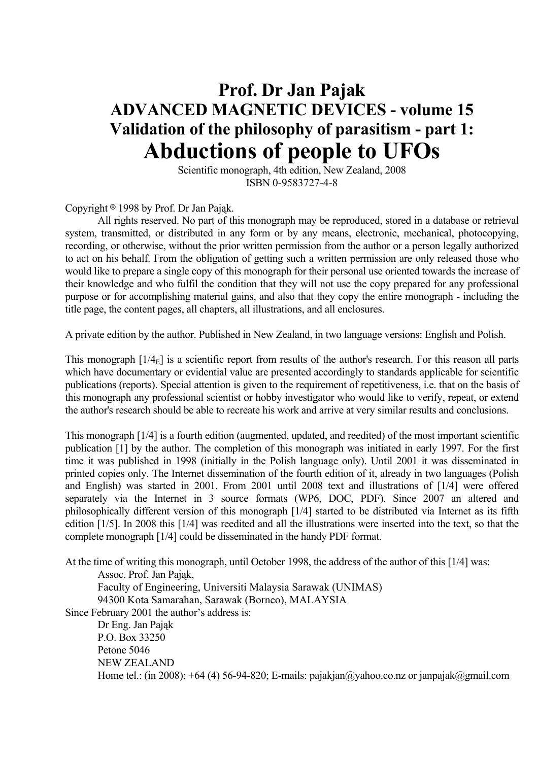# **Prof. Dr Jan Pajak ADVANCED MAGNETIC DEVICES - volume 15 Validation of the philosophy of parasitism - part 1: Abductions of people to UFOs**

 Scientific monograph, 4th edition, New Zealand, 2008 ISBN 0-9583727-4-8

Copyright  $\circ$  1998 by Prof. Dr Jan Pająk.

 All rights reserved. No part of this monograph may be reproduced, stored in a database or retrieval system, transmitted, or distributed in any form or by any means, electronic, mechanical, photocopying, recording, or otherwise, without the prior written permission from the author or a person legally authorized to act on his behalf. From the obligation of getting such a written permission are only released those who would like to prepare a single copy of this monograph for their personal use oriented towards the increase of their knowledge and who fulfil the condition that they will not use the copy prepared for any professional purpose or for accomplishing material gains, and also that they copy the entire monograph - including the title page, the content pages, all chapters, all illustrations, and all enclosures.

A private edition by the author. Published in New Zealand, in two language versions: English and Polish.

This monograph  $[1/4<sub>E</sub>]$  is a scientific report from results of the author's research. For this reason all parts which have documentary or evidential value are presented accordingly to standards applicable for scientific publications (reports). Special attention is given to the requirement of repetitiveness, i.e. that on the basis of this monograph any professional scientist or hobby investigator who would like to verify, repeat, or extend the author's research should be able to recreate his work and arrive at very similar results and conclusions.

This monograph [1/4] is a fourth edition (augmented, updated, and reedited) of the most important scientific publication [1] by the author. The completion of this monograph was initiated in early 1997. For the first time it was published in 1998 (initially in the Polish language only). Until 2001 it was disseminated in printed copies only. The Internet dissemination of the fourth edition of it, already in two languages (Polish and English) was started in 2001. From 2001 until 2008 text and illustrations of [1/4] were offered separately via the Internet in 3 source formats (WP6, DOC, PDF). Since 2007 an altered and philosophically different version of this monograph [1/4] started to be distributed via Internet as its fifth edition [1/5]. In 2008 this [1/4] was reedited and all the illustrations were inserted into the text, so that the complete monograph [1/4] could be disseminated in the handy PDF format.

At the time of writing this monograph, until October 1998, the address of the author of this [1/4] was:

Assoc. Prof. Jan Pająk,

 Faculty of Engineering, Universiti Malaysia Sarawak (UNIMAS) 94300 Kota Samarahan, Sarawak (Borneo), MALAYSIA

Since February 2001 the author's address is:

 Dr Eng. Jan Pająk P.O. Box 33250 Petone 5046 NEW ZEALAND Home tel.: (in 2008):  $+64$  (4) 56-94-820; E-mails: pajakjan@yahoo.co.nz or janpajak@gmail.com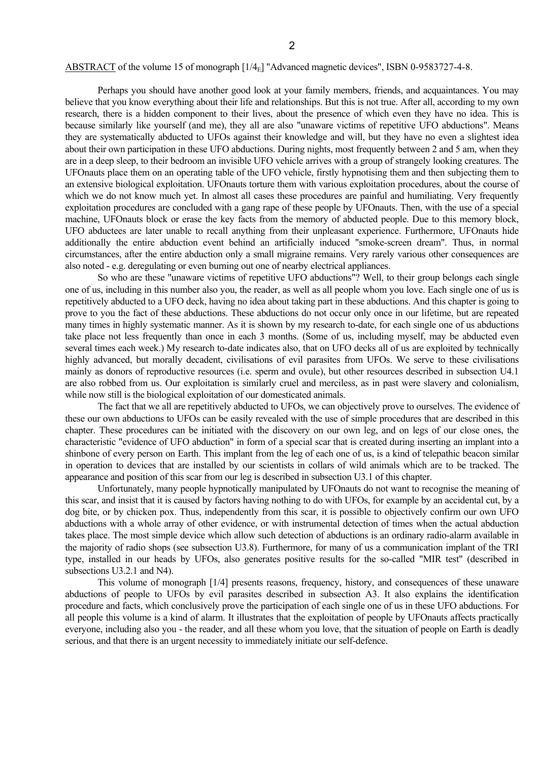#### ABSTRACT of the volume 15 of monograph [1/4<sub>E</sub>] "Advanced magnetic devices", ISBN 0-9583727-4-8.

 Perhaps you should have another good look at your family members, friends, and acquaintances. You may believe that you know everything about their life and relationships. But this is not true. After all, according to my own research, there is a hidden component to their lives, about the presence of which even they have no idea. This is because similarly like yourself (and me), they all are also "unaware victims of repetitive UFO abductions". Means they are systematically abducted to UFOs against their knowledge and will, but they have no even a slightest idea about their own participation in these UFO abductions. During nights, most frequently between 2 and 5 am, when they are in a deep sleep, to their bedroom an invisible UFO vehicle arrives with a group of strangely looking creatures. The UFOnauts place them on an operating table of the UFO vehicle, firstly hypnotising them and then subjecting them to an extensive biological exploitation. UFOnauts torture them with various exploitation procedures, about the course of which we do not know much yet. In almost all cases these procedures are painful and humiliating. Very frequently exploitation procedures are concluded with a gang rape of these people by UFOnauts. Then, with the use of a special machine, UFOnauts block or erase the key facts from the memory of abducted people. Due to this memory block, UFO abductees are later unable to recall anything from their unpleasant experience. Furthermore, UFOnauts hide additionally the entire abduction event behind an artificially induced "smoke-screen dream". Thus, in normal circumstances, after the entire abduction only a small migraine remains. Very rarely various other consequences are also noted - e.g. deregulating or even burning out one of nearby electrical appliances.

 So who are these "unaware victims of repetitive UFO abductions"? Well, to their group belongs each single one of us, including in this number also you, the reader, as well as all people whom you love. Each single one of us is repetitively abducted to a UFO deck, having no idea about taking part in these abductions. And this chapter is going to prove to you the fact of these abductions. These abductions do not occur only once in our lifetime, but are repeated many times in highly systematic manner. As it is shown by my research to-date, for each single one of us abductions take place not less frequently than once in each 3 months. (Some of us, including myself, may be abducted even several times each week.) My research to-date indicates also, that on UFO decks all of us are exploited by technically highly advanced, but morally decadent, civilisations of evil parasites from UFOs. We serve to these civilisations mainly as donors of reproductive resources (i.e. sperm and ovule), but other resources described in subsection U4.1 are also robbed from us. Our exploitation is similarly cruel and merciless, as in past were slavery and colonialism, while now still is the biological exploitation of our domesticated animals.

 The fact that we all are repetitively abducted to UFOs, we can objectively prove to ourselves. The evidence of these our own abductions to UFOs can be easily revealed with the use of simple procedures that are described in this chapter. These procedures can be initiated with the discovery on our own leg, and on legs of our close ones, the characteristic "evidence of UFO abduction" in form of a special scar that is created during inserting an implant into a shinbone of every person on Earth. This implant from the leg of each one of us, is a kind of telepathic beacon similar in operation to devices that are installed by our scientists in collars of wild animals which are to be tracked. The appearance and position of this scar from our leg is described in subsection U3.1 of this chapter.

 Unfortunately, many people hypnotically manipulated by UFOnauts do not want to recognise the meaning of this scar, and insist that it is caused by factors having nothing to do with UFOs, for example by an accidental cut, by a dog bite, or by chicken pox. Thus, independently from this scar, it is possible to objectively confirm our own UFO abductions with a whole array of other evidence, or with instrumental detection of times when the actual abduction takes place. The most simple device which allow such detection of abductions is an ordinary radio-alarm available in the majority of radio shops (see subsection U3.8). Furthermore, for many of us a communication implant of the TRI type, installed in our heads by UFOs, also generates positive results for the so-called "MIR test" (described in subsections U3.2.1 and N4).

 This volume of monograph [1/4] presents reasons, frequency, history, and consequences of these unaware abductions of people to UFOs by evil parasites described in subsection A3. It also explains the identification procedure and facts, which conclusively prove the participation of each single one of us in these UFO abductions. For all people this volume is a kind of alarm. It illustrates that the exploitation of people by UFOnauts affects practically everyone, including also you - the reader, and all these whom you love, that the situation of people on Earth is deadly serious, and that there is an urgent necessity to immediately initiate our self-defence.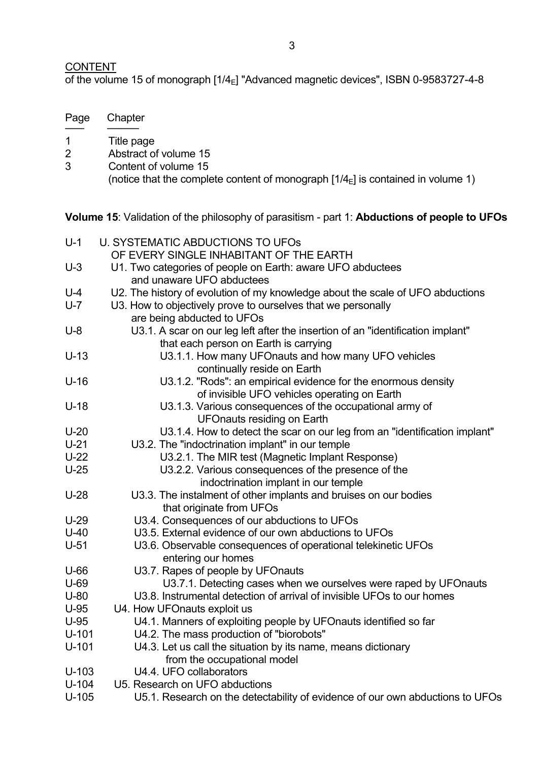# **CONTENT**

of the volume 15 of monograph [1/4<sub>E</sub>] "Advanced magnetic devices", ISBN 0-9583727-4-8

| Page | Chapter                                                                                                   |
|------|-----------------------------------------------------------------------------------------------------------|
|      | Title page                                                                                                |
| 2    | Abstract of volume 15                                                                                     |
| 3    | Content of volume 15<br>(notice that the complete content of monograph $[1/4E]$ is contained in volume 1) |

**Volume 15**: Validation of the philosophy of parasitism - part 1: **Abductions of people to UFOs**

| $U-1$   | <b>U. SYSTEMATIC ABDUCTIONS TO UFOS</b>                                         |
|---------|---------------------------------------------------------------------------------|
|         | OF EVERY SINGLE INHABITANT OF THE EARTH                                         |
| $U-3$   | U1. Two categories of people on Earth: aware UFO abductees                      |
|         | and unaware UFO abductees                                                       |
| $U - 4$ | U2. The history of evolution of my knowledge about the scale of UFO abductions  |
| $U - 7$ | U3. How to objectively prove to ourselves that we personally                    |
|         | are being abducted to UFOs                                                      |
| $U-8$   | U3.1. A scar on our leg left after the insertion of an "identification implant" |
|         | that each person on Earth is carrying                                           |
| $U-13$  | U3.1.1. How many UFOnauts and how many UFO vehicles                             |
|         | continually reside on Earth                                                     |
| $U-16$  | U3.1.2. "Rods": an empirical evidence for the enormous density                  |
|         | of invisible UFO vehicles operating on Earth                                    |
| $U-18$  | U3.1.3. Various consequences of the occupational army of                        |
|         | <b>UFOnauts residing on Earth</b>                                               |
| $U-20$  | U3.1.4. How to detect the scar on our leg from an "identification implant"      |
| $U-21$  | U3.2. The "indoctrination implant" in our temple                                |
| $U-22$  | U3.2.1. The MIR test (Magnetic Implant Response)                                |
| $U-25$  | U3.2.2. Various consequences of the presence of the                             |
|         | indoctrination implant in our temple                                            |
| $U-28$  | U3.3. The instalment of other implants and bruises on our bodies                |
|         | that originate from UFOs                                                        |
| $U-29$  | U3.4. Consequences of our abductions to UFOs                                    |
| $U-40$  | U3.5. External evidence of our own abductions to UFOs                           |
| $U-51$  | U3.6. Observable consequences of operational telekinetic UFOs                   |
|         | entering our homes                                                              |
| $U-66$  | U3.7. Rapes of people by UFOnauts                                               |
| $U-69$  | U3.7.1. Detecting cases when we ourselves were raped by UFOnauts                |
| $U-80$  | U3.8. Instrumental detection of arrival of invisible UFOs to our homes          |
| $U-95$  | U4. How UFOnauts exploit us                                                     |
| $U-95$  | U4.1. Manners of exploiting people by UFOnauts identified so far                |
| $U-101$ | U4.2. The mass production of "biorobots"                                        |
| $U-101$ | U4.3. Let us call the situation by its name, means dictionary                   |
|         | from the occupational model                                                     |
| $U-103$ | U4.4. UFO collaborators                                                         |
| $U-104$ | U5. Research on UFO abductions                                                  |
| $U-105$ | U5.1. Research on the detectability of evidence of our own abductions to UFOs   |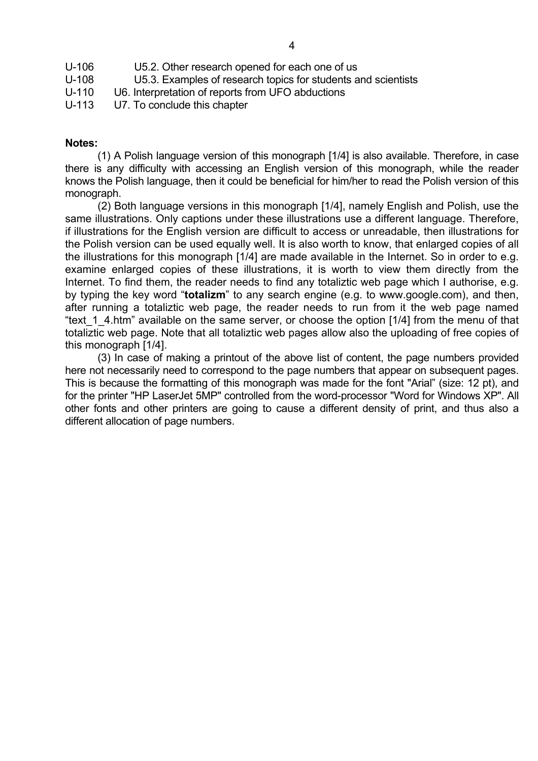| U-106     | U5.2. Other research opened for each one of us                |
|-----------|---------------------------------------------------------------|
| U-108     | U5.3. Examples of research topics for students and scientists |
| $U - 110$ | U6. Interpretation of reports from UFO abductions             |

U-113 U7. To conclude this chapter

# **Notes:**

 (1) A Polish language version of this monograph [1/4] is also available. Therefore, in case there is any difficulty with accessing an English version of this monograph, while the reader knows the Polish language, then it could be beneficial for him/her to read the Polish version of this monograph.

 (2) Both language versions in this monograph [1/4], namely English and Polish, use the same illustrations. Only captions under these illustrations use a different language. Therefore, if illustrations for the English version are difficult to access or unreadable, then illustrations for the Polish version can be used equally well. It is also worth to know, that enlarged copies of all the illustrations for this monograph [1/4] are made available in the Internet. So in order to e.g. examine enlarged copies of these illustrations, it is worth to view them directly from the Internet. To find them, the reader needs to find any totaliztic web page which I authorise, e.g. by typing the key word "**totalizm**" to any search engine (e.g. to www.google.com), and then, after running a totaliztic web page, the reader needs to run from it the web page named "text 1 4.htm" available on the same server, or choose the option [1/4] from the menu of that totaliztic web page. Note that all totaliztic web pages allow also the uploading of free copies of this monograph [1/4].

 (3) In case of making a printout of the above list of content, the page numbers provided here not necessarily need to correspond to the page numbers that appear on subsequent pages. This is because the formatting of this monograph was made for the font "Arial" (size: 12 pt), and for the printer "HP LaserJet 5MP" controlled from the word-processor "Word for Windows XP". All other fonts and other printers are going to cause a different density of print, and thus also a different allocation of page numbers.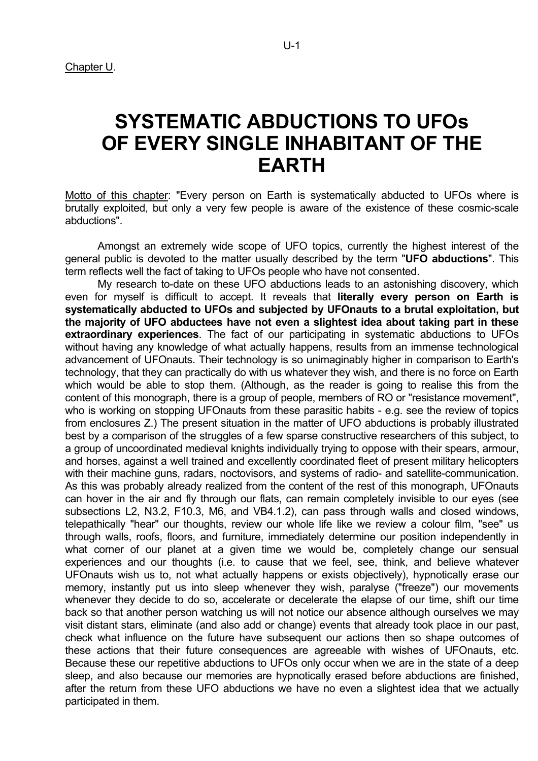# **SYSTEMATIC ABDUCTIONS TO UFOs OF EVERY SINGLE INHABITANT OF THE EARTH**

Motto of this chapter: "Every person on Earth is systematically abducted to UFOs where is brutally exploited, but only a very few people is aware of the existence of these cosmic-scale abductions".

 Amongst an extremely wide scope of UFO topics, currently the highest interest of the general public is devoted to the matter usually described by the term "**UFO abductions**". This term reflects well the fact of taking to UFOs people who have not consented.

 My research to-date on these UFO abductions leads to an astonishing discovery, which even for myself is difficult to accept. It reveals that **literally every person on Earth is systematically abducted to UFOs and subjected by UFOnauts to a brutal exploitation, but the majority of UFO abductees have not even a slightest idea about taking part in these extraordinary experiences**. The fact of our participating in systematic abductions to UFOs without having any knowledge of what actually happens, results from an immense technological advancement of UFOnauts. Their technology is so unimaginably higher in comparison to Earth's technology, that they can practically do with us whatever they wish, and there is no force on Earth which would be able to stop them. (Although, as the reader is going to realise this from the content of this monograph, there is a group of people, members of RO or "resistance movement", who is working on stopping UFOnauts from these parasitic habits - e.g. see the review of topics from enclosures Z.) The present situation in the matter of UFO abductions is probably illustrated best by a comparison of the struggles of a few sparse constructive researchers of this subject, to a group of uncoordinated medieval knights individually trying to oppose with their spears, armour, and horses, against a well trained and excellently coordinated fleet of present military helicopters with their machine guns, radars, noctovisors, and systems of radio- and satellite-communication. As this was probably already realized from the content of the rest of this monograph, UFOnauts can hover in the air and fly through our flats, can remain completely invisible to our eyes (see subsections L2, N3.2, F10.3, M6, and VB4.1.2), can pass through walls and closed windows, telepathically "hear" our thoughts, review our whole life like we review a colour film, "see" us through walls, roofs, floors, and furniture, immediately determine our position independently in what corner of our planet at a given time we would be, completely change our sensual experiences and our thoughts (i.e. to cause that we feel, see, think, and believe whatever UFOnauts wish us to, not what actually happens or exists objectively), hypnotically erase our memory, instantly put us into sleep whenever they wish, paralyse ("freeze") our movements whenever they decide to do so, accelerate or decelerate the elapse of our time, shift our time back so that another person watching us will not notice our absence although ourselves we may visit distant stars, eliminate (and also add or change) events that already took place in our past, check what influence on the future have subsequent our actions then so shape outcomes of these actions that their future consequences are agreeable with wishes of UFOnauts, etc. Because these our repetitive abductions to UFOs only occur when we are in the state of a deep sleep, and also because our memories are hypnotically erased before abductions are finished, after the return from these UFO abductions we have no even a slightest idea that we actually participated in them.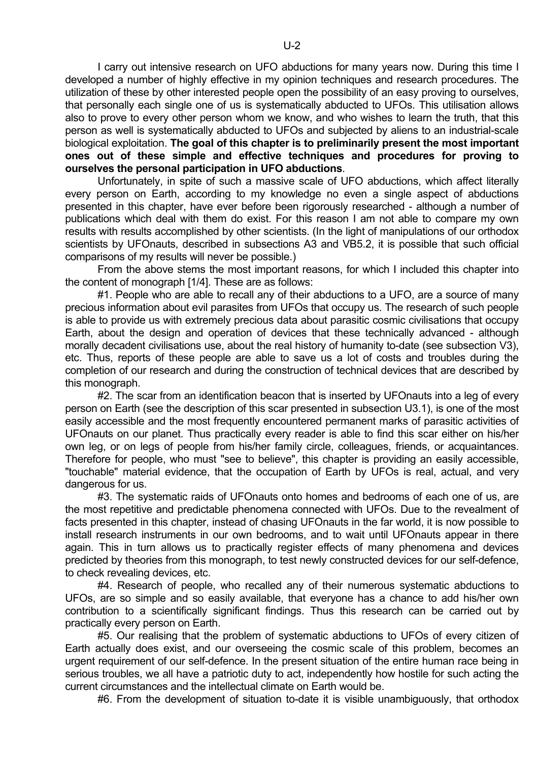I carry out intensive research on UFO abductions for many years now. During this time I developed a number of highly effective in my opinion techniques and research procedures. The utilization of these by other interested people open the possibility of an easy proving to ourselves, that personally each single one of us is systematically abducted to UFOs. This utilisation allows also to prove to every other person whom we know, and who wishes to learn the truth, that this person as well is systematically abducted to UFOs and subjected by aliens to an industrial-scale biological exploitation. **The goal of this chapter is to preliminarily present the most important ones out of these simple and effective techniques and procedures for proving to ourselves the personal participation in UFO abductions**.

 Unfortunately, in spite of such a massive scale of UFO abductions, which affect literally every person on Earth, according to my knowledge no even a single aspect of abductions presented in this chapter, have ever before been rigorously researched - although a number of publications which deal with them do exist. For this reason I am not able to compare my own results with results accomplished by other scientists. (In the light of manipulations of our orthodox scientists by UFOnauts, described in subsections A3 and VB5.2, it is possible that such official comparisons of my results will never be possible.)

 From the above stems the most important reasons, for which I included this chapter into the content of monograph [1/4]. These are as follows:

#1. People who are able to recall any of their abductions to a UFO, are a source of many precious information about evil parasites from UFOs that occupy us. The research of such people is able to provide us with extremely precious data about parasitic cosmic civilisations that occupy Earth, about the design and operation of devices that these technically advanced - although morally decadent civilisations use, about the real history of humanity to-date (see subsection V3), etc. Thus, reports of these people are able to save us a lot of costs and troubles during the completion of our research and during the construction of technical devices that are described by this monograph.

#2. The scar from an identification beacon that is inserted by UFOnauts into a leg of every person on Earth (see the description of this scar presented in subsection U3.1), is one of the most easily accessible and the most frequently encountered permanent marks of parasitic activities of UFOnauts on our planet. Thus practically every reader is able to find this scar either on his/her own leg, or on legs of people from his/her family circle, colleagues, friends, or acquaintances. Therefore for people, who must "see to believe", this chapter is providing an easily accessible, "touchable" material evidence, that the occupation of Earth by UFOs is real, actual, and very dangerous for us.

 #3. The systematic raids of UFOnauts onto homes and bedrooms of each one of us, are the most repetitive and predictable phenomena connected with UFOs. Due to the revealment of facts presented in this chapter, instead of chasing UFOnauts in the far world, it is now possible to install research instruments in our own bedrooms, and to wait until UFOnauts appear in there again. This in turn allows us to practically register effects of many phenomena and devices predicted by theories from this monograph, to test newly constructed devices for our self-defence, to check revealing devices, etc.

 #4. Research of people, who recalled any of their numerous systematic abductions to UFOs, are so simple and so easily available, that everyone has a chance to add his/her own contribution to a scientifically significant findings. Thus this research can be carried out by practically every person on Earth.

 #5. Our realising that the problem of systematic abductions to UFOs of every citizen of Earth actually does exist, and our overseeing the cosmic scale of this problem, becomes an urgent requirement of our self-defence. In the present situation of the entire human race being in serious troubles, we all have a patriotic duty to act, independently how hostile for such acting the current circumstances and the intellectual climate on Earth would be.

#6. From the development of situation to-date it is visible unambiguously, that orthodox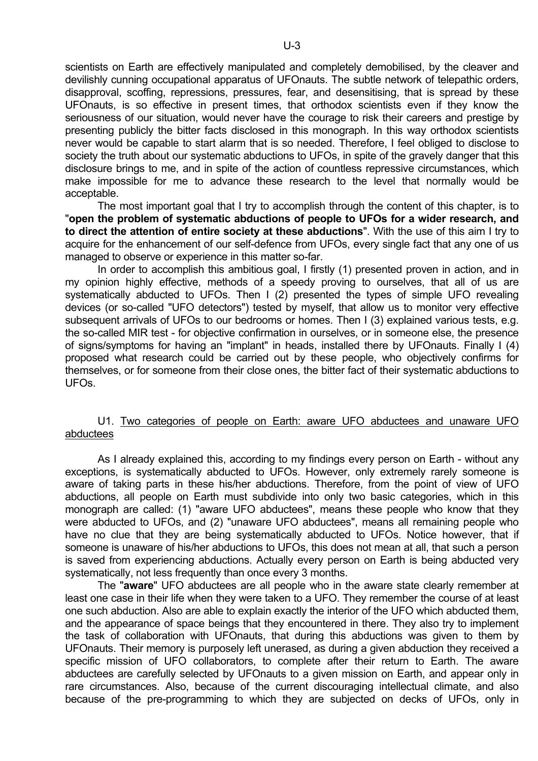scientists on Earth are effectively manipulated and completely demobilised, by the cleaver and devilishly cunning occupational apparatus of UFOnauts. The subtle network of telepathic orders, disapproval, scoffing, repressions, pressures, fear, and desensitising, that is spread by these UFOnauts, is so effective in present times, that orthodox scientists even if they know the seriousness of our situation, would never have the courage to risk their careers and prestige by presenting publicly the bitter facts disclosed in this monograph. In this way orthodox scientists never would be capable to start alarm that is so needed. Therefore, I feel obliged to disclose to society the truth about our systematic abductions to UFOs, in spite of the gravely danger that this disclosure brings to me, and in spite of the action of countless repressive circumstances, which make impossible for me to advance these research to the level that normally would be acceptable.

 The most important goal that I try to accomplish through the content of this chapter, is to "**open the problem of systematic abductions of people to UFOs for a wider research, and to direct the attention of entire society at these abductions**". With the use of this aim I try to acquire for the enhancement of our self-defence from UFOs, every single fact that any one of us managed to observe or experience in this matter so-far.

 In order to accomplish this ambitious goal, I firstly (1) presented proven in action, and in my opinion highly effective, methods of a speedy proving to ourselves, that all of us are systematically abducted to UFOs. Then I (2) presented the types of simple UFO revealing devices (or so-called "UFO detectors") tested by myself, that allow us to monitor very effective subsequent arrivals of UFOs to our bedrooms or homes. Then I (3) explained various tests, e.g. the so-called MIR test - for objective confirmation in ourselves, or in someone else, the presence of signs/symptoms for having an "implant" in heads, installed there by UFOnauts. Finally I (4) proposed what research could be carried out by these people, who objectively confirms for themselves, or for someone from their close ones, the bitter fact of their systematic abductions to UFOs.

# U1. Two categories of people on Earth: aware UFO abductees and unaware UFO abductees

 As I already explained this, according to my findings every person on Earth - without any exceptions, is systematically abducted to UFOs. However, only extremely rarely someone is aware of taking parts in these his/her abductions. Therefore, from the point of view of UFO abductions, all people on Earth must subdivide into only two basic categories, which in this monograph are called: (1) "aware UFO abductees", means these people who know that they were abducted to UFOs, and (2) "unaware UFO abductees", means all remaining people who have no clue that they are being systematically abducted to UFOs. Notice however, that if someone is unaware of his/her abductions to UFOs, this does not mean at all, that such a person is saved from experiencing abductions. Actually every person on Earth is being abducted very systematically, not less frequently than once every 3 months.

 The "**aware**" UFO abductees are all people who in the aware state clearly remember at least one case in their life when they were taken to a UFO. They remember the course of at least one such abduction. Also are able to explain exactly the interior of the UFO which abducted them, and the appearance of space beings that they encountered in there. They also try to implement the task of collaboration with UFOnauts, that during this abductions was given to them by UFOnauts. Their memory is purposely left unerased, as during a given abduction they received a specific mission of UFO collaborators, to complete after their return to Earth. The aware abductees are carefully selected by UFOnauts to a given mission on Earth, and appear only in rare circumstances. Also, because of the current discouraging intellectual climate, and also because of the pre-programming to which they are subjected on decks of UFOs, only in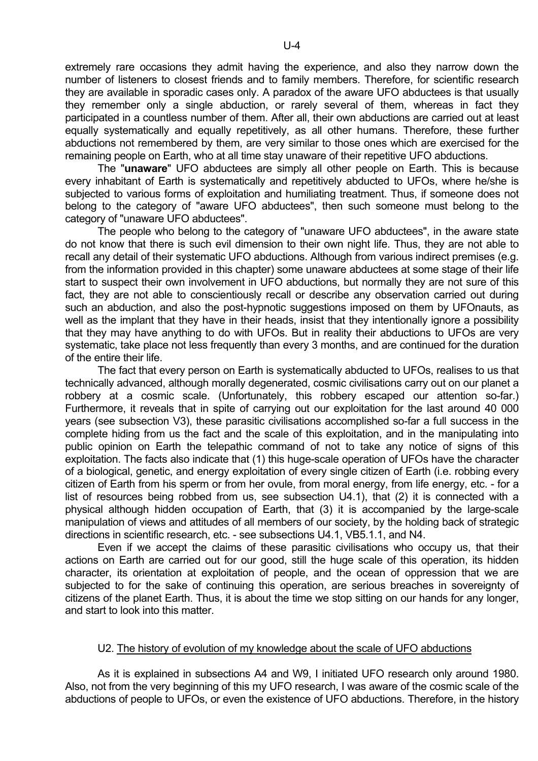extremely rare occasions they admit having the experience, and also they narrow down the number of listeners to closest friends and to family members. Therefore, for scientific research they are available in sporadic cases only. A paradox of the aware UFO abductees is that usually they remember only a single abduction, or rarely several of them, whereas in fact they participated in a countless number of them. After all, their own abductions are carried out at least equally systematically and equally repetitively, as all other humans. Therefore, these further abductions not remembered by them, are very similar to those ones which are exercised for the remaining people on Earth, who at all time stay unaware of their repetitive UFO abductions.

 The "**unaware**" UFO abductees are simply all other people on Earth. This is because every inhabitant of Earth is systematically and repetitively abducted to UFOs, where he/she is subjected to various forms of exploitation and humiliating treatment. Thus, if someone does not belong to the category of "aware UFO abductees", then such someone must belong to the category of "unaware UFO abductees".

 The people who belong to the category of "unaware UFO abductees", in the aware state do not know that there is such evil dimension to their own night life. Thus, they are not able to recall any detail of their systematic UFO abductions. Although from various indirect premises (e.g. from the information provided in this chapter) some unaware abductees at some stage of their life start to suspect their own involvement in UFO abductions, but normally they are not sure of this fact, they are not able to conscientiously recall or describe any observation carried out during such an abduction, and also the post-hypnotic suggestions imposed on them by UFOnauts, as well as the implant that they have in their heads, insist that they intentionally ignore a possibility that they may have anything to do with UFOs. But in reality their abductions to UFOs are very systematic, take place not less frequently than every 3 months, and are continued for the duration of the entire their life.

 The fact that every person on Earth is systematically abducted to UFOs, realises to us that technically advanced, although morally degenerated, cosmic civilisations carry out on our planet a robbery at a cosmic scale. (Unfortunately, this robbery escaped our attention so-far.) Furthermore, it reveals that in spite of carrying out our exploitation for the last around 40 000 years (see subsection V3), these parasitic civilisations accomplished so-far a full success in the complete hiding from us the fact and the scale of this exploitation, and in the manipulating into public opinion on Earth the telepathic command of not to take any notice of signs of this exploitation. The facts also indicate that (1) this huge-scale operation of UFOs have the character of a biological, genetic, and energy exploitation of every single citizen of Earth (i.e. robbing every citizen of Earth from his sperm or from her ovule, from moral energy, from life energy, etc. - for a list of resources being robbed from us, see subsection U4.1), that (2) it is connected with a physical although hidden occupation of Earth, that (3) it is accompanied by the large-scale manipulation of views and attitudes of all members of our society, by the holding back of strategic directions in scientific research, etc. - see subsections U4.1, VB5.1.1, and N4.

 Even if we accept the claims of these parasitic civilisations who occupy us, that their actions on Earth are carried out for our good, still the huge scale of this operation, its hidden character, its orientation at exploitation of people, and the ocean of oppression that we are subjected to for the sake of continuing this operation, are serious breaches in sovereignty of citizens of the planet Earth. Thus, it is about the time we stop sitting on our hands for any longer, and start to look into this matter.

#### U2. The history of evolution of my knowledge about the scale of UFO abductions

 As it is explained in subsections A4 and W9, I initiated UFO research only around 1980. Also, not from the very beginning of this my UFO research, I was aware of the cosmic scale of the abductions of people to UFOs, or even the existence of UFO abductions. Therefore, in the history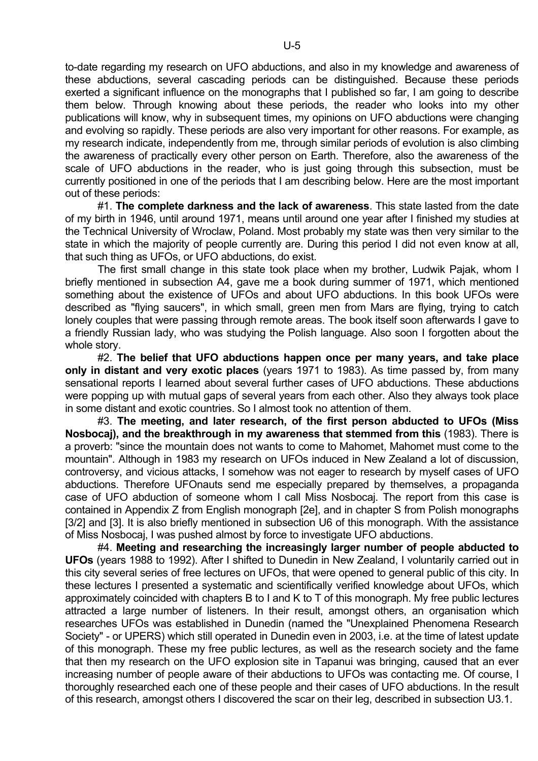to-date regarding my research on UFO abductions, and also in my knowledge and awareness of these abductions, several cascading periods can be distinguished. Because these periods exerted a significant influence on the monographs that I published so far, I am going to describe them below. Through knowing about these periods, the reader who looks into my other publications will know, why in subsequent times, my opinions on UFO abductions were changing and evolving so rapidly. These periods are also very important for other reasons. For example, as my research indicate, independently from me, through similar periods of evolution is also climbing the awareness of practically every other person on Earth. Therefore, also the awareness of the scale of UFO abductions in the reader, who is just going through this subsection, must be currently positioned in one of the periods that I am describing below. Here are the most important out of these periods:

 #1. **The complete darkness and the lack of awareness**. This state lasted from the date of my birth in 1946, until around 1971, means until around one year after I finished my studies at the Technical University of Wroclaw, Poland. Most probably my state was then very similar to the state in which the majority of people currently are. During this period I did not even know at all, that such thing as UFOs, or UFO abductions, do exist.

 The first small change in this state took place when my brother, Ludwik Pajak, whom I briefly mentioned in subsection A4, gave me a book during summer of 1971, which mentioned something about the existence of UFOs and about UFO abductions. In this book UFOs were described as "flying saucers", in which small, green men from Mars are flying, trying to catch lonely couples that were passing through remote areas. The book itself soon afterwards I gave to a friendly Russian lady, who was studying the Polish language. Also soon I forgotten about the whole story.

 #2. **The belief that UFO abductions happen once per many years, and take place only in distant and very exotic places** (years 1971 to 1983). As time passed by, from many sensational reports I learned about several further cases of UFO abductions. These abductions were popping up with mutual gaps of several years from each other. Also they always took place in some distant and exotic countries. So I almost took no attention of them.

 #3. **The meeting, and later research, of the first person abducted to UFOs (Miss Nosbocaj), and the breakthrough in my awareness that stemmed from this** (1983). There is a proverb: "since the mountain does not wants to come to Mahomet, Mahomet must come to the mountain". Although in 1983 my research on UFOs induced in New Zealand a lot of discussion, controversy, and vicious attacks, I somehow was not eager to research by myself cases of UFO abductions. Therefore UFOnauts send me especially prepared by themselves, a propaganda case of UFO abduction of someone whom I call Miss Nosbocaj. The report from this case is contained in Appendix Z from English monograph [2e], and in chapter S from Polish monographs [3/2] and [3]. It is also briefly mentioned in subsection U6 of this monograph. With the assistance of Miss Nosbocaj, I was pushed almost by force to investigate UFO abductions.

 #4. **Meeting and researching the increasingly larger number of people abducted to UFOs** (years 1988 to 1992). After I shifted to Dunedin in New Zealand, I voluntarily carried out in this city several series of free lectures on UFOs, that were opened to general public of this city. In these lectures I presented a systematic and scientifically verified knowledge about UFOs, which approximately coincided with chapters B to I and K to T of this monograph. My free public lectures attracted a large number of listeners. In their result, amongst others, an organisation which researches UFOs was established in Dunedin (named the "Unexplained Phenomena Research Society" - or UPERS) which still operated in Dunedin even in 2003, i.e. at the time of latest update of this monograph. These my free public lectures, as well as the research society and the fame that then my research on the UFO explosion site in Tapanui was bringing, caused that an ever increasing number of people aware of their abductions to UFOs was contacting me. Of course, I thoroughly researched each one of these people and their cases of UFO abductions. In the result of this research, amongst others I discovered the scar on their leg, described in subsection U3.1.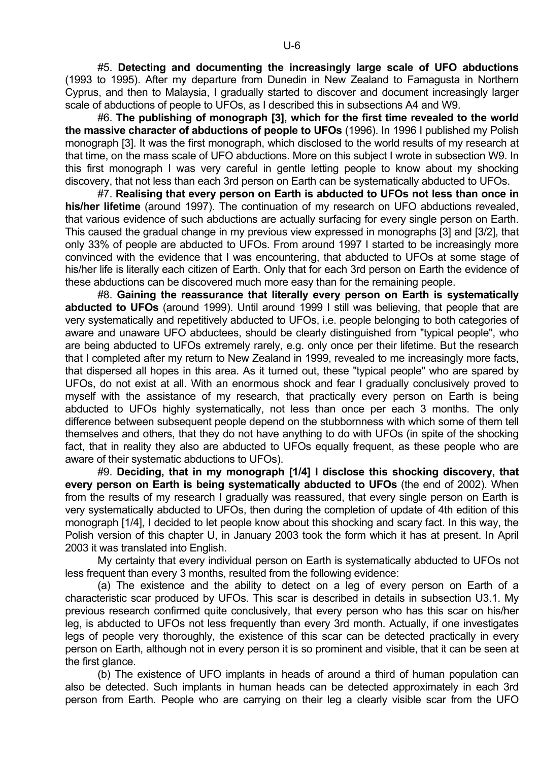#5. **Detecting and documenting the increasingly large scale of UFO abductions** (1993 to 1995). After my departure from Dunedin in New Zealand to Famagusta in Northern Cyprus, and then to Malaysia, I gradually started to discover and document increasingly larger scale of abductions of people to UFOs, as I described this in subsections A4 and W9.

 #6. **The publishing of monograph [3], which for the first time revealed to the world the massive character of abductions of people to UFOs** (1996). In 1996 I published my Polish monograph [3]. It was the first monograph, which disclosed to the world results of my research at that time, on the mass scale of UFO abductions. More on this subject I wrote in subsection W9. In this first monograph I was very careful in gentle letting people to know about my shocking discovery, that not less than each 3rd person on Earth can be systematically abducted to UFOs.

 #7. **Realising that every person on Earth is abducted to UFOs not less than once in his/her lifetime** (around 1997). The continuation of my research on UFO abductions revealed, that various evidence of such abductions are actually surfacing for every single person on Earth. This caused the gradual change in my previous view expressed in monographs [3] and [3/2], that only 33% of people are abducted to UFOs. From around 1997 I started to be increasingly more convinced with the evidence that I was encountering, that abducted to UFOs at some stage of his/her life is literally each citizen of Earth. Only that for each 3rd person on Earth the evidence of these abductions can be discovered much more easy than for the remaining people.

 #8. **Gaining the reassurance that literally every person on Earth is systematically abducted to UFOs** (around 1999). Until around 1999 I still was believing, that people that are very systematically and repetitively abducted to UFOs, i.e. people belonging to both categories of aware and unaware UFO abductees, should be clearly distinguished from "typical people", who are being abducted to UFOs extremely rarely, e.g. only once per their lifetime. But the research that I completed after my return to New Zealand in 1999, revealed to me increasingly more facts, that dispersed all hopes in this area. As it turned out, these "typical people" who are spared by UFOs, do not exist at all. With an enormous shock and fear I gradually conclusively proved to myself with the assistance of my research, that practically every person on Earth is being abducted to UFOs highly systematically, not less than once per each 3 months. The only difference between subsequent people depend on the stubbornness with which some of them tell themselves and others, that they do not have anything to do with UFOs (in spite of the shocking fact, that in reality they also are abducted to UFOs equally frequent, as these people who are aware of their systematic abductions to UFOs).

 #9. **Deciding, that in my monograph [1/4] I disclose this shocking discovery, that every person on Earth is being systematically abducted to UFOs** (the end of 2002). When from the results of my research I gradually was reassured, that every single person on Earth is very systematically abducted to UFOs, then during the completion of update of 4th edition of this monograph [1/4], I decided to let people know about this shocking and scary fact. In this way, the Polish version of this chapter U, in January 2003 took the form which it has at present. In April 2003 it was translated into English.

 My certainty that every individual person on Earth is systematically abducted to UFOs not less frequent than every 3 months, resulted from the following evidence:

 (a) The existence and the ability to detect on a leg of every person on Earth of a characteristic scar produced by UFOs. This scar is described in details in subsection U3.1. My previous research confirmed quite conclusively, that every person who has this scar on his/her leg, is abducted to UFOs not less frequently than every 3rd month. Actually, if one investigates legs of people very thoroughly, the existence of this scar can be detected practically in every person on Earth, although not in every person it is so prominent and visible, that it can be seen at the first glance.

 (b) The existence of UFO implants in heads of around a third of human population can also be detected. Such implants in human heads can be detected approximately in each 3rd person from Earth. People who are carrying on their leg a clearly visible scar from the UFO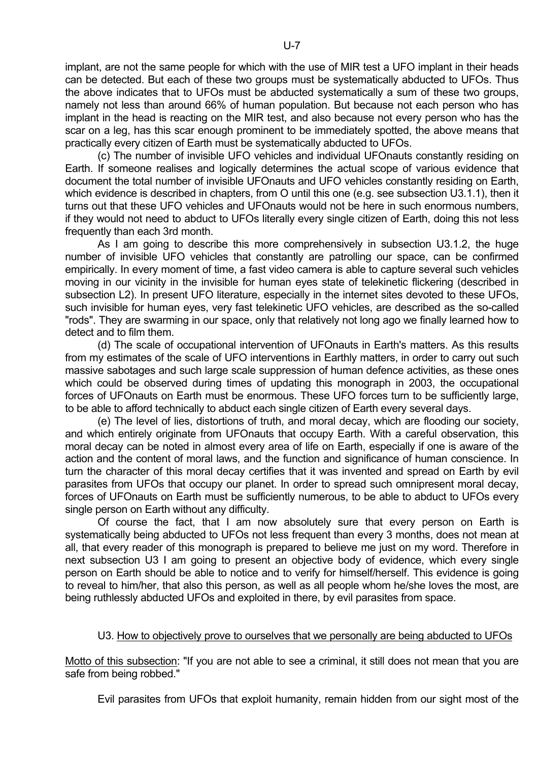implant, are not the same people for which with the use of MIR test a UFO implant in their heads can be detected. But each of these two groups must be systematically abducted to UFOs. Thus the above indicates that to UFOs must be abducted systematically a sum of these two groups, namely not less than around 66% of human population. But because not each person who has implant in the head is reacting on the MIR test, and also because not every person who has the scar on a leg, has this scar enough prominent to be immediately spotted, the above means that practically every citizen of Earth must be systematically abducted to UFOs.

 (c) The number of invisible UFO vehicles and individual UFOnauts constantly residing on Earth. If someone realises and logically determines the actual scope of various evidence that document the total number of invisible UFOnauts and UFO vehicles constantly residing on Earth, which evidence is described in chapters, from O until this one (e.g. see subsection U3.1.1), then it turns out that these UFO vehicles and UFOnauts would not be here in such enormous numbers, if they would not need to abduct to UFOs literally every single citizen of Earth, doing this not less frequently than each 3rd month.

 As I am going to describe this more comprehensively in subsection U3.1.2, the huge number of invisible UFO vehicles that constantly are patrolling our space, can be confirmed empirically. In every moment of time, a fast video camera is able to capture several such vehicles moving in our vicinity in the invisible for human eyes state of telekinetic flickering (described in subsection L2). In present UFO literature, especially in the internet sites devoted to these UFOs, such invisible for human eyes, very fast telekinetic UFO vehicles, are described as the so-called "rods". They are swarming in our space, only that relatively not long ago we finally learned how to detect and to film them.

 (d) The scale of occupational intervention of UFOnauts in Earth's matters. As this results from my estimates of the scale of UFO interventions in Earthly matters, in order to carry out such massive sabotages and such large scale suppression of human defence activities, as these ones which could be observed during times of updating this monograph in 2003, the occupational forces of UFOnauts on Earth must be enormous. These UFO forces turn to be sufficiently large, to be able to afford technically to abduct each single citizen of Earth every several days.

 (e) The level of lies, distortions of truth, and moral decay, which are flooding our society, and which entirely originate from UFOnauts that occupy Earth. With a careful observation, this moral decay can be noted in almost every area of life on Earth, especially if one is aware of the action and the content of moral laws, and the function and significance of human conscience. In turn the character of this moral decay certifies that it was invented and spread on Earth by evil parasites from UFOs that occupy our planet. In order to spread such omnipresent moral decay, forces of UFOnauts on Earth must be sufficiently numerous, to be able to abduct to UFOs every single person on Earth without any difficulty.

 Of course the fact, that I am now absolutely sure that every person on Earth is systematically being abducted to UFOs not less frequent than every 3 months, does not mean at all, that every reader of this monograph is prepared to believe me just on my word. Therefore in next subsection U3 I am going to present an objective body of evidence, which every single person on Earth should be able to notice and to verify for himself/herself. This evidence is going to reveal to him/her, that also this person, as well as all people whom he/she loves the most, are being ruthlessly abducted UFOs and exploited in there, by evil parasites from space.

# U3. How to objectively prove to ourselves that we personally are being abducted to UFOs

Motto of this subsection: "If you are not able to see a criminal, it still does not mean that you are safe from being robbed."

Evil parasites from UFOs that exploit humanity, remain hidden from our sight most of the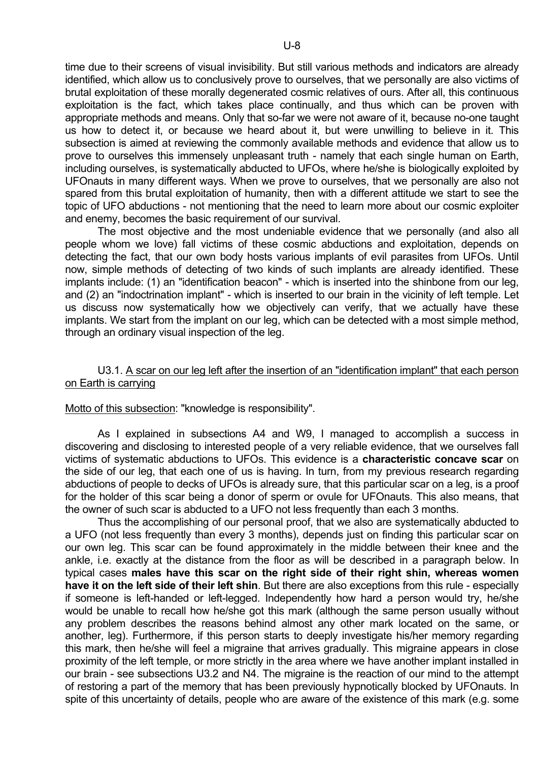time due to their screens of visual invisibility. But still various methods and indicators are already identified, which allow us to conclusively prove to ourselves, that we personally are also victims of brutal exploitation of these morally degenerated cosmic relatives of ours. After all, this continuous exploitation is the fact, which takes place continually, and thus which can be proven with appropriate methods and means. Only that so-far we were not aware of it, because no-one taught us how to detect it, or because we heard about it, but were unwilling to believe in it. This subsection is aimed at reviewing the commonly available methods and evidence that allow us to prove to ourselves this immensely unpleasant truth - namely that each single human on Earth, including ourselves, is systematically abducted to UFOs, where he/she is biologically exploited by UFOnauts in many different ways. When we prove to ourselves, that we personally are also not spared from this brutal exploitation of humanity, then with a different attitude we start to see the topic of UFO abductions - not mentioning that the need to learn more about our cosmic exploiter and enemy, becomes the basic requirement of our survival.

 The most objective and the most undeniable evidence that we personally (and also all people whom we love) fall victims of these cosmic abductions and exploitation, depends on detecting the fact, that our own body hosts various implants of evil parasites from UFOs. Until now, simple methods of detecting of two kinds of such implants are already identified. These implants include: (1) an "identification beacon" - which is inserted into the shinbone from our leg, and (2) an "indoctrination implant" - which is inserted to our brain in the vicinity of left temple. Let us discuss now systematically how we objectively can verify, that we actually have these implants. We start from the implant on our leg, which can be detected with a most simple method, through an ordinary visual inspection of the leg.

# U3.1. A scar on our leg left after the insertion of an "identification implant" that each person on Earth is carrying

# Motto of this subsection: "knowledge is responsibility".

 As I explained in subsections A4 and W9, I managed to accomplish a success in discovering and disclosing to interested people of a very reliable evidence, that we ourselves fall victims of systematic abductions to UFOs. This evidence is a **characteristic concave scar** on the side of our leg, that each one of us is having. In turn, from my previous research regarding abductions of people to decks of UFOs is already sure, that this particular scar on a leg, is a proof for the holder of this scar being a donor of sperm or ovule for UFOnauts. This also means, that the owner of such scar is abducted to a UFO not less frequently than each 3 months.

 Thus the accomplishing of our personal proof, that we also are systematically abducted to a UFO (not less frequently than every 3 months), depends just on finding this particular scar on our own leg. This scar can be found approximately in the middle between their knee and the ankle, i.e. exactly at the distance from the floor as will be described in a paragraph below. In typical cases **males have this scar on the right side of their right shin, whereas women have it on the left side of their left shin**. But there are also exceptions from this rule - especially if someone is left-handed or left-legged. Independently how hard a person would try, he/she would be unable to recall how he/she got this mark (although the same person usually without any problem describes the reasons behind almost any other mark located on the same, or another, leg). Furthermore, if this person starts to deeply investigate his/her memory regarding this mark, then he/she will feel a migraine that arrives gradually. This migraine appears in close proximity of the left temple, or more strictly in the area where we have another implant installed in our brain - see subsections U3.2 and N4. The migraine is the reaction of our mind to the attempt of restoring a part of the memory that has been previously hypnotically blocked by UFOnauts. In spite of this uncertainty of details, people who are aware of the existence of this mark (e.g. some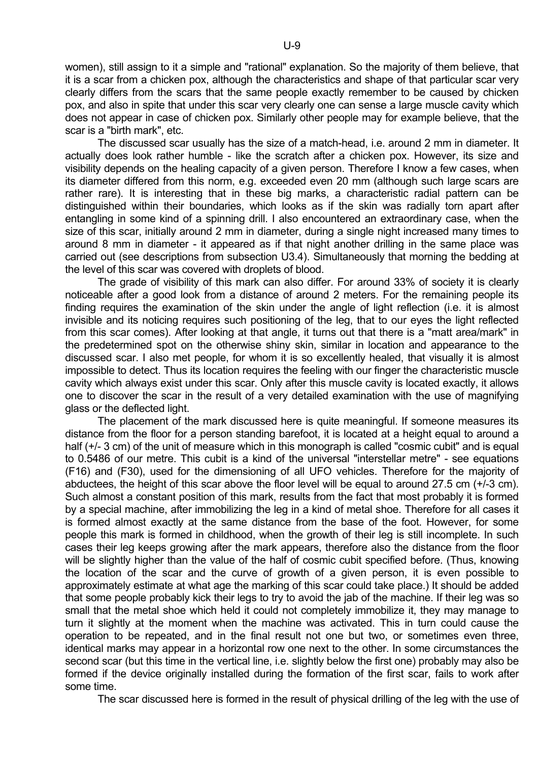women), still assign to it a simple and "rational" explanation. So the majority of them believe, that it is a scar from a chicken pox, although the characteristics and shape of that particular scar very clearly differs from the scars that the same people exactly remember to be caused by chicken pox, and also in spite that under this scar very clearly one can sense a large muscle cavity which does not appear in case of chicken pox. Similarly other people may for example believe, that the scar is a "birth mark", etc.

 The discussed scar usually has the size of a match-head, i.e. around 2 mm in diameter. It actually does look rather humble - like the scratch after a chicken pox. However, its size and visibility depends on the healing capacity of a given person. Therefore I know a few cases, when its diameter differed from this norm, e.g. exceeded even 20 mm (although such large scars are rather rare). It is interesting that in these big marks, a characteristic radial pattern can be distinguished within their boundaries, which looks as if the skin was radially torn apart after entangling in some kind of a spinning drill. I also encountered an extraordinary case, when the size of this scar, initially around 2 mm in diameter, during a single night increased many times to around 8 mm in diameter - it appeared as if that night another drilling in the same place was carried out (see descriptions from subsection U3.4). Simultaneously that morning the bedding at the level of this scar was covered with droplets of blood.

 The grade of visibility of this mark can also differ. For around 33% of society it is clearly noticeable after a good look from a distance of around 2 meters. For the remaining people its finding requires the examination of the skin under the angle of light reflection (i.e. it is almost invisible and its noticing requires such positioning of the leg, that to our eyes the light reflected from this scar comes). After looking at that angle, it turns out that there is a "matt area/mark" in the predetermined spot on the otherwise shiny skin, similar in location and appearance to the discussed scar. I also met people, for whom it is so excellently healed, that visually it is almost impossible to detect. Thus its location requires the feeling with our finger the characteristic muscle cavity which always exist under this scar. Only after this muscle cavity is located exactly, it allows one to discover the scar in the result of a very detailed examination with the use of magnifying glass or the deflected light.

 The placement of the mark discussed here is quite meaningful. If someone measures its distance from the floor for a person standing barefoot, it is located at a height equal to around a half (+/- 3 cm) of the unit of measure which in this monograph is called "cosmic cubit" and is equal to 0.5486 of our metre. This cubit is a kind of the universal "interstellar metre" - see equations (F16) and (F30), used for the dimensioning of all UFO vehicles. Therefore for the majority of abductees, the height of this scar above the floor level will be equal to around 27.5 cm (+/-3 cm). Such almost a constant position of this mark, results from the fact that most probably it is formed by a special machine, after immobilizing the leg in a kind of metal shoe. Therefore for all cases it is formed almost exactly at the same distance from the base of the foot. However, for some people this mark is formed in childhood, when the growth of their leg is still incomplete. In such cases their leg keeps growing after the mark appears, therefore also the distance from the floor will be slightly higher than the value of the half of cosmic cubit specified before. (Thus, knowing the location of the scar and the curve of growth of a given person, it is even possible to approximately estimate at what age the marking of this scar could take place.) It should be added that some people probably kick their legs to try to avoid the jab of the machine. If their leg was so small that the metal shoe which held it could not completely immobilize it, they may manage to turn it slightly at the moment when the machine was activated. This in turn could cause the operation to be repeated, and in the final result not one but two, or sometimes even three, identical marks may appear in a horizontal row one next to the other. In some circumstances the second scar (but this time in the vertical line, i.e. slightly below the first one) probably may also be formed if the device originally installed during the formation of the first scar, fails to work after some time.

The scar discussed here is formed in the result of physical drilling of the leg with the use of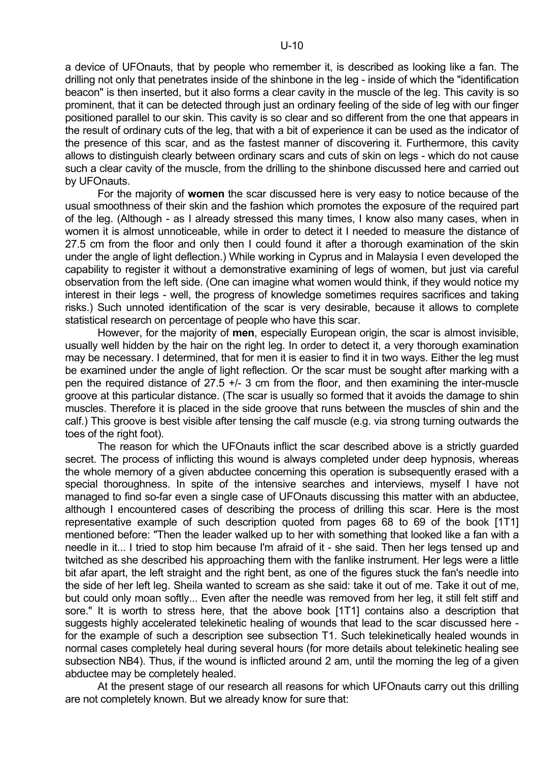a device of UFOnauts, that by people who remember it, is described as looking like a fan. The drilling not only that penetrates inside of the shinbone in the leg - inside of which the "identification beacon" is then inserted, but it also forms a clear cavity in the muscle of the leg. This cavity is so prominent, that it can be detected through just an ordinary feeling of the side of leg with our finger positioned parallel to our skin. This cavity is so clear and so different from the one that appears in the result of ordinary cuts of the leg, that with a bit of experience it can be used as the indicator of the presence of this scar, and as the fastest manner of discovering it. Furthermore, this cavity allows to distinguish clearly between ordinary scars and cuts of skin on legs - which do not cause such a clear cavity of the muscle, from the drilling to the shinbone discussed here and carried out by UFOnauts.

 For the majority of **women** the scar discussed here is very easy to notice because of the usual smoothness of their skin and the fashion which promotes the exposure of the required part of the leg. (Although - as I already stressed this many times, I know also many cases, when in women it is almost unnoticeable, while in order to detect it I needed to measure the distance of 27.5 cm from the floor and only then I could found it after a thorough examination of the skin under the angle of light deflection.) While working in Cyprus and in Malaysia I even developed the capability to register it without a demonstrative examining of legs of women, but just via careful observation from the left side. (One can imagine what women would think, if they would notice my interest in their legs - well, the progress of knowledge sometimes requires sacrifices and taking risks.) Such unnoted identification of the scar is very desirable, because it allows to complete statistical research on percentage of people who have this scar.

 However, for the majority of **men**, especially European origin, the scar is almost invisible, usually well hidden by the hair on the right leg. In order to detect it, a very thorough examination may be necessary. I determined, that for men it is easier to find it in two ways. Either the leg must be examined under the angle of light reflection. Or the scar must be sought after marking with a pen the required distance of 27.5 +/- 3 cm from the floor, and then examining the inter-muscle groove at this particular distance. (The scar is usually so formed that it avoids the damage to shin muscles. Therefore it is placed in the side groove that runs between the muscles of shin and the calf.) This groove is best visible after tensing the calf muscle (e.g. via strong turning outwards the toes of the right foot).

 The reason for which the UFOnauts inflict the scar described above is a strictly guarded secret. The process of inflicting this wound is always completed under deep hypnosis. whereas the whole memory of a given abductee concerning this operation is subsequently erased with a special thoroughness. In spite of the intensive searches and interviews, myself I have not managed to find so-far even a single case of UFOnauts discussing this matter with an abductee, although I encountered cases of describing the process of drilling this scar. Here is the most representative example of such description quoted from pages 68 to 69 of the book [1T1] mentioned before: "Then the leader walked up to her with something that looked like a fan with a needle in it... I tried to stop him because I'm afraid of it - she said. Then her legs tensed up and twitched as she described his approaching them with the fanlike instrument. Her legs were a little bit afar apart, the left straight and the right bent, as one of the figures stuck the fan's needle into the side of her left leg. Sheila wanted to scream as she said: take it out of me. Take it out of me, but could only moan softly... Even after the needle was removed from her leg, it still felt stiff and sore." It is worth to stress here, that the above book [1T1] contains also a description that suggests highly accelerated telekinetic healing of wounds that lead to the scar discussed here for the example of such a description see subsection T1. Such telekinetically healed wounds in normal cases completely heal during several hours (for more details about telekinetic healing see subsection NB4). Thus, if the wound is inflicted around 2 am, until the morning the leg of a given abductee may be completely healed.

 At the present stage of our research all reasons for which UFOnauts carry out this drilling are not completely known. But we already know for sure that: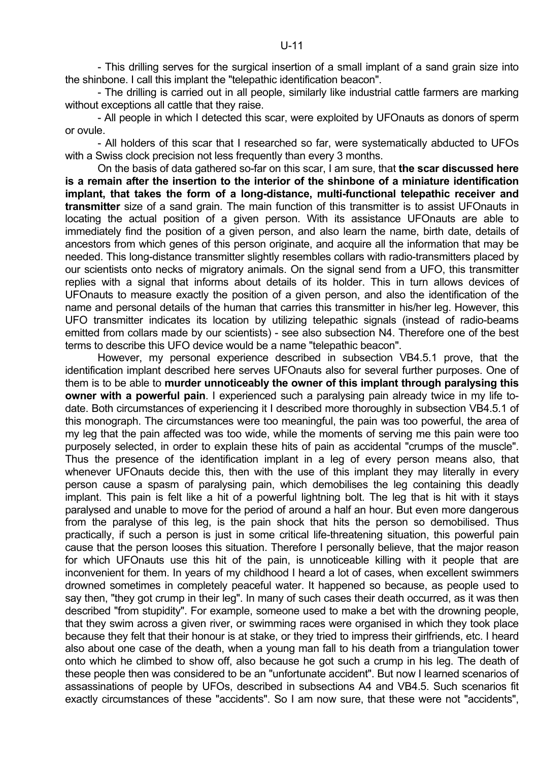- This drilling serves for the surgical insertion of a small implant of a sand grain size into the shinbone. I call this implant the "telepathic identification beacon".

 - The drilling is carried out in all people, similarly like industrial cattle farmers are marking without exceptions all cattle that they raise.

 - All people in which I detected this scar, were exploited by UFOnauts as donors of sperm or ovule.

 - All holders of this scar that I researched so far, were systematically abducted to UFOs with a Swiss clock precision not less frequently than every 3 months.

 On the basis of data gathered so-far on this scar, I am sure, that **the scar discussed here is a remain after the insertion to the interior of the shinbone of a miniature identification implant, that takes the form of a long-distance, multi-functional telepathic receiver and transmitter** size of a sand grain. The main function of this transmitter is to assist UFOnauts in locating the actual position of a given person. With its assistance UFOnauts are able to immediately find the position of a given person, and also learn the name, birth date, details of ancestors from which genes of this person originate, and acquire all the information that may be needed. This long-distance transmitter slightly resembles collars with radio-transmitters placed by our scientists onto necks of migratory animals. On the signal send from a UFO, this transmitter replies with a signal that informs about details of its holder. This in turn allows devices of UFOnauts to measure exactly the position of a given person, and also the identification of the name and personal details of the human that carries this transmitter in his/her leg. However, this UFO transmitter indicates its location by utilizing telepathic signals (instead of radio-beams emitted from collars made by our scientists) - see also subsection N4. Therefore one of the best terms to describe this UFO device would be a name "telepathic beacon".

 However, my personal experience described in subsection VB4.5.1 prove, that the identification implant described here serves UFOnauts also for several further purposes. One of them is to be able to **murder unnoticeably the owner of this implant through paralysing this owner with a powerful pain**. I experienced such a paralysing pain already twice in my life todate. Both circumstances of experiencing it I described more thoroughly in subsection VB4.5.1 of this monograph. The circumstances were too meaningful, the pain was too powerful, the area of my leg that the pain affected was too wide, while the moments of serving me this pain were too purposely selected, in order to explain these hits of pain as accidental "crumps of the muscle". Thus the presence of the identification implant in a leg of every person means also, that whenever UFOnauts decide this, then with the use of this implant they may literally in every person cause a spasm of paralysing pain, which demobilises the leg containing this deadly implant. This pain is felt like a hit of a powerful lightning bolt. The leg that is hit with it stays paralysed and unable to move for the period of around a half an hour. But even more dangerous from the paralyse of this leg, is the pain shock that hits the person so demobilised. Thus practically, if such a person is just in some critical life-threatening situation, this powerful pain cause that the person looses this situation. Therefore I personally believe, that the major reason for which UFOnauts use this hit of the pain, is unnoticeable killing with it people that are inconvenient for them. In years of my childhood I heard a lot of cases, when excellent swimmers drowned sometimes in completely peaceful water. It happened so because, as people used to say then, "they got crump in their leg". In many of such cases their death occurred, as it was then described "from stupidity". For example, someone used to make a bet with the drowning people, that they swim across a given river, or swimming races were organised in which they took place because they felt that their honour is at stake, or they tried to impress their girlfriends, etc. I heard also about one case of the death, when a young man fall to his death from a triangulation tower onto which he climbed to show off, also because he got such a crump in his leg. The death of these people then was considered to be an "unfortunate accident". But now I learned scenarios of assassinations of people by UFOs, described in subsections A4 and VB4.5. Such scenarios fit exactly circumstances of these "accidents". So I am now sure, that these were not "accidents",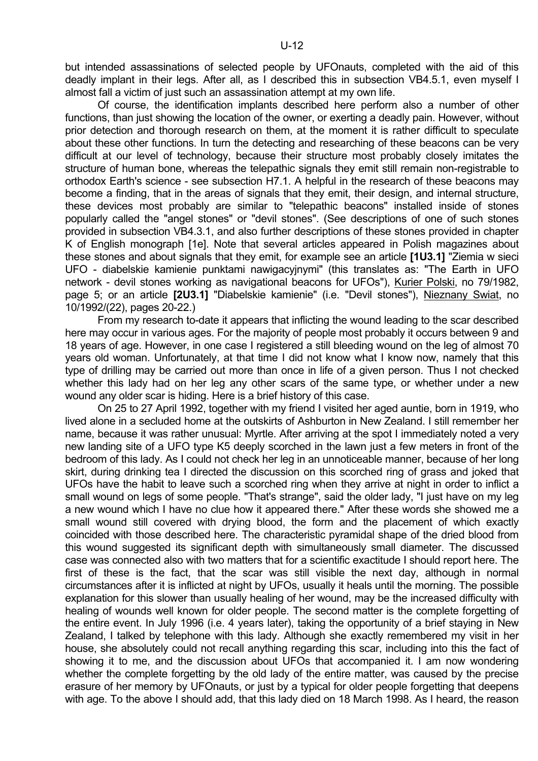but intended assassinations of selected people by UFOnauts, completed with the aid of this deadly implant in their legs. After all, as I described this in subsection VB4.5.1, even myself I almost fall a victim of just such an assassination attempt at my own life.

 Of course, the identification implants described here perform also a number of other functions, than just showing the location of the owner, or exerting a deadly pain. However, without prior detection and thorough research on them, at the moment it is rather difficult to speculate about these other functions. In turn the detecting and researching of these beacons can be very difficult at our level of technology, because their structure most probably closely imitates the structure of human bone, whereas the telepathic signals they emit still remain non-registrable to orthodox Earth's science - see subsection H7.1. A helpful in the research of these beacons may become a finding, that in the areas of signals that they emit, their design, and internal structure, these devices most probably are similar to "telepathic beacons" installed inside of stones popularly called the "angel stones" or "devil stones". (See descriptions of one of such stones provided in subsection VB4.3.1, and also further descriptions of these stones provided in chapter K of English monograph [1e]. Note that several articles appeared in Polish magazines about these stones and about signals that they emit, for example see an article **[1U3.1]** "Ziemia w sieci UFO - diabelskie kamienie punktami nawigacyjnymi" (this translates as: "The Earth in UFO network - devil stones working as navigational beacons for UFOs"), Kurier Polski, no 79/1982, page 5; or an article **[2U3.1]** "Diabelskie kamienie" (i.e. "Devil stones"), Nieznany Swiat, no 10/1992/(22), pages 20-22.)

 From my research to-date it appears that inflicting the wound leading to the scar described here may occur in various ages. For the majority of people most probably it occurs between 9 and 18 years of age. However, in one case I registered a still bleeding wound on the leg of almost 70 years old woman. Unfortunately, at that time I did not know what I know now, namely that this type of drilling may be carried out more than once in life of a given person. Thus I not checked whether this lady had on her leg any other scars of the same type, or whether under a new wound any older scar is hiding. Here is a brief history of this case.

 On 25 to 27 April 1992, together with my friend I visited her aged auntie, born in 1919, who lived alone in a secluded home at the outskirts of Ashburton in New Zealand. I still remember her name, because it was rather unusual: Myrtle. After arriving at the spot I immediately noted a very new landing site of a UFO type K5 deeply scorched in the lawn just a few meters in front of the bedroom of this lady. As I could not check her leg in an unnoticeable manner, because of her long skirt, during drinking tea I directed the discussion on this scorched ring of grass and joked that UFOs have the habit to leave such a scorched ring when they arrive at night in order to inflict a small wound on legs of some people. "That's strange", said the older lady, "I just have on my leg a new wound which I have no clue how it appeared there." After these words she showed me a small wound still covered with drying blood, the form and the placement of which exactly coincided with those described here. The characteristic pyramidal shape of the dried blood from this wound suggested its significant depth with simultaneously small diameter. The discussed case was connected also with two matters that for a scientific exactitude I should report here. The first of these is the fact, that the scar was still visible the next day, although in normal circumstances after it is inflicted at night by UFOs, usually it heals until the morning. The possible explanation for this slower than usually healing of her wound, may be the increased difficulty with healing of wounds well known for older people. The second matter is the complete forgetting of the entire event. In July 1996 (i.e. 4 years later), taking the opportunity of a brief staying in New Zealand, I talked by telephone with this lady. Although she exactly remembered my visit in her house, she absolutely could not recall anything regarding this scar, including into this the fact of showing it to me, and the discussion about UFOs that accompanied it. I am now wondering whether the complete forgetting by the old lady of the entire matter, was caused by the precise erasure of her memory by UFOnauts, or just by a typical for older people forgetting that deepens with age. To the above I should add, that this lady died on 18 March 1998. As I heard, the reason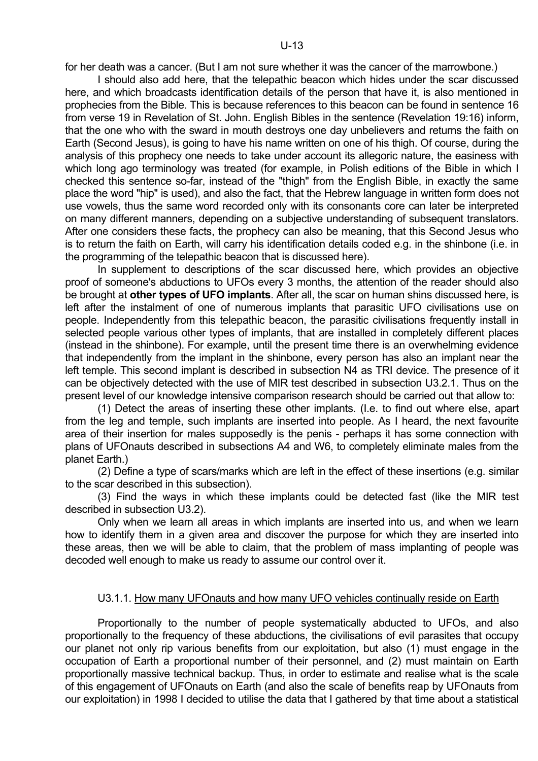for her death was a cancer. (But I am not sure whether it was the cancer of the marrowbone.)

 I should also add here, that the telepathic beacon which hides under the scar discussed here, and which broadcasts identification details of the person that have it, is also mentioned in prophecies from the Bible. This is because references to this beacon can be found in sentence 16 from verse 19 in Revelation of St. John. English Bibles in the sentence (Revelation 19:16) inform, that the one who with the sward in mouth destroys one day unbelievers and returns the faith on Earth (Second Jesus), is going to have his name written on one of his thigh. Of course, during the analysis of this prophecy one needs to take under account its allegoric nature, the easiness with which long ago terminology was treated (for example, in Polish editions of the Bible in which I checked this sentence so-far, instead of the "thigh" from the English Bible, in exactly the same place the word "hip" is used), and also the fact, that the Hebrew language in written form does not use vowels, thus the same word recorded only with its consonants core can later be interpreted on many different manners, depending on a subjective understanding of subsequent translators. After one considers these facts, the prophecy can also be meaning, that this Second Jesus who is to return the faith on Earth, will carry his identification details coded e.g. in the shinbone (i.e. in the programming of the telepathic beacon that is discussed here).

 In supplement to descriptions of the scar discussed here, which provides an objective proof of someone's abductions to UFOs every 3 months, the attention of the reader should also be brought at **other types of UFO implants**. After all, the scar on human shins discussed here, is left after the instalment of one of numerous implants that parasitic UFO civilisations use on people. Independently from this telepathic beacon, the parasitic civilisations frequently install in selected people various other types of implants, that are installed in completely different places (instead in the shinbone). For example, until the present time there is an overwhelming evidence that independently from the implant in the shinbone, every person has also an implant near the left temple. This second implant is described in subsection N4 as TRI device. The presence of it can be objectively detected with the use of MIR test described in subsection U3.2.1. Thus on the present level of our knowledge intensive comparison research should be carried out that allow to:

 (1) Detect the areas of inserting these other implants. (I.e. to find out where else, apart from the leg and temple, such implants are inserted into people. As I heard, the next favourite area of their insertion for males supposedly is the penis - perhaps it has some connection with plans of UFOnauts described in subsections A4 and W6, to completely eliminate males from the planet Earth.)

 (2) Define a type of scars/marks which are left in the effect of these insertions (e.g. similar to the scar described in this subsection).

 (3) Find the ways in which these implants could be detected fast (like the MIR test described in subsection U3.2).

 Only when we learn all areas in which implants are inserted into us, and when we learn how to identify them in a given area and discover the purpose for which they are inserted into these areas, then we will be able to claim, that the problem of mass implanting of people was decoded well enough to make us ready to assume our control over it.

#### U3.1.1. How many UFOnauts and how many UFO vehicles continually reside on Earth

 Proportionally to the number of people systematically abducted to UFOs, and also proportionally to the frequency of these abductions, the civilisations of evil parasites that occupy our planet not only rip various benefits from our exploitation, but also (1) must engage in the occupation of Earth a proportional number of their personnel, and (2) must maintain on Earth proportionally massive technical backup. Thus, in order to estimate and realise what is the scale of this engagement of UFOnauts on Earth (and also the scale of benefits reap by UFOnauts from our exploitation) in 1998 I decided to utilise the data that I gathered by that time about a statistical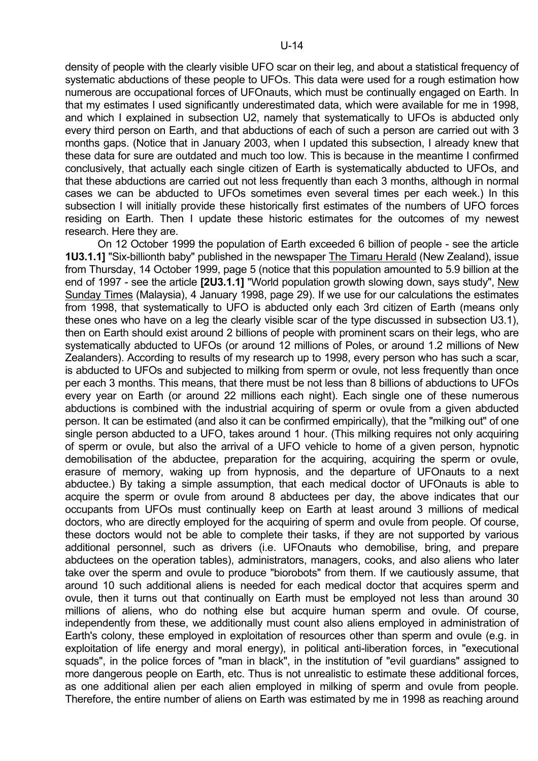density of people with the clearly visible UFO scar on their leg, and about a statistical frequency of systematic abductions of these people to UFOs. This data were used for a rough estimation how numerous are occupational forces of UFOnauts, which must be continually engaged on Earth. In that my estimates I used significantly underestimated data, which were available for me in 1998, and which I explained in subsection U2, namely that systematically to UFOs is abducted only every third person on Earth, and that abductions of each of such a person are carried out with 3 months gaps. (Notice that in January 2003, when I updated this subsection, I already knew that these data for sure are outdated and much too low. This is because in the meantime I confirmed conclusively, that actually each single citizen of Earth is systematically abducted to UFOs, and that these abductions are carried out not less frequently than each 3 months, although in normal cases we can be abducted to UFOs sometimes even several times per each week.) In this subsection I will initially provide these historically first estimates of the numbers of UFO forces residing on Earth. Then I update these historic estimates for the outcomes of my newest research. Here they are.

 On 12 October 1999 the population of Earth exceeded 6 billion of people - see the article **1U3.1.1]** "Six-billionth baby" published in the newspaper The Timaru Herald (New Zealand), issue from Thursday, 14 October 1999, page 5 (notice that this population amounted to 5.9 billion at the end of 1997 - see the article **[2U3.1.1]** "World population growth slowing down, says study", New Sunday Times (Malaysia), 4 January 1998, page 29). If we use for our calculations the estimates from 1998, that systematically to UFO is abducted only each 3rd citizen of Earth (means only these ones who have on a leg the clearly visible scar of the type discussed in subsection U3.1), then on Earth should exist around 2 billions of people with prominent scars on their legs, who are systematically abducted to UFOs (or around 12 millions of Poles, or around 1.2 millions of New Zealanders). According to results of my research up to 1998, every person who has such a scar, is abducted to UFOs and subjected to milking from sperm or ovule, not less frequently than once per each 3 months. This means, that there must be not less than 8 billions of abductions to UFOs every year on Earth (or around 22 millions each night). Each single one of these numerous abductions is combined with the industrial acquiring of sperm or ovule from a given abducted person. It can be estimated (and also it can be confirmed empirically), that the "milking out" of one single person abducted to a UFO, takes around 1 hour. (This milking requires not only acquiring of sperm or ovule, but also the arrival of a UFO vehicle to home of a given person, hypnotic demobilisation of the abductee, preparation for the acquiring, acquiring the sperm or ovule, erasure of memory, waking up from hypnosis, and the departure of UFOnauts to a next abductee.) By taking a simple assumption, that each medical doctor of UFOnauts is able to acquire the sperm or ovule from around 8 abductees per day, the above indicates that our occupants from UFOs must continually keep on Earth at least around 3 millions of medical doctors, who are directly employed for the acquiring of sperm and ovule from people. Of course, these doctors would not be able to complete their tasks, if they are not supported by various additional personnel, such as drivers (i.e. UFOnauts who demobilise, bring, and prepare abductees on the operation tables), administrators, managers, cooks, and also aliens who later take over the sperm and ovule to produce "biorobots" from them. If we cautiously assume, that around 10 such additional aliens is needed for each medical doctor that acquires sperm and ovule, then it turns out that continually on Earth must be employed not less than around 30 millions of aliens, who do nothing else but acquire human sperm and ovule. Of course, independently from these, we additionally must count also aliens employed in administration of Earth's colony, these employed in exploitation of resources other than sperm and ovule (e.g. in exploitation of life energy and moral energy), in political anti-liberation forces, in "executional squads", in the police forces of "man in black", in the institution of "evil guardians" assigned to more dangerous people on Earth, etc. Thus is not unrealistic to estimate these additional forces, as one additional alien per each alien employed in milking of sperm and ovule from people. Therefore, the entire number of aliens on Earth was estimated by me in 1998 as reaching around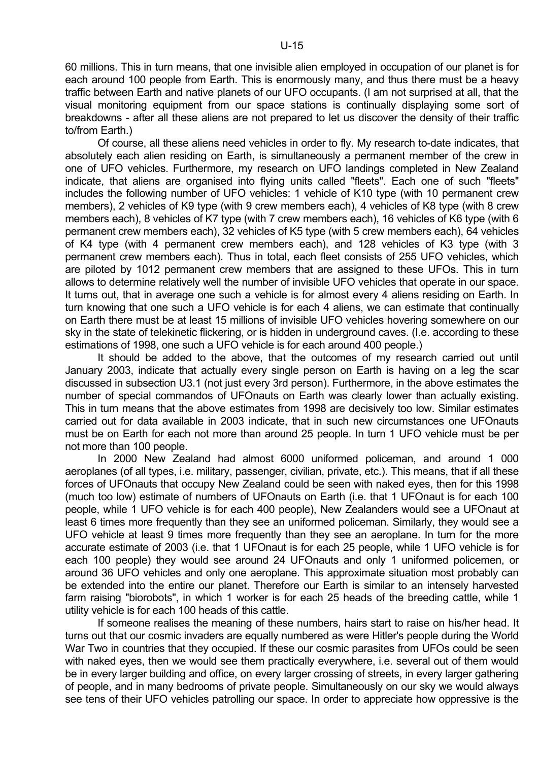60 millions. This in turn means, that one invisible alien employed in occupation of our planet is for each around 100 people from Earth. This is enormously many, and thus there must be a heavy traffic between Earth and native planets of our UFO occupants. (I am not surprised at all, that the visual monitoring equipment from our space stations is continually displaying some sort of breakdowns - after all these aliens are not prepared to let us discover the density of their traffic to/from Earth.)

 Of course, all these aliens need vehicles in order to fly. My research to-date indicates, that absolutely each alien residing on Earth, is simultaneously a permanent member of the crew in one of UFO vehicles. Furthermore, my research on UFO landings completed in New Zealand indicate, that aliens are organised into flying units called "fleets". Each one of such "fleets" includes the following number of UFO vehicles: 1 vehicle of K10 type (with 10 permanent crew members), 2 vehicles of K9 type (with 9 crew members each), 4 vehicles of K8 type (with 8 crew members each), 8 vehicles of K7 type (with 7 crew members each), 16 vehicles of K6 type (with 6 permanent crew members each), 32 vehicles of K5 type (with 5 crew members each), 64 vehicles of K4 type (with 4 permanent crew members each), and 128 vehicles of K3 type (with 3 permanent crew members each). Thus in total, each fleet consists of 255 UFO vehicles, which are piloted by 1012 permanent crew members that are assigned to these UFOs. This in turn allows to determine relatively well the number of invisible UFO vehicles that operate in our space. It turns out, that in average one such a vehicle is for almost every 4 aliens residing on Earth. In turn knowing that one such a UFO vehicle is for each 4 aliens, we can estimate that continually on Earth there must be at least 15 millions of invisible UFO vehicles hovering somewhere on our sky in the state of telekinetic flickering, or is hidden in underground caves. (I.e. according to these estimations of 1998, one such a UFO vehicle is for each around 400 people.)

 It should be added to the above, that the outcomes of my research carried out until January 2003, indicate that actually every single person on Earth is having on a leg the scar discussed in subsection U3.1 (not just every 3rd person). Furthermore, in the above estimates the number of special commandos of UFOnauts on Earth was clearly lower than actually existing. This in turn means that the above estimates from 1998 are decisively too low. Similar estimates carried out for data available in 2003 indicate, that in such new circumstances one UFOnauts must be on Earth for each not more than around 25 people. In turn 1 UFO vehicle must be per not more than 100 people.

 In 2000 New Zealand had almost 6000 uniformed policeman, and around 1 000 aeroplanes (of all types, i.e. military, passenger, civilian, private, etc.). This means, that if all these forces of UFOnauts that occupy New Zealand could be seen with naked eyes, then for this 1998 (much too low) estimate of numbers of UFOnauts on Earth (i.e. that 1 UFOnaut is for each 100 people, while 1 UFO vehicle is for each 400 people), New Zealanders would see a UFOnaut at least 6 times more frequently than they see an uniformed policeman. Similarly, they would see a UFO vehicle at least 9 times more frequently than they see an aeroplane. In turn for the more accurate estimate of 2003 (i.e. that 1 UFOnaut is for each 25 people, while 1 UFO vehicle is for each 100 people) they would see around 24 UFOnauts and only 1 uniformed policemen, or around 36 UFO vehicles and only one aeroplane. This approximate situation most probably can be extended into the entire our planet. Therefore our Earth is similar to an intensely harvested farm raising "biorobots", in which 1 worker is for each 25 heads of the breeding cattle, while 1 utility vehicle is for each 100 heads of this cattle.

 If someone realises the meaning of these numbers, hairs start to raise on his/her head. It turns out that our cosmic invaders are equally numbered as were Hitler's people during the World War Two in countries that they occupied. If these our cosmic parasites from UFOs could be seen with naked eyes, then we would see them practically everywhere, i.e. several out of them would be in every larger building and office, on every larger crossing of streets, in every larger gathering of people, and in many bedrooms of private people. Simultaneously on our sky we would always see tens of their UFO vehicles patrolling our space. In order to appreciate how oppressive is the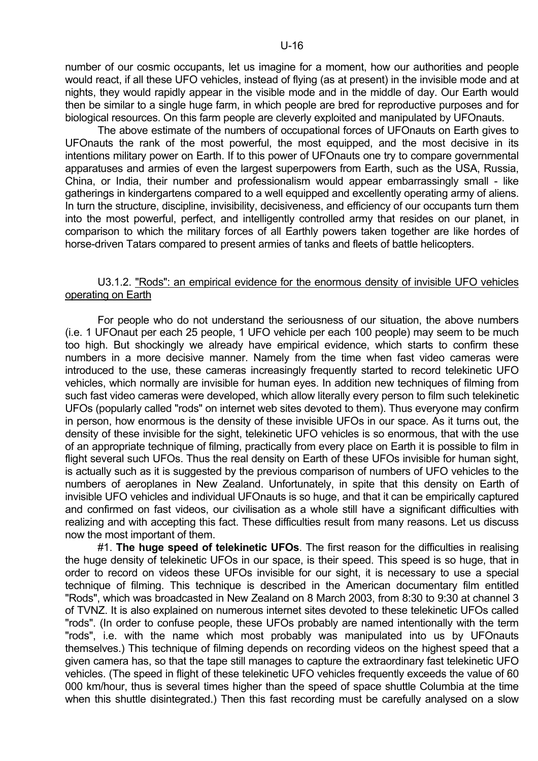number of our cosmic occupants, let us imagine for a moment, how our authorities and people would react, if all these UFO vehicles, instead of flying (as at present) in the invisible mode and at nights, they would rapidly appear in the visible mode and in the middle of day. Our Earth would then be similar to a single huge farm, in which people are bred for reproductive purposes and for biological resources. On this farm people are cleverly exploited and manipulated by UFOnauts.

 The above estimate of the numbers of occupational forces of UFOnauts on Earth gives to UFOnauts the rank of the most powerful, the most equipped, and the most decisive in its intentions military power on Earth. If to this power of UFOnauts one try to compare governmental apparatuses and armies of even the largest superpowers from Earth, such as the USA, Russia, China, or India, their number and professionalism would appear embarrassingly small - like gatherings in kindergartens compared to a well equipped and excellently operating army of aliens. In turn the structure, discipline, invisibility, decisiveness, and efficiency of our occupants turn them into the most powerful, perfect, and intelligently controlled army that resides on our planet, in comparison to which the military forces of all Earthly powers taken together are like hordes of horse-driven Tatars compared to present armies of tanks and fleets of battle helicopters.

# U3.1.2. "Rods": an empirical evidence for the enormous density of invisible UFO vehicles operating on Earth

 For people who do not understand the seriousness of our situation, the above numbers (i.e. 1 UFOnaut per each 25 people, 1 UFO vehicle per each 100 people) may seem to be much too high. But shockingly we already have empirical evidence, which starts to confirm these numbers in a more decisive manner. Namely from the time when fast video cameras were introduced to the use, these cameras increasingly frequently started to record telekinetic UFO vehicles, which normally are invisible for human eyes. In addition new techniques of filming from such fast video cameras were developed, which allow literally every person to film such telekinetic UFOs (popularly called "rods" on internet web sites devoted to them). Thus everyone may confirm in person, how enormous is the density of these invisible UFOs in our space. As it turns out, the density of these invisible for the sight, telekinetic UFO vehicles is so enormous, that with the use of an appropriate technique of filming, practically from every place on Earth it is possible to film in flight several such UFOs. Thus the real density on Earth of these UFOs invisible for human sight, is actually such as it is suggested by the previous comparison of numbers of UFO vehicles to the numbers of aeroplanes in New Zealand. Unfortunately, in spite that this density on Earth of invisible UFO vehicles and individual UFOnauts is so huge, and that it can be empirically captured and confirmed on fast videos, our civilisation as a whole still have a significant difficulties with realizing and with accepting this fact. These difficulties result from many reasons. Let us discuss now the most important of them.

 #1. **The huge speed of telekinetic UFOs**. The first reason for the difficulties in realising the huge density of telekinetic UFOs in our space, is their speed. This speed is so huge, that in order to record on videos these UFOs invisible for our sight, it is necessary to use a special technique of filming. This technique is described in the American documentary film entitled "Rods", which was broadcasted in New Zealand on 8 March 2003, from 8:30 to 9:30 at channel 3 of TVNZ. It is also explained on numerous internet sites devoted to these telekinetic UFOs called "rods". (In order to confuse people, these UFOs probably are named intentionally with the term "rods", i.e. with the name which most probably was manipulated into us by UFOnauts themselves.) This technique of filming depends on recording videos on the highest speed that a given camera has, so that the tape still manages to capture the extraordinary fast telekinetic UFO vehicles. (The speed in flight of these telekinetic UFO vehicles frequently exceeds the value of 60 000 km/hour, thus is several times higher than the speed of space shuttle Columbia at the time when this shuttle disintegrated.) Then this fast recording must be carefully analysed on a slow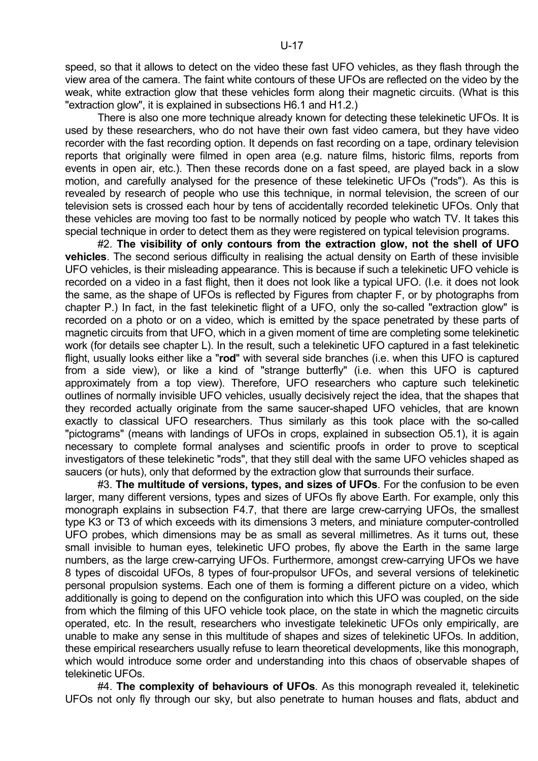speed, so that it allows to detect on the video these fast UFO vehicles, as they flash through the view area of the camera. The faint white contours of these UFOs are reflected on the video by the weak, white extraction glow that these vehicles form along their magnetic circuits. (What is this "extraction glow", it is explained in subsections H6.1 and H1.2.)

There is also one more technique already known for detecting these telekinetic UFOs. It is used by these researchers, who do not have their own fast video camera, but they have video recorder with the fast recording option. It depends on fast recording on a tape, ordinary television reports that originally were filmed in open area (e.g. nature films, historic films, reports from events in open air, etc.). Then these records done on a fast speed, are played back in a slow motion, and carefully analysed for the presence of these telekinetic UFOs ("rods"). As this is revealed by research of people who use this technique, in normal television, the screen of our television sets is crossed each hour by tens of accidentally recorded telekinetic UFOs. Only that these vehicles are moving too fast to be normally noticed by people who watch TV. It takes this special technique in order to detect them as they were registered on typical television programs.

 #2. **The visibility of only contours from the extraction glow, not the shell of UFO vehicles**. The second serious difficulty in realising the actual density on Earth of these invisible UFO vehicles, is their misleading appearance. This is because if such a telekinetic UFO vehicle is recorded on a video in a fast flight, then it does not look like a typical UFO. (I.e. it does not look the same, as the shape of UFOs is reflected by Figures from chapter F, or by photographs from chapter P.) In fact, in the fast telekinetic flight of a UFO, only the so-called "extraction glow" is recorded on a photo or on a video, which is emitted by the space penetrated by these parts of magnetic circuits from that UFO, which in a given moment of time are completing some telekinetic work (for details see chapter L). In the result, such a telekinetic UFO captured in a fast telekinetic flight, usually looks either like a "**rod**" with several side branches (i.e. when this UFO is captured from a side view), or like a kind of "strange butterfly" (i.e. when this UFO is captured approximately from a top view). Therefore, UFO researchers who capture such telekinetic outlines of normally invisible UFO vehicles, usually decisively reject the idea, that the shapes that they recorded actually originate from the same saucer-shaped UFO vehicles, that are known exactly to classical UFO researchers. Thus similarly as this took place with the so-called "pictograms" (means with landings of UFOs in crops, explained in subsection O5.1), it is again necessary to complete formal analyses and scientific proofs in order to prove to sceptical investigators of these telekinetic "rods", that they still deal with the same UFO vehicles shaped as saucers (or huts), only that deformed by the extraction glow that surrounds their surface.

 #3. **The multitude of versions, types, and sizes of UFOs**. For the confusion to be even larger, many different versions, types and sizes of UFOs fly above Earth. For example, only this monograph explains in subsection F4.7, that there are large crew-carrying UFOs, the smallest type K3 or T3 of which exceeds with its dimensions 3 meters, and miniature computer-controlled UFO probes, which dimensions may be as small as several millimetres. As it turns out, these small invisible to human eyes, telekinetic UFO probes, fly above the Earth in the same large numbers, as the large crew-carrying UFOs. Furthermore, amongst crew-carrying UFOs we have 8 types of discoidal UFOs, 8 types of four-propulsor UFOs, and several versions of telekinetic personal propulsion systems. Each one of them is forming a different picture on a video, which additionally is going to depend on the configuration into which this UFO was coupled, on the side from which the filming of this UFO vehicle took place, on the state in which the magnetic circuits operated, etc. In the result, researchers who investigate telekinetic UFOs only empirically, are unable to make any sense in this multitude of shapes and sizes of telekinetic UFOs. In addition, these empirical researchers usually refuse to learn theoretical developments, like this monograph, which would introduce some order and understanding into this chaos of observable shapes of telekinetic UFOs.

 #4. **The complexity of behaviours of UFOs**. As this monograph revealed it, telekinetic UFOs not only fly through our sky, but also penetrate to human houses and flats, abduct and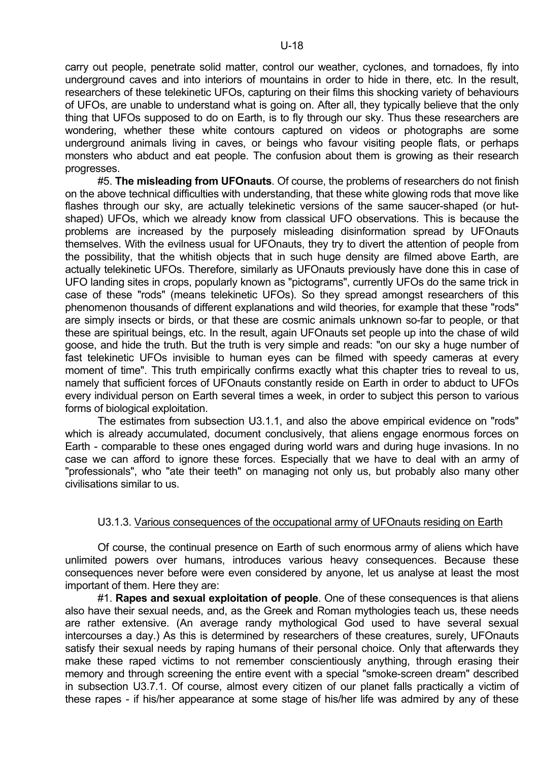carry out people, penetrate solid matter, control our weather, cyclones, and tornadoes, fly into underground caves and into interiors of mountains in order to hide in there, etc. In the result, researchers of these telekinetic UFOs, capturing on their films this shocking variety of behaviours of UFOs, are unable to understand what is going on. After all, they typically believe that the only thing that UFOs supposed to do on Earth, is to fly through our sky. Thus these researchers are wondering, whether these white contours captured on videos or photographs are some underground animals living in caves, or beings who favour visiting people flats, or perhaps monsters who abduct and eat people. The confusion about them is growing as their research progresses.

 #5. **The misleading from UFOnauts**. Of course, the problems of researchers do not finish on the above technical difficulties with understanding, that these white glowing rods that move like flashes through our sky, are actually telekinetic versions of the same saucer-shaped (or hutshaped) UFOs, which we already know from classical UFO observations. This is because the problems are increased by the purposely misleading disinformation spread by UFOnauts themselves. With the evilness usual for UFOnauts, they try to divert the attention of people from the possibility, that the whitish objects that in such huge density are filmed above Earth, are actually telekinetic UFOs. Therefore, similarly as UFOnauts previously have done this in case of UFO landing sites in crops, popularly known as "pictograms", currently UFOs do the same trick in case of these "rods" (means telekinetic UFOs). So they spread amongst researchers of this phenomenon thousands of different explanations and wild theories, for example that these "rods" are simply insects or birds, or that these are cosmic animals unknown so-far to people, or that these are spiritual beings, etc. In the result, again UFOnauts set people up into the chase of wild goose, and hide the truth. But the truth is very simple and reads: "on our sky a huge number of fast telekinetic UFOs invisible to human eyes can be filmed with speedy cameras at every moment of time". This truth empirically confirms exactly what this chapter tries to reveal to us, namely that sufficient forces of UFOnauts constantly reside on Earth in order to abduct to UFOs every individual person on Earth several times a week, in order to subject this person to various forms of biological exploitation.

 The estimates from subsection U3.1.1, and also the above empirical evidence on "rods" which is already accumulated, document conclusively, that aliens engage enormous forces on Earth - comparable to these ones engaged during world wars and during huge invasions. In no case we can afford to ignore these forces. Especially that we have to deal with an army of "professionals", who "ate their teeth" on managing not only us, but probably also many other civilisations similar to us.

# U3.1.3. Various consequences of the occupational army of UFOnauts residing on Earth

 Of course, the continual presence on Earth of such enormous army of aliens which have unlimited powers over humans, introduces various heavy consequences. Because these consequences never before were even considered by anyone, let us analyse at least the most important of them. Here they are:

 #1. **Rapes and sexual exploitation of people**. One of these consequences is that aliens also have their sexual needs, and, as the Greek and Roman mythologies teach us, these needs are rather extensive. (An average randy mythological God used to have several sexual intercourses a day.) As this is determined by researchers of these creatures, surely, UFOnauts satisfy their sexual needs by raping humans of their personal choice. Only that afterwards they make these raped victims to not remember conscientiously anything, through erasing their memory and through screening the entire event with a special "smoke-screen dream" described in subsection U3.7.1. Of course, almost every citizen of our planet falls practically a victim of these rapes - if his/her appearance at some stage of his/her life was admired by any of these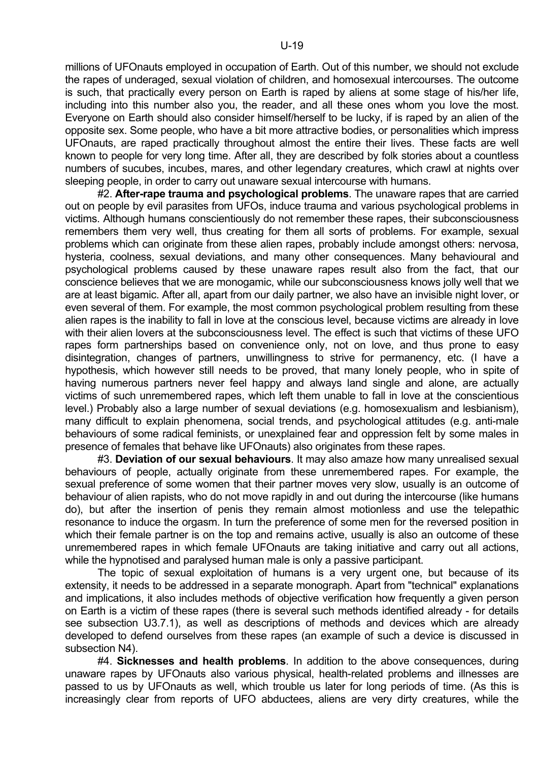millions of UFOnauts employed in occupation of Earth. Out of this number, we should not exclude the rapes of underaged, sexual violation of children, and homosexual intercourses. The outcome is such, that practically every person on Earth is raped by aliens at some stage of his/her life, including into this number also you, the reader, and all these ones whom you love the most. Everyone on Earth should also consider himself/herself to be lucky, if is raped by an alien of the opposite sex. Some people, who have a bit more attractive bodies, or personalities which impress UFOnauts, are raped practically throughout almost the entire their lives. These facts are well known to people for very long time. After all, they are described by folk stories about a countless numbers of sucubes, incubes, mares, and other legendary creatures, which crawl at nights over sleeping people, in order to carry out unaware sexual intercourse with humans.

 #2. **After-rape trauma and psychological problems**. The unaware rapes that are carried out on people by evil parasites from UFOs, induce trauma and various psychological problems in victims. Although humans conscientiously do not remember these rapes, their subconsciousness remembers them very well, thus creating for them all sorts of problems. For example, sexual problems which can originate from these alien rapes, probably include amongst others: nervosa, hysteria, coolness, sexual deviations, and many other consequences. Many behavioural and psychological problems caused by these unaware rapes result also from the fact, that our conscience believes that we are monogamic, while our subconsciousness knows jolly well that we are at least bigamic. After all, apart from our daily partner, we also have an invisible night lover, or even several of them. For example, the most common psychological problem resulting from these alien rapes is the inability to fall in love at the conscious level, because victims are already in love with their alien lovers at the subconsciousness level. The effect is such that victims of these UFO rapes form partnerships based on convenience only, not on love, and thus prone to easy disintegration, changes of partners, unwillingness to strive for permanency, etc. (I have a hypothesis, which however still needs to be proved, that many lonely people, who in spite of having numerous partners never feel happy and always land single and alone, are actually victims of such unremembered rapes, which left them unable to fall in love at the conscientious level.) Probably also a large number of sexual deviations (e.g. homosexualism and lesbianism), many difficult to explain phenomena, social trends, and psychological attitudes (e.g. anti-male behaviours of some radical feminists, or unexplained fear and oppression felt by some males in presence of females that behave like UFOnauts) also originates from these rapes.

 #3. **Deviation of our sexual behaviours**. It may also amaze how many unrealised sexual behaviours of people, actually originate from these unremembered rapes. For example, the sexual preference of some women that their partner moves very slow, usually is an outcome of behaviour of alien rapists, who do not move rapidly in and out during the intercourse (like humans do), but after the insertion of penis they remain almost motionless and use the telepathic resonance to induce the orgasm. In turn the preference of some men for the reversed position in which their female partner is on the top and remains active, usually is also an outcome of these unremembered rapes in which female UFOnauts are taking initiative and carry out all actions, while the hypnotised and paralysed human male is only a passive participant.

 The topic of sexual exploitation of humans is a very urgent one, but because of its extensity, it needs to be addressed in a separate monograph. Apart from "technical" explanations and implications, it also includes methods of objective verification how frequently a given person on Earth is a victim of these rapes (there is several such methods identified already - for details see subsection U3.7.1), as well as descriptions of methods and devices which are already developed to defend ourselves from these rapes (an example of such a device is discussed in subsection N4).

 #4. **Sicknesses and health problems**. In addition to the above consequences, during unaware rapes by UFOnauts also various physical, health-related problems and illnesses are passed to us by UFOnauts as well, which trouble us later for long periods of time. (As this is increasingly clear from reports of UFO abductees, aliens are very dirty creatures, while the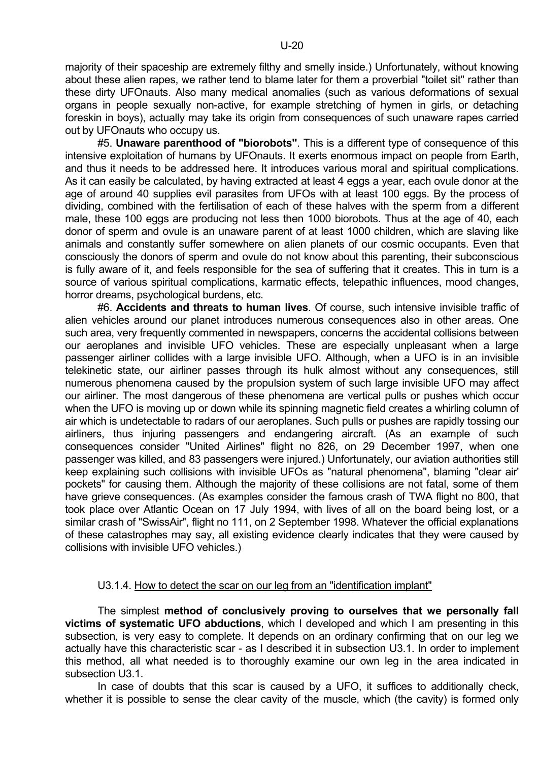majority of their spaceship are extremely filthy and smelly inside.) Unfortunately, without knowing about these alien rapes, we rather tend to blame later for them a proverbial "toilet sit" rather than these dirty UFOnauts. Also many medical anomalies (such as various deformations of sexual organs in people sexually non-active, for example stretching of hymen in girls, or detaching foreskin in boys), actually may take its origin from consequences of such unaware rapes carried out by UFOnauts who occupy us.

 #5. **Unaware parenthood of "biorobots"**. This is a different type of consequence of this intensive exploitation of humans by UFOnauts. It exerts enormous impact on people from Earth, and thus it needs to be addressed here. It introduces various moral and spiritual complications. As it can easily be calculated, by having extracted at least 4 eggs a year, each ovule donor at the age of around 40 supplies evil parasites from UFOs with at least 100 eggs. By the process of dividing, combined with the fertilisation of each of these halves with the sperm from a different male, these 100 eggs are producing not less then 1000 biorobots. Thus at the age of 40, each donor of sperm and ovule is an unaware parent of at least 1000 children, which are slaving like animals and constantly suffer somewhere on alien planets of our cosmic occupants. Even that consciously the donors of sperm and ovule do not know about this parenting, their subconscious is fully aware of it, and feels responsible for the sea of suffering that it creates. This in turn is a source of various spiritual complications, karmatic effects, telepathic influences, mood changes, horror dreams, psychological burdens, etc.

 #6. **Accidents and threats to human lives**. Of course, such intensive invisible traffic of alien vehicles around our planet introduces numerous consequences also in other areas. One such area, very frequently commented in newspapers, concerns the accidental collisions between our aeroplanes and invisible UFO vehicles. These are especially unpleasant when a large passenger airliner collides with a large invisible UFO. Although, when a UFO is in an invisible telekinetic state, our airliner passes through its hulk almost without any consequences, still numerous phenomena caused by the propulsion system of such large invisible UFO may affect our airliner. The most dangerous of these phenomena are vertical pulls or pushes which occur when the UFO is moving up or down while its spinning magnetic field creates a whirling column of air which is undetectable to radars of our aeroplanes. Such pulls or pushes are rapidly tossing our airliners, thus injuring passengers and endangering aircraft. (As an example of such consequences consider "United Airlines" flight no 826, on 29 December 1997, when one passenger was killed, and 83 passengers were injured.) Unfortunately, our aviation authorities still keep explaining such collisions with invisible UFOs as "natural phenomena", blaming "clear air' pockets" for causing them. Although the majority of these collisions are not fatal, some of them have grieve consequences. (As examples consider the famous crash of TWA flight no 800, that took place over Atlantic Ocean on 17 July 1994, with lives of all on the board being lost, or a similar crash of "SwissAir", flight no 111, on 2 September 1998. Whatever the official explanations of these catastrophes may say, all existing evidence clearly indicates that they were caused by collisions with invisible UFO vehicles.)

# U3.1.4. How to detect the scar on our leg from an "identification implant"

 The simplest **method of conclusively proving to ourselves that we personally fall victims of systematic UFO abductions**, which I developed and which I am presenting in this subsection, is very easy to complete. It depends on an ordinary confirming that on our leg we actually have this characteristic scar - as I described it in subsection U3.1. In order to implement this method, all what needed is to thoroughly examine our own leg in the area indicated in subsection U3.1.

 In case of doubts that this scar is caused by a UFO, it suffices to additionally check, whether it is possible to sense the clear cavity of the muscle, which (the cavity) is formed only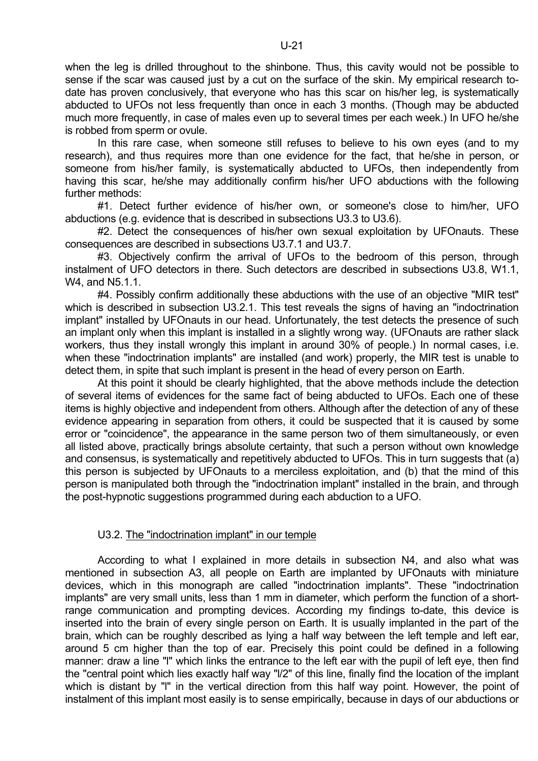when the leg is drilled throughout to the shinbone. Thus, this cavity would not be possible to sense if the scar was caused just by a cut on the surface of the skin. My empirical research todate has proven conclusively, that everyone who has this scar on his/her leg, is systematically abducted to UFOs not less frequently than once in each 3 months. (Though may be abducted much more frequently, in case of males even up to several times per each week.) In UFO he/she is robbed from sperm or ovule.

 In this rare case, when someone still refuses to believe to his own eyes (and to my research), and thus requires more than one evidence for the fact, that he/she in person, or someone from his/her family, is systematically abducted to UFOs, then independently from having this scar, he/she may additionally confirm his/her UFO abductions with the following further methods:

 #1. Detect further evidence of his/her own, or someone's close to him/her, UFO abductions (e.g. evidence that is described in subsections U3.3 to U3.6).

 #2. Detect the consequences of his/her own sexual exploitation by UFOnauts. These consequences are described in subsections U3.7.1 and U3.7.

 #3. Objectively confirm the arrival of UFOs to the bedroom of this person, through instalment of UFO detectors in there. Such detectors are described in subsections U3.8, W1.1, W4, and N5.1.1.

 #4. Possibly confirm additionally these abductions with the use of an objective "MIR test" which is described in subsection U3.2.1. This test reveals the signs of having an "indoctrination implant" installed by UFOnauts in our head. Unfortunately, the test detects the presence of such an implant only when this implant is installed in a slightly wrong way. (UFOnauts are rather slack workers, thus they install wrongly this implant in around 30% of people.) In normal cases, i.e. when these "indoctrination implants" are installed (and work) properly, the MIR test is unable to detect them, in spite that such implant is present in the head of every person on Earth.

 At this point it should be clearly highlighted, that the above methods include the detection of several items of evidences for the same fact of being abducted to UFOs. Each one of these items is highly objective and independent from others. Although after the detection of any of these evidence appearing in separation from others, it could be suspected that it is caused by some error or "coincidence", the appearance in the same person two of them simultaneously, or even all listed above, practically brings absolute certainty, that such a person without own knowledge and consensus, is systematically and repetitively abducted to UFOs. This in turn suggests that (a) this person is subjected by UFOnauts to a merciless exploitation, and (b) that the mind of this person is manipulated both through the "indoctrination implant" installed in the brain, and through the post-hypnotic suggestions programmed during each abduction to a UFO.

# U3.2. The "indoctrination implant" in our temple

 According to what I explained in more details in subsection N4, and also what was mentioned in subsection A3, all people on Earth are implanted by UFOnauts with miniature devices, which in this monograph are called "indoctrination implants". These "indoctrination implants" are very small units, less than 1 mm in diameter, which perform the function of a shortrange communication and prompting devices. According my findings to-date, this device is inserted into the brain of every single person on Earth. It is usually implanted in the part of the brain, which can be roughly described as lying a half way between the left temple and left ear, around 5 cm higher than the top of ear. Precisely this point could be defined in a following manner: draw a line "l" which links the entrance to the left ear with the pupil of left eye, then find the "central point which lies exactly half way "l/2" of this line, finally find the location of the implant which is distant by "I" in the vertical direction from this half way point. However, the point of instalment of this implant most easily is to sense empirically, because in days of our abductions or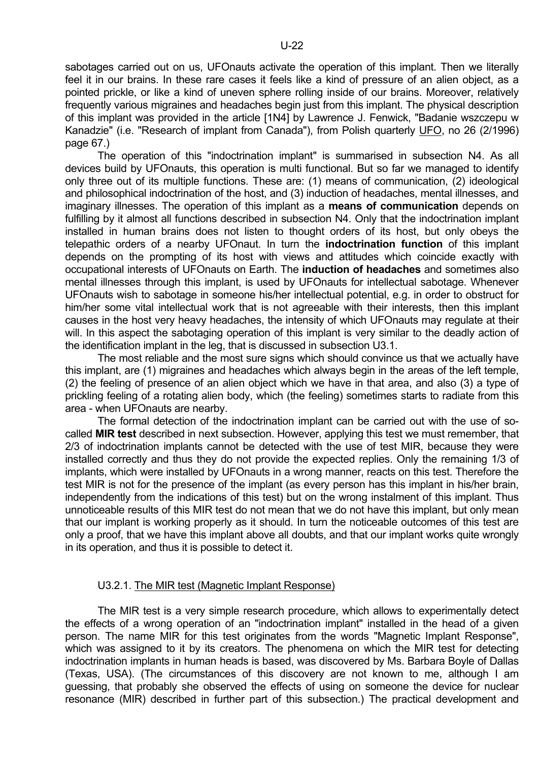sabotages carried out on us, UFOnauts activate the operation of this implant. Then we literally feel it in our brains. In these rare cases it feels like a kind of pressure of an alien object, as a pointed prickle, or like a kind of uneven sphere rolling inside of our brains. Moreover, relatively frequently various migraines and headaches begin just from this implant. The physical description of this implant was provided in the article [1N4] by Lawrence J. Fenwick, "Badanie wszczepu w Kanadzie" (i.e. "Research of implant from Canada"), from Polish quarterly UFO, no 26 (2/1996) page 67.)

 The operation of this "indoctrination implant" is summarised in subsection N4. As all devices build by UFOnauts, this operation is multi functional. But so far we managed to identify only three out of its multiple functions. These are: (1) means of communication, (2) ideological and philosophical indoctrination of the host, and (3) induction of headaches, mental illnesses, and imaginary illnesses. The operation of this implant as a **means of communication** depends on fulfilling by it almost all functions described in subsection N4. Only that the indoctrination implant installed in human brains does not listen to thought orders of its host, but only obeys the telepathic orders of a nearby UFOnaut. In turn the **indoctrination function** of this implant depends on the prompting of its host with views and attitudes which coincide exactly with occupational interests of UFOnauts on Earth. The **induction of headaches** and sometimes also mental illnesses through this implant, is used by UFOnauts for intellectual sabotage. Whenever UFOnauts wish to sabotage in someone his/her intellectual potential, e.g. in order to obstruct for him/her some vital intellectual work that is not agreeable with their interests, then this implant causes in the host very heavy headaches, the intensity of which UFOnauts may regulate at their will. In this aspect the sabotaging operation of this implant is very similar to the deadly action of the identification implant in the leg, that is discussed in subsection U3.1.

 The most reliable and the most sure signs which should convince us that we actually have this implant, are (1) migraines and headaches which always begin in the areas of the left temple, (2) the feeling of presence of an alien object which we have in that area, and also (3) a type of prickling feeling of a rotating alien body, which (the feeling) sometimes starts to radiate from this area - when UFOnauts are nearby.

 The formal detection of the indoctrination implant can be carried out with the use of socalled **MIR test** described in next subsection. However, applying this test we must remember, that 2/3 of indoctrination implants cannot be detected with the use of test MIR, because they were installed correctly and thus they do not provide the expected replies. Only the remaining 1/3 of implants, which were installed by UFOnauts in a wrong manner, reacts on this test. Therefore the test MIR is not for the presence of the implant (as every person has this implant in his/her brain, independently from the indications of this test) but on the wrong instalment of this implant. Thus unnoticeable results of this MIR test do not mean that we do not have this implant, but only mean that our implant is working properly as it should. In turn the noticeable outcomes of this test are only a proof, that we have this implant above all doubts, and that our implant works quite wrongly in its operation, and thus it is possible to detect it.

# U3.2.1. The MIR test (Magnetic Implant Response)

 The MIR test is a very simple research procedure, which allows to experimentally detect the effects of a wrong operation of an "indoctrination implant" installed in the head of a given person. The name MIR for this test originates from the words "Magnetic Implant Response", which was assigned to it by its creators. The phenomena on which the MIR test for detecting indoctrination implants in human heads is based, was discovered by Ms. Barbara Boyle of Dallas (Texas, USA). (The circumstances of this discovery are not known to me, although I am guessing, that probably she observed the effects of using on someone the device for nuclear resonance (MIR) described in further part of this subsection.) The practical development and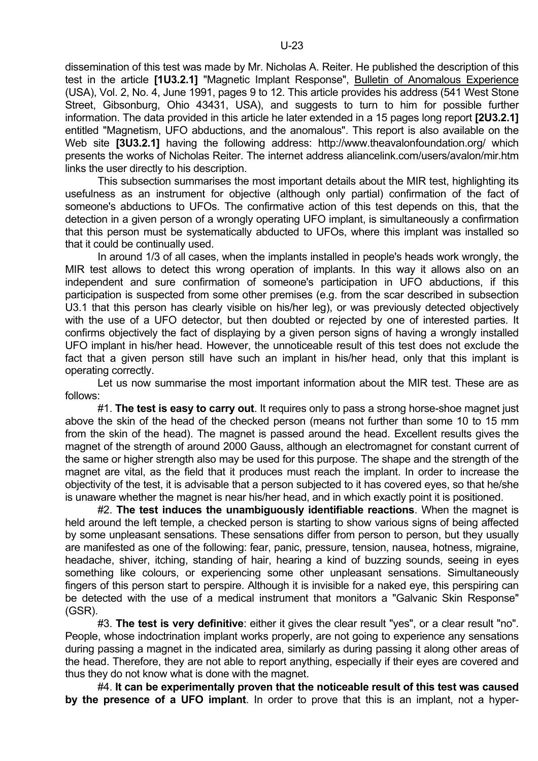dissemination of this test was made by Mr. Nicholas A. Reiter. He published the description of this test in the article **[1U3.2.1]** "Magnetic Implant Response", Bulletin of Anomalous Experience (USA), Vol. 2, No. 4, June 1991, pages 9 to 12. This article provides his address (541 West Stone Street, Gibsonburg, Ohio 43431, USA), and suggests to turn to him for possible further information. The data provided in this article he later extended in a 15 pages long report **[2U3.2.1]** entitled "Magnetism, UFO abductions, and the anomalous". This report is also available on the Web site **[3U3.2.1]** having the following address: http://www.theavalonfoundation.org/ which presents the works of Nicholas Reiter. The internet address aliancelink.com/users/avalon/mir.htm links the user directly to his description.

 This subsection summarises the most important details about the MIR test, highlighting its usefulness as an instrument for objective (although only partial) confirmation of the fact of someone's abductions to UFOs. The confirmative action of this test depends on this, that the detection in a given person of a wrongly operating UFO implant, is simultaneously a confirmation that this person must be systematically abducted to UFOs, where this implant was installed so that it could be continually used.

 In around 1/3 of all cases, when the implants installed in people's heads work wrongly, the MIR test allows to detect this wrong operation of implants. In this way it allows also on an independent and sure confirmation of someone's participation in UFO abductions, if this participation is suspected from some other premises (e.g. from the scar described in subsection U3.1 that this person has clearly visible on his/her leg), or was previously detected objectively with the use of a UFO detector, but then doubted or rejected by one of interested parties. It confirms objectively the fact of displaying by a given person signs of having a wrongly installed UFO implant in his/her head. However, the unnoticeable result of this test does not exclude the fact that a given person still have such an implant in his/her head, only that this implant is operating correctly.

 Let us now summarise the most important information about the MIR test. These are as follows:

 #1. **The test is easy to carry out**. It requires only to pass a strong horse-shoe magnet just above the skin of the head of the checked person (means not further than some 10 to 15 mm from the skin of the head). The magnet is passed around the head. Excellent results gives the magnet of the strength of around 2000 Gauss, although an electromagnet for constant current of the same or higher strength also may be used for this purpose. The shape and the strength of the magnet are vital, as the field that it produces must reach the implant. In order to increase the objectivity of the test, it is advisable that a person subjected to it has covered eyes, so that he/she is unaware whether the magnet is near his/her head, and in which exactly point it is positioned.

 #2. **The test induces the unambiguously identifiable reactions**. When the magnet is held around the left temple, a checked person is starting to show various signs of being affected by some unpleasant sensations. These sensations differ from person to person, but they usually are manifested as one of the following: fear, panic, pressure, tension, nausea, hotness, migraine, headache, shiver, itching, standing of hair, hearing a kind of buzzing sounds, seeing in eyes something like colours, or experiencing some other unpleasant sensations. Simultaneously fingers of this person start to perspire. Although it is invisible for a naked eye, this perspiring can be detected with the use of a medical instrument that monitors a "Galvanic Skin Response" (GSR).

 #3. **The test is very definitive**: either it gives the clear result "yes", or a clear result "no". People, whose indoctrination implant works properly, are not going to experience any sensations during passing a magnet in the indicated area, similarly as during passing it along other areas of the head. Therefore, they are not able to report anything, especially if their eyes are covered and thus they do not know what is done with the magnet.

 #4. **It can be experimentally proven that the noticeable result of this test was caused by the presence of a UFO implant**. In order to prove that this is an implant, not a hyper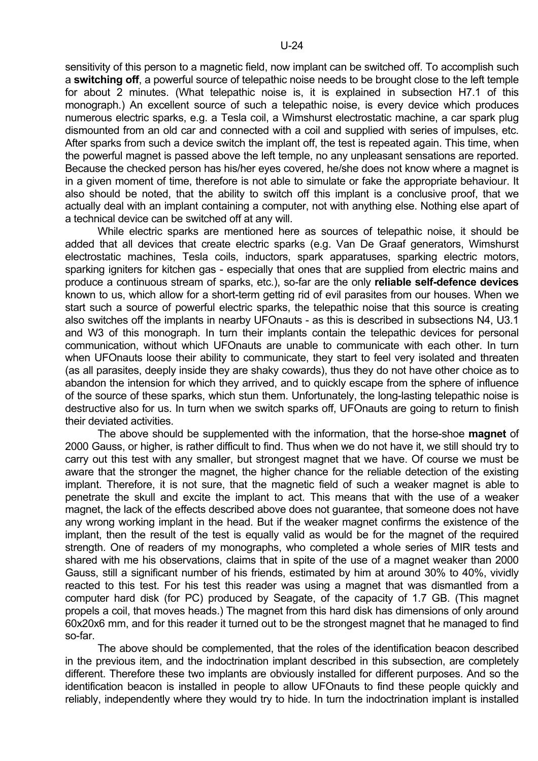sensitivity of this person to a magnetic field, now implant can be switched off. To accomplish such a **switching off**, a powerful source of telepathic noise needs to be brought close to the left temple for about 2 minutes. (What telepathic noise is, it is explained in subsection H7.1 of this monograph.) An excellent source of such a telepathic noise, is every device which produces numerous electric sparks, e.g. a Tesla coil, a Wimshurst electrostatic machine, a car spark plug dismounted from an old car and connected with a coil and supplied with series of impulses, etc. After sparks from such a device switch the implant off, the test is repeated again. This time, when the powerful magnet is passed above the left temple, no any unpleasant sensations are reported. Because the checked person has his/her eyes covered, he/she does not know where a magnet is in a given moment of time, therefore is not able to simulate or fake the appropriate behaviour. It also should be noted, that the ability to switch off this implant is a conclusive proof, that we actually deal with an implant containing a computer, not with anything else. Nothing else apart of a technical device can be switched off at any will.

 While electric sparks are mentioned here as sources of telepathic noise, it should be added that all devices that create electric sparks (e.g. Van De Graaf generators, Wimshurst electrostatic machines, Tesla coils, inductors, spark apparatuses, sparking electric motors, sparking igniters for kitchen gas - especially that ones that are supplied from electric mains and produce a continuous stream of sparks, etc.), so-far are the only **reliable self-defence devices** known to us, which allow for a short-term getting rid of evil parasites from our houses. When we start such a source of powerful electric sparks, the telepathic noise that this source is creating also switches off the implants in nearby UFOnauts - as this is described in subsections N4, U3.1 and W3 of this monograph. In turn their implants contain the telepathic devices for personal communication, without which UFOnauts are unable to communicate with each other. In turn when UFOnauts loose their ability to communicate, they start to feel very isolated and threaten (as all parasites, deeply inside they are shaky cowards), thus they do not have other choice as to abandon the intension for which they arrived, and to quickly escape from the sphere of influence of the source of these sparks, which stun them. Unfortunately, the long-lasting telepathic noise is destructive also for us. In turn when we switch sparks off, UFOnauts are going to return to finish their deviated activities.

 The above should be supplemented with the information, that the horse-shoe **magnet** of 2000 Gauss, or higher, is rather difficult to find. Thus when we do not have it, we still should try to carry out this test with any smaller, but strongest magnet that we have. Of course we must be aware that the stronger the magnet, the higher chance for the reliable detection of the existing implant. Therefore, it is not sure, that the magnetic field of such a weaker magnet is able to penetrate the skull and excite the implant to act. This means that with the use of a weaker magnet, the lack of the effects described above does not guarantee, that someone does not have any wrong working implant in the head. But if the weaker magnet confirms the existence of the implant, then the result of the test is equally valid as would be for the magnet of the required strength. One of readers of my monographs, who completed a whole series of MIR tests and shared with me his observations, claims that in spite of the use of a magnet weaker than 2000 Gauss, still a significant number of his friends, estimated by him at around 30% to 40%, vividly reacted to this test. For his test this reader was using a magnet that was dismantled from a computer hard disk (for PC) produced by Seagate, of the capacity of 1.7 GB. (This magnet propels a coil, that moves heads.) The magnet from this hard disk has dimensions of only around 60x20x6 mm, and for this reader it turned out to be the strongest magnet that he managed to find so-far.

 The above should be complemented, that the roles of the identification beacon described in the previous item, and the indoctrination implant described in this subsection, are completely different. Therefore these two implants are obviously installed for different purposes. And so the identification beacon is installed in people to allow UFOnauts to find these people quickly and reliably, independently where they would try to hide. In turn the indoctrination implant is installed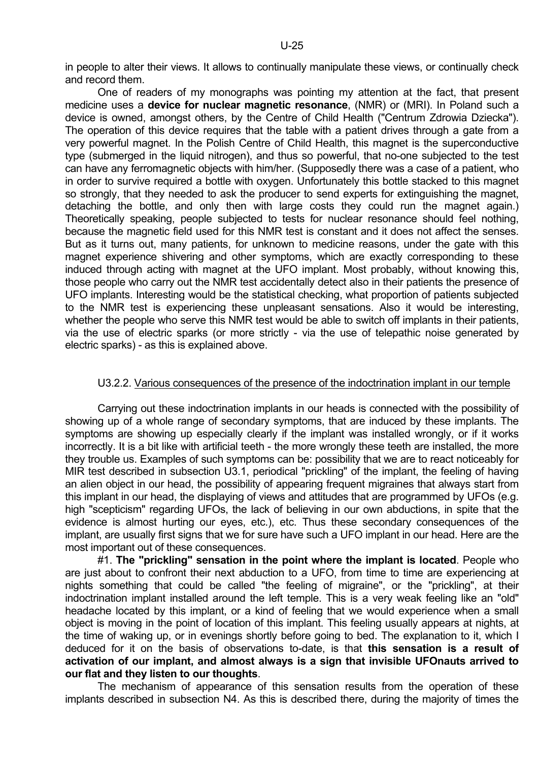One of readers of my monographs was pointing my attention at the fact, that present medicine uses a **device for nuclear magnetic resonance**, (NMR) or (MRI). In Poland such a device is owned, amongst others, by the Centre of Child Health ("Centrum Zdrowia Dziecka"). The operation of this device requires that the table with a patient drives through a gate from a very powerful magnet. In the Polish Centre of Child Health, this magnet is the superconductive type (submerged in the liquid nitrogen), and thus so powerful, that no-one subjected to the test can have any ferromagnetic objects with him/her. (Supposedly there was a case of a patient, who in order to survive required a bottle with oxygen. Unfortunately this bottle stacked to this magnet so strongly, that they needed to ask the producer to send experts for extinguishing the magnet. detaching the bottle, and only then with large costs they could run the magnet again.) Theoretically speaking, people subjected to tests for nuclear resonance should feel nothing, because the magnetic field used for this NMR test is constant and it does not affect the senses. But as it turns out, many patients, for unknown to medicine reasons, under the gate with this magnet experience shivering and other symptoms, which are exactly corresponding to these induced through acting with magnet at the UFO implant. Most probably, without knowing this, those people who carry out the NMR test accidentally detect also in their patients the presence of UFO implants. Interesting would be the statistical checking, what proportion of patients subjected to the NMR test is experiencing these unpleasant sensations. Also it would be interesting, whether the people who serve this NMR test would be able to switch off implants in their patients, via the use of electric sparks (or more strictly - via the use of telepathic noise generated by electric sparks) - as this is explained above.

# U3.2.2. Various consequences of the presence of the indoctrination implant in our temple

 Carrying out these indoctrination implants in our heads is connected with the possibility of showing up of a whole range of secondary symptoms, that are induced by these implants. The symptoms are showing up especially clearly if the implant was installed wrongly, or if it works incorrectly. It is a bit like with artificial teeth - the more wrongly these teeth are installed, the more they trouble us. Examples of such symptoms can be: possibility that we are to react noticeably for MIR test described in subsection U3.1, periodical "prickling" of the implant, the feeling of having an alien object in our head, the possibility of appearing frequent migraines that always start from this implant in our head, the displaying of views and attitudes that are programmed by UFOs (e.g. high "scepticism" regarding UFOs, the lack of believing in our own abductions, in spite that the evidence is almost hurting our eyes, etc.), etc. Thus these secondary consequences of the implant, are usually first signs that we for sure have such a UFO implant in our head. Here are the most important out of these consequences.

 #1. **The "prickling" sensation in the point where the implant is located**. People who are just about to confront their next abduction to a UFO, from time to time are experiencing at nights something that could be called "the feeling of migraine", or the "prickling", at their indoctrination implant installed around the left temple. This is a very weak feeling like an "old" headache located by this implant, or a kind of feeling that we would experience when a small object is moving in the point of location of this implant. This feeling usually appears at nights, at the time of waking up, or in evenings shortly before going to bed. The explanation to it, which I deduced for it on the basis of observations to-date, is that **this sensation is a result of activation of our implant, and almost always is a sign that invisible UFOnauts arrived to our flat and they listen to our thoughts**.

 The mechanism of appearance of this sensation results from the operation of these implants described in subsection N4. As this is described there, during the majority of times the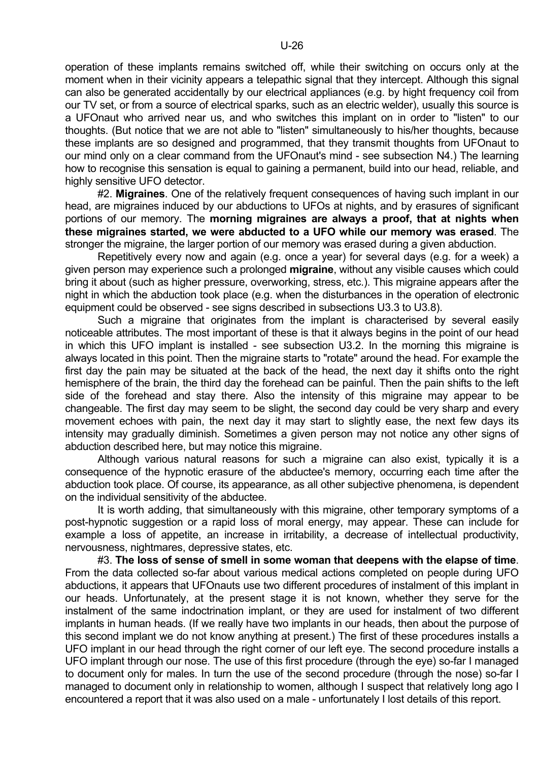operation of these implants remains switched off, while their switching on occurs only at the moment when in their vicinity appears a telepathic signal that they intercept. Although this signal can also be generated accidentally by our electrical appliances (e.g. by hight frequency coil from our TV set, or from a source of electrical sparks, such as an electric welder), usually this source is a UFOnaut who arrived near us, and who switches this implant on in order to "listen" to our thoughts. (But notice that we are not able to "listen" simultaneously to his/her thoughts, because these implants are so designed and programmed, that they transmit thoughts from UFOnaut to our mind only on a clear command from the UFOnaut's mind - see subsection N4.) The learning how to recognise this sensation is equal to gaining a permanent, build into our head, reliable, and highly sensitive UFO detector.

 #2. **Migraines**. One of the relatively frequent consequences of having such implant in our head, are migraines induced by our abductions to UFOs at nights, and by erasures of significant portions of our memory. The **morning migraines are always a proof, that at nights when these migraines started, we were abducted to a UFO while our memory was erased**. The stronger the migraine, the larger portion of our memory was erased during a given abduction.

 Repetitively every now and again (e.g. once a year) for several days (e.g. for a week) a given person may experience such a prolonged **migraine**, without any visible causes which could bring it about (such as higher pressure, overworking, stress, etc.). This migraine appears after the night in which the abduction took place (e.g. when the disturbances in the operation of electronic equipment could be observed - see signs described in subsections U3.3 to U3.8).

 Such a migraine that originates from the implant is characterised by several easily noticeable attributes. The most important of these is that it always begins in the point of our head in which this UFO implant is installed - see subsection U3.2. In the morning this migraine is always located in this point. Then the migraine starts to "rotate" around the head. For example the first day the pain may be situated at the back of the head, the next day it shifts onto the right hemisphere of the brain, the third day the forehead can be painful. Then the pain shifts to the left side of the forehead and stay there. Also the intensity of this migraine may appear to be changeable. The first day may seem to be slight, the second day could be very sharp and every movement echoes with pain, the next day it may start to slightly ease, the next few days its intensity may gradually diminish. Sometimes a given person may not notice any other signs of abduction described here, but may notice this migraine.

 Although various natural reasons for such a migraine can also exist, typically it is a consequence of the hypnotic erasure of the abductee's memory, occurring each time after the abduction took place. Of course, its appearance, as all other subjective phenomena, is dependent on the individual sensitivity of the abductee.

 It is worth adding, that simultaneously with this migraine, other temporary symptoms of a post-hypnotic suggestion or a rapid loss of moral energy, may appear. These can include for example a loss of appetite, an increase in irritability, a decrease of intellectual productivity, nervousness, nightmares, depressive states, etc.

 #3. **The loss of sense of smell in some woman that deepens with the elapse of time**. From the data collected so-far about various medical actions completed on people during UFO abductions, it appears that UFOnauts use two different procedures of instalment of this implant in our heads. Unfortunately, at the present stage it is not known, whether they serve for the instalment of the same indoctrination implant, or they are used for instalment of two different implants in human heads. (If we really have two implants in our heads, then about the purpose of this second implant we do not know anything at present.) The first of these procedures installs a UFO implant in our head through the right corner of our left eye. The second procedure installs a UFO implant through our nose. The use of this first procedure (through the eye) so-far I managed to document only for males. In turn the use of the second procedure (through the nose) so-far I managed to document only in relationship to women, although I suspect that relatively long ago I encountered a report that it was also used on a male - unfortunately I lost details of this report.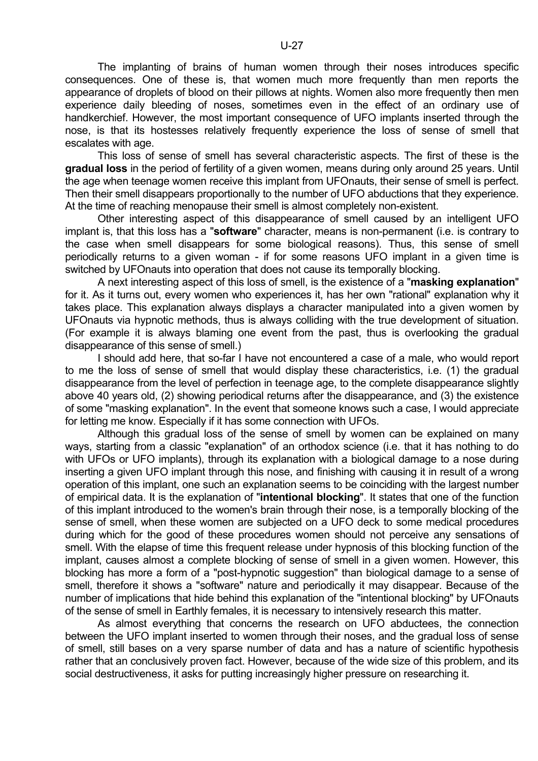The implanting of brains of human women through their noses introduces specific consequences. One of these is, that women much more frequently than men reports the appearance of droplets of blood on their pillows at nights. Women also more frequently then men experience daily bleeding of noses, sometimes even in the effect of an ordinary use of handkerchief. However, the most important consequence of UFO implants inserted through the nose, is that its hostesses relatively frequently experience the loss of sense of smell that escalates with age.

 This loss of sense of smell has several characteristic aspects. The first of these is the **gradual loss** in the period of fertility of a given women, means during only around 25 years. Until the age when teenage women receive this implant from UFOnauts, their sense of smell is perfect. Then their smell disappears proportionally to the number of UFO abductions that they experience. At the time of reaching menopause their smell is almost completely non-existent.

 Other interesting aspect of this disappearance of smell caused by an intelligent UFO implant is, that this loss has a "**software**" character, means is non-permanent (i.e. is contrary to the case when smell disappears for some biological reasons). Thus, this sense of smell periodically returns to a given woman - if for some reasons UFO implant in a given time is switched by UFOnauts into operation that does not cause its temporally blocking.

 A next interesting aspect of this loss of smell, is the existence of a "**masking explanation**" for it. As it turns out, every women who experiences it, has her own "rational" explanation why it takes place. This explanation always displays a character manipulated into a given women by UFOnauts via hypnotic methods, thus is always colliding with the true development of situation. (For example it is always blaming one event from the past, thus is overlooking the gradual disappearance of this sense of smell.)

 I should add here, that so-far I have not encountered a case of a male, who would report to me the loss of sense of smell that would display these characteristics, i.e. (1) the gradual disappearance from the level of perfection in teenage age, to the complete disappearance slightly above 40 years old, (2) showing periodical returns after the disappearance, and (3) the existence of some "masking explanation". In the event that someone knows such a case, I would appreciate for letting me know. Especially if it has some connection with UFOs.

 Although this gradual loss of the sense of smell by women can be explained on many ways, starting from a classic "explanation" of an orthodox science (i.e. that it has nothing to do with UFOs or UFO implants), through its explanation with a biological damage to a nose during inserting a given UFO implant through this nose, and finishing with causing it in result of a wrong operation of this implant, one such an explanation seems to be coinciding with the largest number of empirical data. It is the explanation of "**intentional blocking**". It states that one of the function of this implant introduced to the women's brain through their nose, is a temporally blocking of the sense of smell, when these women are subjected on a UFO deck to some medical procedures during which for the good of these procedures women should not perceive any sensations of smell. With the elapse of time this frequent release under hypnosis of this blocking function of the implant, causes almost a complete blocking of sense of smell in a given women. However, this blocking has more a form of a "post-hypnotic suggestion" than biological damage to a sense of smell, therefore it shows a "software" nature and periodically it may disappear. Because of the number of implications that hide behind this explanation of the "intentional blocking" by UFOnauts of the sense of smell in Earthly females, it is necessary to intensively research this matter.

 As almost everything that concerns the research on UFO abductees, the connection between the UFO implant inserted to women through their noses, and the gradual loss of sense of smell, still bases on a very sparse number of data and has a nature of scientific hypothesis rather that an conclusively proven fact. However, because of the wide size of this problem, and its social destructiveness, it asks for putting increasingly higher pressure on researching it.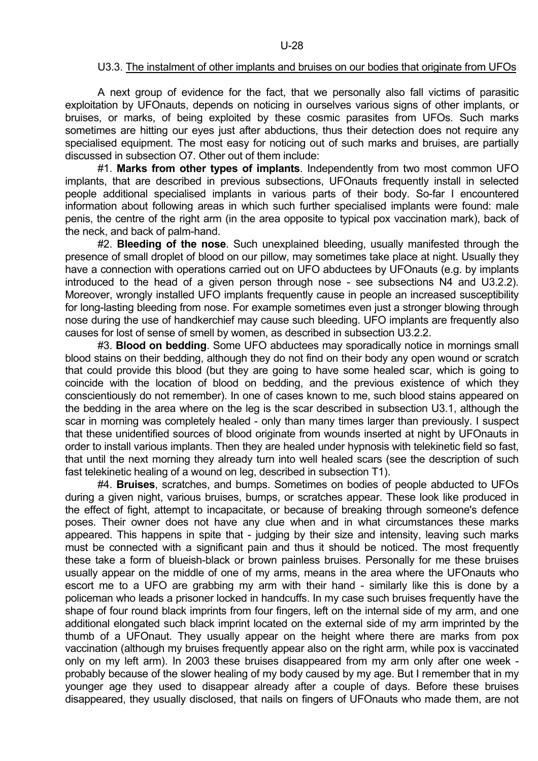#### U3.3. The instalment of other implants and bruises on our bodies that originate from UFOs

 A next group of evidence for the fact, that we personally also fall victims of parasitic exploitation by UFOnauts, depends on noticing in ourselves various signs of other implants, or bruises, or marks, of being exploited by these cosmic parasites from UFOs. Such marks sometimes are hitting our eyes just after abductions, thus their detection does not require any specialised equipment. The most easy for noticing out of such marks and bruises, are partially discussed in subsection O7. Other out of them include:

 #1. **Marks from other types of implants**. Independently from two most common UFO implants, that are described in previous subsections, UFOnauts frequently install in selected people additional specialised implants in various parts of their body. So-far I encountered information about following areas in which such further specialised implants were found: male penis, the centre of the right arm (in the area opposite to typical pox vaccination mark), back of the neck, and back of palm-hand.

 #2. **Bleeding of the nose**. Such unexplained bleeding, usually manifested through the presence of small droplet of blood on our pillow, may sometimes take place at night. Usually they have a connection with operations carried out on UFO abductees by UFOnauts (e.g. by implants introduced to the head of a given person through nose - see subsections N4 and U3.2.2). Moreover, wrongly installed UFO implants frequently cause in people an increased susceptibility for long-lasting bleeding from nose. For example sometimes even just a stronger blowing through nose during the use of handkerchief may cause such bleeding. UFO implants are frequently also causes for lost of sense of smell by women, as described in subsection U3.2.2.

 #3. **Blood on bedding**. Some UFO abductees may sporadically notice in mornings small blood stains on their bedding, although they do not find on their body any open wound or scratch that could provide this blood (but they are going to have some healed scar, which is going to coincide with the location of blood on bedding, and the previous existence of which they conscientiously do not remember). In one of cases known to me, such blood stains appeared on the bedding in the area where on the leg is the scar described in subsection U3.1, although the scar in morning was completely healed - only than many times larger than previously. I suspect that these unidentified sources of blood originate from wounds inserted at night by UFOnauts in order to install various implants. Then they are healed under hypnosis with telekinetic field so fast, that until the next morning they already turn into well healed scars (see the description of such fast telekinetic healing of a wound on leg, described in subsection T1).

 #4. **Bruises**, scratches, and bumps. Sometimes on bodies of people abducted to UFOs during a given night, various bruises, bumps, or scratches appear. These look like produced in the effect of fight, attempt to incapacitate, or because of breaking through someone's defence poses. Their owner does not have any clue when and in what circumstances these marks appeared. This happens in spite that - judging by their size and intensity, leaving such marks must be connected with a significant pain and thus it should be noticed. The most frequently these take a form of blueish-black or brown painless bruises. Personally for me these bruises usually appear on the middle of one of my arms, means in the area where the UFOnauts who escort me to a UFO are grabbing my arm with their hand - similarly like this is done by a policeman who leads a prisoner locked in handcuffs. In my case such bruises frequently have the shape of four round black imprints from four fingers, left on the internal side of my arm, and one additional elongated such black imprint located on the external side of my arm imprinted by the thumb of a UFOnaut. They usually appear on the height where there are marks from pox vaccination (although my bruises frequently appear also on the right arm, while pox is vaccinated only on my left arm). In 2003 these bruises disappeared from my arm only after one week probably because of the slower healing of my body caused by my age. But I remember that in my younger age they used to disappear already after a couple of days. Before these bruises disappeared, they usually disclosed, that nails on fingers of UFOnauts who made them, are not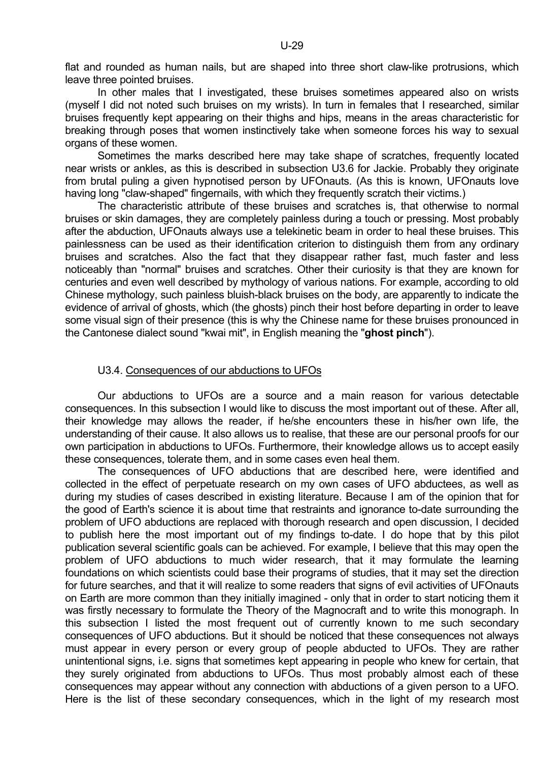flat and rounded as human nails, but are shaped into three short claw-like protrusions, which leave three pointed bruises.

In other males that I investigated, these bruises sometimes appeared also on wrists (myself I did not noted such bruises on my wrists). In turn in females that I researched, similar bruises frequently kept appearing on their thighs and hips, means in the areas characteristic for breaking through poses that women instinctively take when someone forces his way to sexual organs of these women.

 Sometimes the marks described here may take shape of scratches, frequently located near wrists or ankles, as this is described in subsection U3.6 for Jackie. Probably they originate from brutal puling a given hypnotised person by UFOnauts. (As this is known, UFOnauts love having long "claw-shaped" fingernails, with which they frequently scratch their victims.)

 The characteristic attribute of these bruises and scratches is, that otherwise to normal bruises or skin damages, they are completely painless during a touch or pressing. Most probably after the abduction, UFOnauts always use a telekinetic beam in order to heal these bruises. This painlessness can be used as their identification criterion to distinguish them from any ordinary bruises and scratches. Also the fact that they disappear rather fast, much faster and less noticeably than "normal" bruises and scratches. Other their curiosity is that they are known for centuries and even well described by mythology of various nations. For example, according to old Chinese mythology, such painless bluish-black bruises on the body, are apparently to indicate the evidence of arrival of ghosts, which (the ghosts) pinch their host before departing in order to leave some visual sign of their presence (this is why the Chinese name for these bruises pronounced in the Cantonese dialect sound "kwai mit", in English meaning the "**ghost pinch**").

#### U3.4. Consequences of our abductions to UFOs

 Our abductions to UFOs are a source and a main reason for various detectable consequences. In this subsection I would like to discuss the most important out of these. After all, their knowledge may allows the reader, if he/she encounters these in his/her own life, the understanding of their cause. It also allows us to realise, that these are our personal proofs for our own participation in abductions to UFOs. Furthermore, their knowledge allows us to accept easily these consequences, tolerate them, and in some cases even heal them.

 The consequences of UFO abductions that are described here, were identified and collected in the effect of perpetuate research on my own cases of UFO abductees, as well as during my studies of cases described in existing literature. Because I am of the opinion that for the good of Earth's science it is about time that restraints and ignorance to-date surrounding the problem of UFO abductions are replaced with thorough research and open discussion, I decided to publish here the most important out of my findings to-date. I do hope that by this pilot publication several scientific goals can be achieved. For example, I believe that this may open the problem of UFO abductions to much wider research, that it may formulate the learning foundations on which scientists could base their programs of studies, that it may set the direction for future searches, and that it will realize to some readers that signs of evil activities of UFOnauts on Earth are more common than they initially imagined - only that in order to start noticing them it was firstly necessary to formulate the Theory of the Magnocraft and to write this monograph. In this subsection I listed the most frequent out of currently known to me such secondary consequences of UFO abductions. But it should be noticed that these consequences not always must appear in every person or every group of people abducted to UFOs. They are rather unintentional signs, i.e. signs that sometimes kept appearing in people who knew for certain, that they surely originated from abductions to UFOs. Thus most probably almost each of these consequences may appear without any connection with abductions of a given person to a UFO. Here is the list of these secondary consequences, which in the light of my research most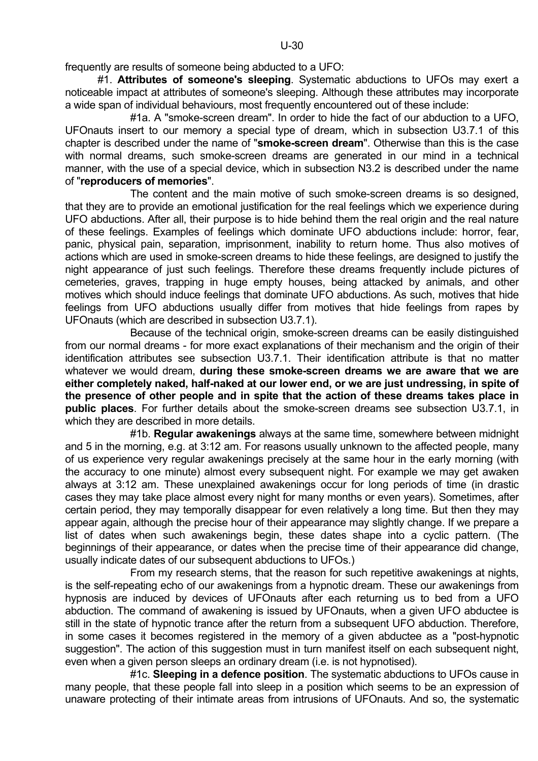frequently are results of someone being abducted to a UFO:

 #1. **Attributes of someone's sleeping**. Systematic abductions to UFOs may exert a noticeable impact at attributes of someone's sleeping. Although these attributes may incorporate a wide span of individual behaviours, most frequently encountered out of these include:

 #1a. A "smoke-screen dream". In order to hide the fact of our abduction to a UFO, UFOnauts insert to our memory a special type of dream, which in subsection U3.7.1 of this chapter is described under the name of "**smoke-screen dream**". Otherwise than this is the case with normal dreams, such smoke-screen dreams are generated in our mind in a technical manner, with the use of a special device, which in subsection N3.2 is described under the name of "**reproducers of memories**".

The content and the main motive of such smoke-screen dreams is so designed. that they are to provide an emotional justification for the real feelings which we experience during UFO abductions. After all, their purpose is to hide behind them the real origin and the real nature of these feelings. Examples of feelings which dominate UFO abductions include: horror, fear, panic, physical pain, separation, imprisonment, inability to return home. Thus also motives of actions which are used in smoke-screen dreams to hide these feelings, are designed to justify the night appearance of just such feelings. Therefore these dreams frequently include pictures of cemeteries, graves, trapping in huge empty houses, being attacked by animals, and other motives which should induce feelings that dominate UFO abductions. As such, motives that hide feelings from UFO abductions usually differ from motives that hide feelings from rapes by UFOnauts (which are described in subsection U3.7.1).

 Because of the technical origin, smoke-screen dreams can be easily distinguished from our normal dreams - for more exact explanations of their mechanism and the origin of their identification attributes see subsection U3.7.1. Their identification attribute is that no matter whatever we would dream, **during these smoke-screen dreams we are aware that we are either completely naked, half-naked at our lower end, or we are just undressing, in spite of the presence of other people and in spite that the action of these dreams takes place in public places**. For further details about the smoke-screen dreams see subsection U3.7.1, in which they are described in more details.

 #1b. **Regular awakenings** always at the same time, somewhere between midnight and 5 in the morning, e.g. at 3:12 am. For reasons usually unknown to the affected people, many of us experience very regular awakenings precisely at the same hour in the early morning (with the accuracy to one minute) almost every subsequent night. For example we may get awaken always at 3:12 am. These unexplained awakenings occur for long periods of time (in drastic cases they may take place almost every night for many months or even years). Sometimes, after certain period, they may temporally disappear for even relatively a long time. But then they may appear again, although the precise hour of their appearance may slightly change. If we prepare a list of dates when such awakenings begin, these dates shape into a cyclic pattern. (The beginnings of their appearance, or dates when the precise time of their appearance did change, usually indicate dates of our subsequent abductions to UFOs.)

 From my research stems, that the reason for such repetitive awakenings at nights, is the self-repeating echo of our awakenings from a hypnotic dream. These our awakenings from hypnosis are induced by devices of UFOnauts after each returning us to bed from a UFO abduction. The command of awakening is issued by UFOnauts, when a given UFO abductee is still in the state of hypnotic trance after the return from a subsequent UFO abduction. Therefore, in some cases it becomes registered in the memory of a given abductee as a "post-hypnotic suggestion". The action of this suggestion must in turn manifest itself on each subsequent night, even when a given person sleeps an ordinary dream (i.e. is not hypnotised).

 #1c. **Sleeping in a defence position**. The systematic abductions to UFOs cause in many people, that these people fall into sleep in a position which seems to be an expression of unaware protecting of their intimate areas from intrusions of UFOnauts. And so, the systematic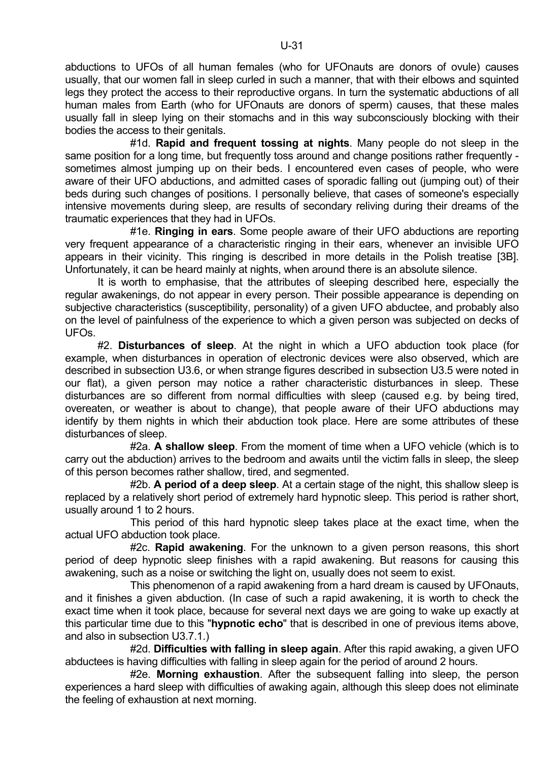abductions to UFOs of all human females (who for UFOnauts are donors of ovule) causes usually, that our women fall in sleep curled in such a manner, that with their elbows and squinted legs they protect the access to their reproductive organs. In turn the systematic abductions of all human males from Earth (who for UFOnauts are donors of sperm) causes, that these males usually fall in sleep lying on their stomachs and in this way subconsciously blocking with their bodies the access to their genitals.

 #1d. **Rapid and frequent tossing at nights**. Many people do not sleep in the same position for a long time, but frequently toss around and change positions rather frequently sometimes almost jumping up on their beds. I encountered even cases of people, who were aware of their UFO abductions, and admitted cases of sporadic falling out (jumping out) of their beds during such changes of positions. I personally believe, that cases of someone's especially intensive movements during sleep, are results of secondary reliving during their dreams of the traumatic experiences that they had in UFOs.

 #1e. **Ringing in ears**. Some people aware of their UFO abductions are reporting very frequent appearance of a characteristic ringing in their ears, whenever an invisible UFO appears in their vicinity. This ringing is described in more details in the Polish treatise [3B]. Unfortunately, it can be heard mainly at nights, when around there is an absolute silence.

 It is worth to emphasise, that the attributes of sleeping described here, especially the regular awakenings, do not appear in every person. Their possible appearance is depending on subjective characteristics (susceptibility, personality) of a given UFO abductee, and probably also on the level of painfulness of the experience to which a given person was subjected on decks of UFOs.

 #2. **Disturbances of sleep**. At the night in which a UFO abduction took place (for example, when disturbances in operation of electronic devices were also observed, which are described in subsection U3.6, or when strange figures described in subsection U3.5 were noted in our flat), a given person may notice a rather characteristic disturbances in sleep. These disturbances are so different from normal difficulties with sleep (caused e.g. by being tired, overeaten, or weather is about to change), that people aware of their UFO abductions may identify by them nights in which their abduction took place. Here are some attributes of these disturbances of sleep.

 #2a. **A shallow sleep**. From the moment of time when a UFO vehicle (which is to carry out the abduction) arrives to the bedroom and awaits until the victim falls in sleep, the sleep of this person becomes rather shallow, tired, and segmented.

 #2b. **A period of a deep sleep**. At a certain stage of the night, this shallow sleep is replaced by a relatively short period of extremely hard hypnotic sleep. This period is rather short, usually around 1 to 2 hours.

 This period of this hard hypnotic sleep takes place at the exact time, when the actual UFO abduction took place.

 #2c. **Rapid awakening**. For the unknown to a given person reasons, this short period of deep hypnotic sleep finishes with a rapid awakening. But reasons for causing this awakening, such as a noise or switching the light on, usually does not seem to exist.

 This phenomenon of a rapid awakening from a hard dream is caused by UFOnauts, and it finishes a given abduction. (In case of such a rapid awakening, it is worth to check the exact time when it took place, because for several next days we are going to wake up exactly at this particular time due to this "**hypnotic echo**" that is described in one of previous items above, and also in subsection U3.7.1.)

 #2d. **Difficulties with falling in sleep again**. After this rapid awaking, a given UFO abductees is having difficulties with falling in sleep again for the period of around 2 hours.

 #2e. **Morning exhaustion**. After the subsequent falling into sleep, the person experiences a hard sleep with difficulties of awaking again, although this sleep does not eliminate the feeling of exhaustion at next morning.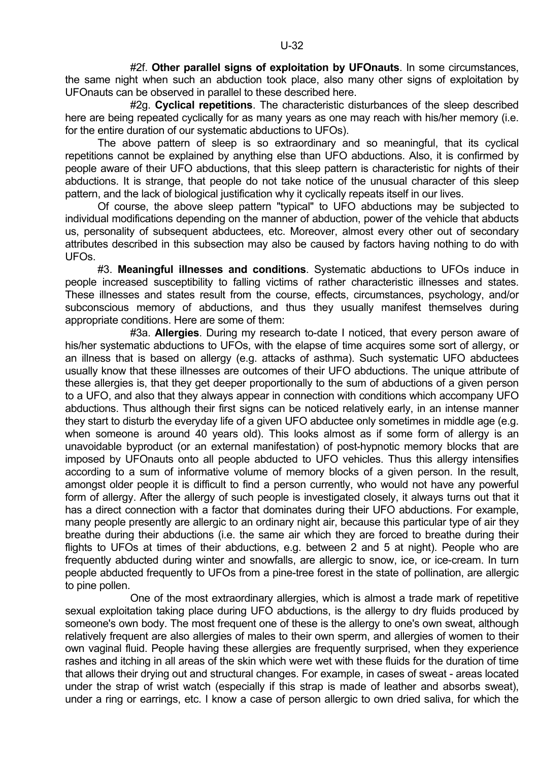#2f. **Other parallel signs of exploitation by UFOnauts**. In some circumstances, the same night when such an abduction took place, also many other signs of exploitation by UFOnauts can be observed in parallel to these described here.

 #2g. **Cyclical repetitions**. The characteristic disturbances of the sleep described here are being repeated cyclically for as many years as one may reach with his/her memory (i.e. for the entire duration of our systematic abductions to UFOs).

 The above pattern of sleep is so extraordinary and so meaningful, that its cyclical repetitions cannot be explained by anything else than UFO abductions. Also, it is confirmed by people aware of their UFO abductions, that this sleep pattern is characteristic for nights of their abductions. It is strange, that people do not take notice of the unusual character of this sleep pattern, and the lack of biological justification why it cyclically repeats itself in our lives.

 Of course, the above sleep pattern "typical" to UFO abductions may be subjected to individual modifications depending on the manner of abduction, power of the vehicle that abducts us, personality of subsequent abductees, etc. Moreover, almost every other out of secondary attributes described in this subsection may also be caused by factors having nothing to do with UFOs.

 #3. **Meaningful illnesses and conditions**. Systematic abductions to UFOs induce in people increased susceptibility to falling victims of rather characteristic illnesses and states. These illnesses and states result from the course, effects, circumstances, psychology, and/or subconscious memory of abductions, and thus they usually manifest themselves during appropriate conditions. Here are some of them:

 #3a. **Allergies**. During my research to-date I noticed, that every person aware of his/her systematic abductions to UFOs, with the elapse of time acquires some sort of allergy, or an illness that is based on allergy (e.g. attacks of asthma). Such systematic UFO abductees usually know that these illnesses are outcomes of their UFO abductions. The unique attribute of these allergies is, that they get deeper proportionally to the sum of abductions of a given person to a UFO, and also that they always appear in connection with conditions which accompany UFO abductions. Thus although their first signs can be noticed relatively early, in an intense manner they start to disturb the everyday life of a given UFO abductee only sometimes in middle age (e.g. when someone is around 40 years old). This looks almost as if some form of allergy is an unavoidable byproduct (or an external manifestation) of post-hypnotic memory blocks that are imposed by UFOnauts onto all people abducted to UFO vehicles. Thus this allergy intensifies according to a sum of informative volume of memory blocks of a given person. In the result, amongst older people it is difficult to find a person currently, who would not have any powerful form of allergy. After the allergy of such people is investigated closely, it always turns out that it has a direct connection with a factor that dominates during their UFO abductions. For example, many people presently are allergic to an ordinary night air, because this particular type of air they breathe during their abductions (i.e. the same air which they are forced to breathe during their flights to UFOs at times of their abductions, e.g. between 2 and 5 at night). People who are frequently abducted during winter and snowfalls, are allergic to snow, ice, or ice-cream. In turn people abducted frequently to UFOs from a pine-tree forest in the state of pollination, are allergic to pine pollen.

 One of the most extraordinary allergies, which is almost a trade mark of repetitive sexual exploitation taking place during UFO abductions, is the allergy to dry fluids produced by someone's own body. The most frequent one of these is the allergy to one's own sweat, although relatively frequent are also allergies of males to their own sperm, and allergies of women to their own vaginal fluid. People having these allergies are frequently surprised, when they experience rashes and itching in all areas of the skin which were wet with these fluids for the duration of time that allows their drying out and structural changes. For example, in cases of sweat - areas located under the strap of wrist watch (especially if this strap is made of leather and absorbs sweat), under a ring or earrings, etc. I know a case of person allergic to own dried saliva, for which the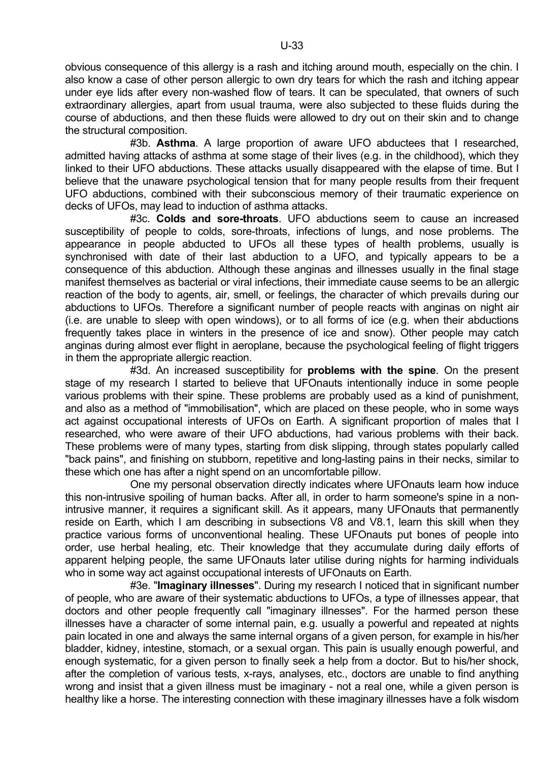obvious consequence of this allergy is a rash and itching around mouth, especially on the chin. I also know a case of other person allergic to own dry tears for which the rash and itching appear under eye lids after every non-washed flow of tears. It can be speculated, that owners of such extraordinary allergies, apart from usual trauma, were also subjected to these fluids during the course of abductions, and then these fluids were allowed to dry out on their skin and to change the structural composition.

 #3b. **Asthma**. A large proportion of aware UFO abductees that I researched, admitted having attacks of asthma at some stage of their lives (e.g. in the childhood), which they linked to their UFO abductions. These attacks usually disappeared with the elapse of time. But I believe that the unaware psychological tension that for many people results from their frequent UFO abductions, combined with their subconscious memory of their traumatic experience on decks of UFOs, may lead to induction of asthma attacks.

 #3c. **Colds and sore-throats**. UFO abductions seem to cause an increased susceptibility of people to colds, sore-throats, infections of lungs, and nose problems. The appearance in people abducted to UFOs all these types of health problems, usually is synchronised with date of their last abduction to a UFO, and typically appears to be a consequence of this abduction. Although these anginas and illnesses usually in the final stage manifest themselves as bacterial or viral infections, their immediate cause seems to be an allergic reaction of the body to agents, air, smell, or feelings, the character of which prevails during our abductions to UFOs. Therefore a significant number of people reacts with anginas on night air (i.e. are unable to sleep with open windows), or to all forms of ice (e.g. when their abductions frequently takes place in winters in the presence of ice and snow). Other people may catch anginas during almost ever flight in aeroplane, because the psychological feeling of flight triggers in them the appropriate allergic reaction.

 #3d. An increased susceptibility for **problems with the spine**. On the present stage of my research I started to believe that UFOnauts intentionally induce in some people various problems with their spine. These problems are probably used as a kind of punishment, and also as a method of "immobilisation", which are placed on these people, who in some ways act against occupational interests of UFOs on Earth. A significant proportion of males that I researched, who were aware of their UFO abductions, had various problems with their back. These problems were of many types, starting from disk slipping, through states popularly called "back pains", and finishing on stubborn, repetitive and long-lasting pains in their necks, similar to these which one has after a night spend on an uncomfortable pillow.

 One my personal observation directly indicates where UFOnauts learn how induce this non-intrusive spoiling of human backs. After all, in order to harm someone's spine in a nonintrusive manner, it requires a significant skill. As it appears, many UFOnauts that permanently reside on Earth, which I am describing in subsections V8 and V8.1, learn this skill when they practice various forms of unconventional healing. These UFOnauts put bones of people into order, use herbal healing, etc. Their knowledge that they accumulate during daily efforts of apparent helping people, the same UFOnauts later utilise during nights for harming individuals who in some way act against occupational interests of UFOnauts on Earth.

 #3e. "**Imaginary illnesses**". During my research I noticed that in significant number of people, who are aware of their systematic abductions to UFOs, a type of illnesses appear, that doctors and other people frequently call "imaginary illnesses". For the harmed person these illnesses have a character of some internal pain, e.g. usually a powerful and repeated at nights pain located in one and always the same internal organs of a given person, for example in his/her bladder, kidney, intestine, stomach, or a sexual organ. This pain is usually enough powerful, and enough systematic, for a given person to finally seek a help from a doctor. But to his/her shock, after the completion of various tests, x-rays, analyses, etc., doctors are unable to find anything wrong and insist that a given illness must be imaginary - not a real one, while a given person is healthy like a horse. The interesting connection with these imaginary illnesses have a folk wisdom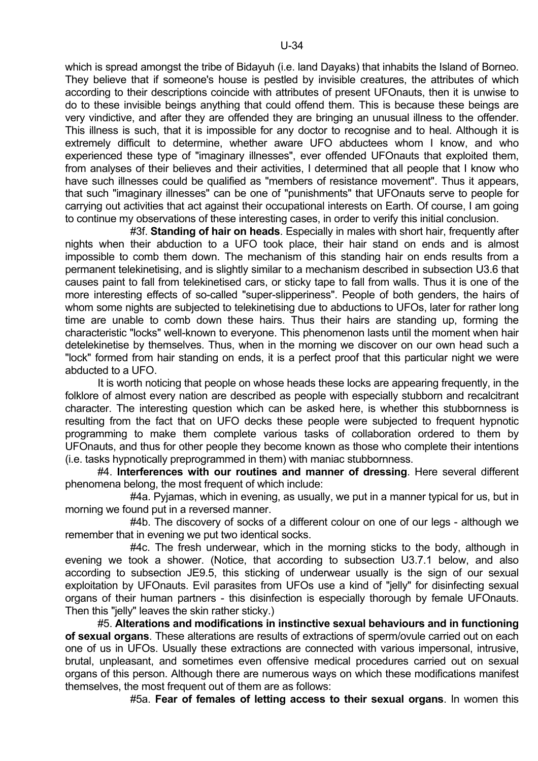which is spread amongst the tribe of Bidayuh (i.e. land Dayaks) that inhabits the Island of Borneo. They believe that if someone's house is pestled by invisible creatures, the attributes of which according to their descriptions coincide with attributes of present UFOnauts, then it is unwise to do to these invisible beings anything that could offend them. This is because these beings are very vindictive, and after they are offended they are bringing an unusual illness to the offender. This illness is such, that it is impossible for any doctor to recognise and to heal. Although it is extremely difficult to determine, whether aware UFO abductees whom I know, and who experienced these type of "imaginary illnesses", ever offended UFOnauts that exploited them, from analyses of their believes and their activities, I determined that all people that I know who have such illnesses could be qualified as "members of resistance movement". Thus it appears, that such "imaginary illnesses" can be one of "punishments" that UFOnauts serve to people for carrying out activities that act against their occupational interests on Earth. Of course, I am going to continue my observations of these interesting cases, in order to verify this initial conclusion.

 #3f. **Standing of hair on heads**. Especially in males with short hair, frequently after nights when their abduction to a UFO took place, their hair stand on ends and is almost impossible to comb them down. The mechanism of this standing hair on ends results from a permanent telekinetising, and is slightly similar to a mechanism described in subsection U3.6 that causes paint to fall from telekinetised cars, or sticky tape to fall from walls. Thus it is one of the more interesting effects of so-called "super-slipperiness". People of both genders, the hairs of whom some nights are subjected to telekinetising due to abductions to UFOs, later for rather long time are unable to comb down these hairs. Thus their hairs are standing up, forming the characteristic "locks" well-known to everyone. This phenomenon lasts until the moment when hair detelekinetise by themselves. Thus, when in the morning we discover on our own head such a "lock" formed from hair standing on ends, it is a perfect proof that this particular night we were abducted to a UFO.

 It is worth noticing that people on whose heads these locks are appearing frequently, in the folklore of almost every nation are described as people with especially stubborn and recalcitrant character. The interesting question which can be asked here, is whether this stubbornness is resulting from the fact that on UFO decks these people were subjected to frequent hypnotic programming to make them complete various tasks of collaboration ordered to them by UFOnauts, and thus for other people they become known as those who complete their intentions (i.e. tasks hypnotically preprogrammed in them) with maniac stubbornness.

 #4. **Interferences with our routines and manner of dressing**. Here several different phenomena belong, the most frequent of which include:

 #4a. Pyjamas, which in evening, as usually, we put in a manner typical for us, but in morning we found put in a reversed manner.

 #4b. The discovery of socks of a different colour on one of our legs - although we remember that in evening we put two identical socks.

 #4c. The fresh underwear, which in the morning sticks to the body, although in evening we took a shower. (Notice, that according to subsection U3.7.1 below, and also according to subsection JE9.5, this sticking of underwear usually is the sign of our sexual exploitation by UFOnauts. Evil parasites from UFOs use a kind of "jelly" for disinfecting sexual organs of their human partners - this disinfection is especially thorough by female UFOnauts. Then this "jelly" leaves the skin rather sticky.)

 #5. **Alterations and modifications in instinctive sexual behaviours and in functioning of sexual organs**. These alterations are results of extractions of sperm/ovule carried out on each one of us in UFOs. Usually these extractions are connected with various impersonal, intrusive, brutal, unpleasant, and sometimes even offensive medical procedures carried out on sexual organs of this person. Although there are numerous ways on which these modifications manifest themselves, the most frequent out of them are as follows:

#5a. **Fear of females of letting access to their sexual organs**. In women this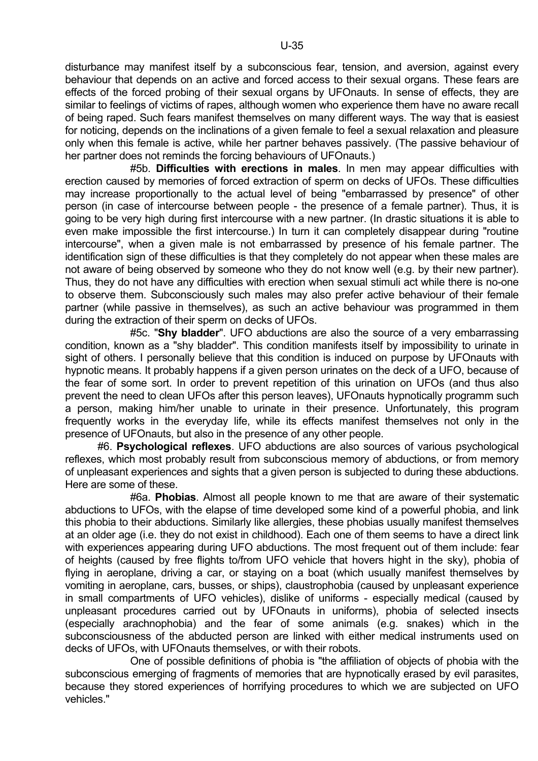disturbance may manifest itself by a subconscious fear, tension, and aversion, against every behaviour that depends on an active and forced access to their sexual organs. These fears are effects of the forced probing of their sexual organs by UFOnauts. In sense of effects, they are similar to feelings of victims of rapes, although women who experience them have no aware recall of being raped. Such fears manifest themselves on many different ways. The way that is easiest for noticing, depends on the inclinations of a given female to feel a sexual relaxation and pleasure only when this female is active, while her partner behaves passively. (The passive behaviour of her partner does not reminds the forcing behaviours of UFOnauts.)

 #5b. **Difficulties with erections in males**. In men may appear difficulties with erection caused by memories of forced extraction of sperm on decks of UFOs. These difficulties may increase proportionally to the actual level of being "embarrassed by presence" of other person (in case of intercourse between people - the presence of a female partner). Thus, it is going to be very high during first intercourse with a new partner. (In drastic situations it is able to even make impossible the first intercourse.) In turn it can completely disappear during "routine intercourse", when a given male is not embarrassed by presence of his female partner. The identification sign of these difficulties is that they completely do not appear when these males are not aware of being observed by someone who they do not know well (e.g. by their new partner). Thus, they do not have any difficulties with erection when sexual stimuli act while there is no-one to observe them. Subconsciously such males may also prefer active behaviour of their female partner (while passive in themselves), as such an active behaviour was programmed in them during the extraction of their sperm on decks of UFOs.

 #5c. "**Shy bladder**". UFO abductions are also the source of a very embarrassing condition, known as a "shy bladder". This condition manifests itself by impossibility to urinate in sight of others. I personally believe that this condition is induced on purpose by UFOnauts with hypnotic means. It probably happens if a given person urinates on the deck of a UFO, because of the fear of some sort. In order to prevent repetition of this urination on UFOs (and thus also prevent the need to clean UFOs after this person leaves), UFOnauts hypnotically programm such a person, making him/her unable to urinate in their presence. Unfortunately, this program frequently works in the everyday life, while its effects manifest themselves not only in the presence of UFOnauts, but also in the presence of any other people.

 #6. **Psychological reflexes**. UFO abductions are also sources of various psychological reflexes, which most probably result from subconscious memory of abductions, or from memory of unpleasant experiences and sights that a given person is subjected to during these abductions. Here are some of these.

 #6a. **Phobias**. Almost all people known to me that are aware of their systematic abductions to UFOs, with the elapse of time developed some kind of a powerful phobia, and link this phobia to their abductions. Similarly like allergies, these phobias usually manifest themselves at an older age (i.e. they do not exist in childhood). Each one of them seems to have a direct link with experiences appearing during UFO abductions. The most frequent out of them include: fear of heights (caused by free flights to/from UFO vehicle that hovers hight in the sky), phobia of flying in aeroplane, driving a car, or staying on a boat (which usually manifest themselves by vomiting in aeroplane, cars, busses, or ships), claustrophobia (caused by unpleasant experience in small compartments of UFO vehicles), dislike of uniforms - especially medical (caused by unpleasant procedures carried out by UFOnauts in uniforms), phobia of selected insects (especially arachnophobia) and the fear of some animals (e.g. snakes) which in the subconsciousness of the abducted person are linked with either medical instruments used on decks of UFOs, with UFOnauts themselves, or with their robots.

 One of possible definitions of phobia is "the affiliation of objects of phobia with the subconscious emerging of fragments of memories that are hypnotically erased by evil parasites, because they stored experiences of horrifying procedures to which we are subjected on UFO vehicles."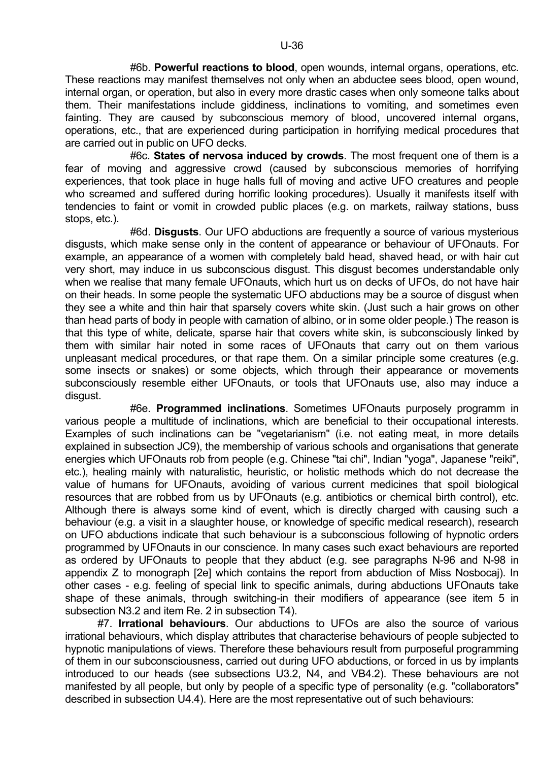#6b. **Powerful reactions to blood**, open wounds, internal organs, operations, etc. These reactions may manifest themselves not only when an abductee sees blood, open wound, internal organ, or operation, but also in every more drastic cases when only someone talks about them. Their manifestations include giddiness, inclinations to vomiting, and sometimes even fainting. They are caused by subconscious memory of blood, uncovered internal organs, operations, etc., that are experienced during participation in horrifying medical procedures that are carried out in public on UFO decks.

 #6c. **States of nervosa induced by crowds**. The most frequent one of them is a fear of moving and aggressive crowd (caused by subconscious memories of horrifying experiences, that took place in huge halls full of moving and active UFO creatures and people who screamed and suffered during horrific looking procedures). Usually it manifests itself with tendencies to faint or vomit in crowded public places (e.g. on markets, railway stations, buss stops, etc.).

 #6d. **Disgusts**. Our UFO abductions are frequently a source of various mysterious disgusts, which make sense only in the content of appearance or behaviour of UFOnauts. For example, an appearance of a women with completely bald head, shaved head, or with hair cut very short, may induce in us subconscious disgust. This disgust becomes understandable only when we realise that many female UFOnauts, which hurt us on decks of UFOs, do not have hair on their heads. In some people the systematic UFO abductions may be a source of disgust when they see a white and thin hair that sparsely covers white skin. (Just such a hair grows on other than head parts of body in people with carnation of albino, or in some older people.) The reason is that this type of white, delicate, sparse hair that covers white skin, is subconsciously linked by them with similar hair noted in some races of UFOnauts that carry out on them various unpleasant medical procedures, or that rape them. On a similar principle some creatures (e.g. some insects or snakes) or some objects, which through their appearance or movements subconsciously resemble either UFOnauts, or tools that UFOnauts use, also may induce a disgust.

 #6e. **Programmed inclinations**. Sometimes UFOnauts purposely programm in various people a multitude of inclinations, which are beneficial to their occupational interests. Examples of such inclinations can be "vegetarianism" (i.e. not eating meat, in more details explained in subsection JC9), the membership of various schools and organisations that generate energies which UFOnauts rob from people (e.g. Chinese "tai chi", Indian "yoga", Japanese "reiki", etc.), healing mainly with naturalistic, heuristic, or holistic methods which do not decrease the value of humans for UFOnauts, avoiding of various current medicines that spoil biological resources that are robbed from us by UFOnauts (e.g. antibiotics or chemical birth control), etc. Although there is always some kind of event, which is directly charged with causing such a behaviour (e.g. a visit in a slaughter house, or knowledge of specific medical research), research on UFO abductions indicate that such behaviour is a subconscious following of hypnotic orders programmed by UFOnauts in our conscience. In many cases such exact behaviours are reported as ordered by UFOnauts to people that they abduct (e.g. see paragraphs N-96 and N-98 in appendix Z to monograph [2e] which contains the report from abduction of Miss Nosbocaj). In other cases - e.g. feeling of special link to specific animals, during abductions UFOnauts take shape of these animals, through switching-in their modifiers of appearance (see item 5 in subsection N3.2 and item Re. 2 in subsection T4).

 #7. **Irrational behaviours**. Our abductions to UFOs are also the source of various irrational behaviours, which display attributes that characterise behaviours of people subjected to hypnotic manipulations of views. Therefore these behaviours result from purposeful programming of them in our subconsciousness, carried out during UFO abductions, or forced in us by implants introduced to our heads (see subsections U3.2, N4, and VB4.2). These behaviours are not manifested by all people, but only by people of a specific type of personality (e.g. "collaborators" described in subsection U4.4). Here are the most representative out of such behaviours: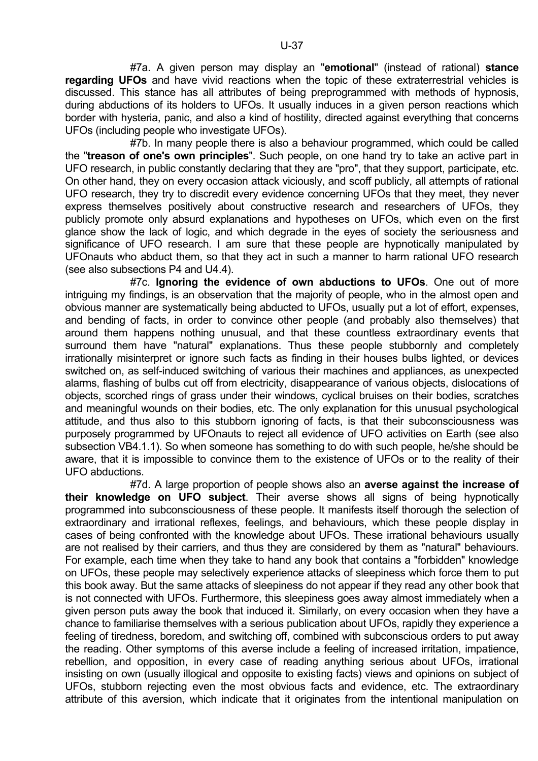#7a. A given person may display an "**emotional**" (instead of rational) **stance regarding UFOs** and have vivid reactions when the topic of these extraterrestrial vehicles is discussed. This stance has all attributes of being preprogrammed with methods of hypnosis, during abductions of its holders to UFOs. It usually induces in a given person reactions which border with hysteria, panic, and also a kind of hostility, directed against everything that concerns UFOs (including people who investigate UFOs).

 #7b. In many people there is also a behaviour programmed, which could be called the "**treason of one's own principles**". Such people, on one hand try to take an active part in UFO research, in public constantly declaring that they are "pro", that they support, participate, etc. On other hand, they on every occasion attack viciously, and scoff publicly, all attempts of rational UFO research, they try to discredit every evidence concerning UFOs that they meet, they never express themselves positively about constructive research and researchers of UFOs, they publicly promote only absurd explanations and hypotheses on UFOs, which even on the first glance show the lack of logic, and which degrade in the eyes of society the seriousness and significance of UFO research. I am sure that these people are hypnotically manipulated by UFOnauts who abduct them, so that they act in such a manner to harm rational UFO research (see also subsections P4 and U4.4).

 #7c. **Ignoring the evidence of own abductions to UFOs**. One out of more intriguing my findings, is an observation that the majority of people, who in the almost open and obvious manner are systematically being abducted to UFOs, usually put a lot of effort, expenses, and bending of facts, in order to convince other people (and probably also themselves) that around them happens nothing unusual, and that these countless extraordinary events that surround them have "natural" explanations. Thus these people stubbornly and completely irrationally misinterpret or ignore such facts as finding in their houses bulbs lighted, or devices switched on, as self-induced switching of various their machines and appliances, as unexpected alarms, flashing of bulbs cut off from electricity, disappearance of various objects, dislocations of objects, scorched rings of grass under their windows, cyclical bruises on their bodies, scratches and meaningful wounds on their bodies, etc. The only explanation for this unusual psychological attitude, and thus also to this stubborn ignoring of facts, is that their subconsciousness was purposely programmed by UFOnauts to reject all evidence of UFO activities on Earth (see also subsection VB4.1.1). So when someone has something to do with such people, he/she should be aware, that it is impossible to convince them to the existence of UFOs or to the reality of their UFO abductions.

 #7d. A large proportion of people shows also an **averse against the increase of their knowledge on UFO subject**. Their averse shows all signs of being hypnotically programmed into subconsciousness of these people. It manifests itself thorough the selection of extraordinary and irrational reflexes, feelings, and behaviours, which these people display in cases of being confronted with the knowledge about UFOs. These irrational behaviours usually are not realised by their carriers, and thus they are considered by them as "natural" behaviours. For example, each time when they take to hand any book that contains a "forbidden" knowledge on UFOs, these people may selectively experience attacks of sleepiness which force them to put this book away. But the same attacks of sleepiness do not appear if they read any other book that is not connected with UFOs. Furthermore, this sleepiness goes away almost immediately when a given person puts away the book that induced it. Similarly, on every occasion when they have a chance to familiarise themselves with a serious publication about UFOs, rapidly they experience a feeling of tiredness, boredom, and switching off, combined with subconscious orders to put away the reading. Other symptoms of this averse include a feeling of increased irritation, impatience, rebellion, and opposition, in every case of reading anything serious about UFOs, irrational insisting on own (usually illogical and opposite to existing facts) views and opinions on subject of UFOs, stubborn rejecting even the most obvious facts and evidence, etc. The extraordinary attribute of this aversion, which indicate that it originates from the intentional manipulation on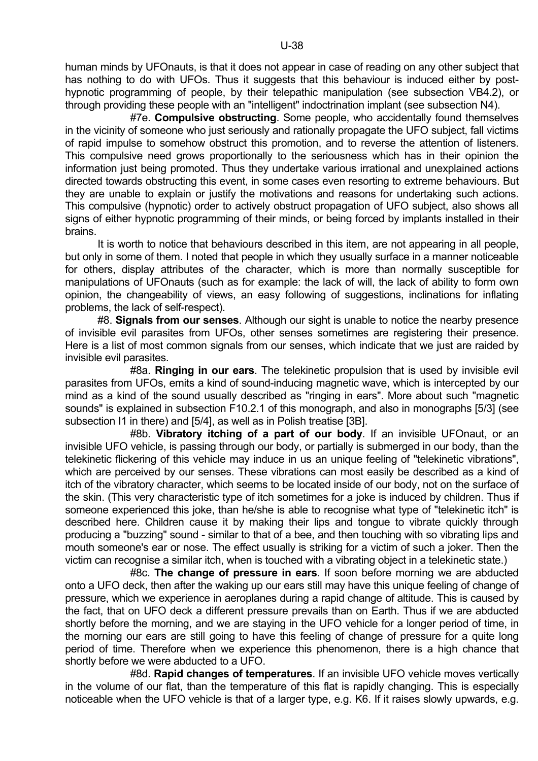human minds by UFOnauts, is that it does not appear in case of reading on any other subject that has nothing to do with UFOs. Thus it suggests that this behaviour is induced either by posthypnotic programming of people, by their telepathic manipulation (see subsection VB4.2), or through providing these people with an "intelligent" indoctrination implant (see subsection N4).

 #7e. **Compulsive obstructing**. Some people, who accidentally found themselves in the vicinity of someone who just seriously and rationally propagate the UFO subject, fall victims of rapid impulse to somehow obstruct this promotion, and to reverse the attention of listeners. This compulsive need grows proportionally to the seriousness which has in their opinion the information just being promoted. Thus they undertake various irrational and unexplained actions directed towards obstructing this event, in some cases even resorting to extreme behaviours. But they are unable to explain or justify the motivations and reasons for undertaking such actions. This compulsive (hypnotic) order to actively obstruct propagation of UFO subject, also shows all signs of either hypnotic programming of their minds, or being forced by implants installed in their brains.

 It is worth to notice that behaviours described in this item, are not appearing in all people, but only in some of them. I noted that people in which they usually surface in a manner noticeable for others, display attributes of the character, which is more than normally susceptible for manipulations of UFOnauts (such as for example: the lack of will, the lack of ability to form own opinion, the changeability of views, an easy following of suggestions, inclinations for inflating problems, the lack of self-respect).

 #8. **Signals from our senses**. Although our sight is unable to notice the nearby presence of invisible evil parasites from UFOs, other senses sometimes are registering their presence. Here is a list of most common signals from our senses, which indicate that we just are raided by invisible evil parasites.

 #8a. **Ringing in our ears**. The telekinetic propulsion that is used by invisible evil parasites from UFOs, emits a kind of sound-inducing magnetic wave, which is intercepted by our mind as a kind of the sound usually described as "ringing in ears". More about such "magnetic sounds" is explained in subsection F10.2.1 of this monograph, and also in monographs [5/3] (see subsection I1 in there) and [5/4], as well as in Polish treatise [3B].

 #8b. **Vibratory itching of a part of our body**. If an invisible UFOnaut, or an invisible UFO vehicle, is passing through our body, or partially is submerged in our body, than the telekinetic flickering of this vehicle may induce in us an unique feeling of "telekinetic vibrations", which are perceived by our senses. These vibrations can most easily be described as a kind of itch of the vibratory character, which seems to be located inside of our body, not on the surface of the skin. (This very characteristic type of itch sometimes for a joke is induced by children. Thus if someone experienced this joke, than he/she is able to recognise what type of "telekinetic itch" is described here. Children cause it by making their lips and tongue to vibrate quickly through producing a "buzzing" sound - similar to that of a bee, and then touching with so vibrating lips and mouth someone's ear or nose. The effect usually is striking for a victim of such a joker. Then the victim can recognise a similar itch, when is touched with a vibrating object in a telekinetic state.)

 #8c. **The change of pressure in ears**. If soon before morning we are abducted onto a UFO deck, then after the waking up our ears still may have this unique feeling of change of pressure, which we experience in aeroplanes during a rapid change of altitude. This is caused by the fact, that on UFO deck a different pressure prevails than on Earth. Thus if we are abducted shortly before the morning, and we are staying in the UFO vehicle for a longer period of time, in the morning our ears are still going to have this feeling of change of pressure for a quite long period of time. Therefore when we experience this phenomenon, there is a high chance that shortly before we were abducted to a UFO.

 #8d. **Rapid changes of temperatures**. If an invisible UFO vehicle moves vertically in the volume of our flat, than the temperature of this flat is rapidly changing. This is especially noticeable when the UFO vehicle is that of a larger type, e.g. K6. If it raises slowly upwards, e.g.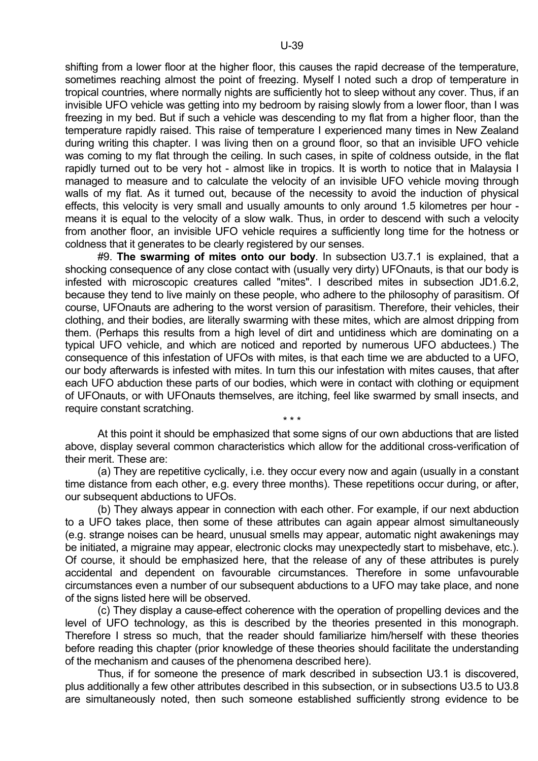shifting from a lower floor at the higher floor, this causes the rapid decrease of the temperature, sometimes reaching almost the point of freezing. Myself I noted such a drop of temperature in tropical countries, where normally nights are sufficiently hot to sleep without any cover. Thus, if an invisible UFO vehicle was getting into my bedroom by raising slowly from a lower floor, than I was freezing in my bed. But if such a vehicle was descending to my flat from a higher floor, than the temperature rapidly raised. This raise of temperature I experienced many times in New Zealand during writing this chapter. I was living then on a ground floor, so that an invisible UFO vehicle was coming to my flat through the ceiling. In such cases, in spite of coldness outside, in the flat rapidly turned out to be very hot - almost like in tropics. It is worth to notice that in Malaysia I managed to measure and to calculate the velocity of an invisible UFO vehicle moving through walls of my flat. As it turned out, because of the necessity to avoid the induction of physical effects, this velocity is very small and usually amounts to only around 1.5 kilometres per hour means it is equal to the velocity of a slow walk. Thus, in order to descend with such a velocity from another floor, an invisible UFO vehicle requires a sufficiently long time for the hotness or coldness that it generates to be clearly registered by our senses.

 #9. **The swarming of mites onto our body**. In subsection U3.7.1 is explained, that a shocking consequence of any close contact with (usually very dirty) UFOnauts, is that our body is infested with microscopic creatures called "mites". I described mites in subsection JD1.6.2, because they tend to live mainly on these people, who adhere to the philosophy of parasitism. Of course, UFOnauts are adhering to the worst version of parasitism. Therefore, their vehicles, their clothing, and their bodies, are literally swarming with these mites, which are almost dripping from them. (Perhaps this results from a high level of dirt and untidiness which are dominating on a typical UFO vehicle, and which are noticed and reported by numerous UFO abductees.) The consequence of this infestation of UFOs with mites, is that each time we are abducted to a UFO, our body afterwards is infested with mites. In turn this our infestation with mites causes, that after each UFO abduction these parts of our bodies, which were in contact with clothing or equipment of UFOnauts, or with UFOnauts themselves, are itching, feel like swarmed by small insects, and require constant scratching.

 At this point it should be emphasized that some signs of our own abductions that are listed above, display several common characteristics which allow for the additional cross-verification of their merit. These are:

 $\star \star \star$ 

 (a) They are repetitive cyclically, i.e. they occur every now and again (usually in a constant time distance from each other, e.g. every three months). These repetitions occur during, or after, our subsequent abductions to UFOs.

 (b) They always appear in connection with each other. For example, if our next abduction to a UFO takes place, then some of these attributes can again appear almost simultaneously (e.g. strange noises can be heard, unusual smells may appear, automatic night awakenings may be initiated, a migraine may appear, electronic clocks may unexpectedly start to misbehave, etc.). Of course, it should be emphasized here, that the release of any of these attributes is purely accidental and dependent on favourable circumstances. Therefore in some unfavourable circumstances even a number of our subsequent abductions to a UFO may take place, and none of the signs listed here will be observed.

 (c) They display a cause-effect coherence with the operation of propelling devices and the level of UFO technology, as this is described by the theories presented in this monograph. Therefore I stress so much, that the reader should familiarize him/herself with these theories before reading this chapter (prior knowledge of these theories should facilitate the understanding of the mechanism and causes of the phenomena described here).

 Thus, if for someone the presence of mark described in subsection U3.1 is discovered, plus additionally a few other attributes described in this subsection, or in subsections U3.5 to U3.8 are simultaneously noted, then such someone established sufficiently strong evidence to be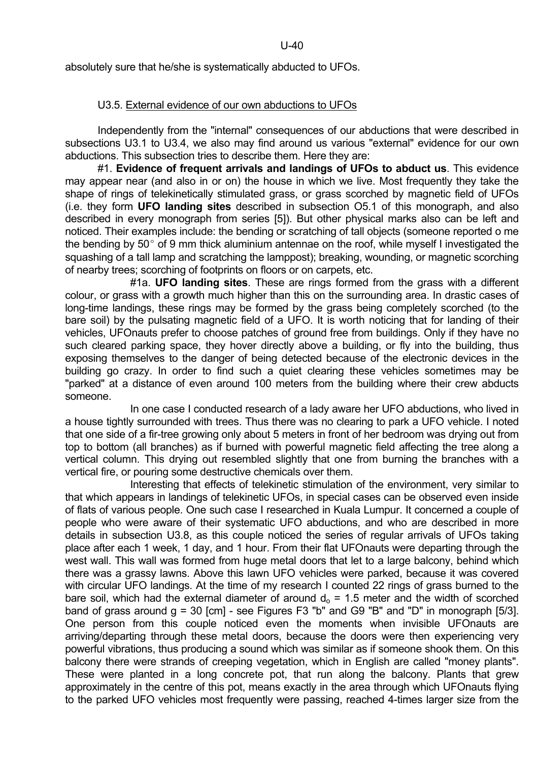U-40

absolutely sure that he/she is systematically abducted to UFOs.

## U3.5. External evidence of our own abductions to UFOs

 Independently from the "internal" consequences of our abductions that were described in subsections U3.1 to U3.4, we also may find around us various "external" evidence for our own abductions. This subsection tries to describe them. Here they are:

 #1. **Evidence of frequent arrivals and landings of UFOs to abduct us**. This evidence may appear near (and also in or on) the house in which we live. Most frequently they take the shape of rings of telekinetically stimulated grass, or grass scorched by magnetic field of UFOs (i.e. they form **UFO landing sites** described in subsection O5.1 of this monograph, and also described in every monograph from series [5]). But other physical marks also can be left and noticed. Their examples include: the bending or scratching of tall objects (someone reported o me the bending by  $50^{\circ}$  of 9 mm thick aluminium antennae on the roof, while myself I investigated the squashing of a tall lamp and scratching the lamppost); breaking, wounding, or magnetic scorching of nearby trees; scorching of footprints on floors or on carpets, etc.

 #1a. **UFO landing sites**. These are rings formed from the grass with a different colour, or grass with a growth much higher than this on the surrounding area. In drastic cases of long-time landings, these rings may be formed by the grass being completely scorched (to the bare soil) by the pulsating magnetic field of a UFO. It is worth noticing that for landing of their vehicles, UFOnauts prefer to choose patches of ground free from buildings. Only if they have no such cleared parking space, they hover directly above a building, or fly into the building, thus exposing themselves to the danger of being detected because of the electronic devices in the building go crazy. In order to find such a quiet clearing these vehicles sometimes may be "parked" at a distance of even around 100 meters from the building where their crew abducts someone.

 In one case I conducted research of a lady aware her UFO abductions, who lived in a house tightly surrounded with trees. Thus there was no clearing to park a UFO vehicle. I noted that one side of a fir-tree growing only about 5 meters in front of her bedroom was drying out from top to bottom (all branches) as if burned with powerful magnetic field affecting the tree along a vertical column. This drying out resembled slightly that one from burning the branches with a vertical fire, or pouring some destructive chemicals over them.

 Interesting that effects of telekinetic stimulation of the environment, very similar to that which appears in landings of telekinetic UFOs, in special cases can be observed even inside of flats of various people. One such case I researched in Kuala Lumpur. It concerned a couple of people who were aware of their systematic UFO abductions, and who are described in more details in subsection U3.8, as this couple noticed the series of regular arrivals of UFOs taking place after each 1 week, 1 day, and 1 hour. From their flat UFOnauts were departing through the west wall. This wall was formed from huge metal doors that let to a large balcony, behind which there was a grassy lawns. Above this lawn UFO vehicles were parked, because it was covered with circular UFO landings. At the time of my research I counted 22 rings of grass burned to the bare soil, which had the external diameter of around  $d_0 = 1.5$  meter and the width of scorched band of grass around  $q = 30$  [cm] - see Figures F3 "b" and G9 "B" and "D" in monograph [5/3]. One person from this couple noticed even the moments when invisible UFOnauts are arriving/departing through these metal doors, because the doors were then experiencing very powerful vibrations, thus producing a sound which was similar as if someone shook them. On this balcony there were strands of creeping vegetation, which in English are called "money plants". These were planted in a long concrete pot, that run along the balcony. Plants that grew approximately in the centre of this pot, means exactly in the area through which UFOnauts flying to the parked UFO vehicles most frequently were passing, reached 4-times larger size from the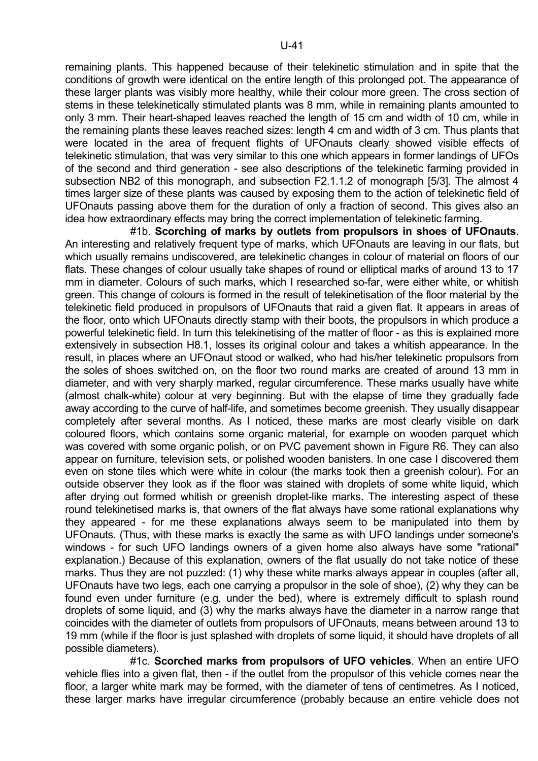U-41

remaining plants. This happened because of their telekinetic stimulation and in spite that the conditions of growth were identical on the entire length of this prolonged pot. The appearance of these larger plants was visibly more healthy, while their colour more green. The cross section of stems in these telekinetically stimulated plants was 8 mm, while in remaining plants amounted to only 3 mm. Their heart-shaped leaves reached the length of 15 cm and width of 10 cm, while in the remaining plants these leaves reached sizes: length 4 cm and width of 3 cm. Thus plants that were located in the area of frequent flights of UFOnauts clearly showed visible effects of telekinetic stimulation, that was very similar to this one which appears in former landings of UFOs of the second and third generation - see also descriptions of the telekinetic farming provided in subsection NB2 of this monograph, and subsection F2.1.1.2 of monograph [5/3]. The almost 4 times larger size of these plants was caused by exposing them to the action of telekinetic field of UFOnauts passing above them for the duration of only a fraction of second. This gives also an idea how extraordinary effects may bring the correct implementation of telekinetic farming.

 #1b. **Scorching of marks by outlets from propulsors in shoes of UFOnauts**. An interesting and relatively frequent type of marks, which UFOnauts are leaving in our flats, but which usually remains undiscovered, are telekinetic changes in colour of material on floors of our flats. These changes of colour usually take shapes of round or elliptical marks of around 13 to 17 mm in diameter. Colours of such marks, which I researched so-far, were either white, or whitish green. This change of colours is formed in the result of telekinetisation of the floor material by the telekinetic field produced in propulsors of UFOnauts that raid a given flat. It appears in areas of the floor, onto which UFOnauts directly stamp with their boots, the propulsors in which produce a powerful telekinetic field. In turn this telekinetising of the matter of floor - as this is explained more extensively in subsection H8.1, losses its original colour and takes a whitish appearance. In the result, in places where an UFOnaut stood or walked, who had his/her telekinetic propulsors from the soles of shoes switched on, on the floor two round marks are created of around 13 mm in diameter, and with very sharply marked, regular circumference. These marks usually have white (almost chalk-white) colour at very beginning. But with the elapse of time they gradually fade away according to the curve of half-life, and sometimes become greenish. They usually disappear completely after several months. As I noticed, these marks are most clearly visible on dark coloured floors, which contains some organic material, for example on wooden parquet which was covered with some organic polish, or on PVC pavement shown in Figure R6. They can also appear on furniture, television sets, or polished wooden banisters. In one case I discovered them even on stone tiles which were white in colour (the marks took then a greenish colour). For an outside observer they look as if the floor was stained with droplets of some white liquid, which after drying out formed whitish or greenish droplet-like marks. The interesting aspect of these round telekinetised marks is, that owners of the flat always have some rational explanations why they appeared - for me these explanations always seem to be manipulated into them by UFOnauts. (Thus, with these marks is exactly the same as with UFO landings under someone's windows - for such UFO landings owners of a given home also always have some "rational" explanation.) Because of this explanation, owners of the flat usually do not take notice of these marks. Thus they are not puzzled: (1) why these white marks always appear in couples (after all, UFOnauts have two legs, each one carrying a propulsor in the sole of shoe), (2) why they can be found even under furniture (e.g. under the bed), where is extremely difficult to splash round droplets of some liquid, and (3) why the marks always have the diameter in a narrow range that coincides with the diameter of outlets from propulsors of UFOnauts, means between around 13 to 19 mm (while if the floor is just splashed with droplets of some liquid, it should have droplets of all possible diameters).

 #1c. **Scorched marks from propulsors of UFO vehicles**. When an entire UFO vehicle flies into a given flat, then - if the outlet from the propulsor of this vehicle comes near the floor, a larger white mark may be formed, with the diameter of tens of centimetres. As I noticed, these larger marks have irregular circumference (probably because an entire vehicle does not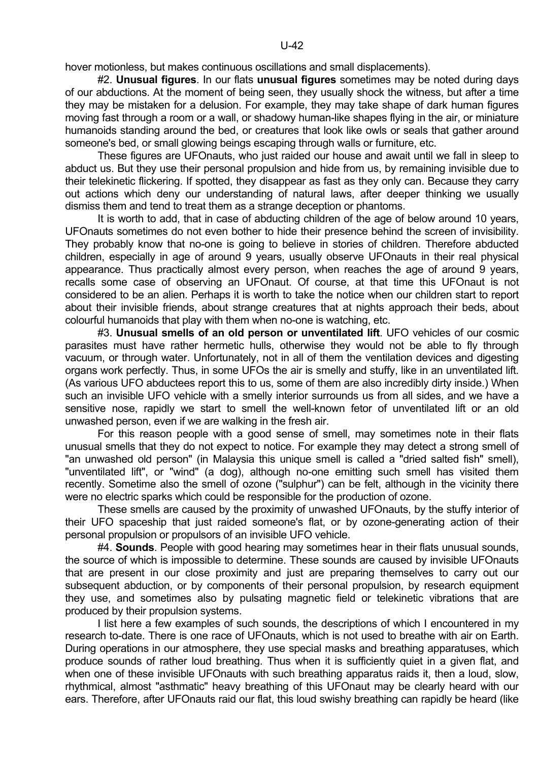hover motionless, but makes continuous oscillations and small displacements).

 #2. **Unusual figures**. In our flats **unusual figures** sometimes may be noted during days of our abductions. At the moment of being seen, they usually shock the witness, but after a time they may be mistaken for a delusion. For example, they may take shape of dark human figures moving fast through a room or a wall, or shadowy human-like shapes flying in the air, or miniature humanoids standing around the bed, or creatures that look like owls or seals that gather around someone's bed, or small glowing beings escaping through walls or furniture, etc.

 These figures are UFOnauts, who just raided our house and await until we fall in sleep to abduct us. But they use their personal propulsion and hide from us, by remaining invisible due to their telekinetic flickering. If spotted, they disappear as fast as they only can. Because they carry out actions which deny our understanding of natural laws, after deeper thinking we usually dismiss them and tend to treat them as a strange deception or phantoms.

 It is worth to add, that in case of abducting children of the age of below around 10 years, UFOnauts sometimes do not even bother to hide their presence behind the screen of invisibility. They probably know that no-one is going to believe in stories of children. Therefore abducted children, especially in age of around 9 years, usually observe UFOnauts in their real physical appearance. Thus practically almost every person, when reaches the age of around 9 years, recalls some case of observing an UFOnaut. Of course, at that time this UFOnaut is not considered to be an alien. Perhaps it is worth to take the notice when our children start to report about their invisible friends, about strange creatures that at nights approach their beds, about colourful humanoids that play with them when no-one is watching, etc.

 #3. **Unusual smells of an old person or unventilated lift**. UFO vehicles of our cosmic parasites must have rather hermetic hulls, otherwise they would not be able to fly through vacuum, or through water. Unfortunately, not in all of them the ventilation devices and digesting organs work perfectly. Thus, in some UFOs the air is smelly and stuffy, like in an unventilated lift. (As various UFO abductees report this to us, some of them are also incredibly dirty inside.) When such an invisible UFO vehicle with a smelly interior surrounds us from all sides, and we have a sensitive nose, rapidly we start to smell the well-known fetor of unventilated lift or an old unwashed person, even if we are walking in the fresh air.

 For this reason people with a good sense of smell, may sometimes note in their flats unusual smells that they do not expect to notice. For example they may detect a strong smell of "an unwashed old person" (in Malaysia this unique smell is called a "dried salted fish" smell), "unventilated lift", or "wind" (a dog), although no-one emitting such smell has visited them recently. Sometime also the smell of ozone ("sulphur") can be felt, although in the vicinity there were no electric sparks which could be responsible for the production of ozone.

 These smells are caused by the proximity of unwashed UFOnauts, by the stuffy interior of their UFO spaceship that just raided someone's flat, or by ozone-generating action of their personal propulsion or propulsors of an invisible UFO vehicle.

 #4. **Sounds**. People with good hearing may sometimes hear in their flats unusual sounds, the source of which is impossible to determine. These sounds are caused by invisible UFOnauts that are present in our close proximity and just are preparing themselves to carry out our subsequent abduction, or by components of their personal propulsion, by research equipment they use, and sometimes also by pulsating magnetic field or telekinetic vibrations that are produced by their propulsion systems.

 I list here a few examples of such sounds, the descriptions of which I encountered in my research to-date. There is one race of UFOnauts, which is not used to breathe with air on Earth. During operations in our atmosphere, they use special masks and breathing apparatuses, which produce sounds of rather loud breathing. Thus when it is sufficiently quiet in a given flat, and when one of these invisible UFOnauts with such breathing apparatus raids it, then a loud, slow, rhythmical, almost "asthmatic" heavy breathing of this UFOnaut may be clearly heard with our ears. Therefore, after UFOnauts raid our flat, this loud swishy breathing can rapidly be heard (like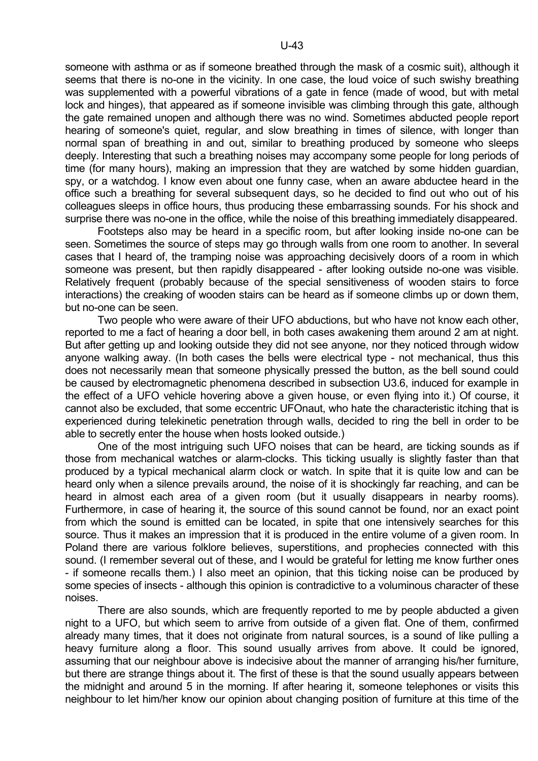someone with asthma or as if someone breathed through the mask of a cosmic suit), although it seems that there is no-one in the vicinity. In one case, the loud voice of such swishy breathing was supplemented with a powerful vibrations of a gate in fence (made of wood, but with metal lock and hinges), that appeared as if someone invisible was climbing through this gate, although the gate remained unopen and although there was no wind. Sometimes abducted people report hearing of someone's quiet, regular, and slow breathing in times of silence, with longer than normal span of breathing in and out, similar to breathing produced by someone who sleeps deeply. Interesting that such a breathing noises may accompany some people for long periods of time (for many hours), making an impression that they are watched by some hidden guardian, spy, or a watchdog. I know even about one funny case, when an aware abductee heard in the office such a breathing for several subsequent days, so he decided to find out who out of his colleagues sleeps in office hours, thus producing these embarrassing sounds. For his shock and surprise there was no-one in the office, while the noise of this breathing immediately disappeared.

 Footsteps also may be heard in a specific room, but after looking inside no-one can be seen. Sometimes the source of steps may go through walls from one room to another. In several cases that I heard of, the tramping noise was approaching decisively doors of a room in which someone was present, but then rapidly disappeared - after looking outside no-one was visible. Relatively frequent (probably because of the special sensitiveness of wooden stairs to force interactions) the creaking of wooden stairs can be heard as if someone climbs up or down them, but no-one can be seen.

 Two people who were aware of their UFO abductions, but who have not know each other, reported to me a fact of hearing a door bell, in both cases awakening them around 2 am at night. But after getting up and looking outside they did not see anyone, nor they noticed through widow anyone walking away. (In both cases the bells were electrical type - not mechanical, thus this does not necessarily mean that someone physically pressed the button, as the bell sound could be caused by electromagnetic phenomena described in subsection U3.6, induced for example in the effect of a UFO vehicle hovering above a given house, or even flying into it.) Of course, it cannot also be excluded, that some eccentric UFOnaut, who hate the characteristic itching that is experienced during telekinetic penetration through walls, decided to ring the bell in order to be able to secretly enter the house when hosts looked outside.)

 One of the most intriguing such UFO noises that can be heard, are ticking sounds as if those from mechanical watches or alarm-clocks. This ticking usually is slightly faster than that produced by a typical mechanical alarm clock or watch. In spite that it is quite low and can be heard only when a silence prevails around, the noise of it is shockingly far reaching, and can be heard in almost each area of a given room (but it usually disappears in nearby rooms). Furthermore, in case of hearing it, the source of this sound cannot be found, nor an exact point from which the sound is emitted can be located, in spite that one intensively searches for this source. Thus it makes an impression that it is produced in the entire volume of a given room. In Poland there are various folklore believes, superstitions, and prophecies connected with this sound. (I remember several out of these, and I would be grateful for letting me know further ones - if someone recalls them.) I also meet an opinion, that this ticking noise can be produced by some species of insects - although this opinion is contradictive to a voluminous character of these noises.

 There are also sounds, which are frequently reported to me by people abducted a given night to a UFO, but which seem to arrive from outside of a given flat. One of them, confirmed already many times, that it does not originate from natural sources, is a sound of like pulling a heavy furniture along a floor. This sound usually arrives from above. It could be ignored, assuming that our neighbour above is indecisive about the manner of arranging his/her furniture, but there are strange things about it. The first of these is that the sound usually appears between the midnight and around 5 in the morning. If after hearing it, someone telephones or visits this neighbour to let him/her know our opinion about changing position of furniture at this time of the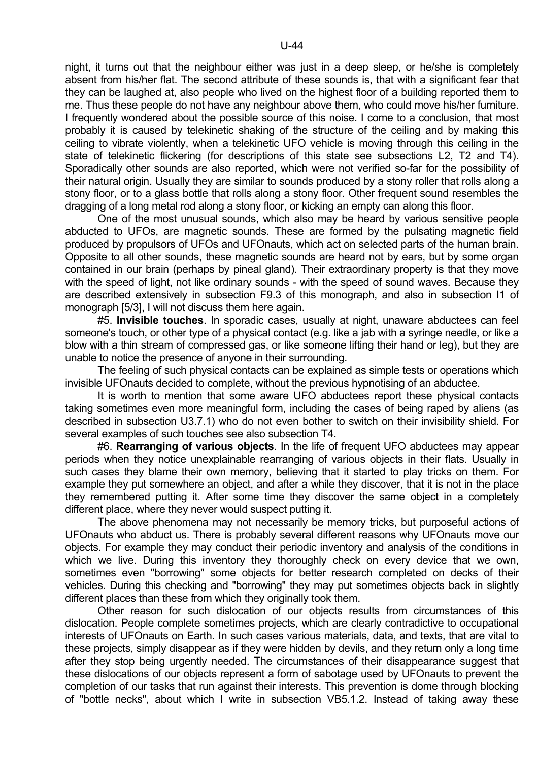night, it turns out that the neighbour either was just in a deep sleep, or he/she is completely absent from his/her flat. The second attribute of these sounds is, that with a significant fear that they can be laughed at, also people who lived on the highest floor of a building reported them to me. Thus these people do not have any neighbour above them, who could move his/her furniture. I frequently wondered about the possible source of this noise. I come to a conclusion, that most probably it is caused by telekinetic shaking of the structure of the ceiling and by making this ceiling to vibrate violently, when a telekinetic UFO vehicle is moving through this ceiling in the state of telekinetic flickering (for descriptions of this state see subsections L2, T2 and T4). Sporadically other sounds are also reported, which were not verified so-far for the possibility of their natural origin. Usually they are similar to sounds produced by a stony roller that rolls along a stony floor, or to a glass bottle that rolls along a stony floor. Other frequent sound resembles the dragging of a long metal rod along a stony floor, or kicking an empty can along this floor.

 One of the most unusual sounds, which also may be heard by various sensitive people abducted to UFOs, are magnetic sounds. These are formed by the pulsating magnetic field produced by propulsors of UFOs and UFOnauts, which act on selected parts of the human brain. Opposite to all other sounds, these magnetic sounds are heard not by ears, but by some organ contained in our brain (perhaps by pineal gland). Their extraordinary property is that they move with the speed of light, not like ordinary sounds - with the speed of sound waves. Because they are described extensively in subsection F9.3 of this monograph, and also in subsection I1 of monograph [5/3], I will not discuss them here again.

 #5. **Invisible touches**. In sporadic cases, usually at night, unaware abductees can feel someone's touch, or other type of a physical contact (e.g. like a jab with a syringe needle, or like a blow with a thin stream of compressed gas, or like someone lifting their hand or leg), but they are unable to notice the presence of anyone in their surrounding.

 The feeling of such physical contacts can be explained as simple tests or operations which invisible UFOnauts decided to complete, without the previous hypnotising of an abductee.

 It is worth to mention that some aware UFO abductees report these physical contacts taking sometimes even more meaningful form, including the cases of being raped by aliens (as described in subsection U3.7.1) who do not even bother to switch on their invisibility shield. For several examples of such touches see also subsection T4.

 #6. **Rearranging of various objects**. In the life of frequent UFO abductees may appear periods when they notice unexplainable rearranging of various objects in their flats. Usually in such cases they blame their own memory, believing that it started to play tricks on them. For example they put somewhere an object, and after a while they discover, that it is not in the place they remembered putting it. After some time they discover the same object in a completely different place, where they never would suspect putting it.

 The above phenomena may not necessarily be memory tricks, but purposeful actions of UFOnauts who abduct us. There is probably several different reasons why UFOnauts move our objects. For example they may conduct their periodic inventory and analysis of the conditions in which we live. During this inventory they thoroughly check on every device that we own, sometimes even "borrowing" some objects for better research completed on decks of their vehicles. During this checking and "borrowing" they may put sometimes objects back in slightly different places than these from which they originally took them.

 Other reason for such dislocation of our objects results from circumstances of this dislocation. People complete sometimes projects, which are clearly contradictive to occupational interests of UFOnauts on Earth. In such cases various materials, data, and texts, that are vital to these projects, simply disappear as if they were hidden by devils, and they return only a long time after they stop being urgently needed. The circumstances of their disappearance suggest that these dislocations of our objects represent a form of sabotage used by UFOnauts to prevent the completion of our tasks that run against their interests. This prevention is dome through blocking of "bottle necks", about which I write in subsection VB5.1.2. Instead of taking away these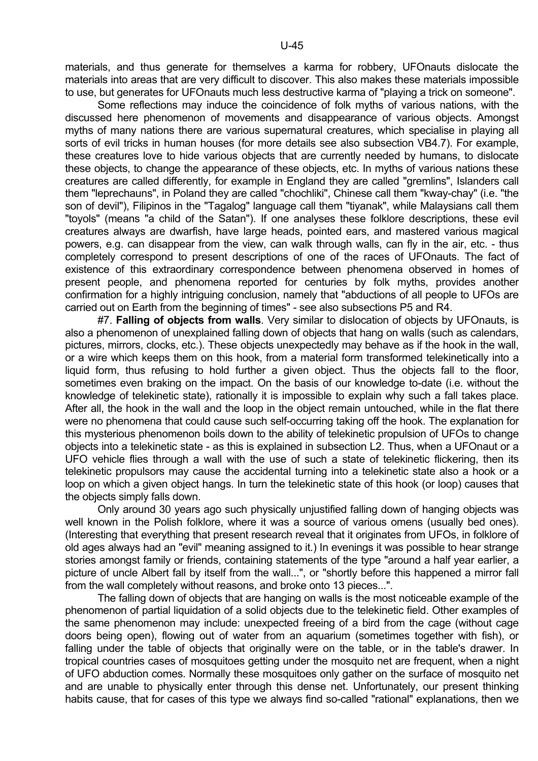materials, and thus generate for themselves a karma for robbery, UFOnauts dislocate the materials into areas that are very difficult to discover. This also makes these materials impossible to use, but generates for UFOnauts much less destructive karma of "playing a trick on someone".

 Some reflections may induce the coincidence of folk myths of various nations, with the discussed here phenomenon of movements and disappearance of various objects. Amongst myths of many nations there are various supernatural creatures, which specialise in playing all sorts of evil tricks in human houses (for more details see also subsection VB4.7). For example, these creatures love to hide various objects that are currently needed by humans, to dislocate these objects, to change the appearance of these objects, etc. In myths of various nations these creatures are called differently, for example in England they are called "gremlins", Islanders call them "leprechauns", in Poland they are called "chochliki", Chinese call them "kway-chay" (i.e. "the son of devil"), Filipinos in the "Tagalog" language call them "tiyanak", while Malaysians call them "toyols" (means "a child of the Satan"). If one analyses these folklore descriptions, these evil creatures always are dwarfish, have large heads, pointed ears, and mastered various magical powers, e.g. can disappear from the view, can walk through walls, can fly in the air, etc. - thus completely correspond to present descriptions of one of the races of UFOnauts. The fact of existence of this extraordinary correspondence between phenomena observed in homes of present people, and phenomena reported for centuries by folk myths, provides another confirmation for a highly intriguing conclusion, namely that "abductions of all people to UFOs are carried out on Earth from the beginning of times" - see also subsections P5 and R4.

 #7. **Falling of objects from walls**. Very similar to dislocation of objects by UFOnauts, is also a phenomenon of unexplained falling down of objects that hang on walls (such as calendars, pictures, mirrors, clocks, etc.). These objects unexpectedly may behave as if the hook in the wall, or a wire which keeps them on this hook, from a material form transformed telekinetically into a liquid form, thus refusing to hold further a given object. Thus the objects fall to the floor, sometimes even braking on the impact. On the basis of our knowledge to-date (i.e. without the knowledge of telekinetic state), rationally it is impossible to explain why such a fall takes place. After all, the hook in the wall and the loop in the object remain untouched, while in the flat there were no phenomena that could cause such self-occurring taking off the hook. The explanation for this mysterious phenomenon boils down to the ability of telekinetic propulsion of UFOs to change objects into a telekinetic state - as this is explained in subsection L2. Thus, when a UFOnaut or a UFO vehicle flies through a wall with the use of such a state of telekinetic flickering, then its telekinetic propulsors may cause the accidental turning into a telekinetic state also a hook or a loop on which a given object hangs. In turn the telekinetic state of this hook (or loop) causes that the objects simply falls down.

 Only around 30 years ago such physically unjustified falling down of hanging objects was well known in the Polish folklore, where it was a source of various omens (usually bed ones). (Interesting that everything that present research reveal that it originates from UFOs, in folklore of old ages always had an "evil" meaning assigned to it.) In evenings it was possible to hear strange stories amongst family or friends, containing statements of the type "around a half year earlier, a picture of uncle Albert fall by itself from the wall...", or "shortly before this happened a mirror fall from the wall completely without reasons, and broke onto 13 pieces...".

 The falling down of objects that are hanging on walls is the most noticeable example of the phenomenon of partial liquidation of a solid objects due to the telekinetic field. Other examples of the same phenomenon may include: unexpected freeing of a bird from the cage (without cage doors being open), flowing out of water from an aquarium (sometimes together with fish), or falling under the table of objects that originally were on the table, or in the table's drawer. In tropical countries cases of mosquitoes getting under the mosquito net are frequent, when a night of UFO abduction comes. Normally these mosquitoes only gather on the surface of mosquito net and are unable to physically enter through this dense net. Unfortunately, our present thinking habits cause, that for cases of this type we always find so-called "rational" explanations, then we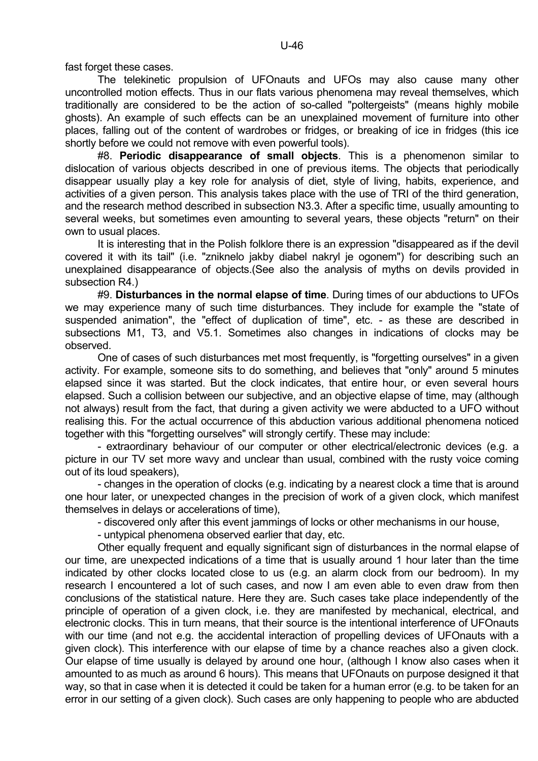fast forget these cases.

 The telekinetic propulsion of UFOnauts and UFOs may also cause many other uncontrolled motion effects. Thus in our flats various phenomena may reveal themselves, which traditionally are considered to be the action of so-called "poltergeists" (means highly mobile ghosts). An example of such effects can be an unexplained movement of furniture into other places, falling out of the content of wardrobes or fridges, or breaking of ice in fridges (this ice shortly before we could not remove with even powerful tools).

 #8. **Periodic disappearance of small objects**. This is a phenomenon similar to dislocation of various objects described in one of previous items. The objects that periodically disappear usually play a key role for analysis of diet, style of living, habits, experience, and activities of a given person. This analysis takes place with the use of TRI of the third generation, and the research method described in subsection N3.3. After a specific time, usually amounting to several weeks, but sometimes even amounting to several years, these objects "return" on their own to usual places.

 It is interesting that in the Polish folklore there is an expression "disappeared as if the devil covered it with its tail" (i.e. "zniknelo jakby diabel nakryl je ogonem") for describing such an unexplained disappearance of objects.(See also the analysis of myths on devils provided in subsection R4.)

 #9. **Disturbances in the normal elapse of time**. During times of our abductions to UFOs we may experience many of such time disturbances. They include for example the "state of suspended animation", the "effect of duplication of time", etc. - as these are described in subsections M1, T3, and V5.1. Sometimes also changes in indications of clocks may be observed.

 One of cases of such disturbances met most frequently, is "forgetting ourselves" in a given activity. For example, someone sits to do something, and believes that "only" around 5 minutes elapsed since it was started. But the clock indicates, that entire hour, or even several hours elapsed. Such a collision between our subjective, and an objective elapse of time, may (although not always) result from the fact, that during a given activity we were abducted to a UFO without realising this. For the actual occurrence of this abduction various additional phenomena noticed together with this "forgetting ourselves" will strongly certify. These may include:

 - extraordinary behaviour of our computer or other electrical/electronic devices (e.g. a picture in our TV set more wavy and unclear than usual, combined with the rusty voice coming out of its loud speakers),

 - changes in the operation of clocks (e.g. indicating by a nearest clock a time that is around one hour later, or unexpected changes in the precision of work of a given clock, which manifest themselves in delays or accelerations of time),

- discovered only after this event jammings of locks or other mechanisms in our house,

- untypical phenomena observed earlier that day, etc.

 Other equally frequent and equally significant sign of disturbances in the normal elapse of our time, are unexpected indications of a time that is usually around 1 hour later than the time indicated by other clocks located close to us (e.g. an alarm clock from our bedroom). In my research I encountered a lot of such cases, and now I am even able to even draw from then conclusions of the statistical nature. Here they are. Such cases take place independently of the principle of operation of a given clock, i.e. they are manifested by mechanical, electrical, and electronic clocks. This in turn means, that their source is the intentional interference of UFOnauts with our time (and not e.g. the accidental interaction of propelling devices of UFOnauts with a given clock). This interference with our elapse of time by a chance reaches also a given clock. Our elapse of time usually is delayed by around one hour, (although I know also cases when it amounted to as much as around 6 hours). This means that UFOnauts on purpose designed it that way, so that in case when it is detected it could be taken for a human error (e.g. to be taken for an error in our setting of a given clock). Such cases are only happening to people who are abducted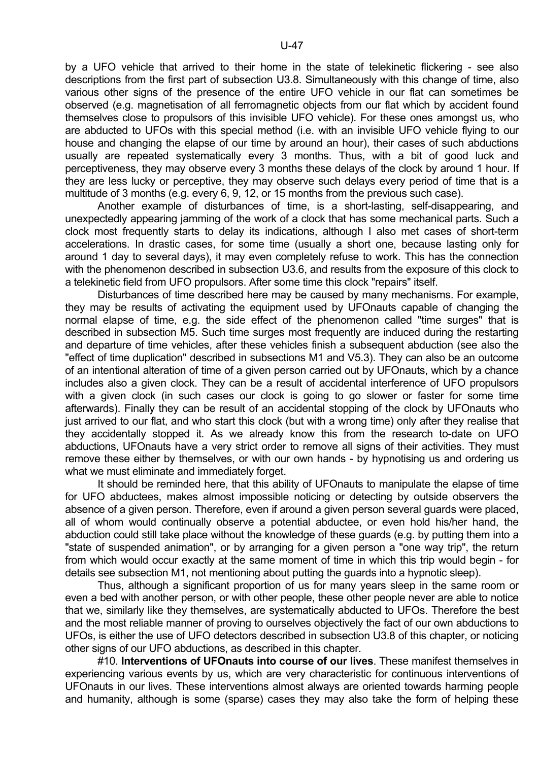by a UFO vehicle that arrived to their home in the state of telekinetic flickering - see also descriptions from the first part of subsection U3.8. Simultaneously with this change of time, also various other signs of the presence of the entire UFO vehicle in our flat can sometimes be observed (e.g. magnetisation of all ferromagnetic objects from our flat which by accident found themselves close to propulsors of this invisible UFO vehicle). For these ones amongst us, who are abducted to UFOs with this special method (i.e. with an invisible UFO vehicle flying to our house and changing the elapse of our time by around an hour), their cases of such abductions usually are repeated systematically every 3 months. Thus, with a bit of good luck and perceptiveness, they may observe every 3 months these delays of the clock by around 1 hour. If they are less lucky or perceptive, they may observe such delays every period of time that is a multitude of 3 months (e.g. every 6, 9, 12, or 15 months from the previous such case).

 Another example of disturbances of time, is a short-lasting, self-disappearing, and unexpectedly appearing jamming of the work of a clock that has some mechanical parts. Such a clock most frequently starts to delay its indications, although I also met cases of short-term accelerations. In drastic cases, for some time (usually a short one, because lasting only for around 1 day to several days), it may even completely refuse to work. This has the connection with the phenomenon described in subsection U3.6, and results from the exposure of this clock to a telekinetic field from UFO propulsors. After some time this clock "repairs" itself.

 Disturbances of time described here may be caused by many mechanisms. For example, they may be results of activating the equipment used by UFOnauts capable of changing the normal elapse of time, e.g. the side effect of the phenomenon called "time surges" that is described in subsection M5. Such time surges most frequently are induced during the restarting and departure of time vehicles, after these vehicles finish a subsequent abduction (see also the "effect of time duplication" described in subsections M1 and V5.3). They can also be an outcome of an intentional alteration of time of a given person carried out by UFOnauts, which by a chance includes also a given clock. They can be a result of accidental interference of UFO propulsors with a given clock (in such cases our clock is going to go slower or faster for some time afterwards). Finally they can be result of an accidental stopping of the clock by UFOnauts who just arrived to our flat, and who start this clock (but with a wrong time) only after they realise that they accidentally stopped it. As we already know this from the research to-date on UFO abductions, UFOnauts have a very strict order to remove all signs of their activities. They must remove these either by themselves, or with our own hands - by hypnotising us and ordering us what we must eliminate and immediately forget.

 It should be reminded here, that this ability of UFOnauts to manipulate the elapse of time for UFO abductees, makes almost impossible noticing or detecting by outside observers the absence of a given person. Therefore, even if around a given person several guards were placed, all of whom would continually observe a potential abductee, or even hold his/her hand, the abduction could still take place without the knowledge of these guards (e.g. by putting them into a "state of suspended animation", or by arranging for a given person a "one way trip", the return from which would occur exactly at the same moment of time in which this trip would begin - for details see subsection M1, not mentioning about putting the guards into a hypnotic sleep).

 Thus, although a significant proportion of us for many years sleep in the same room or even a bed with another person, or with other people, these other people never are able to notice that we, similarly like they themselves, are systematically abducted to UFOs. Therefore the best and the most reliable manner of proving to ourselves objectively the fact of our own abductions to UFOs, is either the use of UFO detectors described in subsection U3.8 of this chapter, or noticing other signs of our UFO abductions, as described in this chapter.

 #10. **Interventions of UFOnauts into course of our lives**. These manifest themselves in experiencing various events by us, which are very characteristic for continuous interventions of UFOnauts in our lives. These interventions almost always are oriented towards harming people and humanity, although is some (sparse) cases they may also take the form of helping these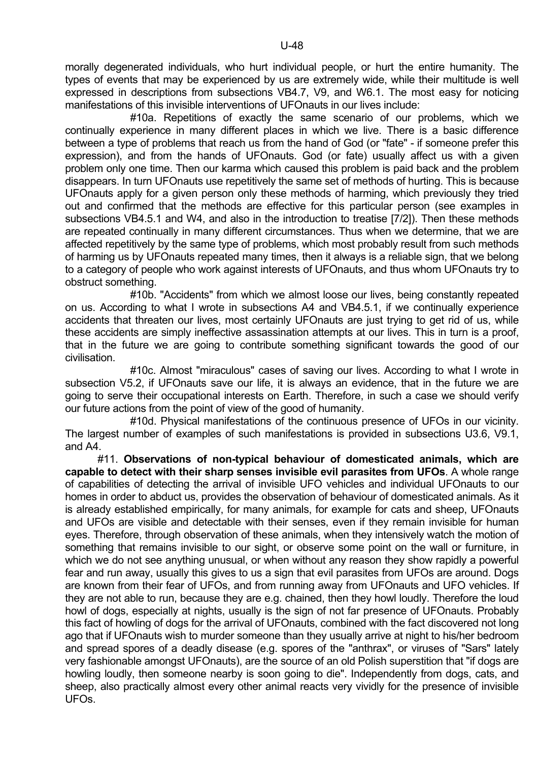morally degenerated individuals, who hurt individual people, or hurt the entire humanity. The types of events that may be experienced by us are extremely wide, while their multitude is well expressed in descriptions from subsections VB4.7, V9, and W6.1. The most easy for noticing manifestations of this invisible interventions of UFOnauts in our lives include:

 #10a. Repetitions of exactly the same scenario of our problems, which we continually experience in many different places in which we live. There is a basic difference between a type of problems that reach us from the hand of God (or "fate" - if someone prefer this expression), and from the hands of UFOnauts. God (or fate) usually affect us with a given problem only one time. Then our karma which caused this problem is paid back and the problem disappears. In turn UFOnauts use repetitively the same set of methods of hurting. This is because UFOnauts apply for a given person only these methods of harming, which previously they tried out and confirmed that the methods are effective for this particular person (see examples in subsections VB4.5.1 and W4, and also in the introduction to treatise [7/2]). Then these methods are repeated continually in many different circumstances. Thus when we determine, that we are affected repetitively by the same type of problems, which most probably result from such methods of harming us by UFOnauts repeated many times, then it always is a reliable sign, that we belong to a category of people who work against interests of UFOnauts, and thus whom UFOnauts try to obstruct something.

 #10b. "Accidents" from which we almost loose our lives, being constantly repeated on us. According to what I wrote in subsections A4 and VB4.5.1, if we continually experience accidents that threaten our lives, most certainly UFOnauts are just trying to get rid of us, while these accidents are simply ineffective assassination attempts at our lives. This in turn is a proof, that in the future we are going to contribute something significant towards the good of our civilisation.

 #10c. Almost "miraculous" cases of saving our lives. According to what I wrote in subsection V5.2, if UFOnauts save our life, it is always an evidence, that in the future we are going to serve their occupational interests on Earth. Therefore, in such a case we should verify our future actions from the point of view of the good of humanity.

 #10d. Physical manifestations of the continuous presence of UFOs in our vicinity. The largest number of examples of such manifestations is provided in subsections U3.6, V9.1, and A4.

 #11. **Observations of non-typical behaviour of domesticated animals, which are capable to detect with their sharp senses invisible evil parasites from UFOs**. A whole range of capabilities of detecting the arrival of invisible UFO vehicles and individual UFOnauts to our homes in order to abduct us, provides the observation of behaviour of domesticated animals. As it is already established empirically, for many animals, for example for cats and sheep, UFOnauts and UFOs are visible and detectable with their senses, even if they remain invisible for human eyes. Therefore, through observation of these animals, when they intensively watch the motion of something that remains invisible to our sight, or observe some point on the wall or furniture, in which we do not see anything unusual, or when without any reason they show rapidly a powerful fear and run away, usually this gives to us a sign that evil parasites from UFOs are around. Dogs are known from their fear of UFOs, and from running away from UFOnauts and UFO vehicles. If they are not able to run, because they are e.g. chained, then they howl loudly. Therefore the loud howl of dogs, especially at nights, usually is the sign of not far presence of UFOnauts. Probably this fact of howling of dogs for the arrival of UFOnauts, combined with the fact discovered not long ago that if UFOnauts wish to murder someone than they usually arrive at night to his/her bedroom and spread spores of a deadly disease (e.g. spores of the "anthrax", or viruses of "Sars" lately very fashionable amongst UFOnauts), are the source of an old Polish superstition that "if dogs are howling loudly, then someone nearby is soon going to die". Independently from dogs, cats, and sheep, also practically almost every other animal reacts very vividly for the presence of invisible UFOs.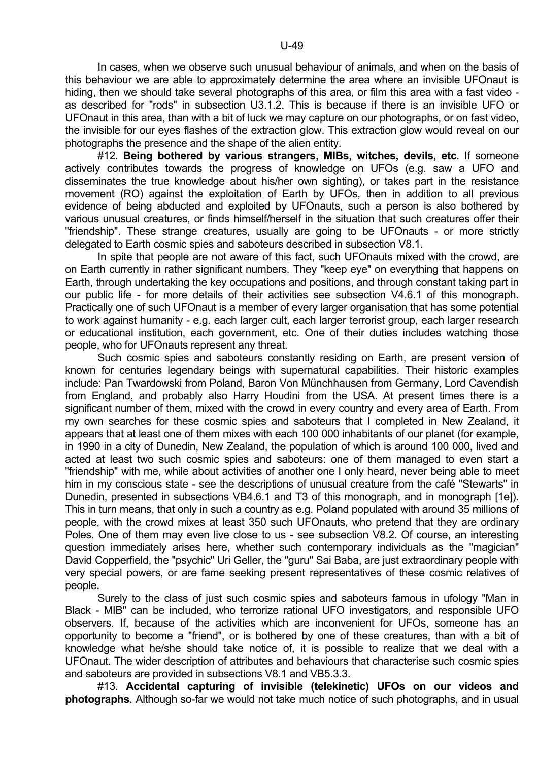In cases, when we observe such unusual behaviour of animals, and when on the basis of this behaviour we are able to approximately determine the area where an invisible UFOnaut is hiding, then we should take several photographs of this area, or film this area with a fast video as described for "rods" in subsection U3.1.2. This is because if there is an invisible UFO or UFOnaut in this area, than with a bit of luck we may capture on our photographs, or on fast video, the invisible for our eyes flashes of the extraction glow. This extraction glow would reveal on our photographs the presence and the shape of the alien entity.

 #12. **Being bothered by various strangers, MIBs, witches, devils, etc**. If someone actively contributes towards the progress of knowledge on UFOs (e.g. saw a UFO and disseminates the true knowledge about his/her own sighting), or takes part in the resistance movement (RO) against the exploitation of Earth by UFOs, then in addition to all previous evidence of being abducted and exploited by UFOnauts, such a person is also bothered by various unusual creatures, or finds himself/herself in the situation that such creatures offer their "friendship". These strange creatures, usually are going to be UFOnauts - or more strictly delegated to Earth cosmic spies and saboteurs described in subsection V8.1.

 In spite that people are not aware of this fact, such UFOnauts mixed with the crowd, are on Earth currently in rather significant numbers. They "keep eye" on everything that happens on Earth, through undertaking the key occupations and positions, and through constant taking part in our public life - for more details of their activities see subsection V4.6.1 of this monograph. Practically one of such UFOnaut is a member of every larger organisation that has some potential to work against humanity - e.g. each larger cult, each larger terrorist group, each larger research or educational institution, each government, etc. One of their duties includes watching those people, who for UFOnauts represent any threat.

 Such cosmic spies and saboteurs constantly residing on Earth, are present version of known for centuries legendary beings with supernatural capabilities. Their historic examples include: Pan Twardowski from Poland, Baron Von Münchhausen from Germany, Lord Cavendish from England, and probably also Harry Houdini from the USA. At present times there is a significant number of them, mixed with the crowd in every country and every area of Earth. From my own searches for these cosmic spies and saboteurs that I completed in New Zealand, it appears that at least one of them mixes with each 100 000 inhabitants of our planet (for example, in 1990 in a city of Dunedin, New Zealand, the population of which is around 100 000, lived and acted at least two such cosmic spies and saboteurs: one of them managed to even start a "friendship" with me, while about activities of another one I only heard, never being able to meet him in my conscious state - see the descriptions of unusual creature from the café "Stewarts" in Dunedin, presented in subsections VB4.6.1 and T3 of this monograph, and in monograph [1e]). This in turn means, that only in such a country as e.g. Poland populated with around 35 millions of people, with the crowd mixes at least 350 such UFOnauts, who pretend that they are ordinary Poles. One of them may even live close to us - see subsection V8.2. Of course, an interesting question immediately arises here, whether such contemporary individuals as the "magician" David Copperfield, the "psychic" Uri Geller, the "guru" Sai Baba, are just extraordinary people with very special powers, or are fame seeking present representatives of these cosmic relatives of people.

 Surely to the class of just such cosmic spies and saboteurs famous in ufology "Man in Black - MIB" can be included, who terrorize rational UFO investigators, and responsible UFO observers. If, because of the activities which are inconvenient for UFOs, someone has an opportunity to become a "friend", or is bothered by one of these creatures, than with a bit of knowledge what he/she should take notice of, it is possible to realize that we deal with a UFOnaut. The wider description of attributes and behaviours that characterise such cosmic spies and saboteurs are provided in subsections V8.1 and VB5.3.3.

 #13. **Accidental capturing of invisible (telekinetic) UFOs on our videos and photographs**. Although so-far we would not take much notice of such photographs, and in usual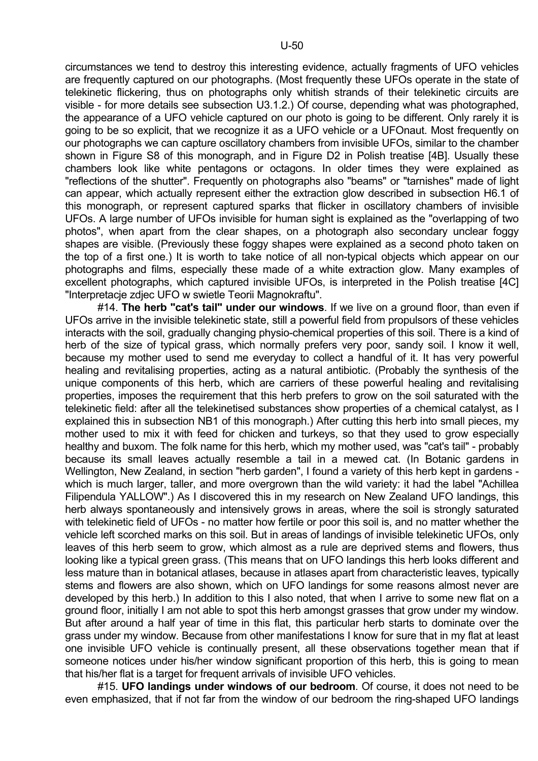circumstances we tend to destroy this interesting evidence, actually fragments of UFO vehicles are frequently captured on our photographs. (Most frequently these UFOs operate in the state of telekinetic flickering, thus on photographs only whitish strands of their telekinetic circuits are visible - for more details see subsection U3.1.2.) Of course, depending what was photographed, the appearance of a UFO vehicle captured on our photo is going to be different. Only rarely it is going to be so explicit, that we recognize it as a UFO vehicle or a UFOnaut. Most frequently on our photographs we can capture oscillatory chambers from invisible UFOs, similar to the chamber shown in Figure S8 of this monograph, and in Figure D2 in Polish treatise [4B]. Usually these chambers look like white pentagons or octagons. In older times they were explained as "reflections of the shutter". Frequently on photographs also "beams" or "tarnishes" made of light can appear, which actually represent either the extraction glow described in subsection H6.1 of this monograph, or represent captured sparks that flicker in oscillatory chambers of invisible UFOs. A large number of UFOs invisible for human sight is explained as the "overlapping of two photos", when apart from the clear shapes, on a photograph also secondary unclear foggy shapes are visible. (Previously these foggy shapes were explained as a second photo taken on the top of a first one.) It is worth to take notice of all non-typical objects which appear on our photographs and films, especially these made of a white extraction glow. Many examples of excellent photographs, which captured invisible UFOs, is interpreted in the Polish treatise [4C] "Interpretacje zdjec UFO w swietle Teorii Magnokraftu".

 #14. **The herb "cat's tail" under our windows**. If we live on a ground floor, than even if UFOs arrive in the invisible telekinetic state, still a powerful field from propulsors of these vehicles interacts with the soil, gradually changing physio-chemical properties of this soil. There is a kind of herb of the size of typical grass, which normally prefers very poor, sandy soil. I know it well, because my mother used to send me everyday to collect a handful of it. It has very powerful healing and revitalising properties, acting as a natural antibiotic. (Probably the synthesis of the unique components of this herb, which are carriers of these powerful healing and revitalising properties, imposes the requirement that this herb prefers to grow on the soil saturated with the telekinetic field: after all the telekinetised substances show properties of a chemical catalyst, as I explained this in subsection NB1 of this monograph.) After cutting this herb into small pieces, my mother used to mix it with feed for chicken and turkeys, so that they used to grow especially healthy and buxom. The folk name for this herb, which my mother used, was "cat's tail" - probably because its small leaves actually resemble a tail in a mewed cat. (In Botanic gardens in Wellington, New Zealand, in section "herb garden", I found a variety of this herb kept in gardens which is much larger, taller, and more overgrown than the wild variety: it had the label "Achillea Filipendula YALLOW".) As I discovered this in my research on New Zealand UFO landings, this herb always spontaneously and intensively grows in areas, where the soil is strongly saturated with telekinetic field of UFOs - no matter how fertile or poor this soil is, and no matter whether the vehicle left scorched marks on this soil. But in areas of landings of invisible telekinetic UFOs, only leaves of this herb seem to grow, which almost as a rule are deprived stems and flowers, thus looking like a typical green grass. (This means that on UFO landings this herb looks different and less mature than in botanical atlases, because in atlases apart from characteristic leaves, typically stems and flowers are also shown, which on UFO landings for some reasons almost never are developed by this herb.) In addition to this I also noted, that when I arrive to some new flat on a ground floor, initially I am not able to spot this herb amongst grasses that grow under my window. But after around a half year of time in this flat, this particular herb starts to dominate over the grass under my window. Because from other manifestations I know for sure that in my flat at least one invisible UFO vehicle is continually present, all these observations together mean that if someone notices under his/her window significant proportion of this herb, this is going to mean that his/her flat is a target for frequent arrivals of invisible UFO vehicles.

 #15. **UFO landings under windows of our bedroom**. Of course, it does not need to be even emphasized, that if not far from the window of our bedroom the ring-shaped UFO landings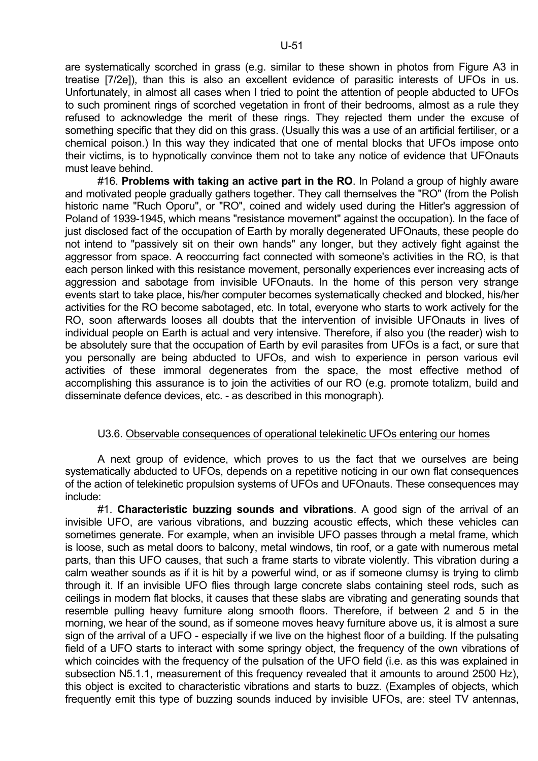are systematically scorched in grass (e.g. similar to these shown in photos from Figure A3 in treatise [7/2e]), than this is also an excellent evidence of parasitic interests of UFOs in us. Unfortunately, in almost all cases when I tried to point the attention of people abducted to UFOs to such prominent rings of scorched vegetation in front of their bedrooms, almost as a rule they refused to acknowledge the merit of these rings. They rejected them under the excuse of something specific that they did on this grass. (Usually this was a use of an artificial fertiliser, or a chemical poison.) In this way they indicated that one of mental blocks that UFOs impose onto their victims, is to hypnotically convince them not to take any notice of evidence that UFOnauts must leave behind.

 #16. **Problems with taking an active part in the RO**. In Poland a group of highly aware and motivated people gradually gathers together. They call themselves the "RO" (from the Polish historic name "Ruch Oporu", or "RO", coined and widely used during the Hitler's aggression of Poland of 1939-1945, which means "resistance movement" against the occupation). In the face of just disclosed fact of the occupation of Earth by morally degenerated UFOnauts, these people do not intend to "passively sit on their own hands" any longer, but they actively fight against the aggressor from space. A reoccurring fact connected with someone's activities in the RO, is that each person linked with this resistance movement, personally experiences ever increasing acts of aggression and sabotage from invisible UFOnauts. In the home of this person very strange events start to take place, his/her computer becomes systematically checked and blocked, his/her activities for the RO become sabotaged, etc. In total, everyone who starts to work actively for the RO, soon afterwards looses all doubts that the intervention of invisible UFOnauts in lives of individual people on Earth is actual and very intensive. Therefore, if also you (the reader) wish to be absolutely sure that the occupation of Earth by evil parasites from UFOs is a fact, or sure that you personally are being abducted to UFOs, and wish to experience in person various evil activities of these immoral degenerates from the space, the most effective method of accomplishing this assurance is to join the activities of our RO (e.g. promote totalizm, build and disseminate defence devices, etc. - as described in this monograph).

## U3.6. Observable consequences of operational telekinetic UFOs entering our homes

 A next group of evidence, which proves to us the fact that we ourselves are being systematically abducted to UFOs, depends on a repetitive noticing in our own flat consequences of the action of telekinetic propulsion systems of UFOs and UFOnauts. These consequences may include:

 #1. **Characteristic buzzing sounds and vibrations**. A good sign of the arrival of an invisible UFO, are various vibrations, and buzzing acoustic effects, which these vehicles can sometimes generate. For example, when an invisible UFO passes through a metal frame, which is loose, such as metal doors to balcony, metal windows, tin roof, or a gate with numerous metal parts, than this UFO causes, that such a frame starts to vibrate violently. This vibration during a calm weather sounds as if it is hit by a powerful wind, or as if someone clumsy is trying to climb through it. If an invisible UFO flies through large concrete slabs containing steel rods, such as ceilings in modern flat blocks, it causes that these slabs are vibrating and generating sounds that resemble pulling heavy furniture along smooth floors. Therefore, if between 2 and 5 in the morning, we hear of the sound, as if someone moves heavy furniture above us, it is almost a sure sign of the arrival of a UFO - especially if we live on the highest floor of a building. If the pulsating field of a UFO starts to interact with some springy object, the frequency of the own vibrations of which coincides with the frequency of the pulsation of the UFO field (i.e. as this was explained in subsection N5.1.1, measurement of this frequency revealed that it amounts to around 2500 Hz), this object is excited to characteristic vibrations and starts to buzz. (Examples of objects, which frequently emit this type of buzzing sounds induced by invisible UFOs, are: steel TV antennas,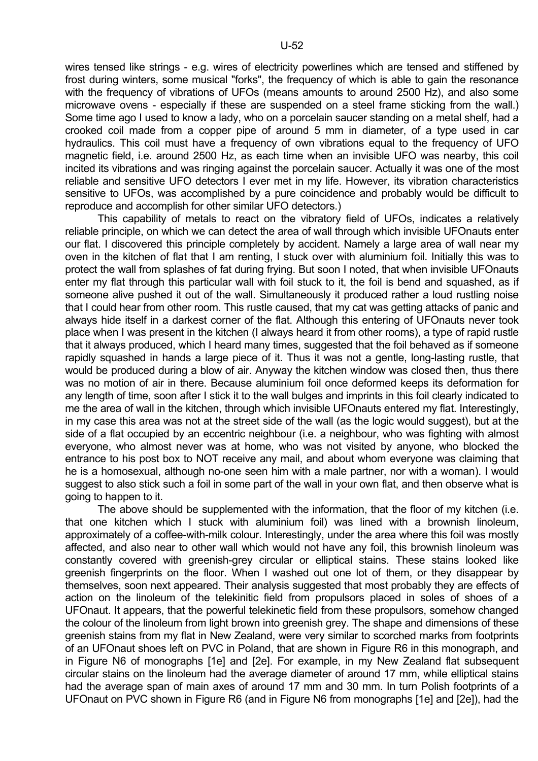wires tensed like strings - e.g. wires of electricity powerlines which are tensed and stiffened by frost during winters, some musical "forks", the frequency of which is able to gain the resonance with the frequency of vibrations of UFOs (means amounts to around 2500 Hz), and also some microwave ovens - especially if these are suspended on a steel frame sticking from the wall.) Some time ago I used to know a lady, who on a porcelain saucer standing on a metal shelf, had a crooked coil made from a copper pipe of around 5 mm in diameter, of a type used in car hydraulics. This coil must have a frequency of own vibrations equal to the frequency of UFO magnetic field, i.e. around 2500 Hz, as each time when an invisible UFO was nearby, this coil incited its vibrations and was ringing against the porcelain saucer. Actually it was one of the most reliable and sensitive UFO detectors I ever met in my life. However, its vibration characteristics sensitive to UFOs, was accomplished by a pure coincidence and probably would be difficult to reproduce and accomplish for other similar UFO detectors.)

 This capability of metals to react on the vibratory field of UFOs, indicates a relatively reliable principle, on which we can detect the area of wall through which invisible UFOnauts enter our flat. I discovered this principle completely by accident. Namely a large area of wall near my oven in the kitchen of flat that I am renting, I stuck over with aluminium foil. Initially this was to protect the wall from splashes of fat during frying. But soon I noted, that when invisible UFOnauts enter my flat through this particular wall with foil stuck to it, the foil is bend and squashed, as if someone alive pushed it out of the wall. Simultaneously it produced rather a loud rustling noise that I could hear from other room. This rustle caused, that my cat was getting attacks of panic and always hide itself in a darkest corner of the flat. Although this entering of UFOnauts never took place when I was present in the kitchen (I always heard it from other rooms), a type of rapid rustle that it always produced, which I heard many times, suggested that the foil behaved as if someone rapidly squashed in hands a large piece of it. Thus it was not a gentle, long-lasting rustle, that would be produced during a blow of air. Anyway the kitchen window was closed then, thus there was no motion of air in there. Because aluminium foil once deformed keeps its deformation for any length of time, soon after I stick it to the wall bulges and imprints in this foil clearly indicated to me the area of wall in the kitchen, through which invisible UFOnauts entered my flat. Interestingly, in my case this area was not at the street side of the wall (as the logic would suggest), but at the side of a flat occupied by an eccentric neighbour (i.e. a neighbour, who was fighting with almost everyone, who almost never was at home, who was not visited by anyone, who blocked the entrance to his post box to NOT receive any mail, and about whom everyone was claiming that he is a homosexual, although no-one seen him with a male partner, nor with a woman). I would suggest to also stick such a foil in some part of the wall in your own flat, and then observe what is going to happen to it.

 The above should be supplemented with the information, that the floor of my kitchen (i.e. that one kitchen which I stuck with aluminium foil) was lined with a brownish linoleum, approximately of a coffee-with-milk colour. Interestingly, under the area where this foil was mostly affected, and also near to other wall which would not have any foil, this brownish linoleum was constantly covered with greenish-grey circular or elliptical stains. These stains looked like greenish fingerprints on the floor. When I washed out one lot of them, or they disappear by themselves, soon next appeared. Their analysis suggested that most probably they are effects of action on the linoleum of the telekinitic field from propulsors placed in soles of shoes of a UFOnaut. It appears, that the powerful telekinetic field from these propulsors, somehow changed the colour of the linoleum from light brown into greenish grey. The shape and dimensions of these greenish stains from my flat in New Zealand, were very similar to scorched marks from footprints of an UFOnaut shoes left on PVC in Poland, that are shown in Figure R6 in this monograph, and in Figure N6 of monographs [1e] and [2e]. For example, in my New Zealand flat subsequent circular stains on the linoleum had the average diameter of around 17 mm, while elliptical stains had the average span of main axes of around 17 mm and 30 mm. In turn Polish footprints of a UFOnaut on PVC shown in Figure R6 (and in Figure N6 from monographs [1e] and [2e]), had the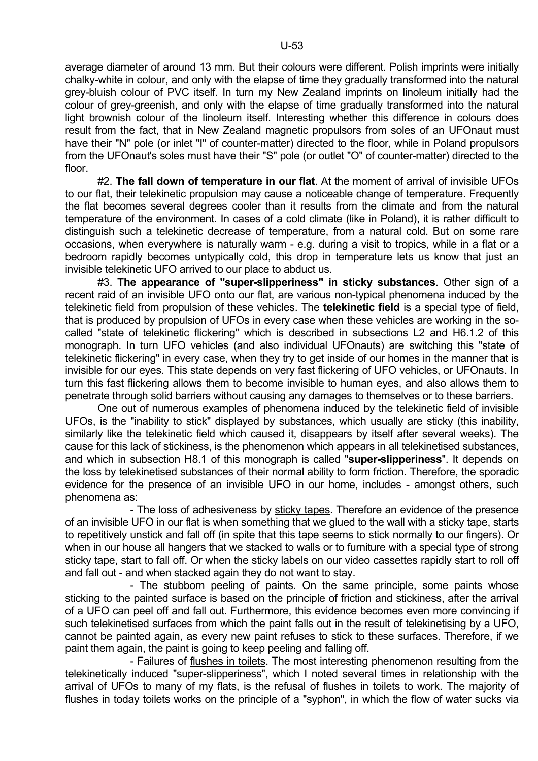average diameter of around 13 mm. But their colours were different. Polish imprints were initially chalky-white in colour, and only with the elapse of time they gradually transformed into the natural grey-bluish colour of PVC itself. In turn my New Zealand imprints on linoleum initially had the colour of grey-greenish, and only with the elapse of time gradually transformed into the natural light brownish colour of the linoleum itself. Interesting whether this difference in colours does result from the fact, that in New Zealand magnetic propulsors from soles of an UFOnaut must have their "N" pole (or inlet "I" of counter-matter) directed to the floor, while in Poland propulsors from the UFOnaut's soles must have their "S" pole (or outlet "O" of counter-matter) directed to the floor.

 #2. **The fall down of temperature in our flat**. At the moment of arrival of invisible UFOs to our flat, their telekinetic propulsion may cause a noticeable change of temperature. Frequently the flat becomes several degrees cooler than it results from the climate and from the natural temperature of the environment. In cases of a cold climate (like in Poland), it is rather difficult to distinguish such a telekinetic decrease of temperature, from a natural cold. But on some rare occasions, when everywhere is naturally warm - e.g. during a visit to tropics, while in a flat or a bedroom rapidly becomes untypically cold, this drop in temperature lets us know that just an invisible telekinetic UFO arrived to our place to abduct us.

 #3. **The appearance of "super-slipperiness" in sticky substances**. Other sign of a recent raid of an invisible UFO onto our flat, are various non-typical phenomena induced by the telekinetic field from propulsion of these vehicles. The **telekinetic field** is a special type of field, that is produced by propulsion of UFOs in every case when these vehicles are working in the socalled "state of telekinetic flickering" which is described in subsections L2 and H6.1.2 of this monograph. In turn UFO vehicles (and also individual UFOnauts) are switching this "state of telekinetic flickering" in every case, when they try to get inside of our homes in the manner that is invisible for our eyes. This state depends on very fast flickering of UFO vehicles, or UFOnauts. In turn this fast flickering allows them to become invisible to human eyes, and also allows them to penetrate through solid barriers without causing any damages to themselves or to these barriers.

 One out of numerous examples of phenomena induced by the telekinetic field of invisible UFOs, is the "inability to stick" displayed by substances, which usually are sticky (this inability, similarly like the telekinetic field which caused it, disappears by itself after several weeks). The cause for this lack of stickiness, is the phenomenon which appears in all telekinetised substances, and which in subsection H8.1 of this monograph is called "**super-slipperiness**". It depends on the loss by telekinetised substances of their normal ability to form friction. Therefore, the sporadic evidence for the presence of an invisible UFO in our home, includes - amongst others, such phenomena as:

 - The loss of adhesiveness by sticky tapes. Therefore an evidence of the presence of an invisible UFO in our flat is when something that we glued to the wall with a sticky tape, starts to repetitively unstick and fall off (in spite that this tape seems to stick normally to our fingers). Or when in our house all hangers that we stacked to walls or to furniture with a special type of strong sticky tape, start to fall off. Or when the sticky labels on our video cassettes rapidly start to roll off and fall out - and when stacked again they do not want to stay.

 - The stubborn peeling of paints. On the same principle, some paints whose sticking to the painted surface is based on the principle of friction and stickiness, after the arrival of a UFO can peel off and fall out. Furthermore, this evidence becomes even more convincing if such telekinetised surfaces from which the paint falls out in the result of telekinetising by a UFO, cannot be painted again, as every new paint refuses to stick to these surfaces. Therefore, if we paint them again, the paint is going to keep peeling and falling off.

 - Failures of flushes in toilets. The most interesting phenomenon resulting from the telekinetically induced "super-slipperiness", which I noted several times in relationship with the arrival of UFOs to many of my flats, is the refusal of flushes in toilets to work. The majority of flushes in today toilets works on the principle of a "syphon", in which the flow of water sucks via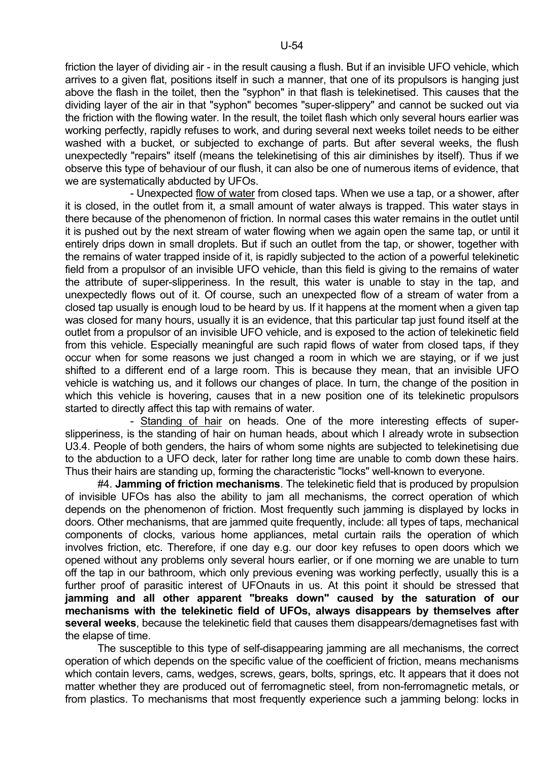friction the layer of dividing air - in the result causing a flush. But if an invisible UFO vehicle, which arrives to a given flat, positions itself in such a manner, that one of its propulsors is hanging just above the flash in the toilet, then the "syphon" in that flash is telekinetised. This causes that the dividing layer of the air in that "syphon" becomes "super-slippery" and cannot be sucked out via the friction with the flowing water. In the result, the toilet flash which only several hours earlier was working perfectly, rapidly refuses to work, and during several next weeks toilet needs to be either washed with a bucket, or subjected to exchange of parts. But after several weeks, the flush unexpectedly "repairs" itself (means the telekinetising of this air diminishes by itself). Thus if we observe this type of behaviour of our flush, it can also be one of numerous items of evidence, that we are systematically abducted by UFOs.

 - Unexpected flow of water from closed taps. When we use a tap, or a shower, after it is closed, in the outlet from it, a small amount of water always is trapped. This water stays in there because of the phenomenon of friction. In normal cases this water remains in the outlet until it is pushed out by the next stream of water flowing when we again open the same tap, or until it entirely drips down in small droplets. But if such an outlet from the tap, or shower, together with the remains of water trapped inside of it, is rapidly subjected to the action of a powerful telekinetic field from a propulsor of an invisible UFO vehicle, than this field is giving to the remains of water the attribute of super-slipperiness. In the result, this water is unable to stay in the tap, and unexpectedly flows out of it. Of course, such an unexpected flow of a stream of water from a closed tap usually is enough loud to be heard by us. If it happens at the moment when a given tap was closed for many hours, usually it is an evidence, that this particular tap just found itself at the outlet from a propulsor of an invisible UFO vehicle, and is exposed to the action of telekinetic field from this vehicle. Especially meaningful are such rapid flows of water from closed taps, if they occur when for some reasons we just changed a room in which we are staying, or if we just shifted to a different end of a large room. This is because they mean, that an invisible UFO vehicle is watching us, and it follows our changes of place. In turn, the change of the position in which this vehicle is hovering, causes that in a new position one of its telekinetic propulsors started to directly affect this tap with remains of water.

 - Standing of hair on heads. One of the more interesting effects of superslipperiness, is the standing of hair on human heads, about which I already wrote in subsection U3.4. People of both genders, the hairs of whom some nights are subjected to telekinetising due to the abduction to a UFO deck, later for rather long time are unable to comb down these hairs. Thus their hairs are standing up, forming the characteristic "locks" well-known to everyone.

 #4. **Jamming of friction mechanisms**. The telekinetic field that is produced by propulsion of invisible UFOs has also the ability to jam all mechanisms, the correct operation of which depends on the phenomenon of friction. Most frequently such jamming is displayed by locks in doors. Other mechanisms, that are jammed quite frequently, include: all types of taps, mechanical components of clocks, various home appliances, metal curtain rails the operation of which involves friction, etc. Therefore, if one day e.g. our door key refuses to open doors which we opened without any problems only several hours earlier, or if one morning we are unable to turn off the tap in our bathroom, which only previous evening was working perfectly, usually this is a further proof of parasitic interest of UFOnauts in us. At this point it should be stressed that **jamming and all other apparent "breaks down" caused by the saturation of our mechanisms with the telekinetic field of UFOs, always disappears by themselves after several weeks**, because the telekinetic field that causes them disappears/demagnetises fast with the elapse of time.

 The susceptible to this type of self-disappearing jamming are all mechanisms, the correct operation of which depends on the specific value of the coefficient of friction, means mechanisms which contain levers, cams, wedges, screws, gears, bolts, springs, etc. It appears that it does not matter whether they are produced out of ferromagnetic steel, from non-ferromagnetic metals, or from plastics. To mechanisms that most frequently experience such a jamming belong: locks in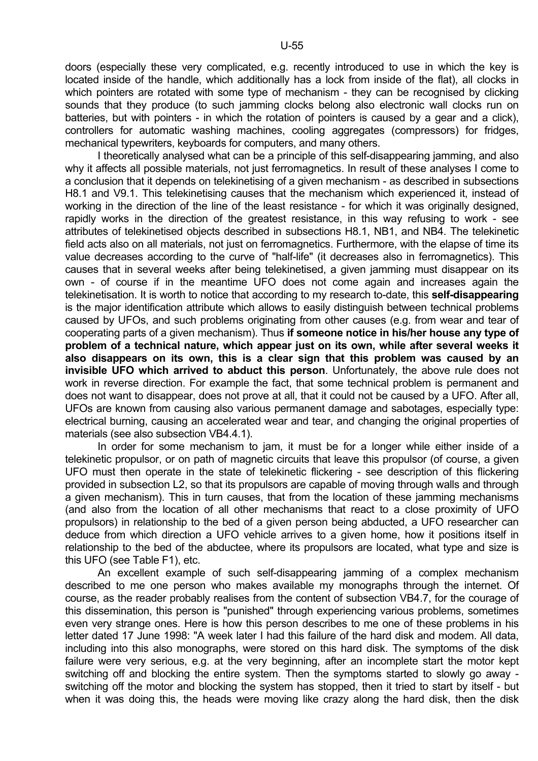doors (especially these very complicated, e.g. recently introduced to use in which the key is located inside of the handle, which additionally has a lock from inside of the flat), all clocks in which pointers are rotated with some type of mechanism - they can be recognised by clicking sounds that they produce (to such jamming clocks belong also electronic wall clocks run on batteries, but with pointers - in which the rotation of pointers is caused by a gear and a click), controllers for automatic washing machines, cooling aggregates (compressors) for fridges, mechanical typewriters, keyboards for computers, and many others.

 I theoretically analysed what can be a principle of this self-disappearing jamming, and also why it affects all possible materials, not just ferromagnetics. In result of these analyses I come to a conclusion that it depends on telekinetising of a given mechanism - as described in subsections H8.1 and V9.1. This telekinetising causes that the mechanism which experienced it, instead of working in the direction of the line of the least resistance - for which it was originally designed, rapidly works in the direction of the greatest resistance, in this way refusing to work - see attributes of telekinetised objects described in subsections H8.1, NB1, and NB4. The telekinetic field acts also on all materials, not just on ferromagnetics. Furthermore, with the elapse of time its value decreases according to the curve of "half-life" (it decreases also in ferromagnetics). This causes that in several weeks after being telekinetised, a given jamming must disappear on its own - of course if in the meantime UFO does not come again and increases again the telekinetisation. It is worth to notice that according to my research to-date, this **self-disappearing** is the major identification attribute which allows to easily distinguish between technical problems caused by UFOs, and such problems originating from other causes (e.g. from wear and tear of cooperating parts of a given mechanism). Thus **if someone notice in his/her house any type of problem of a technical nature, which appear just on its own, while after several weeks it also disappears on its own, this is a clear sign that this problem was caused by an invisible UFO which arrived to abduct this person**. Unfortunately, the above rule does not work in reverse direction. For example the fact, that some technical problem is permanent and does not want to disappear, does not prove at all, that it could not be caused by a UFO. After all, UFOs are known from causing also various permanent damage and sabotages, especially type: electrical burning, causing an accelerated wear and tear, and changing the original properties of materials (see also subsection VB4.4.1).

 In order for some mechanism to jam, it must be for a longer while either inside of a telekinetic propulsor, or on path of magnetic circuits that leave this propulsor (of course, a given UFO must then operate in the state of telekinetic flickering - see description of this flickering provided in subsection L2, so that its propulsors are capable of moving through walls and through a given mechanism). This in turn causes, that from the location of these jamming mechanisms (and also from the location of all other mechanisms that react to a close proximity of UFO propulsors) in relationship to the bed of a given person being abducted, a UFO researcher can deduce from which direction a UFO vehicle arrives to a given home, how it positions itself in relationship to the bed of the abductee, where its propulsors are located, what type and size is this UFO (see Table F1), etc.

 An excellent example of such self-disappearing jamming of a complex mechanism described to me one person who makes available my monographs through the internet. Of course, as the reader probably realises from the content of subsection VB4.7, for the courage of this dissemination, this person is "punished" through experiencing various problems, sometimes even very strange ones. Here is how this person describes to me one of these problems in his letter dated 17 June 1998: "A week later I had this failure of the hard disk and modem. All data, including into this also monographs, were stored on this hard disk. The symptoms of the disk failure were very serious, e.g. at the very beginning, after an incomplete start the motor kept switching off and blocking the entire system. Then the symptoms started to slowly go away switching off the motor and blocking the system has stopped, then it tried to start by itself - but when it was doing this, the heads were moving like crazy along the hard disk, then the disk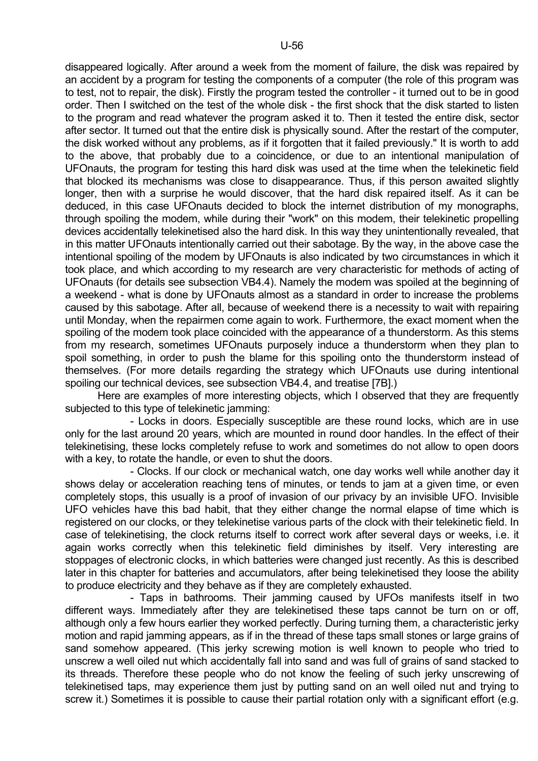disappeared logically. After around a week from the moment of failure, the disk was repaired by an accident by a program for testing the components of a computer (the role of this program was to test, not to repair, the disk). Firstly the program tested the controller - it turned out to be in good order. Then I switched on the test of the whole disk - the first shock that the disk started to listen to the program and read whatever the program asked it to. Then it tested the entire disk, sector after sector. It turned out that the entire disk is physically sound. After the restart of the computer, the disk worked without any problems, as if it forgotten that it failed previously." It is worth to add to the above, that probably due to a coincidence, or due to an intentional manipulation of UFOnauts, the program for testing this hard disk was used at the time when the telekinetic field that blocked its mechanisms was close to disappearance. Thus, if this person awaited slightly longer, then with a surprise he would discover, that the hard disk repaired itself. As it can be deduced, in this case UFOnauts decided to block the internet distribution of my monographs, through spoiling the modem, while during their "work" on this modem, their telekinetic propelling devices accidentally telekinetised also the hard disk. In this way they unintentionally revealed, that in this matter UFOnauts intentionally carried out their sabotage. By the way, in the above case the intentional spoiling of the modem by UFOnauts is also indicated by two circumstances in which it took place, and which according to my research are very characteristic for methods of acting of UFOnauts (for details see subsection VB4.4). Namely the modem was spoiled at the beginning of a weekend - what is done by UFOnauts almost as a standard in order to increase the problems caused by this sabotage. After all, because of weekend there is a necessity to wait with repairing until Monday, when the repairmen come again to work. Furthermore, the exact moment when the spoiling of the modem took place coincided with the appearance of a thunderstorm. As this stems from my research, sometimes UFOnauts purposely induce a thunderstorm when they plan to spoil something, in order to push the blame for this spoiling onto the thunderstorm instead of themselves. (For more details regarding the strategy which UFOnauts use during intentional spoiling our technical devices, see subsection VB4.4, and treatise [7B].)

 Here are examples of more interesting objects, which I observed that they are frequently subjected to this type of telekinetic jamming:

 - Locks in doors. Especially susceptible are these round locks, which are in use only for the last around 20 years, which are mounted in round door handles. In the effect of their telekinetising, these locks completely refuse to work and sometimes do not allow to open doors with a key, to rotate the handle, or even to shut the doors.

 - Clocks. If our clock or mechanical watch, one day works well while another day it shows delay or acceleration reaching tens of minutes, or tends to jam at a given time, or even completely stops, this usually is a proof of invasion of our privacy by an invisible UFO. Invisible UFO vehicles have this bad habit, that they either change the normal elapse of time which is registered on our clocks, or they telekinetise various parts of the clock with their telekinetic field. In case of telekinetising, the clock returns itself to correct work after several days or weeks, i.e. it again works correctly when this telekinetic field diminishes by itself. Very interesting are stoppages of electronic clocks, in which batteries were changed just recently. As this is described later in this chapter for batteries and accumulators, after being telekinetised they loose the ability to produce electricity and they behave as if they are completely exhausted.

 - Taps in bathrooms. Their jamming caused by UFOs manifests itself in two different ways. Immediately after they are telekinetised these taps cannot be turn on or off, although only a few hours earlier they worked perfectly. During turning them, a characteristic jerky motion and rapid jamming appears, as if in the thread of these taps small stones or large grains of sand somehow appeared. (This jerky screwing motion is well known to people who tried to unscrew a well oiled nut which accidentally fall into sand and was full of grains of sand stacked to its threads. Therefore these people who do not know the feeling of such jerky unscrewing of telekinetised taps, may experience them just by putting sand on an well oiled nut and trying to screw it.) Sometimes it is possible to cause their partial rotation only with a significant effort (e.g.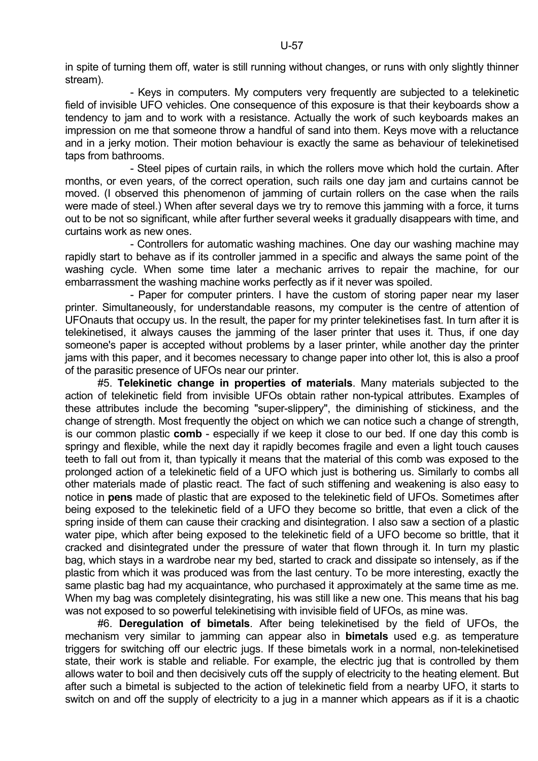in spite of turning them off, water is still running without changes, or runs with only slightly thinner stream).

 - Keys in computers. My computers very frequently are subjected to a telekinetic field of invisible UFO vehicles. One consequence of this exposure is that their keyboards show a tendency to jam and to work with a resistance. Actually the work of such keyboards makes an impression on me that someone throw a handful of sand into them. Keys move with a reluctance and in a jerky motion. Their motion behaviour is exactly the same as behaviour of telekinetised taps from bathrooms.

 - Steel pipes of curtain rails, in which the rollers move which hold the curtain. After months, or even years, of the correct operation, such rails one day jam and curtains cannot be moved. (I observed this phenomenon of jamming of curtain rollers on the case when the rails were made of steel.) When after several days we try to remove this jamming with a force, it turns out to be not so significant, while after further several weeks it gradually disappears with time, and curtains work as new ones.

 - Controllers for automatic washing machines. One day our washing machine may rapidly start to behave as if its controller jammed in a specific and always the same point of the washing cycle. When some time later a mechanic arrives to repair the machine, for our embarrassment the washing machine works perfectly as if it never was spoiled.

 - Paper for computer printers. I have the custom of storing paper near my laser printer. Simultaneously, for understandable reasons, my computer is the centre of attention of UFOnauts that occupy us. In the result, the paper for my printer telekinetises fast. In turn after it is telekinetised, it always causes the jamming of the laser printer that uses it. Thus, if one day someone's paper is accepted without problems by a laser printer, while another day the printer jams with this paper, and it becomes necessary to change paper into other lot, this is also a proof of the parasitic presence of UFOs near our printer.

 #5. **Telekinetic change in properties of materials**. Many materials subjected to the action of telekinetic field from invisible UFOs obtain rather non-typical attributes. Examples of these attributes include the becoming "super-slippery", the diminishing of stickiness, and the change of strength. Most frequently the object on which we can notice such a change of strength, is our common plastic **comb** - especially if we keep it close to our bed. If one day this comb is springy and flexible, while the next day it rapidly becomes fragile and even a light touch causes teeth to fall out from it, than typically it means that the material of this comb was exposed to the prolonged action of a telekinetic field of a UFO which just is bothering us. Similarly to combs all other materials made of plastic react. The fact of such stiffening and weakening is also easy to notice in **pens** made of plastic that are exposed to the telekinetic field of UFOs. Sometimes after being exposed to the telekinetic field of a UFO they become so brittle, that even a click of the spring inside of them can cause their cracking and disintegration. I also saw a section of a plastic water pipe, which after being exposed to the telekinetic field of a UFO become so brittle, that it cracked and disintegrated under the pressure of water that flown through it. In turn my plastic bag, which stays in a wardrobe near my bed, started to crack and dissipate so intensely, as if the plastic from which it was produced was from the last century. To be more interesting, exactly the same plastic bag had my acquaintance, who purchased it approximately at the same time as me. When my bag was completely disintegrating, his was still like a new one. This means that his bag was not exposed to so powerful telekinetising with invisible field of UFOs, as mine was.

 #6. **Deregulation of bimetals**. After being telekinetised by the field of UFOs, the mechanism very similar to jamming can appear also in **bimetals** used e.g. as temperature triggers for switching off our electric jugs. If these bimetals work in a normal, non-telekinetised state, their work is stable and reliable. For example, the electric jug that is controlled by them allows water to boil and then decisively cuts off the supply of electricity to the heating element. But after such a bimetal is subjected to the action of telekinetic field from a nearby UFO, it starts to switch on and off the supply of electricity to a jug in a manner which appears as if it is a chaotic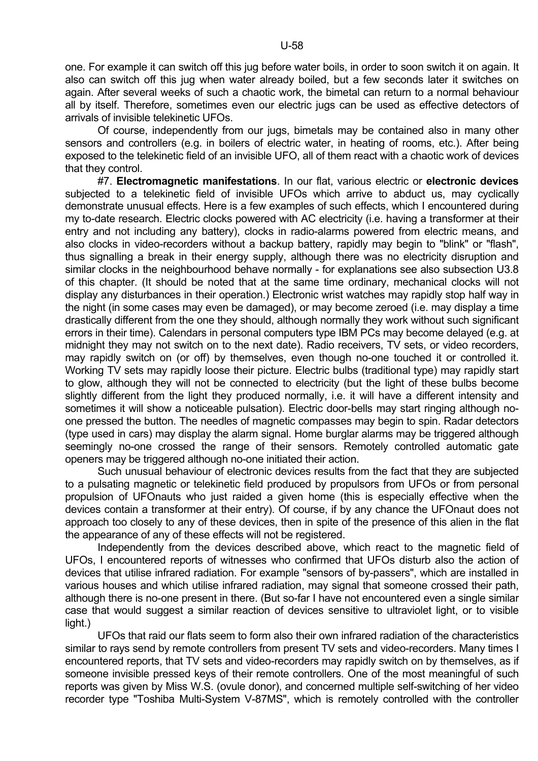one. For example it can switch off this jug before water boils, in order to soon switch it on again. It also can switch off this jug when water already boiled, but a few seconds later it switches on again. After several weeks of such a chaotic work, the bimetal can return to a normal behaviour all by itself. Therefore, sometimes even our electric jugs can be used as effective detectors of arrivals of invisible telekinetic UFOs.

 Of course, independently from our jugs, bimetals may be contained also in many other sensors and controllers (e.g. in boilers of electric water, in heating of rooms, etc.). After being exposed to the telekinetic field of an invisible UFO, all of them react with a chaotic work of devices that they control.

 #7. **Electromagnetic manifestations**. In our flat, various electric or **electronic devices** subjected to a telekinetic field of invisible UFOs which arrive to abduct us, may cyclically demonstrate unusual effects. Here is a few examples of such effects, which I encountered during my to-date research. Electric clocks powered with AC electricity (i.e. having a transformer at their entry and not including any battery), clocks in radio-alarms powered from electric means, and also clocks in video-recorders without a backup battery, rapidly may begin to "blink" or "flash", thus signalling a break in their energy supply, although there was no electricity disruption and similar clocks in the neighbourhood behave normally - for explanations see also subsection U3.8 of this chapter. (It should be noted that at the same time ordinary, mechanical clocks will not display any disturbances in their operation.) Electronic wrist watches may rapidly stop half way in the night (in some cases may even be damaged), or may become zeroed (i.e. may display a time drastically different from the one they should, although normally they work without such significant errors in their time). Calendars in personal computers type IBM PCs may become delayed (e.g. at midnight they may not switch on to the next date). Radio receivers, TV sets, or video recorders, may rapidly switch on (or off) by themselves, even though no-one touched it or controlled it. Working TV sets may rapidly loose their picture. Electric bulbs (traditional type) may rapidly start to glow, although they will not be connected to electricity (but the light of these bulbs become slightly different from the light they produced normally, i.e. it will have a different intensity and sometimes it will show a noticeable pulsation). Electric door-bells may start ringing although noone pressed the button. The needles of magnetic compasses may begin to spin. Radar detectors (type used in cars) may display the alarm signal. Home burglar alarms may be triggered although seemingly no-one crossed the range of their sensors. Remotely controlled automatic gate openers may be triggered although no-one initiated their action.

 Such unusual behaviour of electronic devices results from the fact that they are subjected to a pulsating magnetic or telekinetic field produced by propulsors from UFOs or from personal propulsion of UFOnauts who just raided a given home (this is especially effective when the devices contain a transformer at their entry). Of course, if by any chance the UFOnaut does not approach too closely to any of these devices, then in spite of the presence of this alien in the flat the appearance of any of these effects will not be registered.

 Independently from the devices described above, which react to the magnetic field of UFOs, I encountered reports of witnesses who confirmed that UFOs disturb also the action of devices that utilise infrared radiation. For example "sensors of by-passers", which are installed in various houses and which utilise infrared radiation, may signal that someone crossed their path, although there is no-one present in there. (But so-far I have not encountered even a single similar case that would suggest a similar reaction of devices sensitive to ultraviolet light, or to visible light.)

 UFOs that raid our flats seem to form also their own infrared radiation of the characteristics similar to rays send by remote controllers from present TV sets and video-recorders. Many times I encountered reports, that TV sets and video-recorders may rapidly switch on by themselves, as if someone invisible pressed keys of their remote controllers. One of the most meaningful of such reports was given by Miss W.S. (ovule donor), and concerned multiple self-switching of her video recorder type "Toshiba Multi-System V-87MS", which is remotely controlled with the controller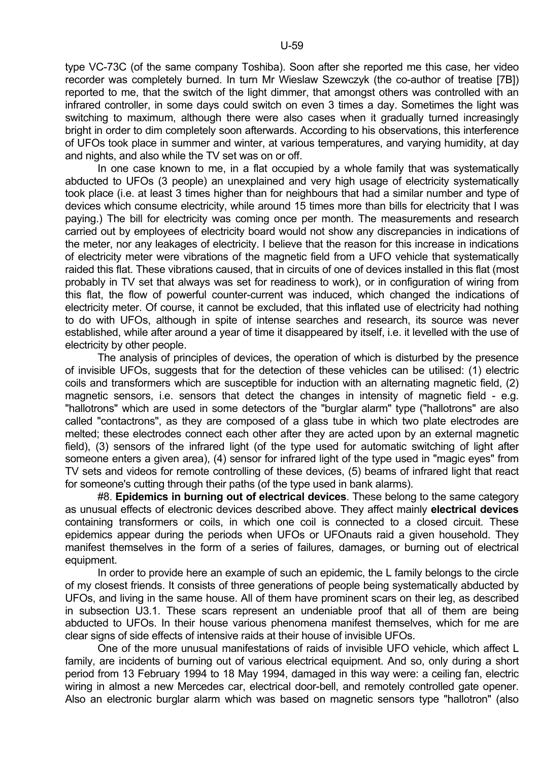type VC-73C (of the same company Toshiba). Soon after she reported me this case, her video recorder was completely burned. In turn Mr Wieslaw Szewczyk (the co-author of treatise [7B]) reported to me, that the switch of the light dimmer, that amongst others was controlled with an infrared controller, in some days could switch on even 3 times a day. Sometimes the light was switching to maximum, although there were also cases when it gradually turned increasingly bright in order to dim completely soon afterwards. According to his observations, this interference of UFOs took place in summer and winter, at various temperatures, and varying humidity, at day and nights, and also while the TV set was on or off.

 In one case known to me, in a flat occupied by a whole family that was systematically abducted to UFOs (3 people) an unexplained and very high usage of electricity systematically took place (i.e. at least 3 times higher than for neighbours that had a similar number and type of devices which consume electricity, while around 15 times more than bills for electricity that I was paying.) The bill for electricity was coming once per month. The measurements and research carried out by employees of electricity board would not show any discrepancies in indications of the meter, nor any leakages of electricity. I believe that the reason for this increase in indications of electricity meter were vibrations of the magnetic field from a UFO vehicle that systematically raided this flat. These vibrations caused, that in circuits of one of devices installed in this flat (most probably in TV set that always was set for readiness to work), or in configuration of wiring from this flat, the flow of powerful counter-current was induced, which changed the indications of electricity meter. Of course, it cannot be excluded, that this inflated use of electricity had nothing to do with UFOs, although in spite of intense searches and research, its source was never established, while after around a year of time it disappeared by itself, i.e. it levelled with the use of electricity by other people.

 The analysis of principles of devices, the operation of which is disturbed by the presence of invisible UFOs, suggests that for the detection of these vehicles can be utilised: (1) electric coils and transformers which are susceptible for induction with an alternating magnetic field, (2) magnetic sensors, i.e. sensors that detect the changes in intensity of magnetic field - e.g. "hallotrons" which are used in some detectors of the "burglar alarm" type ("hallotrons" are also called "contactrons", as they are composed of a glass tube in which two plate electrodes are melted; these electrodes connect each other after they are acted upon by an external magnetic field), (3) sensors of the infrared light (of the type used for automatic switching of light after someone enters a given area), (4) sensor for infrared light of the type used in "magic eyes" from TV sets and videos for remote controlling of these devices, (5) beams of infrared light that react for someone's cutting through their paths (of the type used in bank alarms).

 #8. **Epidemics in burning out of electrical devices**. These belong to the same category as unusual effects of electronic devices described above. They affect mainly **electrical devices** containing transformers or coils, in which one coil is connected to a closed circuit. These epidemics appear during the periods when UFOs or UFOnauts raid a given household. They manifest themselves in the form of a series of failures, damages, or burning out of electrical equipment.

 In order to provide here an example of such an epidemic, the L family belongs to the circle of my closest friends. It consists of three generations of people being systematically abducted by UFOs, and living in the same house. All of them have prominent scars on their leg, as described in subsection U3.1. These scars represent an undeniable proof that all of them are being abducted to UFOs. In their house various phenomena manifest themselves, which for me are clear signs of side effects of intensive raids at their house of invisible UFOs.

 One of the more unusual manifestations of raids of invisible UFO vehicle, which affect L family, are incidents of burning out of various electrical equipment. And so, only during a short period from 13 February 1994 to 18 May 1994, damaged in this way were: a ceiling fan, electric wiring in almost a new Mercedes car, electrical door-bell, and remotely controlled gate opener. Also an electronic burglar alarm which was based on magnetic sensors type "hallotron" (also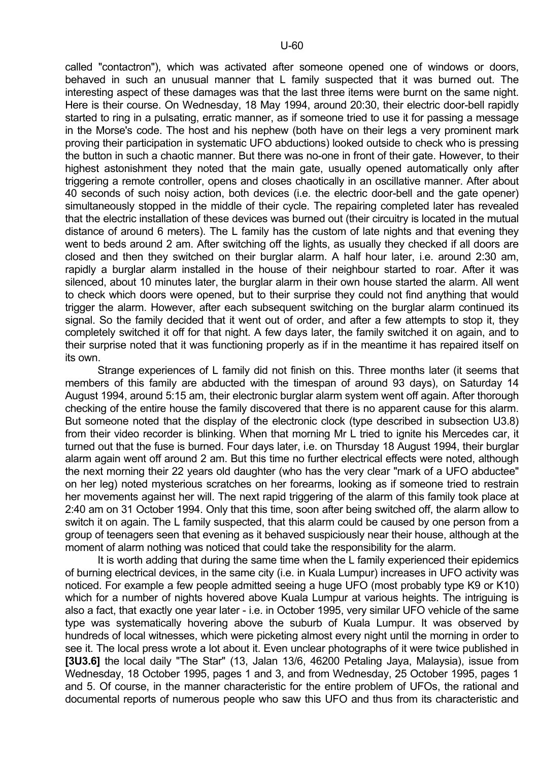called "contactron"), which was activated after someone opened one of windows or doors, behaved in such an unusual manner that L family suspected that it was burned out. The interesting aspect of these damages was that the last three items were burnt on the same night. Here is their course. On Wednesday, 18 May 1994, around 20:30, their electric door-bell rapidly started to ring in a pulsating, erratic manner, as if someone tried to use it for passing a message in the Morse's code. The host and his nephew (both have on their legs a very prominent mark proving their participation in systematic UFO abductions) looked outside to check who is pressing the button in such a chaotic manner. But there was no-one in front of their gate. However, to their highest astonishment they noted that the main gate, usually opened automatically only after triggering a remote controller, opens and closes chaotically in an oscillative manner. After about 40 seconds of such noisy action, both devices (i.e. the electric door-bell and the gate opener) simultaneously stopped in the middle of their cycle. The repairing completed later has revealed that the electric installation of these devices was burned out (their circuitry is located in the mutual distance of around 6 meters). The L family has the custom of late nights and that evening they went to beds around 2 am. After switching off the lights, as usually they checked if all doors are closed and then they switched on their burglar alarm. A half hour later, i.e. around 2:30 am, rapidly a burglar alarm installed in the house of their neighbour started to roar. After it was silenced, about 10 minutes later, the burglar alarm in their own house started the alarm. All went to check which doors were opened, but to their surprise they could not find anything that would trigger the alarm. However, after each subsequent switching on the burglar alarm continued its signal. So the family decided that it went out of order, and after a few attempts to stop it, they completely switched it off for that night. A few days later, the family switched it on again, and to their surprise noted that it was functioning properly as if in the meantime it has repaired itself on its own.

 Strange experiences of L family did not finish on this. Three months later (it seems that members of this family are abducted with the timespan of around 93 days), on Saturday 14 August 1994, around 5:15 am, their electronic burglar alarm system went off again. After thorough checking of the entire house the family discovered that there is no apparent cause for this alarm. But someone noted that the display of the electronic clock (type described in subsection U3.8) from their video recorder is blinking. When that morning Mr L tried to ignite his Mercedes car, it turned out that the fuse is burned. Four days later, i.e. on Thursday 18 August 1994, their burglar alarm again went off around 2 am. But this time no further electrical effects were noted, although the next morning their 22 years old daughter (who has the very clear "mark of a UFO abductee" on her leg) noted mysterious scratches on her forearms, looking as if someone tried to restrain her movements against her will. The next rapid triggering of the alarm of this family took place at 2:40 am on 31 October 1994. Only that this time, soon after being switched off, the alarm allow to switch it on again. The L family suspected, that this alarm could be caused by one person from a group of teenagers seen that evening as it behaved suspiciously near their house, although at the moment of alarm nothing was noticed that could take the responsibility for the alarm.

 It is worth adding that during the same time when the L family experienced their epidemics of burning electrical devices, in the same city (i.e. in Kuala Lumpur) increases in UFO activity was noticed. For example a few people admitted seeing a huge UFO (most probably type K9 or K10) which for a number of nights hovered above Kuala Lumpur at various heights. The intriguing is also a fact, that exactly one year later - i.e. in October 1995, very similar UFO vehicle of the same type was systematically hovering above the suburb of Kuala Lumpur. It was observed by hundreds of local witnesses, which were picketing almost every night until the morning in order to see it. The local press wrote a lot about it. Even unclear photographs of it were twice published in **[3U3.6]** the local daily "The Star" (13, Jalan 13/6, 46200 Petaling Jaya, Malaysia), issue from Wednesday, 18 October 1995, pages 1 and 3, and from Wednesday, 25 October 1995, pages 1 and 5. Of course, in the manner characteristic for the entire problem of UFOs, the rational and documental reports of numerous people who saw this UFO and thus from its characteristic and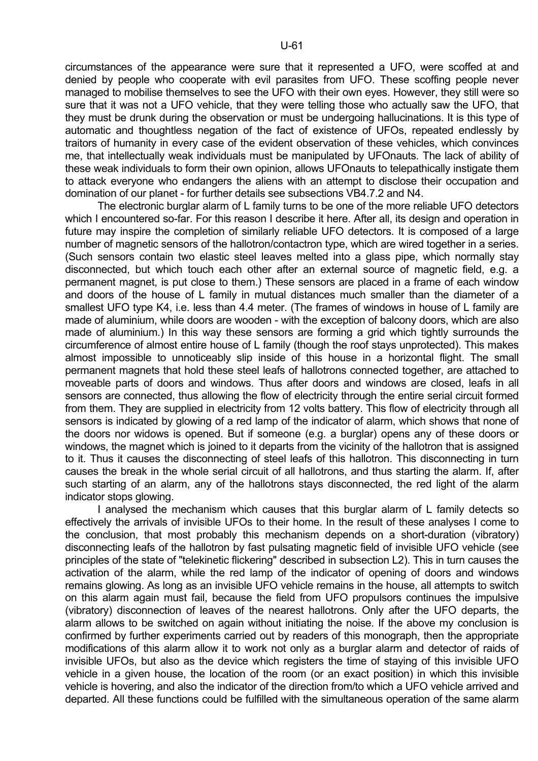circumstances of the appearance were sure that it represented a UFO, were scoffed at and denied by people who cooperate with evil parasites from UFO. These scoffing people never managed to mobilise themselves to see the UFO with their own eyes. However, they still were so sure that it was not a UFO vehicle, that they were telling those who actually saw the UFO, that they must be drunk during the observation or must be undergoing hallucinations. It is this type of automatic and thoughtless negation of the fact of existence of UFOs, repeated endlessly by traitors of humanity in every case of the evident observation of these vehicles, which convinces me, that intellectually weak individuals must be manipulated by UFOnauts. The lack of ability of these weak individuals to form their own opinion, allows UFOnauts to telepathically instigate them to attack everyone who endangers the aliens with an attempt to disclose their occupation and domination of our planet - for further details see subsections VB4.7.2 and N4.

 The electronic burglar alarm of L family turns to be one of the more reliable UFO detectors which I encountered so-far. For this reason I describe it here. After all, its design and operation in future may inspire the completion of similarly reliable UFO detectors. It is composed of a large number of magnetic sensors of the hallotron/contactron type, which are wired together in a series. (Such sensors contain two elastic steel leaves melted into a glass pipe, which normally stay disconnected, but which touch each other after an external source of magnetic field, e.g. a permanent magnet, is put close to them.) These sensors are placed in a frame of each window and doors of the house of L family in mutual distances much smaller than the diameter of a smallest UFO type K4, i.e. less than 4.4 meter. (The frames of windows in house of L family are made of aluminium, while doors are wooden - with the exception of balcony doors, which are also made of aluminium.) In this way these sensors are forming a grid which tightly surrounds the circumference of almost entire house of L family (though the roof stays unprotected). This makes almost impossible to unnoticeably slip inside of this house in a horizontal flight. The small permanent magnets that hold these steel leafs of hallotrons connected together, are attached to moveable parts of doors and windows. Thus after doors and windows are closed, leafs in all sensors are connected, thus allowing the flow of electricity through the entire serial circuit formed from them. They are supplied in electricity from 12 volts battery. This flow of electricity through all sensors is indicated by glowing of a red lamp of the indicator of alarm, which shows that none of the doors nor widows is opened. But if someone (e.g. a burglar) opens any of these doors or windows, the magnet which is joined to it departs from the vicinity of the hallotron that is assigned to it. Thus it causes the disconnecting of steel leafs of this hallotron. This disconnecting in turn causes the break in the whole serial circuit of all hallotrons, and thus starting the alarm. If, after such starting of an alarm, any of the hallotrons stays disconnected, the red light of the alarm indicator stops glowing.

 I analysed the mechanism which causes that this burglar alarm of L family detects so effectively the arrivals of invisible UFOs to their home. In the result of these analyses I come to the conclusion, that most probably this mechanism depends on a short-duration (vibratory) disconnecting leafs of the hallotron by fast pulsating magnetic field of invisible UFO vehicle (see principles of the state of "telekinetic flickering" described in subsection L2). This in turn causes the activation of the alarm, while the red lamp of the indicator of opening of doors and windows remains glowing. As long as an invisible UFO vehicle remains in the house, all attempts to switch on this alarm again must fail, because the field from UFO propulsors continues the impulsive (vibratory) disconnection of leaves of the nearest hallotrons. Only after the UFO departs, the alarm allows to be switched on again without initiating the noise. If the above my conclusion is confirmed by further experiments carried out by readers of this monograph, then the appropriate modifications of this alarm allow it to work not only as a burglar alarm and detector of raids of invisible UFOs, but also as the device which registers the time of staying of this invisible UFO vehicle in a given house, the location of the room (or an exact position) in which this invisible vehicle is hovering, and also the indicator of the direction from/to which a UFO vehicle arrived and departed. All these functions could be fulfilled with the simultaneous operation of the same alarm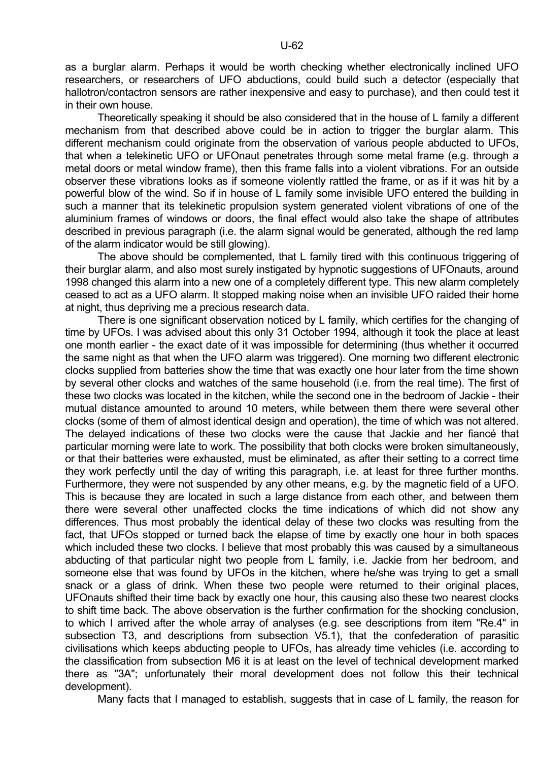as a burglar alarm. Perhaps it would be worth checking whether electronically inclined UFO researchers, or researchers of UFO abductions, could build such a detector (especially that hallotron/contactron sensors are rather inexpensive and easy to purchase), and then could test it in their own house.

 Theoretically speaking it should be also considered that in the house of L family a different mechanism from that described above could be in action to trigger the burglar alarm. This different mechanism could originate from the observation of various people abducted to UFOs, that when a telekinetic UFO or UFOnaut penetrates through some metal frame (e.g. through a metal doors or metal window frame), then this frame falls into a violent vibrations. For an outside observer these vibrations looks as if someone violently rattled the frame, or as if it was hit by a powerful blow of the wind. So if in house of L family some invisible UFO entered the building in such a manner that its telekinetic propulsion system generated violent vibrations of one of the aluminium frames of windows or doors, the final effect would also take the shape of attributes described in previous paragraph (i.e. the alarm signal would be generated, although the red lamp of the alarm indicator would be still glowing).

 The above should be complemented, that L family tired with this continuous triggering of their burglar alarm, and also most surely instigated by hypnotic suggestions of UFOnauts, around 1998 changed this alarm into a new one of a completely different type. This new alarm completely ceased to act as a UFO alarm. It stopped making noise when an invisible UFO raided their home at night, thus depriving me a precious research data.

 There is one significant observation noticed by L family, which certifies for the changing of time by UFOs. I was advised about this only 31 October 1994, although it took the place at least one month earlier - the exact date of it was impossible for determining (thus whether it occurred the same night as that when the UFO alarm was triggered). One morning two different electronic clocks supplied from batteries show the time that was exactly one hour later from the time shown by several other clocks and watches of the same household (i.e. from the real time). The first of these two clocks was located in the kitchen, while the second one in the bedroom of Jackie - their mutual distance amounted to around 10 meters, while between them there were several other clocks (some of them of almost identical design and operation), the time of which was not altered. The delayed indications of these two clocks were the cause that Jackie and her fiancé that particular morning were late to work. The possibility that both clocks were broken simultaneously, or that their batteries were exhausted, must be eliminated, as after their setting to a correct time they work perfectly until the day of writing this paragraph, i.e. at least for three further months. Furthermore, they were not suspended by any other means, e.g. by the magnetic field of a UFO. This is because they are located in such a large distance from each other, and between them there were several other unaffected clocks the time indications of which did not show any differences. Thus most probably the identical delay of these two clocks was resulting from the fact, that UFOs stopped or turned back the elapse of time by exactly one hour in both spaces which included these two clocks. I believe that most probably this was caused by a simultaneous abducting of that particular night two people from L family, i.e. Jackie from her bedroom, and someone else that was found by UFOs in the kitchen, where he/she was trying to get a small snack or a glass of drink. When these two people were returned to their original places, UFOnauts shifted their time back by exactly one hour, this causing also these two nearest clocks to shift time back. The above observation is the further confirmation for the shocking conclusion, to which I arrived after the whole array of analyses (e.g. see descriptions from item "Re.4" in subsection T3, and descriptions from subsection V5.1), that the confederation of parasitic civilisations which keeps abducting people to UFOs, has already time vehicles (i.e. according to the classification from subsection M6 it is at least on the level of technical development marked there as "3A"; unfortunately their moral development does not follow this their technical development).

Many facts that I managed to establish, suggests that in case of L family, the reason for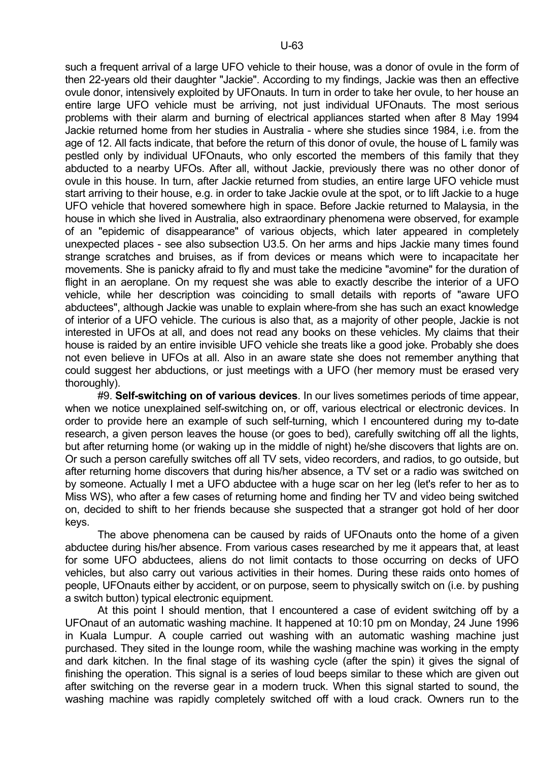such a frequent arrival of a large UFO vehicle to their house, was a donor of ovule in the form of then 22-years old their daughter "Jackie". According to my findings, Jackie was then an effective ovule donor, intensively exploited by UFOnauts. In turn in order to take her ovule, to her house an entire large UFO vehicle must be arriving, not just individual UFOnauts. The most serious problems with their alarm and burning of electrical appliances started when after 8 May 1994 Jackie returned home from her studies in Australia - where she studies since 1984, i.e. from the age of 12. All facts indicate, that before the return of this donor of ovule, the house of L family was pestled only by individual UFOnauts, who only escorted the members of this family that they abducted to a nearby UFOs. After all, without Jackie, previously there was no other donor of ovule in this house. In turn, after Jackie returned from studies, an entire large UFO vehicle must start arriving to their house, e.g. in order to take Jackie ovule at the spot, or to lift Jackie to a huge UFO vehicle that hovered somewhere high in space. Before Jackie returned to Malaysia, in the house in which she lived in Australia, also extraordinary phenomena were observed, for example of an "epidemic of disappearance" of various objects, which later appeared in completely unexpected places - see also subsection U3.5. On her arms and hips Jackie many times found strange scratches and bruises, as if from devices or means which were to incapacitate her movements. She is panicky afraid to fly and must take the medicine "avomine" for the duration of flight in an aeroplane. On my request she was able to exactly describe the interior of a UFO vehicle, while her description was coinciding to small details with reports of "aware UFO abductees", although Jackie was unable to explain where-from she has such an exact knowledge of interior of a UFO vehicle. The curious is also that, as a majority of other people, Jackie is not interested in UFOs at all, and does not read any books on these vehicles. My claims that their house is raided by an entire invisible UFO vehicle she treats like a good joke. Probably she does not even believe in UFOs at all. Also in an aware state she does not remember anything that could suggest her abductions, or just meetings with a UFO (her memory must be erased very

thoroughly).

 #9. **Self-switching on of various devices**. In our lives sometimes periods of time appear, when we notice unexplained self-switching on, or off, various electrical or electronic devices. In order to provide here an example of such self-turning, which I encountered during my to-date research, a given person leaves the house (or goes to bed), carefully switching off all the lights, but after returning home (or waking up in the middle of night) he/she discovers that lights are on. Or such a person carefully switches off all TV sets, video recorders, and radios, to go outside, but after returning home discovers that during his/her absence, a TV set or a radio was switched on by someone. Actually I met a UFO abductee with a huge scar on her leg (let's refer to her as to Miss WS), who after a few cases of returning home and finding her TV and video being switched on, decided to shift to her friends because she suspected that a stranger got hold of her door keys.

 The above phenomena can be caused by raids of UFOnauts onto the home of a given abductee during his/her absence. From various cases researched by me it appears that, at least for some UFO abductees, aliens do not limit contacts to those occurring on decks of UFO vehicles, but also carry out various activities in their homes. During these raids onto homes of people, UFOnauts either by accident, or on purpose, seem to physically switch on (i.e. by pushing a switch button) typical electronic equipment.

 At this point I should mention, that I encountered a case of evident switching off by a UFOnaut of an automatic washing machine. It happened at 10:10 pm on Monday, 24 June 1996 in Kuala Lumpur. A couple carried out washing with an automatic washing machine just purchased. They sited in the lounge room, while the washing machine was working in the empty and dark kitchen. In the final stage of its washing cycle (after the spin) it gives the signal of finishing the operation. This signal is a series of loud beeps similar to these which are given out after switching on the reverse gear in a modern truck. When this signal started to sound, the washing machine was rapidly completely switched off with a loud crack. Owners run to the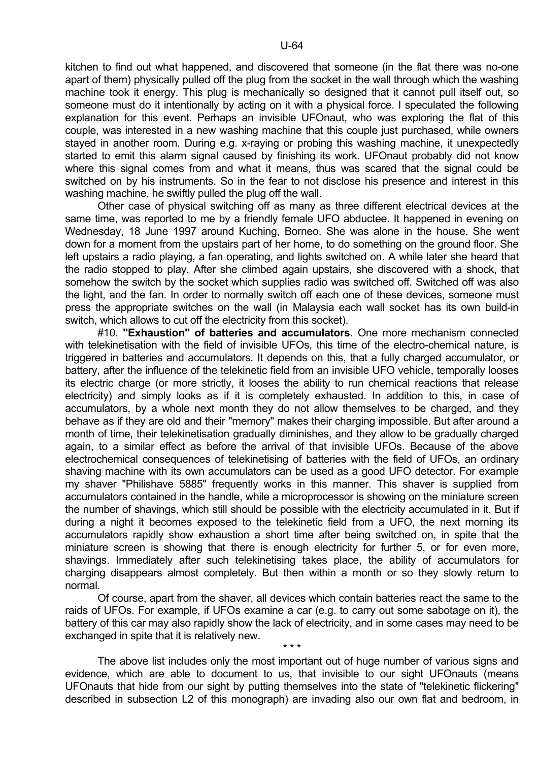kitchen to find out what happened, and discovered that someone (in the flat there was no-one apart of them) physically pulled off the plug from the socket in the wall through which the washing machine took it energy. This plug is mechanically so designed that it cannot pull itself out, so someone must do it intentionally by acting on it with a physical force. I speculated the following explanation for this event. Perhaps an invisible UFOnaut, who was exploring the flat of this couple, was interested in a new washing machine that this couple just purchased, while owners stayed in another room. During e.g. x-raying or probing this washing machine, it unexpectedly started to emit this alarm signal caused by finishing its work. UFOnaut probably did not know where this signal comes from and what it means, thus was scared that the signal could be switched on by his instruments. So in the fear to not disclose his presence and interest in this washing machine, he swiftly pulled the plug off the wall.

 Other case of physical switching off as many as three different electrical devices at the same time, was reported to me by a friendly female UFO abductee. It happened in evening on Wednesday, 18 June 1997 around Kuching, Borneo. She was alone in the house. She went down for a moment from the upstairs part of her home, to do something on the ground floor. She left upstairs a radio playing, a fan operating, and lights switched on. A while later she heard that the radio stopped to play. After she climbed again upstairs, she discovered with a shock, that somehow the switch by the socket which supplies radio was switched off. Switched off was also the light, and the fan. In order to normally switch off each one of these devices, someone must press the appropriate switches on the wall (in Malaysia each wall socket has its own build-in switch, which allows to cut off the electricity from this socket).

 #10. **"Exhaustion" of batteries and accumulators**. One more mechanism connected with telekinetisation with the field of invisible UFOs, this time of the electro-chemical nature, is triggered in batteries and accumulators. It depends on this, that a fully charged accumulator, or battery, after the influence of the telekinetic field from an invisible UFO vehicle, temporally looses its electric charge (or more strictly, it looses the ability to run chemical reactions that release electricity) and simply looks as if it is completely exhausted. In addition to this, in case of accumulators, by a whole next month they do not allow themselves to be charged, and they behave as if they are old and their "memory" makes their charging impossible. But after around a month of time, their telekinetisation gradually diminishes, and they allow to be gradually charged again, to a similar effect as before the arrival of that invisible UFOs. Because of the above electrochemical consequences of telekinetising of batteries with the field of UFOs, an ordinary shaving machine with its own accumulators can be used as a good UFO detector. For example my shaver "Philishave 5885" frequently works in this manner. This shaver is supplied from accumulators contained in the handle, while a microprocessor is showing on the miniature screen the number of shavings, which still should be possible with the electricity accumulated in it. But if during a night it becomes exposed to the telekinetic field from a UFO, the next morning its accumulators rapidly show exhaustion a short time after being switched on, in spite that the miniature screen is showing that there is enough electricity for further 5, or for even more, shavings. Immediately after such telekinetising takes place, the ability of accumulators for charging disappears almost completely. But then within a month or so they slowly return to normal.

 Of course, apart from the shaver, all devices which contain batteries react the same to the raids of UFOs. For example, if UFOs examine a car (e.g. to carry out some sabotage on it), the battery of this car may also rapidly show the lack of electricity, and in some cases may need to be exchanged in spite that it is relatively new.

 $\star \star \star$ 

 The above list includes only the most important out of huge number of various signs and evidence, which are able to document to us, that invisible to our sight UFOnauts (means UFOnauts that hide from our sight by putting themselves into the state of "telekinetic flickering" described in subsection L2 of this monograph) are invading also our own flat and bedroom, in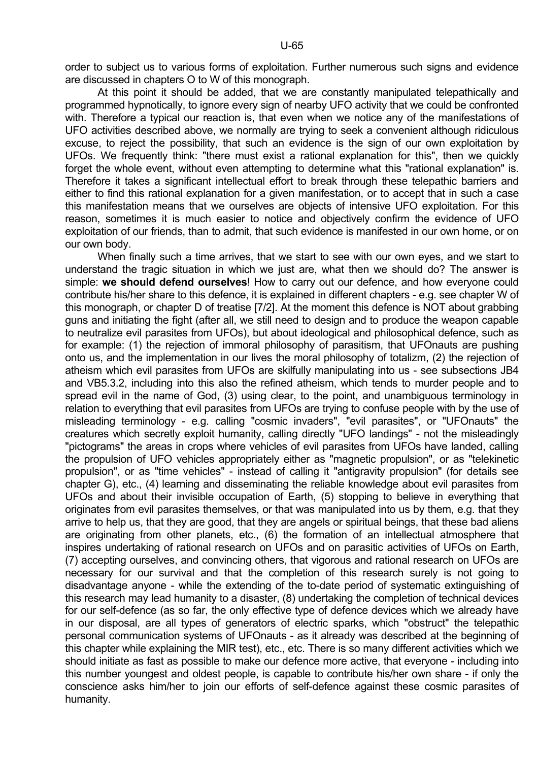order to subject us to various forms of exploitation. Further numerous such signs and evidence are discussed in chapters O to W of this monograph.

 At this point it should be added, that we are constantly manipulated telepathically and programmed hypnotically, to ignore every sign of nearby UFO activity that we could be confronted with. Therefore a typical our reaction is, that even when we notice any of the manifestations of UFO activities described above, we normally are trying to seek a convenient although ridiculous excuse, to reject the possibility, that such an evidence is the sign of our own exploitation by UFOs. We frequently think: "there must exist a rational explanation for this", then we quickly forget the whole event, without even attempting to determine what this "rational explanation" is. Therefore it takes a significant intellectual effort to break through these telepathic barriers and either to find this rational explanation for a given manifestation, or to accept that in such a case this manifestation means that we ourselves are objects of intensive UFO exploitation. For this reason, sometimes it is much easier to notice and objectively confirm the evidence of UFO exploitation of our friends, than to admit, that such evidence is manifested in our own home, or on our own body.

 When finally such a time arrives, that we start to see with our own eyes, and we start to understand the tragic situation in which we just are, what then we should do? The answer is simple: **we should defend ourselves**! How to carry out our defence, and how everyone could contribute his/her share to this defence, it is explained in different chapters - e.g. see chapter W of this monograph, or chapter D of treatise [7/2]. At the moment this defence is NOT about grabbing guns and initiating the fight (after all, we still need to design and to produce the weapon capable to neutralize evil parasites from UFOs), but about ideological and philosophical defence, such as for example: (1) the rejection of immoral philosophy of parasitism, that UFOnauts are pushing onto us, and the implementation in our lives the moral philosophy of totalizm, (2) the rejection of atheism which evil parasites from UFOs are skilfully manipulating into us - see subsections JB4 and VB5.3.2, including into this also the refined atheism, which tends to murder people and to spread evil in the name of God, (3) using clear, to the point, and unambiguous terminology in relation to everything that evil parasites from UFOs are trying to confuse people with by the use of misleading terminology - e.g. calling "cosmic invaders", "evil parasites", or "UFOnauts" the creatures which secretly exploit humanity, calling directly "UFO landings" - not the misleadingly "pictograms" the areas in crops where vehicles of evil parasites from UFOs have landed, calling the propulsion of UFO vehicles appropriately either as "magnetic propulsion", or as "telekinetic propulsion", or as "time vehicles" - instead of calling it "antigravity propulsion" (for details see chapter G), etc., (4) learning and disseminating the reliable knowledge about evil parasites from UFOs and about their invisible occupation of Earth, (5) stopping to believe in everything that originates from evil parasites themselves, or that was manipulated into us by them, e.g. that they arrive to help us, that they are good, that they are angels or spiritual beings, that these bad aliens are originating from other planets, etc., (6) the formation of an intellectual atmosphere that inspires undertaking of rational research on UFOs and on parasitic activities of UFOs on Earth, (7) accepting ourselves, and convincing others, that vigorous and rational research on UFOs are necessary for our survival and that the completion of this research surely is not going to disadvantage anyone - while the extending of the to-date period of systematic extinguishing of this research may lead humanity to a disaster, (8) undertaking the completion of technical devices for our self-defence (as so far, the only effective type of defence devices which we already have in our disposal, are all types of generators of electric sparks, which "obstruct" the telepathic personal communication systems of UFOnauts - as it already was described at the beginning of this chapter while explaining the MIR test), etc., etc. There is so many different activities which we should initiate as fast as possible to make our defence more active, that everyone - including into this number youngest and oldest people, is capable to contribute his/her own share - if only the conscience asks him/her to join our efforts of self-defence against these cosmic parasites of humanity.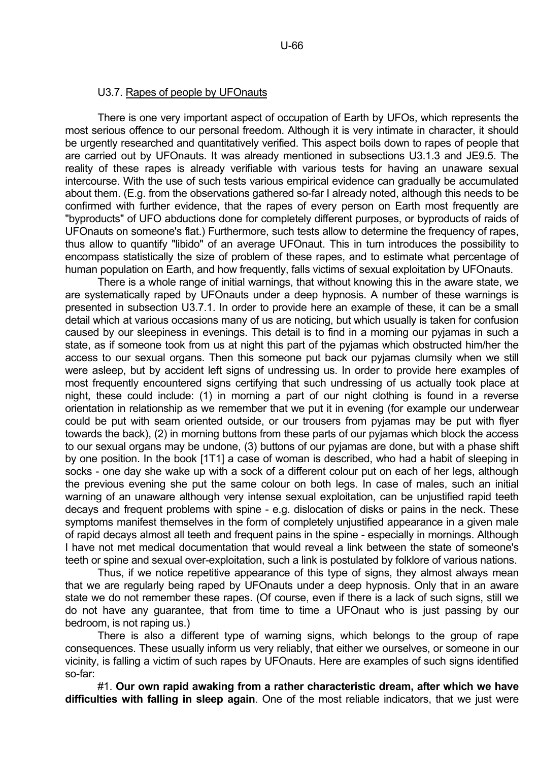## U3.7. Rapes of people by UFOnauts

 There is one very important aspect of occupation of Earth by UFOs, which represents the most serious offence to our personal freedom. Although it is very intimate in character, it should be urgently researched and quantitatively verified. This aspect boils down to rapes of people that are carried out by UFOnauts. It was already mentioned in subsections U3.1.3 and JE9.5. The reality of these rapes is already verifiable with various tests for having an unaware sexual intercourse. With the use of such tests various empirical evidence can gradually be accumulated about them. (E.g. from the observations gathered so-far I already noted, although this needs to be confirmed with further evidence, that the rapes of every person on Earth most frequently are "byproducts" of UFO abductions done for completely different purposes, or byproducts of raids of UFOnauts on someone's flat.) Furthermore, such tests allow to determine the frequency of rapes, thus allow to quantify "libido" of an average UFOnaut. This in turn introduces the possibility to encompass statistically the size of problem of these rapes, and to estimate what percentage of human population on Earth, and how frequently, falls victims of sexual exploitation by UFOnauts.

 There is a whole range of initial warnings, that without knowing this in the aware state, we are systematically raped by UFOnauts under a deep hypnosis. A number of these warnings is presented in subsection U3.7.1. In order to provide here an example of these, it can be a small detail which at various occasions many of us are noticing, but which usually is taken for confusion caused by our sleepiness in evenings. This detail is to find in a morning our pyjamas in such a state, as if someone took from us at night this part of the pyjamas which obstructed him/her the access to our sexual organs. Then this someone put back our pyjamas clumsily when we still were asleep, but by accident left signs of undressing us. In order to provide here examples of most frequently encountered signs certifying that such undressing of us actually took place at night, these could include: (1) in morning a part of our night clothing is found in a reverse orientation in relationship as we remember that we put it in evening (for example our underwear could be put with seam oriented outside, or our trousers from pyjamas may be put with flyer towards the back), (2) in morning buttons from these parts of our pyjamas which block the access to our sexual organs may be undone, (3) buttons of our pyjamas are done, but with a phase shift by one position. In the book [1T1] a case of woman is described, who had a habit of sleeping in socks - one day she wake up with a sock of a different colour put on each of her legs, although the previous evening she put the same colour on both legs. In case of males, such an initial warning of an unaware although very intense sexual exploitation, can be unjustified rapid teeth decays and frequent problems with spine - e.g. dislocation of disks or pains in the neck. These symptoms manifest themselves in the form of completely unjustified appearance in a given male of rapid decays almost all teeth and frequent pains in the spine - especially in mornings. Although I have not met medical documentation that would reveal a link between the state of someone's teeth or spine and sexual over-exploitation, such a link is postulated by folklore of various nations.

 Thus, if we notice repetitive appearance of this type of signs, they almost always mean that we are regularly being raped by UFOnauts under a deep hypnosis. Only that in an aware state we do not remember these rapes. (Of course, even if there is a lack of such signs, still we do not have any guarantee, that from time to time a UFOnaut who is just passing by our bedroom, is not raping us.)

 There is also a different type of warning signs, which belongs to the group of rape consequences. These usually inform us very reliably, that either we ourselves, or someone in our vicinity, is falling a victim of such rapes by UFOnauts. Here are examples of such signs identified so-far:

 #1. **Our own rapid awaking from a rather characteristic dream, after which we have difficulties with falling in sleep again**. One of the most reliable indicators, that we just were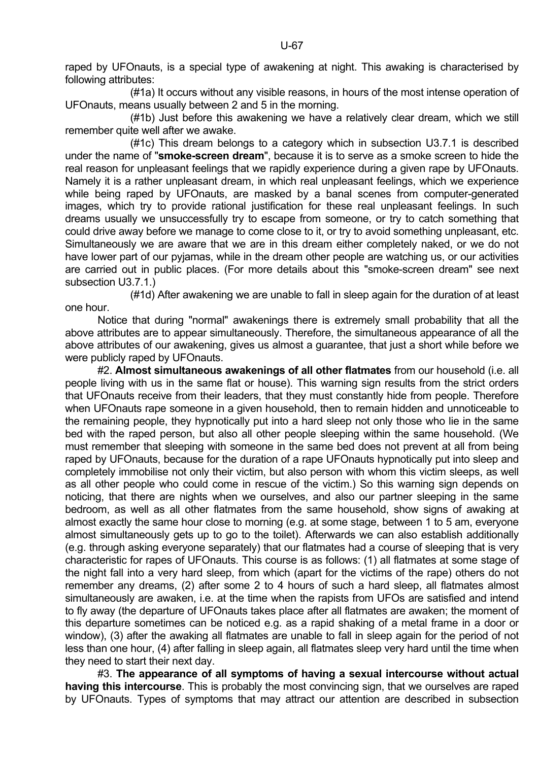raped by UFOnauts, is a special type of awakening at night. This awaking is characterised by following attributes:

 (#1a) It occurs without any visible reasons, in hours of the most intense operation of UFOnauts, means usually between 2 and 5 in the morning.

 (#1b) Just before this awakening we have a relatively clear dream, which we still remember quite well after we awake.

 (#1c) This dream belongs to a category which in subsection U3.7.1 is described under the name of "**smoke-screen dream**", because it is to serve as a smoke screen to hide the real reason for unpleasant feelings that we rapidly experience during a given rape by UFOnauts. Namely it is a rather unpleasant dream, in which real unpleasant feelings, which we experience while being raped by UFOnauts, are masked by a banal scenes from computer-generated images, which try to provide rational justification for these real unpleasant feelings. In such dreams usually we unsuccessfully try to escape from someone, or try to catch something that could drive away before we manage to come close to it, or try to avoid something unpleasant, etc. Simultaneously we are aware that we are in this dream either completely naked, or we do not have lower part of our pyjamas, while in the dream other people are watching us, or our activities are carried out in public places. (For more details about this "smoke-screen dream" see next subsection U3.7.1.)

 (#1d) After awakening we are unable to fall in sleep again for the duration of at least one hour.

 Notice that during "normal" awakenings there is extremely small probability that all the above attributes are to appear simultaneously. Therefore, the simultaneous appearance of all the above attributes of our awakening, gives us almost a guarantee, that just a short while before we were publicly raped by UFOnauts.

 #2. **Almost simultaneous awakenings of all other flatmates** from our household (i.e. all people living with us in the same flat or house). This warning sign results from the strict orders that UFOnauts receive from their leaders, that they must constantly hide from people. Therefore when UFOnauts rape someone in a given household, then to remain hidden and unnoticeable to the remaining people, they hypnotically put into a hard sleep not only those who lie in the same bed with the raped person, but also all other people sleeping within the same household. (We must remember that sleeping with someone in the same bed does not prevent at all from being raped by UFOnauts, because for the duration of a rape UFOnauts hypnotically put into sleep and completely immobilise not only their victim, but also person with whom this victim sleeps, as well as all other people who could come in rescue of the victim.) So this warning sign depends on noticing, that there are nights when we ourselves, and also our partner sleeping in the same bedroom, as well as all other flatmates from the same household, show signs of awaking at almost exactly the same hour close to morning (e.g. at some stage, between 1 to 5 am, everyone almost simultaneously gets up to go to the toilet). Afterwards we can also establish additionally (e.g. through asking everyone separately) that our flatmates had a course of sleeping that is very characteristic for rapes of UFOnauts. This course is as follows: (1) all flatmates at some stage of the night fall into a very hard sleep, from which (apart for the victims of the rape) others do not remember any dreams, (2) after some 2 to 4 hours of such a hard sleep, all flatmates almost simultaneously are awaken, i.e. at the time when the rapists from UFOs are satisfied and intend to fly away (the departure of UFOnauts takes place after all flatmates are awaken; the moment of this departure sometimes can be noticed e.g. as a rapid shaking of a metal frame in a door or window), (3) after the awaking all flatmates are unable to fall in sleep again for the period of not less than one hour, (4) after falling in sleep again, all flatmates sleep very hard until the time when they need to start their next day.

 #3. **The appearance of all symptoms of having a sexual intercourse without actual having this intercourse**. This is probably the most convincing sign, that we ourselves are raped by UFOnauts. Types of symptoms that may attract our attention are described in subsection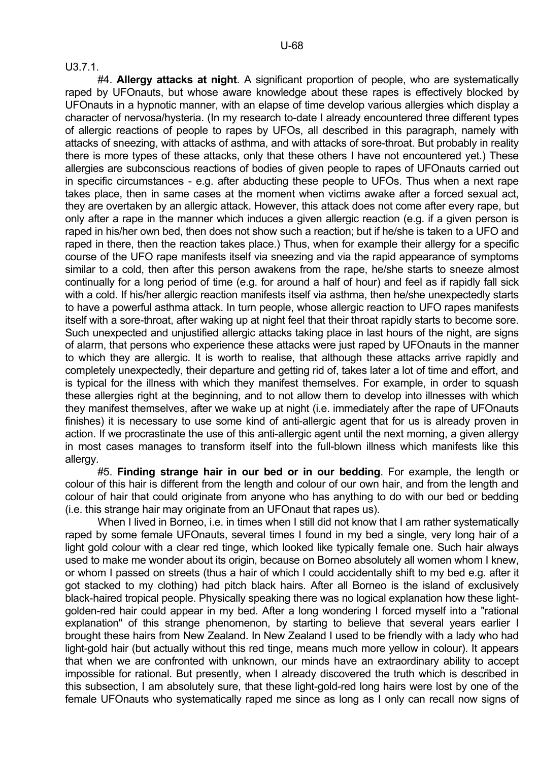U3.7.1.

 #4. **Allergy attacks at night**. A significant proportion of people, who are systematically raped by UFOnauts, but whose aware knowledge about these rapes is effectively blocked by UFOnauts in a hypnotic manner, with an elapse of time develop various allergies which display a character of nervosa/hysteria. (In my research to-date I already encountered three different types of allergic reactions of people to rapes by UFOs, all described in this paragraph, namely with attacks of sneezing, with attacks of asthma, and with attacks of sore-throat. But probably in reality there is more types of these attacks, only that these others I have not encountered yet.) These allergies are subconscious reactions of bodies of given people to rapes of UFOnauts carried out in specific circumstances - e.g. after abducting these people to UFOs. Thus when a next rape takes place, then in same cases at the moment when victims awake after a forced sexual act, they are overtaken by an allergic attack. However, this attack does not come after every rape, but only after a rape in the manner which induces a given allergic reaction (e.g. if a given person is raped in his/her own bed, then does not show such a reaction; but if he/she is taken to a UFO and raped in there, then the reaction takes place.) Thus, when for example their allergy for a specific course of the UFO rape manifests itself via sneezing and via the rapid appearance of symptoms similar to a cold, then after this person awakens from the rape, he/she starts to sneeze almost continually for a long period of time (e.g. for around a half of hour) and feel as if rapidly fall sick with a cold. If his/her allergic reaction manifests itself via asthma, then he/she unexpectedly starts to have a powerful asthma attack. In turn people, whose allergic reaction to UFO rapes manifests itself with a sore-throat, after waking up at night feel that their throat rapidly starts to become sore. Such unexpected and unjustified allergic attacks taking place in last hours of the night, are signs of alarm, that persons who experience these attacks were just raped by UFOnauts in the manner to which they are allergic. It is worth to realise, that although these attacks arrive rapidly and completely unexpectedly, their departure and getting rid of, takes later a lot of time and effort, and is typical for the illness with which they manifest themselves. For example, in order to squash these allergies right at the beginning, and to not allow them to develop into illnesses with which they manifest themselves, after we wake up at night (i.e. immediately after the rape of UFOnauts finishes) it is necessary to use some kind of anti-allergic agent that for us is already proven in action. If we procrastinate the use of this anti-allergic agent until the next morning, a given allergy in most cases manages to transform itself into the full-blown illness which manifests like this allergy.

 #5. **Finding strange hair in our bed or in our bedding**. For example, the length or colour of this hair is different from the length and colour of our own hair, and from the length and colour of hair that could originate from anyone who has anything to do with our bed or bedding (i.e. this strange hair may originate from an UFOnaut that rapes us).

When I lived in Borneo, i.e. in times when I still did not know that I am rather systematically raped by some female UFOnauts, several times I found in my bed a single, very long hair of a light gold colour with a clear red tinge, which looked like typically female one. Such hair always used to make me wonder about its origin, because on Borneo absolutely all women whom I knew, or whom I passed on streets (thus a hair of which I could accidentally shift to my bed e.g. after it got stacked to my clothing) had pitch black hairs. After all Borneo is the island of exclusively black-haired tropical people. Physically speaking there was no logical explanation how these lightgolden-red hair could appear in my bed. After a long wondering I forced myself into a "rational explanation" of this strange phenomenon, by starting to believe that several years earlier I brought these hairs from New Zealand. In New Zealand I used to be friendly with a lady who had light-gold hair (but actually without this red tinge, means much more yellow in colour). It appears that when we are confronted with unknown, our minds have an extraordinary ability to accept impossible for rational. But presently, when I already discovered the truth which is described in this subsection, I am absolutely sure, that these light-gold-red long hairs were lost by one of the female UFOnauts who systematically raped me since as long as I only can recall now signs of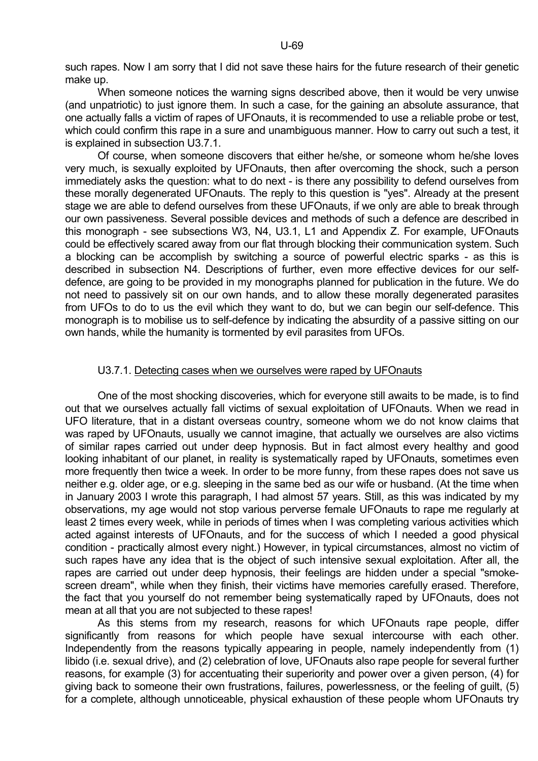such rapes. Now I am sorry that I did not save these hairs for the future research of their genetic make up.

 When someone notices the warning signs described above, then it would be very unwise (and unpatriotic) to just ignore them. In such a case, for the gaining an absolute assurance, that one actually falls a victim of rapes of UFOnauts, it is recommended to use a reliable probe or test, which could confirm this rape in a sure and unambiguous manner. How to carry out such a test, it is explained in subsection U3.7.1.

 Of course, when someone discovers that either he/she, or someone whom he/she loves very much, is sexually exploited by UFOnauts, then after overcoming the shock, such a person immediately asks the question: what to do next - is there any possibility to defend ourselves from these morally degenerated UFOnauts. The reply to this question is "yes". Already at the present stage we are able to defend ourselves from these UFOnauts, if we only are able to break through our own passiveness. Several possible devices and methods of such a defence are described in this monograph - see subsections W3, N4, U3.1, L1 and Appendix Z. For example, UFOnauts could be effectively scared away from our flat through blocking their communication system. Such a blocking can be accomplish by switching a source of powerful electric sparks - as this is described in subsection N4. Descriptions of further, even more effective devices for our selfdefence, are going to be provided in my monographs planned for publication in the future. We do not need to passively sit on our own hands, and to allow these morally degenerated parasites from UFOs to do to us the evil which they want to do, but we can begin our self-defence. This monograph is to mobilise us to self-defence by indicating the absurdity of a passive sitting on our own hands, while the humanity is tormented by evil parasites from UFOs.

#### U3.7.1. Detecting cases when we ourselves were raped by UFOnauts

 One of the most shocking discoveries, which for everyone still awaits to be made, is to find out that we ourselves actually fall victims of sexual exploitation of UFOnauts. When we read in UFO literature, that in a distant overseas country, someone whom we do not know claims that was raped by UFOnauts, usually we cannot imagine, that actually we ourselves are also victims of similar rapes carried out under deep hypnosis. But in fact almost every healthy and good looking inhabitant of our planet, in reality is systematically raped by UFOnauts, sometimes even more frequently then twice a week. In order to be more funny, from these rapes does not save us neither e.g. older age, or e.g. sleeping in the same bed as our wife or husband. (At the time when in January 2003 I wrote this paragraph, I had almost 57 years. Still, as this was indicated by my observations, my age would not stop various perverse female UFOnauts to rape me regularly at least 2 times every week, while in periods of times when I was completing various activities which acted against interests of UFOnauts, and for the success of which I needed a good physical condition - practically almost every night.) However, in typical circumstances, almost no victim of such rapes have any idea that is the object of such intensive sexual exploitation. After all, the rapes are carried out under deep hypnosis, their feelings are hidden under a special "smokescreen dream", while when they finish, their victims have memories carefully erased. Therefore, the fact that you yourself do not remember being systematically raped by UFOnauts, does not mean at all that you are not subjected to these rapes!

 As this stems from my research, reasons for which UFOnauts rape people, differ significantly from reasons for which people have sexual intercourse with each other. Independently from the reasons typically appearing in people, namely independently from (1) libido (i.e. sexual drive), and (2) celebration of love, UFOnauts also rape people for several further reasons, for example (3) for accentuating their superiority and power over a given person, (4) for giving back to someone their own frustrations, failures, powerlessness, or the feeling of guilt, (5) for a complete, although unnoticeable, physical exhaustion of these people whom UFOnauts try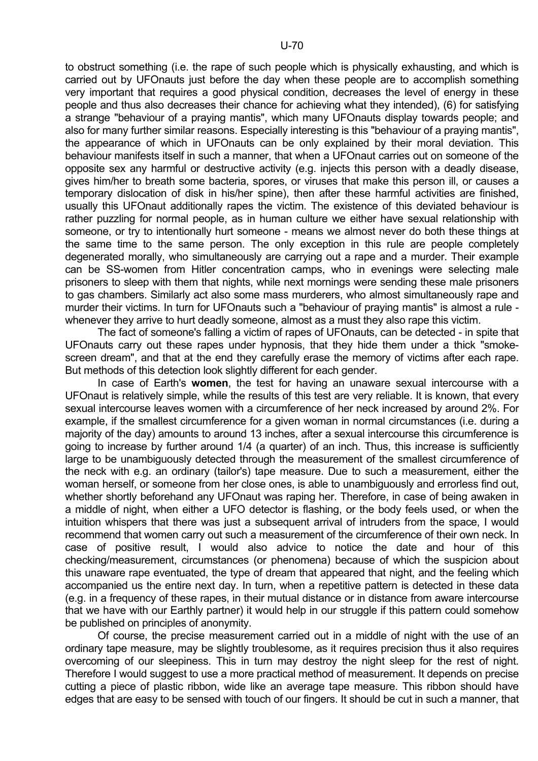to obstruct something (i.e. the rape of such people which is physically exhausting, and which is carried out by UFOnauts just before the day when these people are to accomplish something very important that requires a good physical condition, decreases the level of energy in these people and thus also decreases their chance for achieving what they intended), (6) for satisfying a strange "behaviour of a praying mantis", which many UFOnauts display towards people; and also for many further similar reasons. Especially interesting is this "behaviour of a praying mantis", the appearance of which in UFOnauts can be only explained by their moral deviation. This behaviour manifests itself in such a manner, that when a UFOnaut carries out on someone of the opposite sex any harmful or destructive activity (e.g. injects this person with a deadly disease, gives him/her to breath some bacteria, spores, or viruses that make this person ill, or causes a temporary dislocation of disk in his/her spine), then after these harmful activities are finished, usually this UFOnaut additionally rapes the victim. The existence of this deviated behaviour is rather puzzling for normal people, as in human culture we either have sexual relationship with someone, or try to intentionally hurt someone - means we almost never do both these things at the same time to the same person. The only exception in this rule are people completely degenerated morally, who simultaneously are carrying out a rape and a murder. Their example can be SS-women from Hitler concentration camps, who in evenings were selecting male prisoners to sleep with them that nights, while next mornings were sending these male prisoners to gas chambers. Similarly act also some mass murderers, who almost simultaneously rape and murder their victims. In turn for UFOnauts such a "behaviour of praying mantis" is almost a rule whenever they arrive to hurt deadly someone, almost as a must they also rape this victim.

 The fact of someone's falling a victim of rapes of UFOnauts, can be detected - in spite that UFOnauts carry out these rapes under hypnosis, that they hide them under a thick "smokescreen dream", and that at the end they carefully erase the memory of victims after each rape. But methods of this detection look slightly different for each gender.

 In case of Earth's **women**, the test for having an unaware sexual intercourse with a UFOnaut is relatively simple, while the results of this test are very reliable. It is known, that every sexual intercourse leaves women with a circumference of her neck increased by around 2%. For example, if the smallest circumference for a given woman in normal circumstances (i.e. during a majority of the day) amounts to around 13 inches, after a sexual intercourse this circumference is going to increase by further around 1/4 (a quarter) of an inch. Thus, this increase is sufficiently large to be unambiguously detected through the measurement of the smallest circumference of the neck with e.g. an ordinary (tailor's) tape measure. Due to such a measurement, either the woman herself, or someone from her close ones, is able to unambiguously and errorless find out, whether shortly beforehand any UFOnaut was raping her. Therefore, in case of being awaken in a middle of night, when either a UFO detector is flashing, or the body feels used, or when the intuition whispers that there was just a subsequent arrival of intruders from the space, I would recommend that women carry out such a measurement of the circumference of their own neck. In case of positive result, I would also advice to notice the date and hour of this checking/measurement, circumstances (or phenomena) because of which the suspicion about this unaware rape eventuated, the type of dream that appeared that night, and the feeling which accompanied us the entire next day. In turn, when a repetitive pattern is detected in these data (e.g. in a frequency of these rapes, in their mutual distance or in distance from aware intercourse that we have with our Earthly partner) it would help in our struggle if this pattern could somehow be published on principles of anonymity.

 Of course, the precise measurement carried out in a middle of night with the use of an ordinary tape measure, may be slightly troublesome, as it requires precision thus it also requires overcoming of our sleepiness. This in turn may destroy the night sleep for the rest of night. Therefore I would suggest to use a more practical method of measurement. It depends on precise cutting a piece of plastic ribbon, wide like an average tape measure. This ribbon should have edges that are easy to be sensed with touch of our fingers. It should be cut in such a manner, that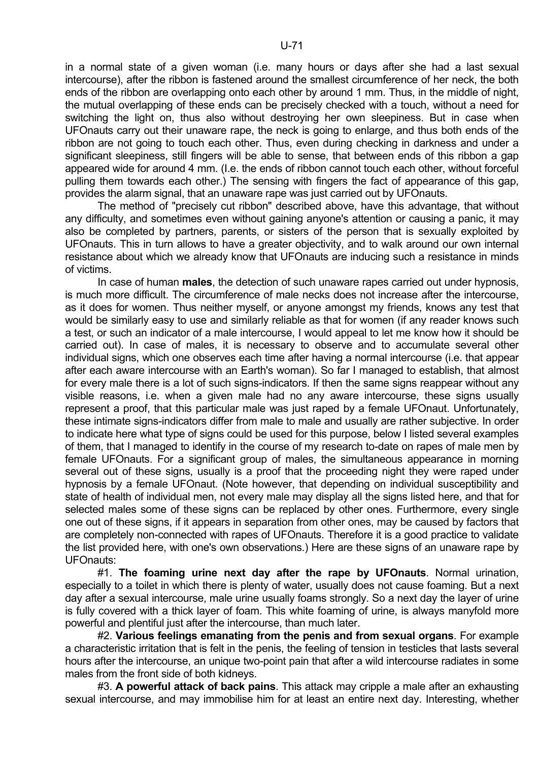in a normal state of a given woman (i.e. many hours or days after she had a last sexual intercourse), after the ribbon is fastened around the smallest circumference of her neck, the both ends of the ribbon are overlapping onto each other by around 1 mm. Thus, in the middle of night, the mutual overlapping of these ends can be precisely checked with a touch, without a need for switching the light on, thus also without destroying her own sleepiness. But in case when UFOnauts carry out their unaware rape, the neck is going to enlarge, and thus both ends of the ribbon are not going to touch each other. Thus, even during checking in darkness and under a significant sleepiness, still fingers will be able to sense, that between ends of this ribbon a gap appeared wide for around 4 mm. (I.e. the ends of ribbon cannot touch each other, without forceful pulling them towards each other.) The sensing with fingers the fact of appearance of this gap, provides the alarm signal, that an unaware rape was just carried out by UFOnauts.

 The method of "precisely cut ribbon" described above, have this advantage, that without any difficulty, and sometimes even without gaining anyone's attention or causing a panic, it may also be completed by partners, parents, or sisters of the person that is sexually exploited by UFOnauts. This in turn allows to have a greater objectivity, and to walk around our own internal resistance about which we already know that UFOnauts are inducing such a resistance in minds of victims.

 In case of human **males**, the detection of such unaware rapes carried out under hypnosis, is much more difficult. The circumference of male necks does not increase after the intercourse, as it does for women. Thus neither myself, or anyone amongst my friends, knows any test that would be similarly easy to use and similarly reliable as that for women (if any reader knows such a test, or such an indicator of a male intercourse, I would appeal to let me know how it should be carried out). In case of males, it is necessary to observe and to accumulate several other individual signs, which one observes each time after having a normal intercourse (i.e. that appear after each aware intercourse with an Earth's woman). So far I managed to establish, that almost for every male there is a lot of such signs-indicators. If then the same signs reappear without any visible reasons, i.e. when a given male had no any aware intercourse, these signs usually represent a proof, that this particular male was just raped by a female UFOnaut. Unfortunately, these intimate signs-indicators differ from male to male and usually are rather subjective. In order to indicate here what type of signs could be used for this purpose, below I listed several examples of them, that I managed to identify in the course of my research to-date on rapes of male men by female UFOnauts. For a significant group of males, the simultaneous appearance in morning several out of these signs, usually is a proof that the proceeding night they were raped under hypnosis by a female UFOnaut. (Note however, that depending on individual susceptibility and state of health of individual men, not every male may display all the signs listed here, and that for selected males some of these signs can be replaced by other ones. Furthermore, every single one out of these signs, if it appears in separation from other ones, may be caused by factors that are completely non-connected with rapes of UFOnauts. Therefore it is a good practice to validate the list provided here, with one's own observations.) Here are these signs of an unaware rape by UFOnauts:

 #1. **The foaming urine next day after the rape by UFOnauts**. Normal urination, especially to a toilet in which there is plenty of water, usually does not cause foaming. But a next day after a sexual intercourse, male urine usually foams strongly. So a next day the layer of urine is fully covered with a thick layer of foam. This white foaming of urine, is always manyfold more powerful and plentiful just after the intercourse, than much later.

 #2. **Various feelings emanating from the penis and from sexual organs**. For example a characteristic irritation that is felt in the penis, the feeling of tension in testicles that lasts several hours after the intercourse, an unique two-point pain that after a wild intercourse radiates in some males from the front side of both kidneys.

 #3. **A powerful attack of back pains**. This attack may cripple a male after an exhausting sexual intercourse, and may immobilise him for at least an entire next day. Interesting, whether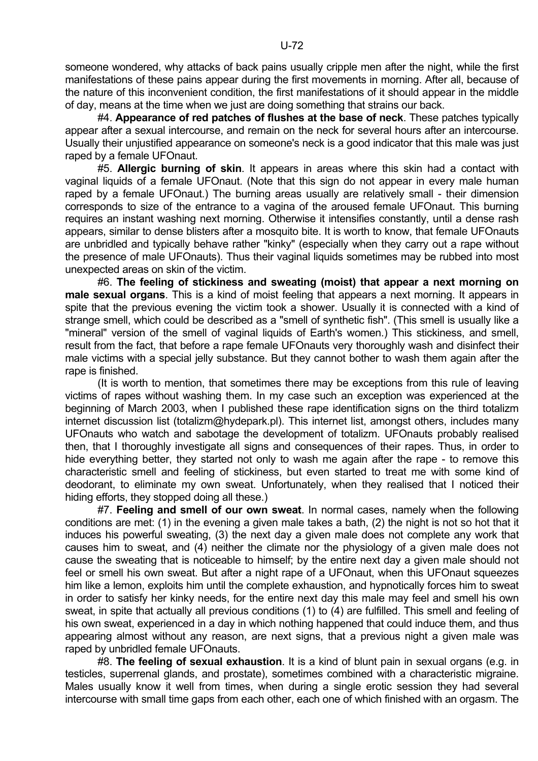someone wondered, why attacks of back pains usually cripple men after the night, while the first manifestations of these pains appear during the first movements in morning. After all, because of the nature of this inconvenient condition, the first manifestations of it should appear in the middle of day, means at the time when we just are doing something that strains our back.

 #4. **Appearance of red patches of flushes at the base of neck**. These patches typically appear after a sexual intercourse, and remain on the neck for several hours after an intercourse. Usually their unjustified appearance on someone's neck is a good indicator that this male was just raped by a female UFOnaut.

 #5. **Allergic burning of skin**. It appears in areas where this skin had a contact with vaginal liquids of a female UFOnaut. (Note that this sign do not appear in every male human raped by a female UFOnaut.) The burning areas usually are relatively small - their dimension corresponds to size of the entrance to a vagina of the aroused female UFOnaut. This burning requires an instant washing next morning. Otherwise it intensifies constantly, until a dense rash appears, similar to dense blisters after a mosquito bite. It is worth to know, that female UFOnauts are unbridled and typically behave rather "kinky" (especially when they carry out a rape without the presence of male UFOnauts). Thus their vaginal liquids sometimes may be rubbed into most unexpected areas on skin of the victim.

 #6. **The feeling of stickiness and sweating (moist) that appear a next morning on male sexual organs**. This is a kind of moist feeling that appears a next morning. It appears in spite that the previous evening the victim took a shower. Usually it is connected with a kind of strange smell, which could be described as a "smell of synthetic fish". (This smell is usually like a "mineral" version of the smell of vaginal liquids of Earth's women.) This stickiness, and smell, result from the fact, that before a rape female UFOnauts very thoroughly wash and disinfect their male victims with a special jelly substance. But they cannot bother to wash them again after the rape is finished.

 (It is worth to mention, that sometimes there may be exceptions from this rule of leaving victims of rapes without washing them. In my case such an exception was experienced at the beginning of March 2003, when I published these rape identification signs on the third totalizm internet discussion list (totalizm@hydepark.pl). This internet list, amongst others, includes many UFOnauts who watch and sabotage the development of totalizm. UFOnauts probably realised then, that I thoroughly investigate all signs and consequences of their rapes. Thus, in order to hide everything better, they started not only to wash me again after the rape - to remove this characteristic smell and feeling of stickiness, but even started to treat me with some kind of deodorant, to eliminate my own sweat. Unfortunately, when they realised that I noticed their hiding efforts, they stopped doing all these.)

 #7. **Feeling and smell of our own sweat**. In normal cases, namely when the following conditions are met: (1) in the evening a given male takes a bath, (2) the night is not so hot that it induces his powerful sweating, (3) the next day a given male does not complete any work that causes him to sweat, and (4) neither the climate nor the physiology of a given male does not cause the sweating that is noticeable to himself; by the entire next day a given male should not feel or smell his own sweat. But after a night rape of a UFOnaut, when this UFOnaut squeezes him like a lemon, exploits him until the complete exhaustion, and hypnotically forces him to sweat in order to satisfy her kinky needs, for the entire next day this male may feel and smell his own sweat, in spite that actually all previous conditions (1) to (4) are fulfilled. This smell and feeling of his own sweat, experienced in a day in which nothing happened that could induce them, and thus appearing almost without any reason, are next signs, that a previous night a given male was raped by unbridled female UFOnauts.

 #8. **The feeling of sexual exhaustion**. It is a kind of blunt pain in sexual organs (e.g. in testicles, superrenal glands, and prostate), sometimes combined with a characteristic migraine. Males usually know it well from times, when during a single erotic session they had several intercourse with small time gaps from each other, each one of which finished with an orgasm. The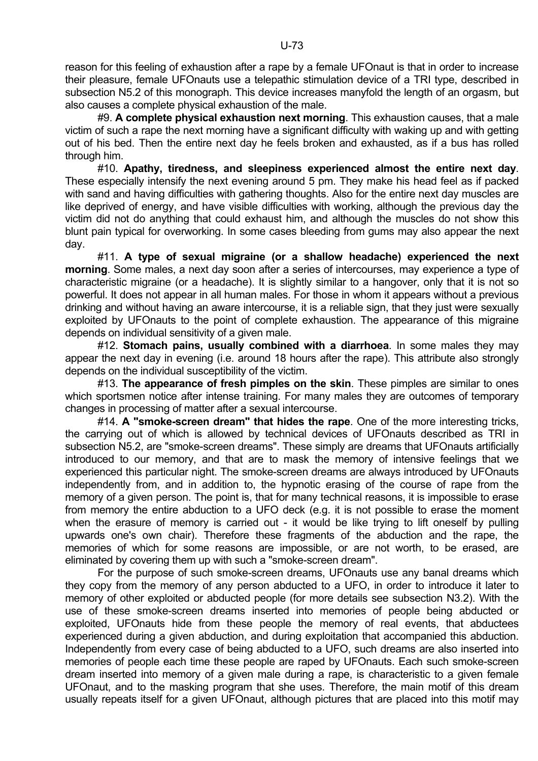reason for this feeling of exhaustion after a rape by a female UFOnaut is that in order to increase their pleasure, female UFOnauts use a telepathic stimulation device of a TRI type, described in subsection N5.2 of this monograph. This device increases manyfold the length of an orgasm, but also causes a complete physical exhaustion of the male.

 #9. **A complete physical exhaustion next morning**. This exhaustion causes, that a male victim of such a rape the next morning have a significant difficulty with waking up and with getting out of his bed. Then the entire next day he feels broken and exhausted, as if a bus has rolled through him.

 #10. **Apathy, tiredness, and sleepiness experienced almost the entire next day**. These especially intensify the next evening around 5 pm. They make his head feel as if packed with sand and having difficulties with gathering thoughts. Also for the entire next day muscles are like deprived of energy, and have visible difficulties with working, although the previous day the victim did not do anything that could exhaust him, and although the muscles do not show this blunt pain typical for overworking. In some cases bleeding from gums may also appear the next day.

 #11. **A type of sexual migraine (or a shallow headache) experienced the next morning**. Some males, a next day soon after a series of intercourses, may experience a type of characteristic migraine (or a headache). It is slightly similar to a hangover, only that it is not so powerful. It does not appear in all human males. For those in whom it appears without a previous drinking and without having an aware intercourse, it is a reliable sign, that they just were sexually exploited by UFOnauts to the point of complete exhaustion. The appearance of this migraine depends on individual sensitivity of a given male.

 #12. **Stomach pains, usually combined with a diarrhoea**. In some males they may appear the next day in evening (i.e. around 18 hours after the rape). This attribute also strongly depends on the individual susceptibility of the victim.

 #13. **The appearance of fresh pimples on the skin**. These pimples are similar to ones which sportsmen notice after intense training. For many males they are outcomes of temporary changes in processing of matter after a sexual intercourse.

 #14. **A "smoke-screen dream" that hides the rape**. One of the more interesting tricks, the carrying out of which is allowed by technical devices of UFOnauts described as TRI in subsection N5.2, are "smoke-screen dreams". These simply are dreams that UFOnauts artificially introduced to our memory, and that are to mask the memory of intensive feelings that we experienced this particular night. The smoke-screen dreams are always introduced by UFOnauts independently from, and in addition to, the hypnotic erasing of the course of rape from the memory of a given person. The point is, that for many technical reasons, it is impossible to erase from memory the entire abduction to a UFO deck (e.g. it is not possible to erase the moment when the erasure of memory is carried out - it would be like trying to lift oneself by pulling upwards one's own chair). Therefore these fragments of the abduction and the rape, the memories of which for some reasons are impossible, or are not worth, to be erased, are eliminated by covering them up with such a "smoke-screen dream".

 For the purpose of such smoke-screen dreams, UFOnauts use any banal dreams which they copy from the memory of any person abducted to a UFO, in order to introduce it later to memory of other exploited or abducted people (for more details see subsection N3.2). With the use of these smoke-screen dreams inserted into memories of people being abducted or exploited, UFOnauts hide from these people the memory of real events, that abductees experienced during a given abduction, and during exploitation that accompanied this abduction. Independently from every case of being abducted to a UFO, such dreams are also inserted into memories of people each time these people are raped by UFOnauts. Each such smoke-screen dream inserted into memory of a given male during a rape, is characteristic to a given female UFOnaut, and to the masking program that she uses. Therefore, the main motif of this dream usually repeats itself for a given UFOnaut, although pictures that are placed into this motif may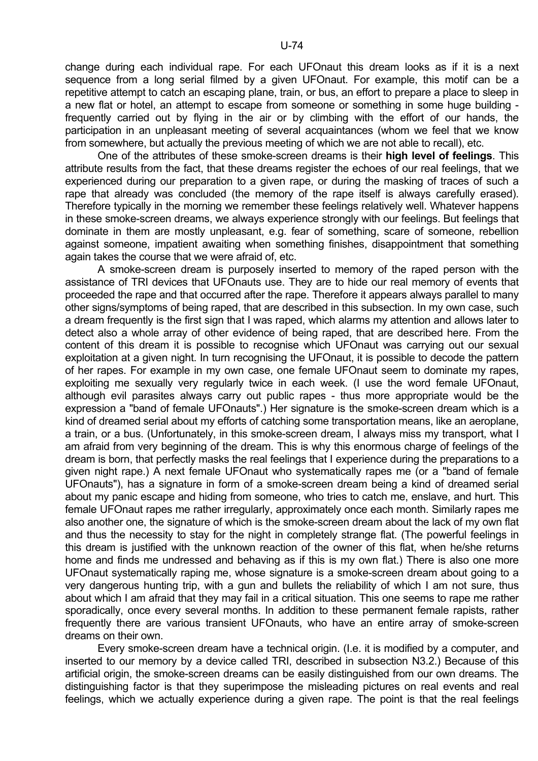change during each individual rape. For each UFOnaut this dream looks as if it is a next sequence from a long serial filmed by a given UFOnaut. For example, this motif can be a repetitive attempt to catch an escaping plane, train, or bus, an effort to prepare a place to sleep in a new flat or hotel, an attempt to escape from someone or something in some huge building frequently carried out by flying in the air or by climbing with the effort of our hands, the participation in an unpleasant meeting of several acquaintances (whom we feel that we know from somewhere, but actually the previous meeting of which we are not able to recall), etc.

 One of the attributes of these smoke-screen dreams is their **high level of feelings**. This attribute results from the fact, that these dreams register the echoes of our real feelings, that we experienced during our preparation to a given rape, or during the masking of traces of such a rape that already was concluded (the memory of the rape itself is always carefully erased). Therefore typically in the morning we remember these feelings relatively well. Whatever happens in these smoke-screen dreams, we always experience strongly with our feelings. But feelings that dominate in them are mostly unpleasant, e.g. fear of something, scare of someone, rebellion against someone, impatient awaiting when something finishes, disappointment that something again takes the course that we were afraid of, etc.

 A smoke-screen dream is purposely inserted to memory of the raped person with the assistance of TRI devices that UFOnauts use. They are to hide our real memory of events that proceeded the rape and that occurred after the rape. Therefore it appears always parallel to many other signs/symptoms of being raped, that are described in this subsection. In my own case, such a dream frequently is the first sign that I was raped, which alarms my attention and allows later to detect also a whole array of other evidence of being raped, that are described here. From the content of this dream it is possible to recognise which UFOnaut was carrying out our sexual exploitation at a given night. In turn recognising the UFOnaut, it is possible to decode the pattern of her rapes. For example in my own case, one female UFOnaut seem to dominate my rapes, exploiting me sexually very regularly twice in each week. (I use the word female UFOnaut, although evil parasites always carry out public rapes - thus more appropriate would be the expression a "band of female UFOnauts".) Her signature is the smoke-screen dream which is a kind of dreamed serial about my efforts of catching some transportation means, like an aeroplane, a train, or a bus. (Unfortunately, in this smoke-screen dream, I always miss my transport, what I am afraid from very beginning of the dream. This is why this enormous charge of feelings of the dream is born, that perfectly masks the real feelings that I experience during the preparations to a given night rape.) A next female UFOnaut who systematically rapes me (or a "band of female UFOnauts"), has a signature in form of a smoke-screen dream being a kind of dreamed serial about my panic escape and hiding from someone, who tries to catch me, enslave, and hurt. This female UFOnaut rapes me rather irregularly, approximately once each month. Similarly rapes me also another one, the signature of which is the smoke-screen dream about the lack of my own flat and thus the necessity to stay for the night in completely strange flat. (The powerful feelings in this dream is justified with the unknown reaction of the owner of this flat, when he/she returns home and finds me undressed and behaving as if this is my own flat.) There is also one more UFOnaut systematically raping me, whose signature is a smoke-screen dream about going to a very dangerous hunting trip, with a gun and bullets the reliability of which I am not sure, thus about which I am afraid that they may fail in a critical situation. This one seems to rape me rather sporadically, once every several months. In addition to these permanent female rapists, rather frequently there are various transient UFOnauts, who have an entire array of smoke-screen dreams on their own.

 Every smoke-screen dream have a technical origin. (I.e. it is modified by a computer, and inserted to our memory by a device called TRI, described in subsection N3.2.) Because of this artificial origin, the smoke-screen dreams can be easily distinguished from our own dreams. The distinguishing factor is that they superimpose the misleading pictures on real events and real feelings, which we actually experience during a given rape. The point is that the real feelings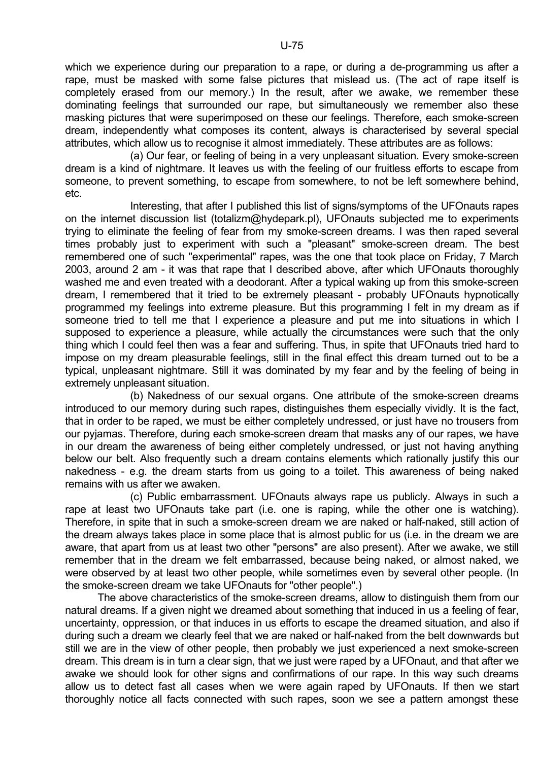which we experience during our preparation to a rape, or during a de-programming us after a rape, must be masked with some false pictures that mislead us. (The act of rape itself is completely erased from our memory.) In the result, after we awake, we remember these dominating feelings that surrounded our rape, but simultaneously we remember also these masking pictures that were superimposed on these our feelings. Therefore, each smoke-screen dream, independently what composes its content, always is characterised by several special attributes, which allow us to recognise it almost immediately. These attributes are as follows:

 (a) Our fear, or feeling of being in a very unpleasant situation. Every smoke-screen dream is a kind of nightmare. It leaves us with the feeling of our fruitless efforts to escape from someone, to prevent something, to escape from somewhere, to not be left somewhere behind, etc.

 Interesting, that after I published this list of signs/symptoms of the UFOnauts rapes on the internet discussion list (totalizm@hydepark.pl), UFOnauts subjected me to experiments trying to eliminate the feeling of fear from my smoke-screen dreams. I was then raped several times probably just to experiment with such a "pleasant" smoke-screen dream. The best remembered one of such "experimental" rapes, was the one that took place on Friday, 7 March 2003, around 2 am - it was that rape that I described above, after which UFOnauts thoroughly washed me and even treated with a deodorant. After a typical waking up from this smoke-screen dream, I remembered that it tried to be extremely pleasant - probably UFOnauts hypnotically programmed my feelings into extreme pleasure. But this programming I felt in my dream as if someone tried to tell me that I experience a pleasure and put me into situations in which I supposed to experience a pleasure, while actually the circumstances were such that the only thing which I could feel then was a fear and suffering. Thus, in spite that UFOnauts tried hard to impose on my dream pleasurable feelings, still in the final effect this dream turned out to be a typical, unpleasant nightmare. Still it was dominated by my fear and by the feeling of being in extremely unpleasant situation.

 (b) Nakedness of our sexual organs. One attribute of the smoke-screen dreams introduced to our memory during such rapes, distinguishes them especially vividly. It is the fact, that in order to be raped, we must be either completely undressed, or just have no trousers from our pyjamas. Therefore, during each smoke-screen dream that masks any of our rapes, we have in our dream the awareness of being either completely undressed, or just not having anything below our belt. Also frequently such a dream contains elements which rationally justify this our nakedness - e.g. the dream starts from us going to a toilet. This awareness of being naked remains with us after we awaken.

 (c) Public embarrassment. UFOnauts always rape us publicly. Always in such a rape at least two UFOnauts take part (i.e. one is raping, while the other one is watching). Therefore, in spite that in such a smoke-screen dream we are naked or half-naked, still action of the dream always takes place in some place that is almost public for us (i.e. in the dream we are aware, that apart from us at least two other "persons" are also present). After we awake, we still remember that in the dream we felt embarrassed, because being naked, or almost naked, we were observed by at least two other people, while sometimes even by several other people. (In the smoke-screen dream we take UFOnauts for "other people".)

 The above characteristics of the smoke-screen dreams, allow to distinguish them from our natural dreams. If a given night we dreamed about something that induced in us a feeling of fear, uncertainty, oppression, or that induces in us efforts to escape the dreamed situation, and also if during such a dream we clearly feel that we are naked or half-naked from the belt downwards but still we are in the view of other people, then probably we just experienced a next smoke-screen dream. This dream is in turn a clear sign, that we just were raped by a UFOnaut, and that after we awake we should look for other signs and confirmations of our rape. In this way such dreams allow us to detect fast all cases when we were again raped by UFOnauts. If then we start thoroughly notice all facts connected with such rapes, soon we see a pattern amongst these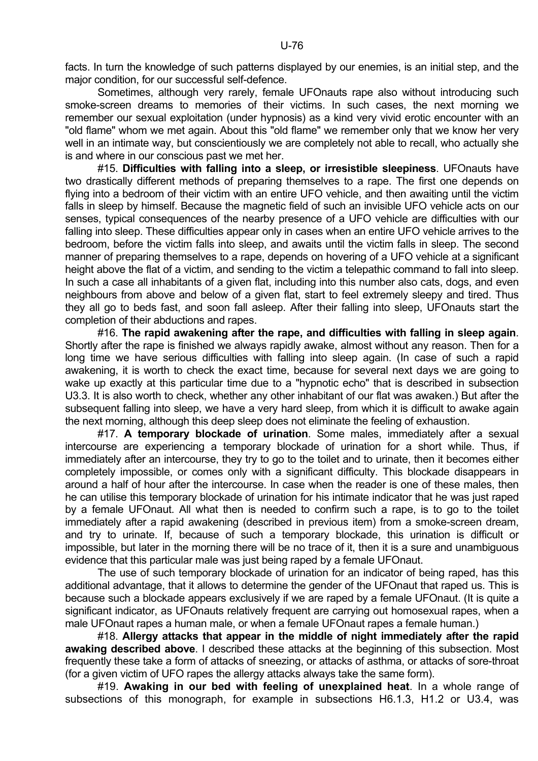facts. In turn the knowledge of such patterns displayed by our enemies, is an initial step, and the major condition, for our successful self-defence.

 Sometimes, although very rarely, female UFOnauts rape also without introducing such smoke-screen dreams to memories of their victims. In such cases, the next morning we remember our sexual exploitation (under hypnosis) as a kind very vivid erotic encounter with an "old flame" whom we met again. About this "old flame" we remember only that we know her very well in an intimate way, but conscientiously we are completely not able to recall, who actually she is and where in our conscious past we met her.

 #15. **Difficulties with falling into a sleep, or irresistible sleepiness**. UFOnauts have two drastically different methods of preparing themselves to a rape. The first one depends on flying into a bedroom of their victim with an entire UFO vehicle, and then awaiting until the victim falls in sleep by himself. Because the magnetic field of such an invisible UFO vehicle acts on our senses, typical consequences of the nearby presence of a UFO vehicle are difficulties with our falling into sleep. These difficulties appear only in cases when an entire UFO vehicle arrives to the bedroom, before the victim falls into sleep, and awaits until the victim falls in sleep. The second manner of preparing themselves to a rape, depends on hovering of a UFO vehicle at a significant height above the flat of a victim, and sending to the victim a telepathic command to fall into sleep. In such a case all inhabitants of a given flat, including into this number also cats, dogs, and even neighbours from above and below of a given flat, start to feel extremely sleepy and tired. Thus they all go to beds fast, and soon fall asleep. After their falling into sleep, UFOnauts start the completion of their abductions and rapes.

 #16. **The rapid awakening after the rape, and difficulties with falling in sleep again**. Shortly after the rape is finished we always rapidly awake, almost without any reason. Then for a long time we have serious difficulties with falling into sleep again. (In case of such a rapid awakening, it is worth to check the exact time, because for several next days we are going to wake up exactly at this particular time due to a "hypnotic echo" that is described in subsection U3.3. It is also worth to check, whether any other inhabitant of our flat was awaken.) But after the subsequent falling into sleep, we have a very hard sleep, from which it is difficult to awake again the next morning, although this deep sleep does not eliminate the feeling of exhaustion.

 #17. **A temporary blockade of urination**. Some males, immediately after a sexual intercourse are experiencing a temporary blockade of urination for a short while. Thus, if immediately after an intercourse, they try to go to the toilet and to urinate, then it becomes either completely impossible, or comes only with a significant difficulty. This blockade disappears in around a half of hour after the intercourse. In case when the reader is one of these males, then he can utilise this temporary blockade of urination for his intimate indicator that he was just raped by a female UFOnaut. All what then is needed to confirm such a rape, is to go to the toilet immediately after a rapid awakening (described in previous item) from a smoke-screen dream, and try to urinate. If, because of such a temporary blockade, this urination is difficult or impossible, but later in the morning there will be no trace of it, then it is a sure and unambiguous evidence that this particular male was just being raped by a female UFOnaut.

 The use of such temporary blockade of urination for an indicator of being raped, has this additional advantage, that it allows to determine the gender of the UFOnaut that raped us. This is because such a blockade appears exclusively if we are raped by a female UFOnaut. (It is quite a significant indicator, as UFOnauts relatively frequent are carrying out homosexual rapes, when a male UFOnaut rapes a human male, or when a female UFOnaut rapes a female human.)

 #18. **Allergy attacks that appear in the middle of night immediately after the rapid awaking described above**. I described these attacks at the beginning of this subsection. Most frequently these take a form of attacks of sneezing, or attacks of asthma, or attacks of sore-throat (for a given victim of UFO rapes the allergy attacks always take the same form).

 #19. **Awaking in our bed with feeling of unexplained heat**. In a whole range of subsections of this monograph, for example in subsections H6.1.3, H1.2 or U3.4, was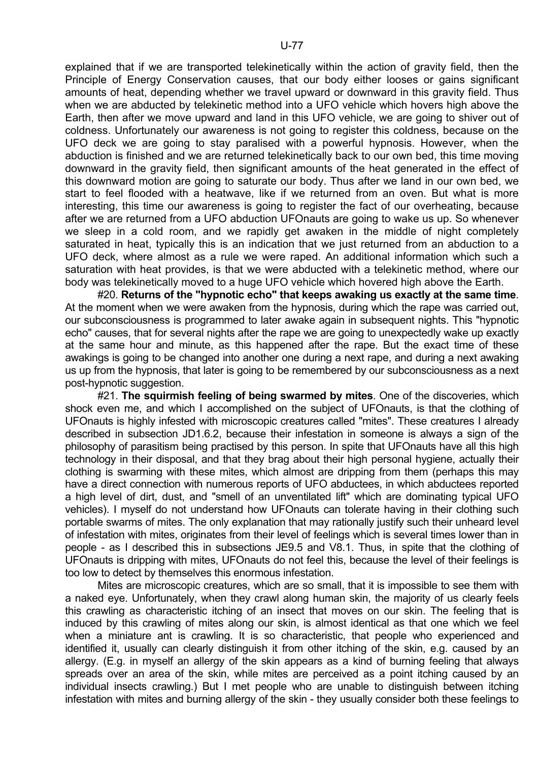explained that if we are transported telekinetically within the action of gravity field, then the Principle of Energy Conservation causes, that our body either looses or gains significant amounts of heat, depending whether we travel upward or downward in this gravity field. Thus when we are abducted by telekinetic method into a UFO vehicle which hovers high above the Earth, then after we move upward and land in this UFO vehicle, we are going to shiver out of coldness. Unfortunately our awareness is not going to register this coldness, because on the UFO deck we are going to stay paralised with a powerful hypnosis. However, when the abduction is finished and we are returned telekinetically back to our own bed, this time moving downward in the gravity field, then significant amounts of the heat generated in the effect of this downward motion are going to saturate our body. Thus after we land in our own bed, we start to feel flooded with a heatwave, like if we returned from an oven. But what is more interesting, this time our awareness is going to register the fact of our overheating, because after we are returned from a UFO abduction UFOnauts are going to wake us up. So whenever we sleep in a cold room, and we rapidly get awaken in the middle of night completely saturated in heat, typically this is an indication that we just returned from an abduction to a UFO deck, where almost as a rule we were raped. An additional information which such a saturation with heat provides, is that we were abducted with a telekinetic method, where our body was telekinetically moved to a huge UFO vehicle which hovered high above the Earth.

 #20. **Returns of the "hypnotic echo" that keeps awaking us exactly at the same time**. At the moment when we were awaken from the hypnosis, during which the rape was carried out, our subconsciousness is programmed to later awake again in subsequent nights. This "hypnotic echo" causes, that for several nights after the rape we are going to unexpectedly wake up exactly at the same hour and minute, as this happened after the rape. But the exact time of these awakings is going to be changed into another one during a next rape, and during a next awaking us up from the hypnosis, that later is going to be remembered by our subconsciousness as a next post-hypnotic suggestion.

 #21. **The squirmish feeling of being swarmed by mites**. One of the discoveries, which shock even me, and which I accomplished on the subject of UFOnauts, is that the clothing of UFOnauts is highly infested with microscopic creatures called "mites". These creatures I already described in subsection JD1.6.2, because their infestation in someone is always a sign of the philosophy of parasitism being practised by this person. In spite that UFOnauts have all this high technology in their disposal, and that they brag about their high personal hygiene, actually their clothing is swarming with these mites, which almost are dripping from them (perhaps this may have a direct connection with numerous reports of UFO abductees, in which abductees reported a high level of dirt, dust, and "smell of an unventilated lift" which are dominating typical UFO vehicles). I myself do not understand how UFOnauts can tolerate having in their clothing such portable swarms of mites. The only explanation that may rationally justify such their unheard level of infestation with mites, originates from their level of feelings which is several times lower than in people - as I described this in subsections JE9.5 and V8.1. Thus, in spite that the clothing of UFOnauts is dripping with mites, UFOnauts do not feel this, because the level of their feelings is too low to detect by themselves this enormous infestation.

 Mites are microscopic creatures, which are so small, that it is impossible to see them with a naked eye. Unfortunately, when they crawl along human skin, the majority of us clearly feels this crawling as characteristic itching of an insect that moves on our skin. The feeling that is induced by this crawling of mites along our skin, is almost identical as that one which we feel when a miniature ant is crawling. It is so characteristic, that people who experienced and identified it, usually can clearly distinguish it from other itching of the skin, e.g. caused by an allergy. (E.g. in myself an allergy of the skin appears as a kind of burning feeling that always spreads over an area of the skin, while mites are perceived as a point itching caused by an individual insects crawling.) But I met people who are unable to distinguish between itching infestation with mites and burning allergy of the skin - they usually consider both these feelings to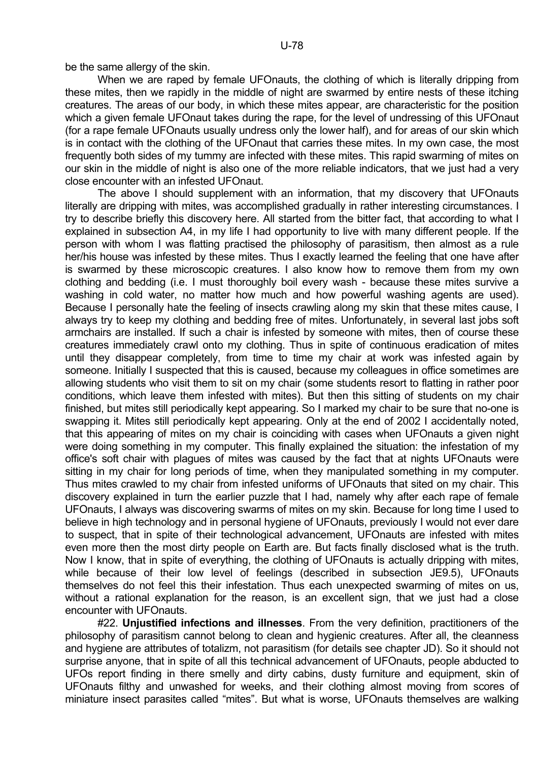be the same allergy of the skin.

 When we are raped by female UFOnauts, the clothing of which is literally dripping from these mites, then we rapidly in the middle of night are swarmed by entire nests of these itching creatures. The areas of our body, in which these mites appear, are characteristic for the position which a given female UFOnaut takes during the rape, for the level of undressing of this UFOnaut (for a rape female UFOnauts usually undress only the lower half), and for areas of our skin which is in contact with the clothing of the UFOnaut that carries these mites. In my own case, the most frequently both sides of my tummy are infected with these mites. This rapid swarming of mites on our skin in the middle of night is also one of the more reliable indicators, that we just had a very close encounter with an infested UFOnaut.

 The above I should supplement with an information, that my discovery that UFOnauts literally are dripping with mites, was accomplished gradually in rather interesting circumstances. I try to describe briefly this discovery here. All started from the bitter fact, that according to what I explained in subsection A4, in my life I had opportunity to live with many different people. If the person with whom I was flatting practised the philosophy of parasitism, then almost as a rule her/his house was infested by these mites. Thus I exactly learned the feeling that one have after is swarmed by these microscopic creatures. I also know how to remove them from my own clothing and bedding (i.e. I must thoroughly boil every wash - because these mites survive a washing in cold water, no matter how much and how powerful washing agents are used). Because I personally hate the feeling of insects crawling along my skin that these mites cause, I always try to keep my clothing and bedding free of mites. Unfortunately, in several last jobs soft armchairs are installed. If such a chair is infested by someone with mites, then of course these creatures immediately crawl onto my clothing. Thus in spite of continuous eradication of mites until they disappear completely, from time to time my chair at work was infested again by someone. Initially I suspected that this is caused, because my colleagues in office sometimes are allowing students who visit them to sit on my chair (some students resort to flatting in rather poor conditions, which leave them infested with mites). But then this sitting of students on my chair finished, but mites still periodically kept appearing. So I marked my chair to be sure that no-one is swapping it. Mites still periodically kept appearing. Only at the end of 2002 I accidentally noted, that this appearing of mites on my chair is coinciding with cases when UFOnauts a given night were doing something in my computer. This finally explained the situation: the infestation of my office's soft chair with plagues of mites was caused by the fact that at nights UFOnauts were sitting in my chair for long periods of time, when they manipulated something in my computer. Thus mites crawled to my chair from infested uniforms of UFOnauts that sited on my chair. This discovery explained in turn the earlier puzzle that I had, namely why after each rape of female UFOnauts, I always was discovering swarms of mites on my skin. Because for long time I used to believe in high technology and in personal hygiene of UFOnauts, previously I would not ever dare to suspect, that in spite of their technological advancement, UFOnauts are infested with mites even more then the most dirty people on Earth are. But facts finally disclosed what is the truth. Now I know, that in spite of everything, the clothing of UFOnauts is actually dripping with mites, while because of their low level of feelings (described in subsection JE9.5), UFOnauts themselves do not feel this their infestation. Thus each unexpected swarming of mites on us, without a rational explanation for the reason, is an excellent sign, that we just had a close encounter with UFOnauts.

 #22. **Unjustified infections and illnesses**. From the very definition, practitioners of the philosophy of parasitism cannot belong to clean and hygienic creatures. After all, the cleanness and hygiene are attributes of totalizm, not parasitism (for details see chapter JD). So it should not surprise anyone, that in spite of all this technical advancement of UFOnauts, people abducted to UFOs report finding in there smelly and dirty cabins, dusty furniture and equipment, skin of UFOnauts filthy and unwashed for weeks, and their clothing almost moving from scores of miniature insect parasites called "mites". But what is worse, UFOnauts themselves are walking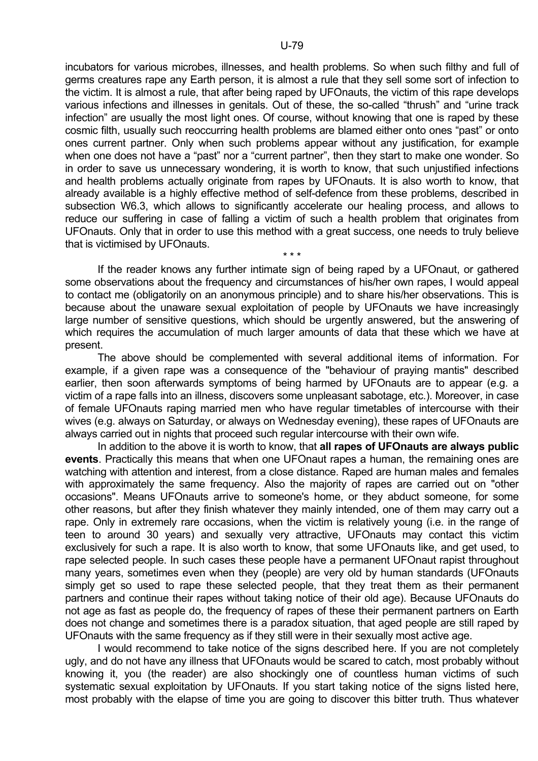incubators for various microbes, illnesses, and health problems. So when such filthy and full of germs creatures rape any Earth person, it is almost a rule that they sell some sort of infection to the victim. It is almost a rule, that after being raped by UFOnauts, the victim of this rape develops various infections and illnesses in genitals. Out of these, the so-called "thrush" and "urine track infection" are usually the most light ones. Of course, without knowing that one is raped by these cosmic filth, usually such reoccurring health problems are blamed either onto ones "past" or onto ones current partner. Only when such problems appear without any justification, for example when one does not have a "past" nor a "current partner", then they start to make one wonder. So in order to save us unnecessary wondering, it is worth to know, that such unjustified infections and health problems actually originate from rapes by UFOnauts. It is also worth to know, that already available is a highly effective method of self-defence from these problems, described in subsection W6.3, which allows to significantly accelerate our healing process, and allows to reduce our suffering in case of falling a victim of such a health problem that originates from UFOnauts. Only that in order to use this method with a great success, one needs to truly believe that is victimised by UFOnauts.

 $\star \star \star$  If the reader knows any further intimate sign of being raped by a UFOnaut, or gathered some observations about the frequency and circumstances of his/her own rapes, I would appeal to contact me (obligatorily on an anonymous principle) and to share his/her observations. This is because about the unaware sexual exploitation of people by UFOnauts we have increasingly large number of sensitive questions, which should be urgently answered, but the answering of which requires the accumulation of much larger amounts of data that these which we have at present.

 The above should be complemented with several additional items of information. For example, if a given rape was a consequence of the "behaviour of praying mantis" described earlier, then soon afterwards symptoms of being harmed by UFOnauts are to appear (e.g. a victim of a rape falls into an illness, discovers some unpleasant sabotage, etc.). Moreover, in case of female UFOnauts raping married men who have regular timetables of intercourse with their wives (e.g. always on Saturday, or always on Wednesday evening), these rapes of UFOnauts are always carried out in nights that proceed such regular intercourse with their own wife.

 In addition to the above it is worth to know, that **all rapes of UFOnauts are always public events**. Practically this means that when one UFOnaut rapes a human, the remaining ones are watching with attention and interest, from a close distance. Raped are human males and females with approximately the same frequency. Also the majority of rapes are carried out on "other occasions". Means UFOnauts arrive to someone's home, or they abduct someone, for some other reasons, but after they finish whatever they mainly intended, one of them may carry out a rape. Only in extremely rare occasions, when the victim is relatively young (i.e. in the range of teen to around 30 years) and sexually very attractive, UFOnauts may contact this victim exclusively for such a rape. It is also worth to know, that some UFOnauts like, and get used, to rape selected people. In such cases these people have a permanent UFOnaut rapist throughout many years, sometimes even when they (people) are very old by human standards (UFOnauts simply get so used to rape these selected people, that they treat them as their permanent partners and continue their rapes without taking notice of their old age). Because UFOnauts do not age as fast as people do, the frequency of rapes of these their permanent partners on Earth does not change and sometimes there is a paradox situation, that aged people are still raped by UFOnauts with the same frequency as if they still were in their sexually most active age.

 I would recommend to take notice of the signs described here. If you are not completely ugly, and do not have any illness that UFOnauts would be scared to catch, most probably without knowing it, you (the reader) are also shockingly one of countless human victims of such systematic sexual exploitation by UFOnauts. If you start taking notice of the signs listed here, most probably with the elapse of time you are going to discover this bitter truth. Thus whatever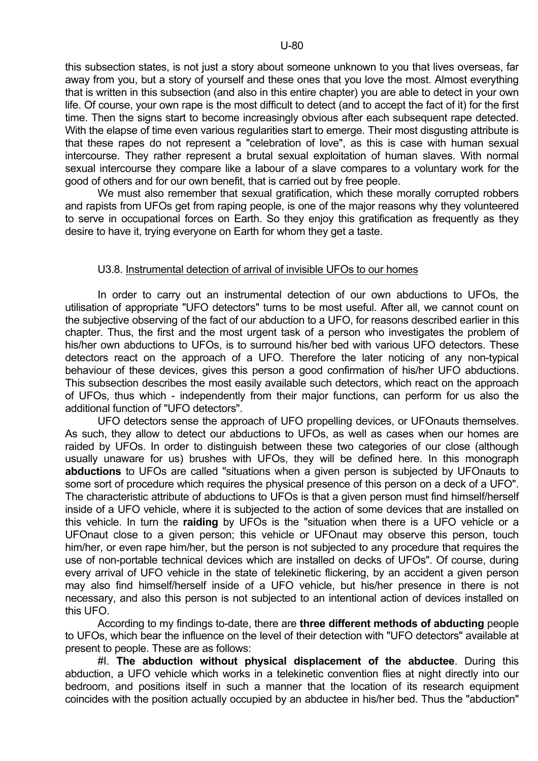this subsection states, is not just a story about someone unknown to you that lives overseas, far away from you, but a story of yourself and these ones that you love the most. Almost everything that is written in this subsection (and also in this entire chapter) you are able to detect in your own life. Of course, your own rape is the most difficult to detect (and to accept the fact of it) for the first time. Then the signs start to become increasingly obvious after each subsequent rape detected. With the elapse of time even various regularities start to emerge. Their most disgusting attribute is that these rapes do not represent a "celebration of love", as this is case with human sexual intercourse. They rather represent a brutal sexual exploitation of human slaves. With normal sexual intercourse they compare like a labour of a slave compares to a voluntary work for the good of others and for our own benefit, that is carried out by free people.

We must also remember that sexual gratification, which these morally corrupted robbers and rapists from UFOs get from raping people, is one of the major reasons why they volunteered to serve in occupational forces on Earth. So they enjoy this gratification as frequently as they desire to have it, trying everyone on Earth for whom they get a taste.

#### U3.8. Instrumental detection of arrival of invisible UFOs to our homes

 In order to carry out an instrumental detection of our own abductions to UFOs, the utilisation of appropriate "UFO detectors" turns to be most useful. After all, we cannot count on the subjective observing of the fact of our abduction to a UFO, for reasons described earlier in this chapter. Thus, the first and the most urgent task of a person who investigates the problem of his/her own abductions to UFOs, is to surround his/her bed with various UFO detectors. These detectors react on the approach of a UFO. Therefore the later noticing of any non-typical behaviour of these devices, gives this person a good confirmation of his/her UFO abductions. This subsection describes the most easily available such detectors, which react on the approach of UFOs, thus which - independently from their major functions, can perform for us also the additional function of "UFO detectors".

 UFO detectors sense the approach of UFO propelling devices, or UFOnauts themselves. As such, they allow to detect our abductions to UFOs, as well as cases when our homes are raided by UFOs. In order to distinguish between these two categories of our close (although usually unaware for us) brushes with UFOs, they will be defined here. In this monograph **abductions** to UFOs are called "situations when a given person is subjected by UFOnauts to some sort of procedure which requires the physical presence of this person on a deck of a UFO". The characteristic attribute of abductions to UFOs is that a given person must find himself/herself inside of a UFO vehicle, where it is subjected to the action of some devices that are installed on this vehicle. In turn the **raiding** by UFOs is the "situation when there is a UFO vehicle or a UFOnaut close to a given person; this vehicle or UFOnaut may observe this person, touch him/her, or even rape him/her, but the person is not subjected to any procedure that requires the use of non-portable technical devices which are installed on decks of UFOs". Of course, during every arrival of UFO vehicle in the state of telekinetic flickering, by an accident a given person may also find himself/herself inside of a UFO vehicle, but his/her presence in there is not necessary, and also this person is not subjected to an intentional action of devices installed on this UFO.

 According to my findings to-date, there are **three different methods of abducting** people to UFOs, which bear the influence on the level of their detection with "UFO detectors" available at present to people. These are as follows:

 #I. **The abduction without physical displacement of the abductee**. During this abduction, a UFO vehicle which works in a telekinetic convention flies at night directly into our bedroom, and positions itself in such a manner that the location of its research equipment coincides with the position actually occupied by an abductee in his/her bed. Thus the "abduction"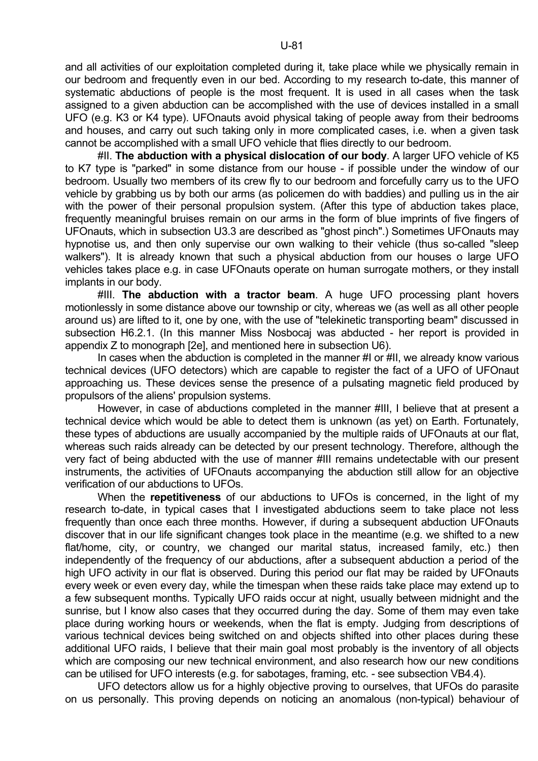and all activities of our exploitation completed during it, take place while we physically remain in our bedroom and frequently even in our bed. According to my research to-date, this manner of systematic abductions of people is the most frequent. It is used in all cases when the task assigned to a given abduction can be accomplished with the use of devices installed in a small UFO (e.g. K3 or K4 type). UFOnauts avoid physical taking of people away from their bedrooms and houses, and carry out such taking only in more complicated cases, i.e. when a given task cannot be accomplished with a small UFO vehicle that flies directly to our bedroom.

 #II. **The abduction with a physical dislocation of our body**. A larger UFO vehicle of K5 to K7 type is "parked" in some distance from our house - if possible under the window of our bedroom. Usually two members of its crew fly to our bedroom and forcefully carry us to the UFO vehicle by grabbing us by both our arms (as policemen do with baddies) and pulling us in the air with the power of their personal propulsion system. (After this type of abduction takes place, frequently meaningful bruises remain on our arms in the form of blue imprints of five fingers of UFOnauts, which in subsection U3.3 are described as "ghost pinch".) Sometimes UFOnauts may hypnotise us, and then only supervise our own walking to their vehicle (thus so-called "sleep walkers"). It is already known that such a physical abduction from our houses o large UFO vehicles takes place e.g. in case UFOnauts operate on human surrogate mothers, or they install implants in our body.

 #III. **The abduction with a tractor beam**. A huge UFO processing plant hovers motionlessly in some distance above our township or city, whereas we (as well as all other people around us) are lifted to it, one by one, with the use of "telekinetic transporting beam" discussed in subsection H6.2.1. (In this manner Miss Nosbocaj was abducted - her report is provided in appendix Z to monograph [2e], and mentioned here in subsection U6).

In cases when the abduction is completed in the manner #I or #II, we already know various technical devices (UFO detectors) which are capable to register the fact of a UFO of UFOnaut approaching us. These devices sense the presence of a pulsating magnetic field produced by propulsors of the aliens' propulsion systems.

 However, in case of abductions completed in the manner #III, I believe that at present a technical device which would be able to detect them is unknown (as yet) on Earth. Fortunately, these types of abductions are usually accompanied by the multiple raids of UFOnauts at our flat, whereas such raids already can be detected by our present technology. Therefore, although the very fact of being abducted with the use of manner #III remains undetectable with our present instruments, the activities of UFOnauts accompanying the abduction still allow for an objective verification of our abductions to UFOs.

 When the **repetitiveness** of our abductions to UFOs is concerned, in the light of my research to-date, in typical cases that I investigated abductions seem to take place not less frequently than once each three months. However, if during a subsequent abduction UFOnauts discover that in our life significant changes took place in the meantime (e.g. we shifted to a new flat/home, city, or country, we changed our marital status, increased family, etc.) then independently of the frequency of our abductions, after a subsequent abduction a period of the high UFO activity in our flat is observed. During this period our flat may be raided by UFOnauts every week or even every day, while the timespan when these raids take place may extend up to a few subsequent months. Typically UFO raids occur at night, usually between midnight and the sunrise, but I know also cases that they occurred during the day. Some of them may even take place during working hours or weekends, when the flat is empty. Judging from descriptions of various technical devices being switched on and objects shifted into other places during these additional UFO raids, I believe that their main goal most probably is the inventory of all objects which are composing our new technical environment, and also research how our new conditions can be utilised for UFO interests (e.g. for sabotages, framing, etc. - see subsection VB4.4).

 UFO detectors allow us for a highly objective proving to ourselves, that UFOs do parasite on us personally. This proving depends on noticing an anomalous (non-typical) behaviour of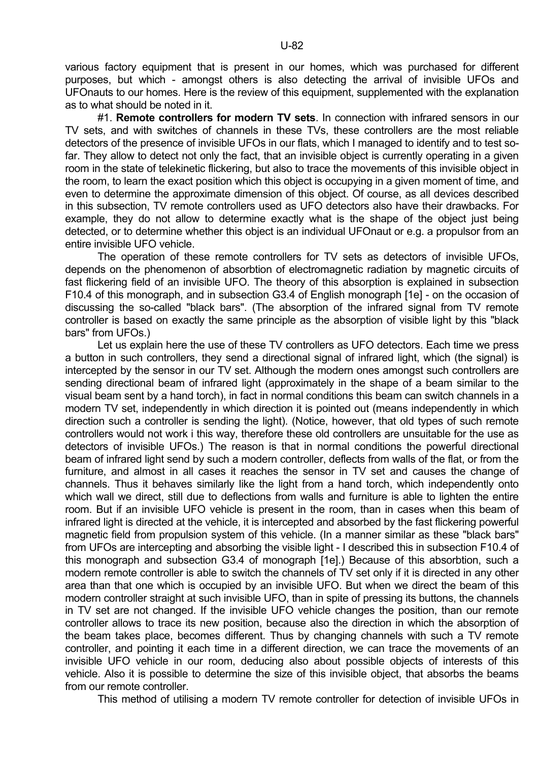various factory equipment that is present in our homes, which was purchased for different purposes, but which - amongst others is also detecting the arrival of invisible UFOs and UFOnauts to our homes. Here is the review of this equipment, supplemented with the explanation as to what should be noted in it.

 #1. **Remote controllers for modern TV sets**. In connection with infrared sensors in our TV sets, and with switches of channels in these TVs, these controllers are the most reliable detectors of the presence of invisible UFOs in our flats, which I managed to identify and to test sofar. They allow to detect not only the fact, that an invisible object is currently operating in a given room in the state of telekinetic flickering, but also to trace the movements of this invisible object in the room, to learn the exact position which this object is occupying in a given moment of time, and even to determine the approximate dimension of this object. Of course, as all devices described in this subsection, TV remote controllers used as UFO detectors also have their drawbacks. For example, they do not allow to determine exactly what is the shape of the object just being detected, or to determine whether this object is an individual UFOnaut or e.g. a propulsor from an entire invisible UFO vehicle.

 The operation of these remote controllers for TV sets as detectors of invisible UFOs, depends on the phenomenon of absorbtion of electromagnetic radiation by magnetic circuits of fast flickering field of an invisible UFO. The theory of this absorption is explained in subsection F10.4 of this monograph, and in subsection G3.4 of English monograph [1e] - on the occasion of discussing the so-called "black bars". (The absorption of the infrared signal from TV remote controller is based on exactly the same principle as the absorption of visible light by this "black bars" from UFOs.)

 Let us explain here the use of these TV controllers as UFO detectors. Each time we press a button in such controllers, they send a directional signal of infrared light, which (the signal) is intercepted by the sensor in our TV set. Although the modern ones amongst such controllers are sending directional beam of infrared light (approximately in the shape of a beam similar to the visual beam sent by a hand torch), in fact in normal conditions this beam can switch channels in a modern TV set, independently in which direction it is pointed out (means independently in which direction such a controller is sending the light). (Notice, however, that old types of such remote controllers would not work i this way, therefore these old controllers are unsuitable for the use as detectors of invisible UFOs.) The reason is that in normal conditions the powerful directional beam of infrared light send by such a modern controller, deflects from walls of the flat, or from the furniture, and almost in all cases it reaches the sensor in TV set and causes the change of channels. Thus it behaves similarly like the light from a hand torch, which independently onto which wall we direct, still due to deflections from walls and furniture is able to lighten the entire room. But if an invisible UFO vehicle is present in the room, than in cases when this beam of infrared light is directed at the vehicle, it is intercepted and absorbed by the fast flickering powerful magnetic field from propulsion system of this vehicle. (In a manner similar as these "black bars" from UFOs are intercepting and absorbing the visible light - I described this in subsection F10.4 of this monograph and subsection G3.4 of monograph [1e].) Because of this absorbtion, such a modern remote controller is able to switch the channels of TV set only if it is directed in any other area than that one which is occupied by an invisible UFO. But when we direct the beam of this modern controller straight at such invisible UFO, than in spite of pressing its buttons, the channels in TV set are not changed. If the invisible UFO vehicle changes the position, than our remote controller allows to trace its new position, because also the direction in which the absorption of the beam takes place, becomes different. Thus by changing channels with such a TV remote controller, and pointing it each time in a different direction, we can trace the movements of an invisible UFO vehicle in our room, deducing also about possible objects of interests of this vehicle. Also it is possible to determine the size of this invisible object, that absorbs the beams from our remote controller.

This method of utilising a modern TV remote controller for detection of invisible UFOs in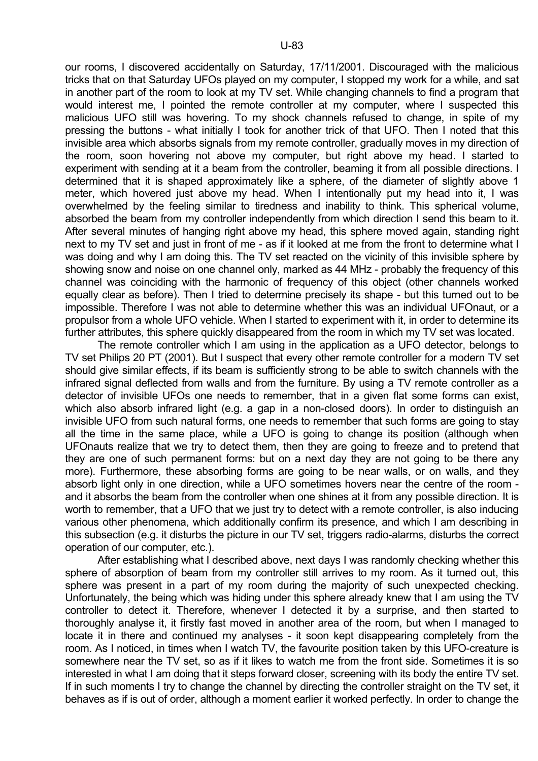our rooms, I discovered accidentally on Saturday, 17/11/2001. Discouraged with the malicious tricks that on that Saturday UFOs played on my computer, I stopped my work for a while, and sat in another part of the room to look at my TV set. While changing channels to find a program that would interest me, I pointed the remote controller at my computer, where I suspected this malicious UFO still was hovering. To my shock channels refused to change, in spite of my pressing the buttons - what initially I took for another trick of that UFO. Then I noted that this invisible area which absorbs signals from my remote controller, gradually moves in my direction of the room, soon hovering not above my computer, but right above my head. I started to experiment with sending at it a beam from the controller, beaming it from all possible directions. I determined that it is shaped approximately like a sphere, of the diameter of slightly above 1 meter, which hovered just above my head. When I intentionally put my head into it, I was overwhelmed by the feeling similar to tiredness and inability to think. This spherical volume, absorbed the beam from my controller independently from which direction I send this beam to it. After several minutes of hanging right above my head, this sphere moved again, standing right next to my TV set and just in front of me - as if it looked at me from the front to determine what I was doing and why I am doing this. The TV set reacted on the vicinity of this invisible sphere by showing snow and noise on one channel only, marked as 44 MHz - probably the frequency of this channel was coinciding with the harmonic of frequency of this object (other channels worked equally clear as before). Then I tried to determine precisely its shape - but this turned out to be impossible. Therefore I was not able to determine whether this was an individual UFOnaut, or a propulsor from a whole UFO vehicle. When I started to experiment with it, in order to determine its further attributes, this sphere quickly disappeared from the room in which my TV set was located.

 The remote controller which I am using in the application as a UFO detector, belongs to TV set Philips 20 PT (2001). But I suspect that every other remote controller for a modern TV set should give similar effects, if its beam is sufficiently strong to be able to switch channels with the infrared signal deflected from walls and from the furniture. By using a TV remote controller as a detector of invisible UFOs one needs to remember, that in a given flat some forms can exist, which also absorb infrared light (e.g. a gap in a non-closed doors). In order to distinguish an invisible UFO from such natural forms, one needs to remember that such forms are going to stay all the time in the same place, while a UFO is going to change its position (although when UFOnauts realize that we try to detect them, then they are going to freeze and to pretend that they are one of such permanent forms: but on a next day they are not going to be there any more). Furthermore, these absorbing forms are going to be near walls, or on walls, and they absorb light only in one direction, while a UFO sometimes hovers near the centre of the room and it absorbs the beam from the controller when one shines at it from any possible direction. It is worth to remember, that a UFO that we just try to detect with a remote controller, is also inducing various other phenomena, which additionally confirm its presence, and which I am describing in this subsection (e.g. it disturbs the picture in our TV set, triggers radio-alarms, disturbs the correct operation of our computer, etc.).

 After establishing what I described above, next days I was randomly checking whether this sphere of absorption of beam from my controller still arrives to my room. As it turned out, this sphere was present in a part of my room during the majority of such unexpected checking. Unfortunately, the being which was hiding under this sphere already knew that I am using the TV controller to detect it. Therefore, whenever I detected it by a surprise, and then started to thoroughly analyse it, it firstly fast moved in another area of the room, but when I managed to locate it in there and continued my analyses - it soon kept disappearing completely from the room. As I noticed, in times when I watch TV, the favourite position taken by this UFO-creature is somewhere near the TV set, so as if it likes to watch me from the front side. Sometimes it is so interested in what I am doing that it steps forward closer, screening with its body the entire TV set. If in such moments I try to change the channel by directing the controller straight on the TV set, it behaves as if is out of order, although a moment earlier it worked perfectly. In order to change the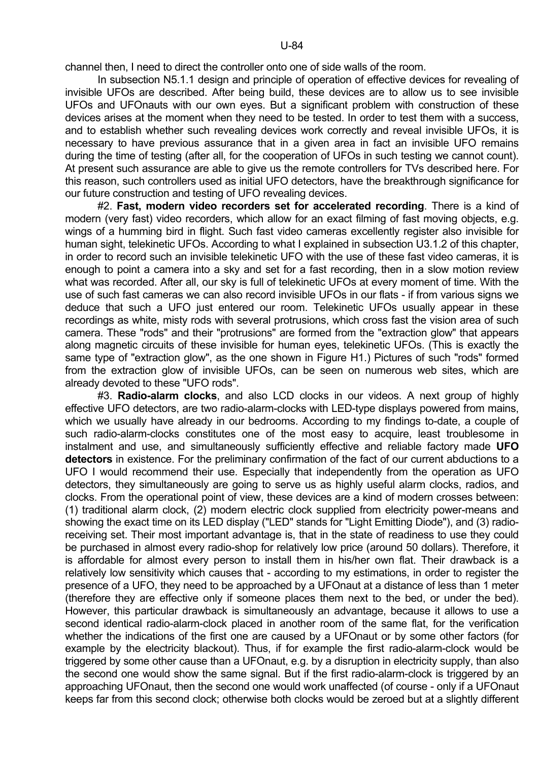channel then, I need to direct the controller onto one of side walls of the room.

In subsection N5.1.1 design and principle of operation of effective devices for revealing of invisible UFOs are described. After being build, these devices are to allow us to see invisible UFOs and UFOnauts with our own eyes. But a significant problem with construction of these devices arises at the moment when they need to be tested. In order to test them with a success, and to establish whether such revealing devices work correctly and reveal invisible UFOs, it is necessary to have previous assurance that in a given area in fact an invisible UFO remains during the time of testing (after all, for the cooperation of UFOs in such testing we cannot count). At present such assurance are able to give us the remote controllers for TVs described here. For this reason, such controllers used as initial UFO detectors, have the breakthrough significance for our future construction and testing of UFO revealing devices.

 #2. **Fast, modern video recorders set for accelerated recording**. There is a kind of modern (very fast) video recorders, which allow for an exact filming of fast moving objects, e.g. wings of a humming bird in flight. Such fast video cameras excellently register also invisible for human sight, telekinetic UFOs. According to what I explained in subsection U3.1.2 of this chapter, in order to record such an invisible telekinetic UFO with the use of these fast video cameras, it is enough to point a camera into a sky and set for a fast recording, then in a slow motion review what was recorded. After all, our sky is full of telekinetic UFOs at every moment of time. With the use of such fast cameras we can also record invisible UFOs in our flats - if from various signs we deduce that such a UFO just entered our room. Telekinetic UFOs usually appear in these recordings as white, misty rods with several protrusions, which cross fast the vision area of such camera. These "rods" and their "protrusions" are formed from the "extraction glow" that appears along magnetic circuits of these invisible for human eyes, telekinetic UFOs. (This is exactly the same type of "extraction glow", as the one shown in Figure H1.) Pictures of such "rods" formed from the extraction glow of invisible UFOs, can be seen on numerous web sites, which are already devoted to these "UFO rods".

 #3. **Radio-alarm clocks**, and also LCD clocks in our videos. A next group of highly effective UFO detectors, are two radio-alarm-clocks with LED-type displays powered from mains, which we usually have already in our bedrooms. According to my findings to-date, a couple of such radio-alarm-clocks constitutes one of the most easy to acquire, least troublesome in instalment and use, and simultaneously sufficiently effective and reliable factory made **UFO detectors** in existence. For the preliminary confirmation of the fact of our current abductions to a UFO I would recommend their use. Especially that independently from the operation as UFO detectors, they simultaneously are going to serve us as highly useful alarm clocks, radios, and clocks. From the operational point of view, these devices are a kind of modern crosses between: (1) traditional alarm clock, (2) modern electric clock supplied from electricity power-means and showing the exact time on its LED display ("LED" stands for "Light Emitting Diode"), and (3) radioreceiving set. Their most important advantage is, that in the state of readiness to use they could be purchased in almost every radio-shop for relatively low price (around 50 dollars). Therefore, it is affordable for almost every person to install them in his/her own flat. Their drawback is a relatively low sensitivity which causes that - according to my estimations, in order to register the presence of a UFO, they need to be approached by a UFOnaut at a distance of less than 1 meter (therefore they are effective only if someone places them next to the bed, or under the bed). However, this particular drawback is simultaneously an advantage, because it allows to use a second identical radio-alarm-clock placed in another room of the same flat, for the verification whether the indications of the first one are caused by a UFOnaut or by some other factors (for example by the electricity blackout). Thus, if for example the first radio-alarm-clock would be triggered by some other cause than a UFOnaut, e.g. by a disruption in electricity supply, than also the second one would show the same signal. But if the first radio-alarm-clock is triggered by an approaching UFOnaut, then the second one would work unaffected (of course - only if a UFOnaut keeps far from this second clock; otherwise both clocks would be zeroed but at a slightly different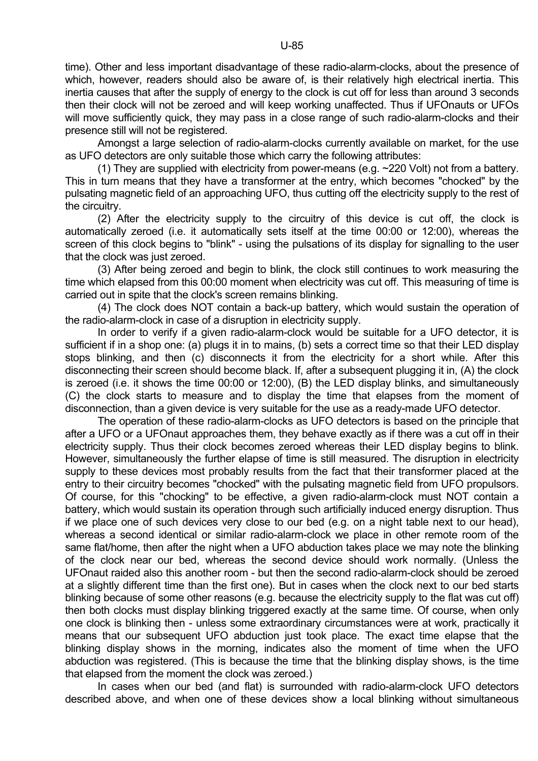time). Other and less important disadvantage of these radio-alarm-clocks, about the presence of which, however, readers should also be aware of, is their relatively high electrical inertia. This inertia causes that after the supply of energy to the clock is cut off for less than around 3 seconds then their clock will not be zeroed and will keep working unaffected. Thus if UFOnauts or UFOs will move sufficiently quick, they may pass in a close range of such radio-alarm-clocks and their presence still will not be registered.

 Amongst a large selection of radio-alarm-clocks currently available on market, for the use as UFO detectors are only suitable those which carry the following attributes:

(1) They are supplied with electricity from power-means (e.g.  $\sim$ 220 Volt) not from a battery. This in turn means that they have a transformer at the entry, which becomes "chocked" by the pulsating magnetic field of an approaching UFO, thus cutting off the electricity supply to the rest of the circuitry.

 (2) After the electricity supply to the circuitry of this device is cut off, the clock is automatically zeroed (i.e. it automatically sets itself at the time 00:00 or 12:00), whereas the screen of this clock begins to "blink" - using the pulsations of its display for signalling to the user that the clock was just zeroed.

 (3) After being zeroed and begin to blink, the clock still continues to work measuring the time which elapsed from this 00:00 moment when electricity was cut off. This measuring of time is carried out in spite that the clock's screen remains blinking.

 (4) The clock does NOT contain a back-up battery, which would sustain the operation of the radio-alarm-clock in case of a disruption in electricity supply.

 In order to verify if a given radio-alarm-clock would be suitable for a UFO detector, it is sufficient if in a shop one: (a) plugs it in to mains, (b) sets a correct time so that their LED display stops blinking, and then (c) disconnects it from the electricity for a short while. After this disconnecting their screen should become black. If, after a subsequent plugging it in, (A) the clock is zeroed (i.e. it shows the time 00:00 or 12:00), (B) the LED display blinks, and simultaneously (C) the clock starts to measure and to display the time that elapses from the moment of disconnection, than a given device is very suitable for the use as a ready-made UFO detector.

 The operation of these radio-alarm-clocks as UFO detectors is based on the principle that after a UFO or a UFOnaut approaches them, they behave exactly as if there was a cut off in their electricity supply. Thus their clock becomes zeroed whereas their LED display begins to blink. However, simultaneously the further elapse of time is still measured. The disruption in electricity supply to these devices most probably results from the fact that their transformer placed at the entry to their circuitry becomes "chocked" with the pulsating magnetic field from UFO propulsors. Of course, for this "chocking" to be effective, a given radio-alarm-clock must NOT contain a battery, which would sustain its operation through such artificially induced energy disruption. Thus if we place one of such devices very close to our bed (e.g. on a night table next to our head), whereas a second identical or similar radio-alarm-clock we place in other remote room of the same flat/home, then after the night when a UFO abduction takes place we may note the blinking of the clock near our bed, whereas the second device should work normally. (Unless the UFOnaut raided also this another room - but then the second radio-alarm-clock should be zeroed at a slightly different time than the first one). But in cases when the clock next to our bed starts blinking because of some other reasons (e.g. because the electricity supply to the flat was cut off) then both clocks must display blinking triggered exactly at the same time. Of course, when only one clock is blinking then - unless some extraordinary circumstances were at work, practically it means that our subsequent UFO abduction just took place. The exact time elapse that the blinking display shows in the morning, indicates also the moment of time when the UFO abduction was registered. (This is because the time that the blinking display shows, is the time that elapsed from the moment the clock was zeroed.)

 In cases when our bed (and flat) is surrounded with radio-alarm-clock UFO detectors described above, and when one of these devices show a local blinking without simultaneous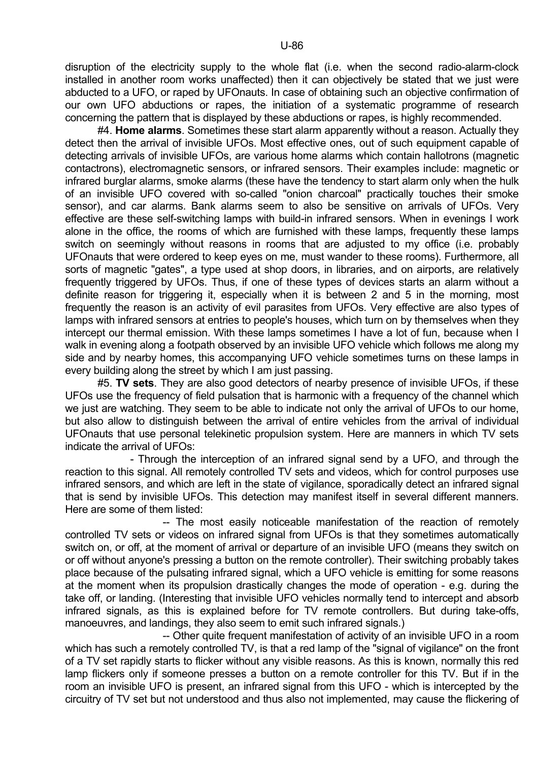disruption of the electricity supply to the whole flat (i.e. when the second radio-alarm-clock installed in another room works unaffected) then it can objectively be stated that we just were abducted to a UFO, or raped by UFOnauts. In case of obtaining such an objective confirmation of our own UFO abductions or rapes, the initiation of a systematic programme of research concerning the pattern that is displayed by these abductions or rapes, is highly recommended.

 #4. **Home alarms**. Sometimes these start alarm apparently without a reason. Actually they detect then the arrival of invisible UFOs. Most effective ones, out of such equipment capable of detecting arrivals of invisible UFOs, are various home alarms which contain hallotrons (magnetic contactrons), electromagnetic sensors, or infrared sensors. Their examples include: magnetic or infrared burglar alarms, smoke alarms (these have the tendency to start alarm only when the hulk of an invisible UFO covered with so-called "onion charcoal" practically touches their smoke sensor), and car alarms. Bank alarms seem to also be sensitive on arrivals of UFOs. Very effective are these self-switching lamps with build-in infrared sensors. When in evenings I work alone in the office, the rooms of which are furnished with these lamps, frequently these lamps switch on seemingly without reasons in rooms that are adjusted to my office (i.e. probably UFOnauts that were ordered to keep eyes on me, must wander to these rooms). Furthermore, all sorts of magnetic "gates", a type used at shop doors, in libraries, and on airports, are relatively frequently triggered by UFOs. Thus, if one of these types of devices starts an alarm without a definite reason for triggering it, especially when it is between 2 and 5 in the morning, most frequently the reason is an activity of evil parasites from UFOs. Very effective are also types of lamps with infrared sensors at entries to people's houses, which turn on by themselves when they intercept our thermal emission. With these lamps sometimes I have a lot of fun, because when I walk in evening along a footpath observed by an invisible UFO vehicle which follows me along my side and by nearby homes, this accompanying UFO vehicle sometimes turns on these lamps in every building along the street by which I am just passing.

 #5. **TV sets**. They are also good detectors of nearby presence of invisible UFOs, if these UFOs use the frequency of field pulsation that is harmonic with a frequency of the channel which we just are watching. They seem to be able to indicate not only the arrival of UFOs to our home, but also allow to distinguish between the arrival of entire vehicles from the arrival of individual UFOnauts that use personal telekinetic propulsion system. Here are manners in which TV sets indicate the arrival of UFOs:

 - Through the interception of an infrared signal send by a UFO, and through the reaction to this signal. All remotely controlled TV sets and videos, which for control purposes use infrared sensors, and which are left in the state of vigilance, sporadically detect an infrared signal that is send by invisible UFOs. This detection may manifest itself in several different manners. Here are some of them listed:

 -- The most easily noticeable manifestation of the reaction of remotely controlled TV sets or videos on infrared signal from UFOs is that they sometimes automatically switch on, or off, at the moment of arrival or departure of an invisible UFO (means they switch on or off without anyone's pressing a button on the remote controller). Their switching probably takes place because of the pulsating infrared signal, which a UFO vehicle is emitting for some reasons at the moment when its propulsion drastically changes the mode of operation - e.g. during the take off, or landing. (Interesting that invisible UFO vehicles normally tend to intercept and absorb infrared signals, as this is explained before for TV remote controllers. But during take-offs, manoeuvres, and landings, they also seem to emit such infrared signals.)

 -- Other quite frequent manifestation of activity of an invisible UFO in a room which has such a remotely controlled TV, is that a red lamp of the "signal of vigilance" on the front of a TV set rapidly starts to flicker without any visible reasons. As this is known, normally this red lamp flickers only if someone presses a button on a remote controller for this TV. But if in the room an invisible UFO is present, an infrared signal from this UFO - which is intercepted by the circuitry of TV set but not understood and thus also not implemented, may cause the flickering of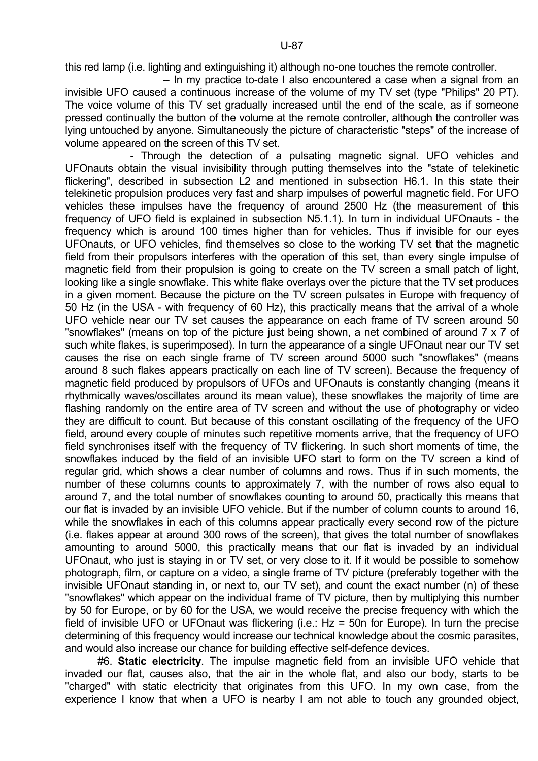this red lamp (i.e. lighting and extinguishing it) although no-one touches the remote controller.

 -- In my practice to-date I also encountered a case when a signal from an invisible UFO caused a continuous increase of the volume of my TV set (type "Philips" 20 PT). The voice volume of this TV set gradually increased until the end of the scale, as if someone pressed continually the button of the volume at the remote controller, although the controller was lying untouched by anyone. Simultaneously the picture of characteristic "steps" of the increase of volume appeared on the screen of this TV set.

 - Through the detection of a pulsating magnetic signal. UFO vehicles and UFOnauts obtain the visual invisibility through putting themselves into the "state of telekinetic flickering", described in subsection L2 and mentioned in subsection H6.1. In this state their telekinetic propulsion produces very fast and sharp impulses of powerful magnetic field. For UFO vehicles these impulses have the frequency of around 2500 Hz (the measurement of this frequency of UFO field is explained in subsection N5.1.1). In turn in individual UFOnauts - the frequency which is around 100 times higher than for vehicles. Thus if invisible for our eyes UFOnauts, or UFO vehicles, find themselves so close to the working TV set that the magnetic field from their propulsors interferes with the operation of this set, than every single impulse of magnetic field from their propulsion is going to create on the TV screen a small patch of light, looking like a single snowflake. This white flake overlays over the picture that the TV set produces in a given moment. Because the picture on the TV screen pulsates in Europe with frequency of 50 Hz (in the USA - with frequency of 60 Hz), this practically means that the arrival of a whole UFO vehicle near our TV set causes the appearance on each frame of TV screen around 50 "snowflakes" (means on top of the picture just being shown, a net combined of around 7 x 7 of such white flakes, is superimposed). In turn the appearance of a single UFOnaut near our TV set causes the rise on each single frame of TV screen around 5000 such "snowflakes" (means around 8 such flakes appears practically on each line of TV screen). Because the frequency of magnetic field produced by propulsors of UFOs and UFOnauts is constantly changing (means it rhythmically waves/oscillates around its mean value), these snowflakes the majority of time are flashing randomly on the entire area of TV screen and without the use of photography or video they are difficult to count. But because of this constant oscillating of the frequency of the UFO field, around every couple of minutes such repetitive moments arrive, that the frequency of UFO field synchronises itself with the frequency of TV flickering. In such short moments of time, the snowflakes induced by the field of an invisible UFO start to form on the TV screen a kind of regular grid, which shows a clear number of columns and rows. Thus if in such moments, the number of these columns counts to approximately 7, with the number of rows also equal to around 7, and the total number of snowflakes counting to around 50, practically this means that our flat is invaded by an invisible UFO vehicle. But if the number of column counts to around 16, while the snowflakes in each of this columns appear practically every second row of the picture (i.e. flakes appear at around 300 rows of the screen), that gives the total number of snowflakes amounting to around 5000, this practically means that our flat is invaded by an individual UFOnaut, who just is staying in or TV set, or very close to it. If it would be possible to somehow photograph, film, or capture on a video, a single frame of TV picture (preferably together with the invisible UFOnaut standing in, or next to, our TV set), and count the exact number (n) of these "snowflakes" which appear on the individual frame of TV picture, then by multiplying this number by 50 for Europe, or by 60 for the USA, we would receive the precise frequency with which the field of invisible UFO or UFOnaut was flickering (i.e.: Hz = 50n for Europe). In turn the precise determining of this frequency would increase our technical knowledge about the cosmic parasites, and would also increase our chance for building effective self-defence devices.

 #6. **Static electricity**. The impulse magnetic field from an invisible UFO vehicle that invaded our flat, causes also, that the air in the whole flat, and also our body, starts to be "charged" with static electricity that originates from this UFO. In my own case, from the experience I know that when a UFO is nearby I am not able to touch any grounded object,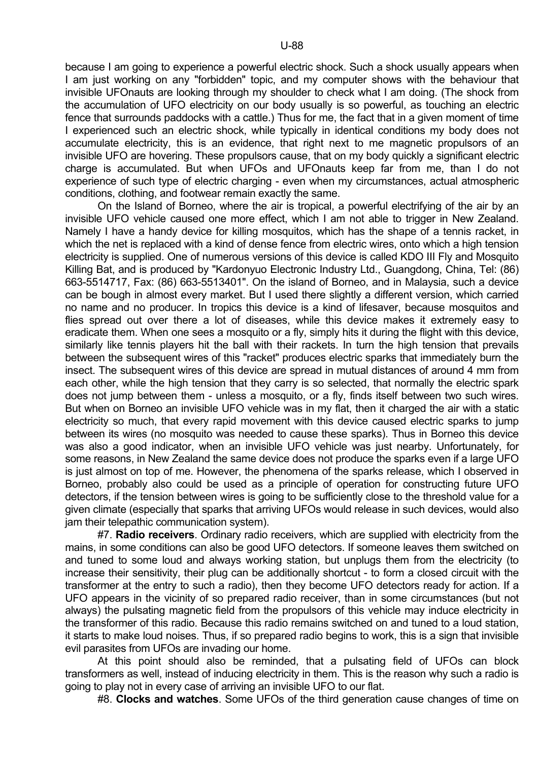because I am going to experience a powerful electric shock. Such a shock usually appears when I am just working on any "forbidden" topic, and my computer shows with the behaviour that invisible UFOnauts are looking through my shoulder to check what I am doing. (The shock from the accumulation of UFO electricity on our body usually is so powerful, as touching an electric fence that surrounds paddocks with a cattle.) Thus for me, the fact that in a given moment of time I experienced such an electric shock, while typically in identical conditions my body does not accumulate electricity, this is an evidence, that right next to me magnetic propulsors of an invisible UFO are hovering. These propulsors cause, that on my body quickly a significant electric charge is accumulated. But when UFOs and UFOnauts keep far from me, than I do not experience of such type of electric charging - even when my circumstances, actual atmospheric conditions, clothing, and footwear remain exactly the same.

 On the Island of Borneo, where the air is tropical, a powerful electrifying of the air by an invisible UFO vehicle caused one more effect, which I am not able to trigger in New Zealand. Namely I have a handy device for killing mosquitos, which has the shape of a tennis racket, in which the net is replaced with a kind of dense fence from electric wires, onto which a high tension electricity is supplied. One of numerous versions of this device is called KDO III Fly and Mosquito Killing Bat, and is produced by "Kardonyuo Electronic Industry Ltd., Guangdong, China, Tel: (86) 663-5514717, Fax: (86) 663-5513401". On the island of Borneo, and in Malaysia, such a device can be bough in almost every market. But I used there slightly a different version, which carried no name and no producer. In tropics this device is a kind of lifesaver, because mosquitos and flies spread out over there a lot of diseases, while this device makes it extremely easy to eradicate them. When one sees a mosquito or a fly, simply hits it during the flight with this device, similarly like tennis players hit the ball with their rackets. In turn the high tension that prevails between the subsequent wires of this "racket" produces electric sparks that immediately burn the insect. The subsequent wires of this device are spread in mutual distances of around 4 mm from each other, while the high tension that they carry is so selected, that normally the electric spark does not jump between them - unless a mosquito, or a fly, finds itself between two such wires. But when on Borneo an invisible UFO vehicle was in my flat, then it charged the air with a static electricity so much, that every rapid movement with this device caused electric sparks to jump between its wires (no mosquito was needed to cause these sparks). Thus in Borneo this device was also a good indicator, when an invisible UFO vehicle was just nearby. Unfortunately, for some reasons, in New Zealand the same device does not produce the sparks even if a large UFO is just almost on top of me. However, the phenomena of the sparks release, which I observed in Borneo, probably also could be used as a principle of operation for constructing future UFO detectors, if the tension between wires is going to be sufficiently close to the threshold value for a given climate (especially that sparks that arriving UFOs would release in such devices, would also jam their telepathic communication system).

 #7. **Radio receivers**. Ordinary radio receivers, which are supplied with electricity from the mains, in some conditions can also be good UFO detectors. If someone leaves them switched on and tuned to some loud and always working station, but unplugs them from the electricity (to increase their sensitivity, their plug can be additionally shortcut - to form a closed circuit with the transformer at the entry to such a radio), then they become UFO detectors ready for action. If a UFO appears in the vicinity of so prepared radio receiver, than in some circumstances (but not always) the pulsating magnetic field from the propulsors of this vehicle may induce electricity in the transformer of this radio. Because this radio remains switched on and tuned to a loud station, it starts to make loud noises. Thus, if so prepared radio begins to work, this is a sign that invisible evil parasites from UFOs are invading our home.

 At this point should also be reminded, that a pulsating field of UFOs can block transformers as well, instead of inducing electricity in them. This is the reason why such a radio is going to play not in every case of arriving an invisible UFO to our flat.

#8. **Clocks and watches**. Some UFOs of the third generation cause changes of time on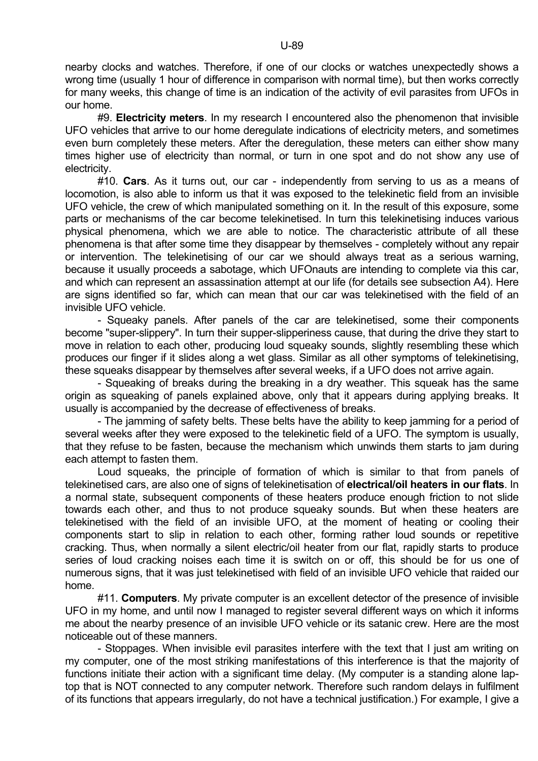nearby clocks and watches. Therefore, if one of our clocks or watches unexpectedly shows a wrong time (usually 1 hour of difference in comparison with normal time), but then works correctly for many weeks, this change of time is an indication of the activity of evil parasites from UFOs in our home.

 #9. **Electricity meters**. In my research I encountered also the phenomenon that invisible UFO vehicles that arrive to our home deregulate indications of electricity meters, and sometimes even burn completely these meters. After the deregulation, these meters can either show many times higher use of electricity than normal, or turn in one spot and do not show any use of electricity.

 #10. **Cars**. As it turns out, our car - independently from serving to us as a means of locomotion, is also able to inform us that it was exposed to the telekinetic field from an invisible UFO vehicle, the crew of which manipulated something on it. In the result of this exposure, some parts or mechanisms of the car become telekinetised. In turn this telekinetising induces various physical phenomena, which we are able to notice. The characteristic attribute of all these phenomena is that after some time they disappear by themselves - completely without any repair or intervention. The telekinetising of our car we should always treat as a serious warning, because it usually proceeds a sabotage, which UFOnauts are intending to complete via this car, and which can represent an assassination attempt at our life (for details see subsection A4). Here are signs identified so far, which can mean that our car was telekinetised with the field of an invisible UFO vehicle.

 - Squeaky panels. After panels of the car are telekinetised, some their components become "super-slippery". In turn their supper-slipperiness cause, that during the drive they start to move in relation to each other, producing loud squeaky sounds, slightly resembling these which produces our finger if it slides along a wet glass. Similar as all other symptoms of telekinetising, these squeaks disappear by themselves after several weeks, if a UFO does not arrive again.

 - Squeaking of breaks during the breaking in a dry weather. This squeak has the same origin as squeaking of panels explained above, only that it appears during applying breaks. It usually is accompanied by the decrease of effectiveness of breaks.

 - The jamming of safety belts. These belts have the ability to keep jamming for a period of several weeks after they were exposed to the telekinetic field of a UFO. The symptom is usually, that they refuse to be fasten, because the mechanism which unwinds them starts to jam during each attempt to fasten them.

 Loud squeaks, the principle of formation of which is similar to that from panels of telekinetised cars, are also one of signs of telekinetisation of **electrical/oil heaters in our flats**. In a normal state, subsequent components of these heaters produce enough friction to not slide towards each other, and thus to not produce squeaky sounds. But when these heaters are telekinetised with the field of an invisible UFO, at the moment of heating or cooling their components start to slip in relation to each other, forming rather loud sounds or repetitive cracking. Thus, when normally a silent electric/oil heater from our flat, rapidly starts to produce series of loud cracking noises each time it is switch on or off, this should be for us one of numerous signs, that it was just telekinetised with field of an invisible UFO vehicle that raided our home.

 #11. **Computers**. My private computer is an excellent detector of the presence of invisible UFO in my home, and until now I managed to register several different ways on which it informs me about the nearby presence of an invisible UFO vehicle or its satanic crew. Here are the most noticeable out of these manners.

 - Stoppages. When invisible evil parasites interfere with the text that I just am writing on my computer, one of the most striking manifestations of this interference is that the majority of functions initiate their action with a significant time delay. (My computer is a standing alone laptop that is NOT connected to any computer network. Therefore such random delays in fulfilment of its functions that appears irregularly, do not have a technical justification.) For example, I give a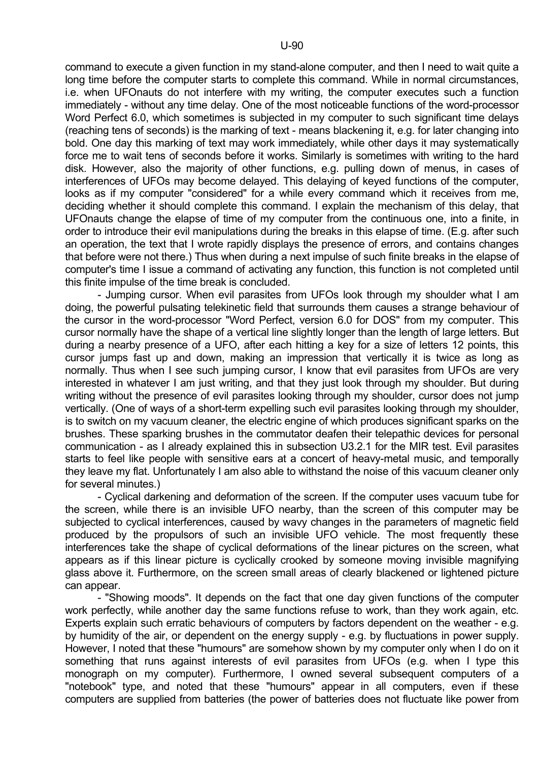command to execute a given function in my stand-alone computer, and then I need to wait quite a long time before the computer starts to complete this command. While in normal circumstances, i.e. when UFOnauts do not interfere with my writing, the computer executes such a function immediately - without any time delay. One of the most noticeable functions of the word-processor Word Perfect 6.0, which sometimes is subjected in my computer to such significant time delays (reaching tens of seconds) is the marking of text - means blackening it, e.g. for later changing into bold. One day this marking of text may work immediately, while other days it may systematically force me to wait tens of seconds before it works. Similarly is sometimes with writing to the hard disk. However, also the majority of other functions, e.g. pulling down of menus, in cases of interferences of UFOs may become delayed. This delaying of keyed functions of the computer, looks as if my computer "considered" for a while every command which it receives from me, deciding whether it should complete this command. I explain the mechanism of this delay, that UFOnauts change the elapse of time of my computer from the continuous one, into a finite, in order to introduce their evil manipulations during the breaks in this elapse of time. (E.g. after such an operation, the text that I wrote rapidly displays the presence of errors, and contains changes that before were not there.) Thus when during a next impulse of such finite breaks in the elapse of computer's time I issue a command of activating any function, this function is not completed until this finite impulse of the time break is concluded.

 - Jumping cursor. When evil parasites from UFOs look through my shoulder what I am doing, the powerful pulsating telekinetic field that surrounds them causes a strange behaviour of the cursor in the word-processor "Word Perfect, version 6.0 for DOS" from my computer. This cursor normally have the shape of a vertical line slightly longer than the length of large letters. But during a nearby presence of a UFO, after each hitting a key for a size of letters 12 points, this cursor jumps fast up and down, making an impression that vertically it is twice as long as normally. Thus when I see such jumping cursor, I know that evil parasites from UFOs are very interested in whatever I am just writing, and that they just look through my shoulder. But during writing without the presence of evil parasites looking through my shoulder, cursor does not jump vertically. (One of ways of a short-term expelling such evil parasites looking through my shoulder, is to switch on my vacuum cleaner, the electric engine of which produces significant sparks on the brushes. These sparking brushes in the commutator deafen their telepathic devices for personal communication - as I already explained this in subsection U3.2.1 for the MIR test. Evil parasites starts to feel like people with sensitive ears at a concert of heavy-metal music, and temporally they leave my flat. Unfortunately I am also able to withstand the noise of this vacuum cleaner only for several minutes.)

 - Cyclical darkening and deformation of the screen. If the computer uses vacuum tube for the screen, while there is an invisible UFO nearby, than the screen of this computer may be subjected to cyclical interferences, caused by wavy changes in the parameters of magnetic field produced by the propulsors of such an invisible UFO vehicle. The most frequently these interferences take the shape of cyclical deformations of the linear pictures on the screen, what appears as if this linear picture is cyclically crooked by someone moving invisible magnifying glass above it. Furthermore, on the screen small areas of clearly blackened or lightened picture can appear.

 - "Showing moods". It depends on the fact that one day given functions of the computer work perfectly, while another day the same functions refuse to work, than they work again, etc. Experts explain such erratic behaviours of computers by factors dependent on the weather - e.g. by humidity of the air, or dependent on the energy supply - e.g. by fluctuations in power supply. However, I noted that these "humours" are somehow shown by my computer only when I do on it something that runs against interests of evil parasites from UFOs (e.g. when I type this monograph on my computer). Furthermore, I owned several subsequent computers of a "notebook" type, and noted that these "humours" appear in all computers, even if these computers are supplied from batteries (the power of batteries does not fluctuate like power from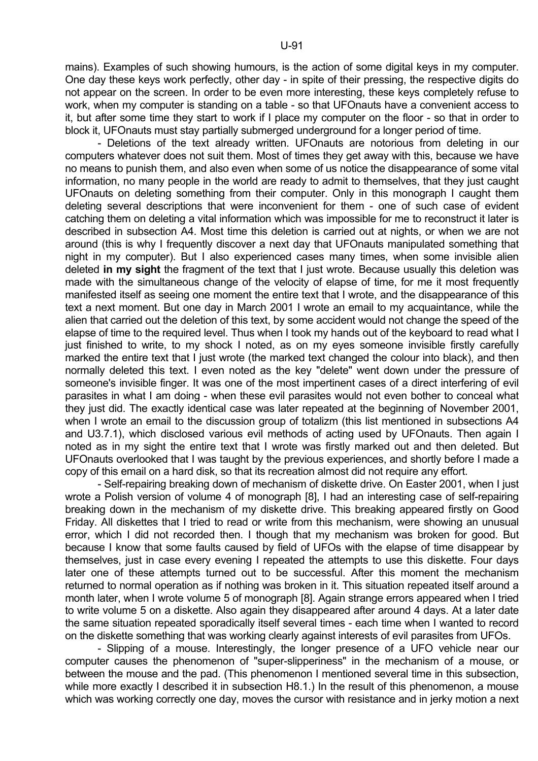mains). Examples of such showing humours, is the action of some digital keys in my computer. One day these keys work perfectly, other day - in spite of their pressing, the respective digits do not appear on the screen. In order to be even more interesting, these keys completely refuse to work, when my computer is standing on a table - so that UFOnauts have a convenient access to it, but after some time they start to work if I place my computer on the floor - so that in order to block it, UFOnauts must stay partially submerged underground for a longer period of time.

 - Deletions of the text already written. UFOnauts are notorious from deleting in our computers whatever does not suit them. Most of times they get away with this, because we have no means to punish them, and also even when some of us notice the disappearance of some vital information, no many people in the world are ready to admit to themselves, that they just caught UFOnauts on deleting something from their computer. Only in this monograph I caught them deleting several descriptions that were inconvenient for them - one of such case of evident catching them on deleting a vital information which was impossible for me to reconstruct it later is described in subsection A4. Most time this deletion is carried out at nights, or when we are not around (this is why I frequently discover a next day that UFOnauts manipulated something that night in my computer). But I also experienced cases many times, when some invisible alien deleted **in my sight** the fragment of the text that I just wrote. Because usually this deletion was made with the simultaneous change of the velocity of elapse of time, for me it most frequently manifested itself as seeing one moment the entire text that I wrote, and the disappearance of this text a next moment. But one day in March 2001 I wrote an email to my acquaintance, while the alien that carried out the deletion of this text, by some accident would not change the speed of the elapse of time to the required level. Thus when I took my hands out of the keyboard to read what I just finished to write, to my shock I noted, as on my eyes someone invisible firstly carefully marked the entire text that I just wrote (the marked text changed the colour into black), and then normally deleted this text. I even noted as the key "delete" went down under the pressure of someone's invisible finger. It was one of the most impertinent cases of a direct interfering of evil parasites in what I am doing - when these evil parasites would not even bother to conceal what they just did. The exactly identical case was later repeated at the beginning of November 2001, when I wrote an email to the discussion group of totalizm (this list mentioned in subsections A4 and U3.7.1), which disclosed various evil methods of acting used by UFOnauts. Then again I noted as in my sight the entire text that I wrote was firstly marked out and then deleted. But UFOnauts overlooked that I was taught by the previous experiences, and shortly before I made a copy of this email on a hard disk, so that its recreation almost did not require any effort.

 - Self-repairing breaking down of mechanism of diskette drive. On Easter 2001, when I just wrote a Polish version of volume 4 of monograph [8], I had an interesting case of self-repairing breaking down in the mechanism of my diskette drive. This breaking appeared firstly on Good Friday. All diskettes that I tried to read or write from this mechanism, were showing an unusual error, which I did not recorded then. I though that my mechanism was broken for good. But because I know that some faults caused by field of UFOs with the elapse of time disappear by themselves, just in case every evening I repeated the attempts to use this diskette. Four days later one of these attempts turned out to be successful. After this moment the mechanism returned to normal operation as if nothing was broken in it. This situation repeated itself around a month later, when I wrote volume 5 of monograph [8]. Again strange errors appeared when I tried to write volume 5 on a diskette. Also again they disappeared after around 4 days. At a later date the same situation repeated sporadically itself several times - each time when I wanted to record on the diskette something that was working clearly against interests of evil parasites from UFOs.

 - Slipping of a mouse. Interestingly, the longer presence of a UFO vehicle near our computer causes the phenomenon of "super-slipperiness" in the mechanism of a mouse, or between the mouse and the pad. (This phenomenon I mentioned several time in this subsection, while more exactly I described it in subsection H8.1.) In the result of this phenomenon, a mouse which was working correctly one day, moves the cursor with resistance and in jerky motion a next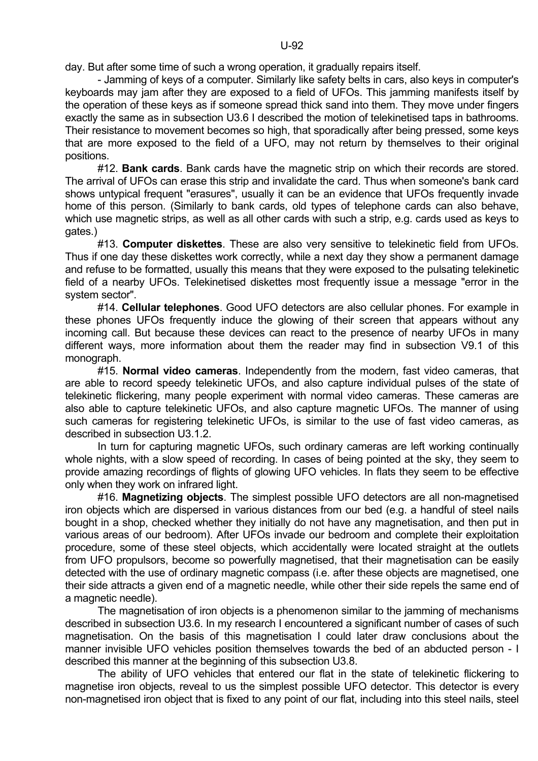day. But after some time of such a wrong operation, it gradually repairs itself.

 - Jamming of keys of a computer. Similarly like safety belts in cars, also keys in computer's keyboards may jam after they are exposed to a field of UFOs. This jamming manifests itself by the operation of these keys as if someone spread thick sand into them. They move under fingers exactly the same as in subsection U3.6 I described the motion of telekinetised taps in bathrooms. Their resistance to movement becomes so high, that sporadically after being pressed, some keys that are more exposed to the field of a UFO, may not return by themselves to their original positions.

 #12. **Bank cards**. Bank cards have the magnetic strip on which their records are stored. The arrival of UFOs can erase this strip and invalidate the card. Thus when someone's bank card shows untypical frequent "erasures", usually it can be an evidence that UFOs frequently invade home of this person. (Similarly to bank cards, old types of telephone cards can also behave, which use magnetic strips, as well as all other cards with such a strip, e.g. cards used as keys to gates.)

 #13. **Computer diskettes**. These are also very sensitive to telekinetic field from UFOs. Thus if one day these diskettes work correctly, while a next day they show a permanent damage and refuse to be formatted, usually this means that they were exposed to the pulsating telekinetic field of a nearby UFOs. Telekinetised diskettes most frequently issue a message "error in the system sector".

 #14. **Cellular telephones**. Good UFO detectors are also cellular phones. For example in these phones UFOs frequently induce the glowing of their screen that appears without any incoming call. But because these devices can react to the presence of nearby UFOs in many different ways, more information about them the reader may find in subsection V9.1 of this monograph.

 #15. **Normal video cameras**. Independently from the modern, fast video cameras, that are able to record speedy telekinetic UFOs, and also capture individual pulses of the state of telekinetic flickering, many people experiment with normal video cameras. These cameras are also able to capture telekinetic UFOs, and also capture magnetic UFOs. The manner of using such cameras for registering telekinetic UFOs, is similar to the use of fast video cameras, as described in subsection U3.1.2.

 In turn for capturing magnetic UFOs, such ordinary cameras are left working continually whole nights, with a slow speed of recording. In cases of being pointed at the sky, they seem to provide amazing recordings of flights of glowing UFO vehicles. In flats they seem to be effective only when they work on infrared light.

 #16. **Magnetizing objects**. The simplest possible UFO detectors are all non-magnetised iron objects which are dispersed in various distances from our bed (e.g. a handful of steel nails bought in a shop, checked whether they initially do not have any magnetisation, and then put in various areas of our bedroom). After UFOs invade our bedroom and complete their exploitation procedure, some of these steel objects, which accidentally were located straight at the outlets from UFO propulsors, become so powerfully magnetised, that their magnetisation can be easily detected with the use of ordinary magnetic compass (i.e. after these objects are magnetised, one their side attracts a given end of a magnetic needle, while other their side repels the same end of a magnetic needle).

 The magnetisation of iron objects is a phenomenon similar to the jamming of mechanisms described in subsection U3.6. In my research I encountered a significant number of cases of such magnetisation. On the basis of this magnetisation I could later draw conclusions about the manner invisible UFO vehicles position themselves towards the bed of an abducted person - I described this manner at the beginning of this subsection U3.8.

 The ability of UFO vehicles that entered our flat in the state of telekinetic flickering to magnetise iron objects, reveal to us the simplest possible UFO detector. This detector is every non-magnetised iron object that is fixed to any point of our flat, including into this steel nails, steel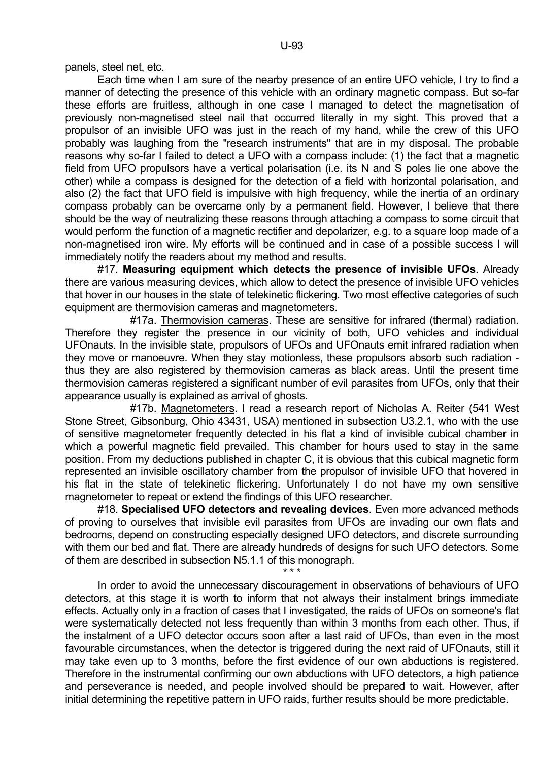panels, steel net, etc.

 Each time when I am sure of the nearby presence of an entire UFO vehicle, I try to find a manner of detecting the presence of this vehicle with an ordinary magnetic compass. But so-far these efforts are fruitless, although in one case I managed to detect the magnetisation of previously non-magnetised steel nail that occurred literally in my sight. This proved that a propulsor of an invisible UFO was just in the reach of my hand, while the crew of this UFO probably was laughing from the "research instruments" that are in my disposal. The probable reasons why so-far I failed to detect a UFO with a compass include: (1) the fact that a magnetic field from UFO propulsors have a vertical polarisation (i.e. its N and S poles lie one above the other) while a compass is designed for the detection of a field with horizontal polarisation, and also (2) the fact that UFO field is impulsive with high frequency, while the inertia of an ordinary compass probably can be overcame only by a permanent field. However, I believe that there should be the way of neutralizing these reasons through attaching a compass to some circuit that would perform the function of a magnetic rectifier and depolarizer, e.g. to a square loop made of a non-magnetised iron wire. My efforts will be continued and in case of a possible success I will immediately notify the readers about my method and results.

 #17. **Measuring equipment which detects the presence of invisible UFOs**. Already there are various measuring devices, which allow to detect the presence of invisible UFO vehicles that hover in our houses in the state of telekinetic flickering. Two most effective categories of such equipment are thermovision cameras and magnetometers.

 #17a. Thermovision cameras. These are sensitive for infrared (thermal) radiation. Therefore they register the presence in our vicinity of both, UFO vehicles and individual UFOnauts. In the invisible state, propulsors of UFOs and UFOnauts emit infrared radiation when they move or manoeuvre. When they stay motionless, these propulsors absorb such radiation thus they are also registered by thermovision cameras as black areas. Until the present time thermovision cameras registered a significant number of evil parasites from UFOs, only that their appearance usually is explained as arrival of ghosts.

 #17b. Magnetometers. I read a research report of Nicholas A. Reiter (541 West Stone Street, Gibsonburg, Ohio 43431, USA) mentioned in subsection U3.2.1, who with the use of sensitive magnetometer frequently detected in his flat a kind of invisible cubical chamber in which a powerful magnetic field prevailed. This chamber for hours used to stay in the same position. From my deductions published in chapter C, it is obvious that this cubical magnetic form represented an invisible oscillatory chamber from the propulsor of invisible UFO that hovered in his flat in the state of telekinetic flickering. Unfortunately I do not have my own sensitive magnetometer to repeat or extend the findings of this UFO researcher.

 #18. **Specialised UFO detectors and revealing devices**. Even more advanced methods of proving to ourselves that invisible evil parasites from UFOs are invading our own flats and bedrooms, depend on constructing especially designed UFO detectors, and discrete surrounding with them our bed and flat. There are already hundreds of designs for such UFO detectors. Some of them are described in subsection N5.1.1 of this monograph.

 $\star \star \star$ In order to avoid the unnecessary discouragement in observations of behaviours of UFO

detectors, at this stage it is worth to inform that not always their instalment brings immediate effects. Actually only in a fraction of cases that I investigated, the raids of UFOs on someone's flat were systematically detected not less frequently than within 3 months from each other. Thus, if the instalment of a UFO detector occurs soon after a last raid of UFOs, than even in the most favourable circumstances, when the detector is triggered during the next raid of UFOnauts, still it may take even up to 3 months, before the first evidence of our own abductions is registered. Therefore in the instrumental confirming our own abductions with UFO detectors, a high patience and perseverance is needed, and people involved should be prepared to wait. However, after initial determining the repetitive pattern in UFO raids, further results should be more predictable.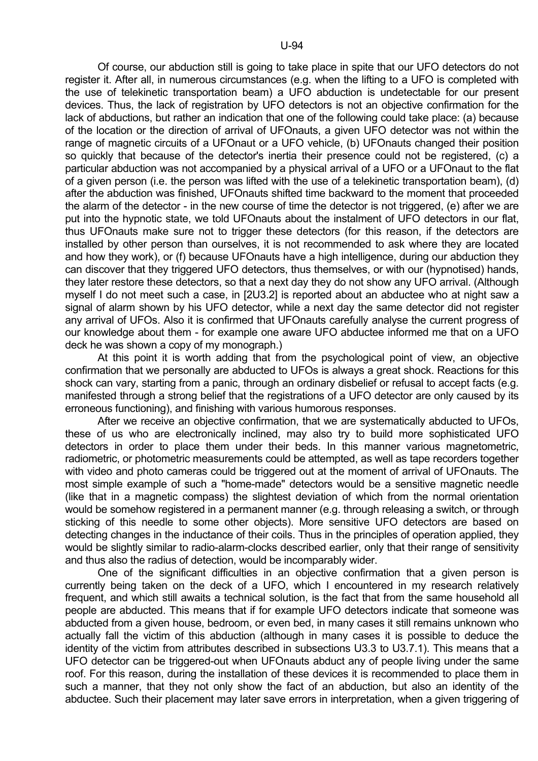Of course, our abduction still is going to take place in spite that our UFO detectors do not register it. After all, in numerous circumstances (e.g. when the lifting to a UFO is completed with the use of telekinetic transportation beam) a UFO abduction is undetectable for our present devices. Thus, the lack of registration by UFO detectors is not an objective confirmation for the lack of abductions, but rather an indication that one of the following could take place: (a) because of the location or the direction of arrival of UFOnauts, a given UFO detector was not within the range of magnetic circuits of a UFOnaut or a UFO vehicle, (b) UFOnauts changed their position so quickly that because of the detector's inertia their presence could not be registered, (c) a particular abduction was not accompanied by a physical arrival of a UFO or a UFOnaut to the flat of a given person (i.e. the person was lifted with the use of a telekinetic transportation beam), (d) after the abduction was finished, UFOnauts shifted time backward to the moment that proceeded the alarm of the detector - in the new course of time the detector is not triggered, (e) after we are put into the hypnotic state, we told UFOnauts about the instalment of UFO detectors in our flat, thus UFOnauts make sure not to trigger these detectors (for this reason, if the detectors are installed by other person than ourselves, it is not recommended to ask where they are located and how they work), or (f) because UFOnauts have a high intelligence, during our abduction they can discover that they triggered UFO detectors, thus themselves, or with our (hypnotised) hands, they later restore these detectors, so that a next day they do not show any UFO arrival. (Although myself I do not meet such a case, in [2U3.2] is reported about an abductee who at night saw a signal of alarm shown by his UFO detector, while a next day the same detector did not register any arrival of UFOs. Also it is confirmed that UFOnauts carefully analyse the current progress of our knowledge about them - for example one aware UFO abductee informed me that on a UFO deck he was shown a copy of my monograph.)

 At this point it is worth adding that from the psychological point of view, an objective confirmation that we personally are abducted to UFOs is always a great shock. Reactions for this shock can vary, starting from a panic, through an ordinary disbelief or refusal to accept facts (e.g. manifested through a strong belief that the registrations of a UFO detector are only caused by its erroneous functioning), and finishing with various humorous responses.

 After we receive an objective confirmation, that we are systematically abducted to UFOs, these of us who are electronically inclined, may also try to build more sophisticated UFO detectors in order to place them under their beds. In this manner various magnetometric, radiometric, or photometric measurements could be attempted, as well as tape recorders together with video and photo cameras could be triggered out at the moment of arrival of UFOnauts. The most simple example of such a "home-made" detectors would be a sensitive magnetic needle (like that in a magnetic compass) the slightest deviation of which from the normal orientation would be somehow registered in a permanent manner (e.g. through releasing a switch, or through sticking of this needle to some other objects). More sensitive UFO detectors are based on detecting changes in the inductance of their coils. Thus in the principles of operation applied, they would be slightly similar to radio-alarm-clocks described earlier, only that their range of sensitivity and thus also the radius of detection, would be incomparably wider.

 One of the significant difficulties in an objective confirmation that a given person is currently being taken on the deck of a UFO, which I encountered in my research relatively frequent, and which still awaits a technical solution, is the fact that from the same household all people are abducted. This means that if for example UFO detectors indicate that someone was abducted from a given house, bedroom, or even bed, in many cases it still remains unknown who actually fall the victim of this abduction (although in many cases it is possible to deduce the identity of the victim from attributes described in subsections U3.3 to U3.7.1). This means that a UFO detector can be triggered-out when UFOnauts abduct any of people living under the same roof. For this reason, during the installation of these devices it is recommended to place them in such a manner, that they not only show the fact of an abduction, but also an identity of the abductee. Such their placement may later save errors in interpretation, when a given triggering of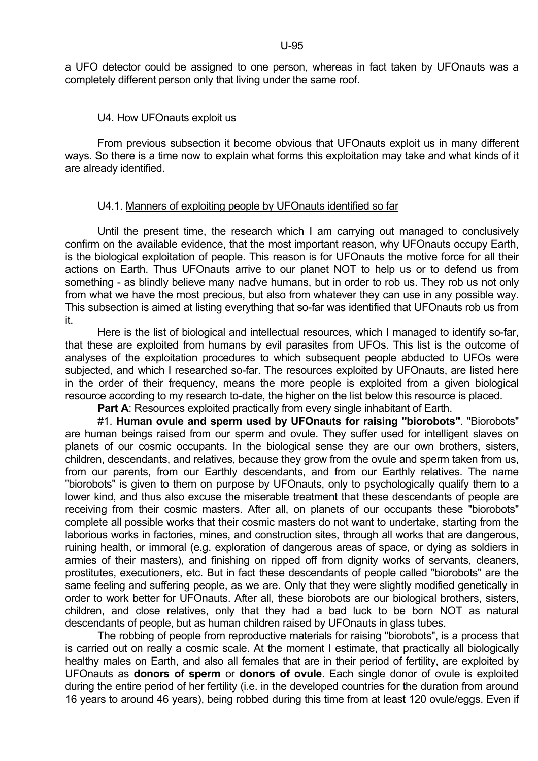a UFO detector could be assigned to one person, whereas in fact taken by UFOnauts was a completely different person only that living under the same roof.

# U4. How UFOnauts exploit us

 From previous subsection it become obvious that UFOnauts exploit us in many different ways. So there is a time now to explain what forms this exploitation may take and what kinds of it are already identified.

# U4.1. Manners of exploiting people by UFOnauts identified so far

 Until the present time, the research which I am carrying out managed to conclusively confirm on the available evidence, that the most important reason, why UFOnauts occupy Earth, is the biological exploitation of people. This reason is for UFOnauts the motive force for all their actions on Earth. Thus UFOnauts arrive to our planet NOT to help us or to defend us from something - as blindly believe many nad've humans, but in order to rob us. They rob us not only from what we have the most precious, but also from whatever they can use in any possible way. This subsection is aimed at listing everything that so-far was identified that UFOnauts rob us from it.

Here is the list of biological and intellectual resources, which I managed to identify so-far, that these are exploited from humans by evil parasites from UFOs. This list is the outcome of analyses of the exploitation procedures to which subsequent people abducted to UFOs were subjected, and which I researched so-far. The resources exploited by UFOnauts, are listed here in the order of their frequency, means the more people is exploited from a given biological resource according to my research to-date, the higher on the list below this resource is placed.

**Part A:** Resources exploited practically from every single inhabitant of Earth.

 #1. **Human ovule and sperm used by UFOnauts for raising "biorobots"**. "Biorobots" are human beings raised from our sperm and ovule. They suffer used for intelligent slaves on planets of our cosmic occupants. In the biological sense they are our own brothers, sisters, children, descendants, and relatives, because they grow from the ovule and sperm taken from us, from our parents, from our Earthly descendants, and from our Earthly relatives. The name "biorobots" is given to them on purpose by UFOnauts, only to psychologically qualify them to a lower kind, and thus also excuse the miserable treatment that these descendants of people are receiving from their cosmic masters. After all, on planets of our occupants these "biorobots" complete all possible works that their cosmic masters do not want to undertake, starting from the laborious works in factories, mines, and construction sites, through all works that are dangerous, ruining health, or immoral (e.g. exploration of dangerous areas of space, or dying as soldiers in armies of their masters), and finishing on ripped off from dignity works of servants, cleaners, prostitutes, executioners, etc. But in fact these descendants of people called "biorobots" are the same feeling and suffering people, as we are. Only that they were slightly modified genetically in order to work better for UFOnauts. After all, these biorobots are our biological brothers, sisters, children, and close relatives, only that they had a bad luck to be born NOT as natural descendants of people, but as human children raised by UFOnauts in glass tubes.

 The robbing of people from reproductive materials for raising "biorobots", is a process that is carried out on really a cosmic scale. At the moment I estimate, that practically all biologically healthy males on Earth, and also all females that are in their period of fertility, are exploited by UFOnauts as **donors of sperm** or **donors of ovule**. Each single donor of ovule is exploited during the entire period of her fertility (i.e. in the developed countries for the duration from around 16 years to around 46 years), being robbed during this time from at least 120 ovule/eggs. Even if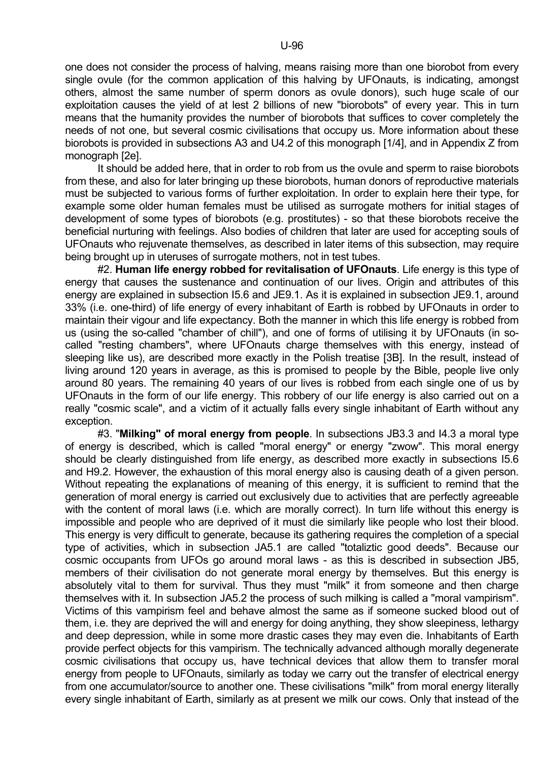one does not consider the process of halving, means raising more than one biorobot from every single ovule (for the common application of this halving by UFOnauts, is indicating, amongst others, almost the same number of sperm donors as ovule donors), such huge scale of our exploitation causes the yield of at lest 2 billions of new "biorobots" of every year. This in turn means that the humanity provides the number of biorobots that suffices to cover completely the needs of not one, but several cosmic civilisations that occupy us. More information about these biorobots is provided in subsections A3 and U4.2 of this monograph [1/4], and in Appendix Z from monograph [2e].

 It should be added here, that in order to rob from us the ovule and sperm to raise biorobots from these, and also for later bringing up these biorobots, human donors of reproductive materials must be subjected to various forms of further exploitation. In order to explain here their type, for example some older human females must be utilised as surrogate mothers for initial stages of development of some types of biorobots (e.g. prostitutes) - so that these biorobots receive the beneficial nurturing with feelings. Also bodies of children that later are used for accepting souls of UFOnauts who rejuvenate themselves, as described in later items of this subsection, may require being brought up in uteruses of surrogate mothers, not in test tubes.

 #2. **Human life energy robbed for revitalisation of UFOnauts**. Life energy is this type of energy that causes the sustenance and continuation of our lives. Origin and attributes of this energy are explained in subsection I5.6 and JE9.1. As it is explained in subsection JE9.1, around 33% (i.e. one-third) of life energy of every inhabitant of Earth is robbed by UFOnauts in order to maintain their vigour and life expectancy. Both the manner in which this life energy is robbed from us (using the so-called "chamber of chill"), and one of forms of utilising it by UFOnauts (in socalled "resting chambers", where UFOnauts charge themselves with this energy, instead of sleeping like us), are described more exactly in the Polish treatise [3B]. In the result, instead of living around 120 years in average, as this is promised to people by the Bible, people live only around 80 years. The remaining 40 years of our lives is robbed from each single one of us by UFOnauts in the form of our life energy. This robbery of our life energy is also carried out on a really "cosmic scale", and a victim of it actually falls every single inhabitant of Earth without any exception.

 #3. "**Milking" of moral energy from people**. In subsections JB3.3 and I4.3 a moral type of energy is described, which is called "moral energy" or energy "zwow". This moral energy should be clearly distinguished from life energy, as described more exactly in subsections I5.6 and H9.2. However, the exhaustion of this moral energy also is causing death of a given person. Without repeating the explanations of meaning of this energy, it is sufficient to remind that the generation of moral energy is carried out exclusively due to activities that are perfectly agreeable with the content of moral laws (i.e. which are morally correct). In turn life without this energy is impossible and people who are deprived of it must die similarly like people who lost their blood. This energy is very difficult to generate, because its gathering requires the completion of a special type of activities, which in subsection JA5.1 are called "totaliztic good deeds". Because our cosmic occupants from UFOs go around moral laws - as this is described in subsection JB5, members of their civilisation do not generate moral energy by themselves. But this energy is absolutely vital to them for survival. Thus they must "milk" it from someone and then charge themselves with it. In subsection JA5.2 the process of such milking is called a "moral vampirism". Victims of this vampirism feel and behave almost the same as if someone sucked blood out of them, i.e. they are deprived the will and energy for doing anything, they show sleepiness, lethargy and deep depression, while in some more drastic cases they may even die. Inhabitants of Earth provide perfect objects for this vampirism. The technically advanced although morally degenerate cosmic civilisations that occupy us, have technical devices that allow them to transfer moral energy from people to UFOnauts, similarly as today we carry out the transfer of electrical energy from one accumulator/source to another one. These civilisations "milk" from moral energy literally every single inhabitant of Earth, similarly as at present we milk our cows. Only that instead of the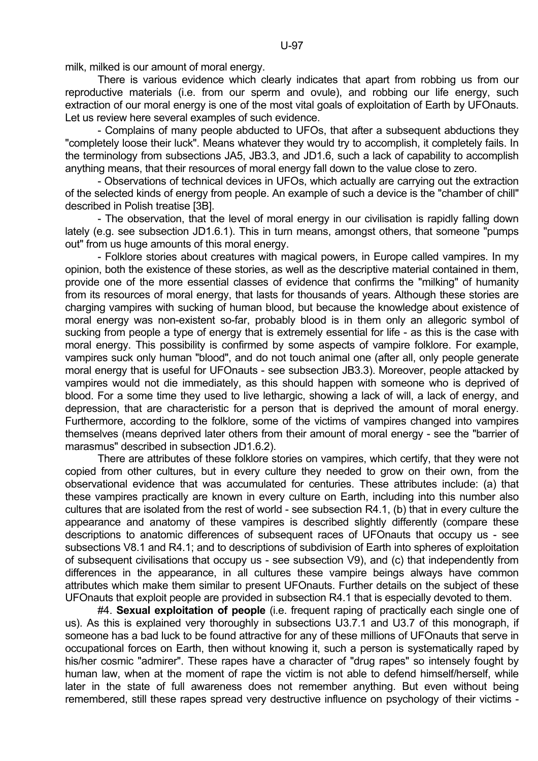milk, milked is our amount of moral energy.

 There is various evidence which clearly indicates that apart from robbing us from our reproductive materials (i.e. from our sperm and ovule), and robbing our life energy, such extraction of our moral energy is one of the most vital goals of exploitation of Earth by UFOnauts. Let us review here several examples of such evidence.

 - Complains of many people abducted to UFOs, that after a subsequent abductions they "completely loose their luck". Means whatever they would try to accomplish, it completely fails. In the terminology from subsections JA5, JB3.3, and JD1.6, such a lack of capability to accomplish anything means, that their resources of moral energy fall down to the value close to zero.

 - Observations of technical devices in UFOs, which actually are carrying out the extraction of the selected kinds of energy from people. An example of such a device is the "chamber of chill" described in Polish treatise [3B].

 - The observation, that the level of moral energy in our civilisation is rapidly falling down lately (e.g. see subsection JD1.6.1). This in turn means, amongst others, that someone "pumps out" from us huge amounts of this moral energy.

 - Folklore stories about creatures with magical powers, in Europe called vampires. In my opinion, both the existence of these stories, as well as the descriptive material contained in them, provide one of the more essential classes of evidence that confirms the "milking" of humanity from its resources of moral energy, that lasts for thousands of years. Although these stories are charging vampires with sucking of human blood, but because the knowledge about existence of moral energy was non-existent so-far, probably blood is in them only an allegoric symbol of sucking from people a type of energy that is extremely essential for life - as this is the case with moral energy. This possibility is confirmed by some aspects of vampire folklore. For example, vampires suck only human "blood", and do not touch animal one (after all, only people generate moral energy that is useful for UFOnauts - see subsection JB3.3). Moreover, people attacked by vampires would not die immediately, as this should happen with someone who is deprived of blood. For a some time they used to live lethargic, showing a lack of will, a lack of energy, and depression, that are characteristic for a person that is deprived the amount of moral energy. Furthermore, according to the folklore, some of the victims of vampires changed into vampires themselves (means deprived later others from their amount of moral energy - see the "barrier of marasmus" described in subsection JD1.6.2).

 There are attributes of these folklore stories on vampires, which certify, that they were not copied from other cultures, but in every culture they needed to grow on their own, from the observational evidence that was accumulated for centuries. These attributes include: (a) that these vampires practically are known in every culture on Earth, including into this number also cultures that are isolated from the rest of world - see subsection R4.1, (b) that in every culture the appearance and anatomy of these vampires is described slightly differently (compare these descriptions to anatomic differences of subsequent races of UFOnauts that occupy us - see subsections V8.1 and R4.1; and to descriptions of subdivision of Earth into spheres of exploitation of subsequent civilisations that occupy us - see subsection V9), and (c) that independently from differences in the appearance, in all cultures these vampire beings always have common attributes which make them similar to present UFOnauts. Further details on the subject of these UFOnauts that exploit people are provided in subsection R4.1 that is especially devoted to them.

 #4. **Sexual exploitation of people** (i.e. frequent raping of practically each single one of us). As this is explained very thoroughly in subsections U3.7.1 and U3.7 of this monograph, if someone has a bad luck to be found attractive for any of these millions of UFOnauts that serve in occupational forces on Earth, then without knowing it, such a person is systematically raped by his/her cosmic "admirer". These rapes have a character of "drug rapes" so intensely fought by human law, when at the moment of rape the victim is not able to defend himself/herself, while later in the state of full awareness does not remember anything. But even without being remembered, still these rapes spread very destructive influence on psychology of their victims -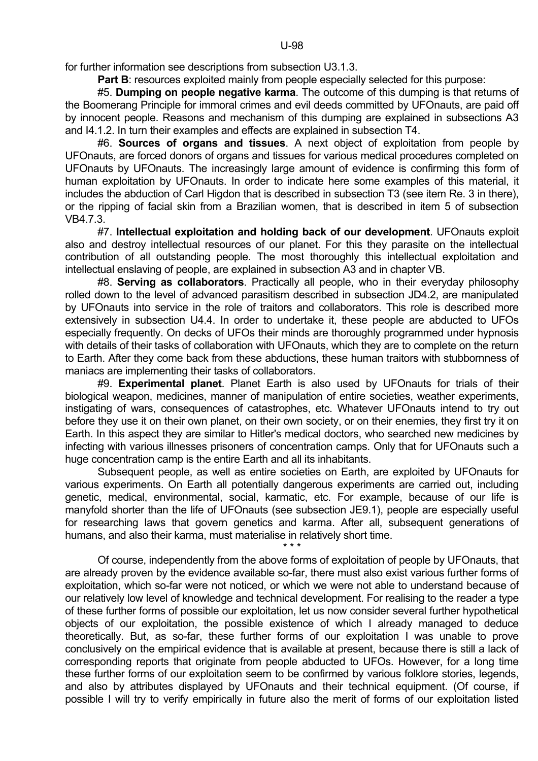for further information see descriptions from subsection U3.1.3.

**Part B:** resources exploited mainly from people especially selected for this purpose:

 #5. **Dumping on people negative karma**. The outcome of this dumping is that returns of the Boomerang Principle for immoral crimes and evil deeds committed by UFOnauts, are paid off by innocent people. Reasons and mechanism of this dumping are explained in subsections A3 and I4.1.2. In turn their examples and effects are explained in subsection T4.

 #6. **Sources of organs and tissues**. A next object of exploitation from people by UFOnauts, are forced donors of organs and tissues for various medical procedures completed on UFOnauts by UFOnauts. The increasingly large amount of evidence is confirming this form of human exploitation by UFOnauts. In order to indicate here some examples of this material, it includes the abduction of Carl Higdon that is described in subsection T3 (see item Re. 3 in there). or the ripping of facial skin from a Brazilian women, that is described in item 5 of subsection VB4.7.3.

 #7. **Intellectual exploitation and holding back of our development**. UFOnauts exploit also and destroy intellectual resources of our planet. For this they parasite on the intellectual contribution of all outstanding people. The most thoroughly this intellectual exploitation and intellectual enslaving of people, are explained in subsection A3 and in chapter VB.

 #8. **Serving as collaborators**. Practically all people, who in their everyday philosophy rolled down to the level of advanced parasitism described in subsection JD4.2, are manipulated by UFOnauts into service in the role of traitors and collaborators. This role is described more extensively in subsection U4.4. In order to undertake it, these people are abducted to UFOs especially frequently. On decks of UFOs their minds are thoroughly programmed under hypnosis with details of their tasks of collaboration with UFOnauts, which they are to complete on the return to Earth. After they come back from these abductions, these human traitors with stubbornness of maniacs are implementing their tasks of collaborators.

 #9. **Experimental planet**. Planet Earth is also used by UFOnauts for trials of their biological weapon, medicines, manner of manipulation of entire societies, weather experiments, instigating of wars, consequences of catastrophes, etc. Whatever UFOnauts intend to try out before they use it on their own planet, on their own society, or on their enemies, they first try it on Earth. In this aspect they are similar to Hitler's medical doctors, who searched new medicines by infecting with various illnesses prisoners of concentration camps. Only that for UFOnauts such a huge concentration camp is the entire Earth and all its inhabitants.

 Subsequent people, as well as entire societies on Earth, are exploited by UFOnauts for various experiments. On Earth all potentially dangerous experiments are carried out, including genetic, medical, environmental, social, karmatic, etc. For example, because of our life is manyfold shorter than the life of UFOnauts (see subsection JE9.1), people are especially useful for researching laws that govern genetics and karma. After all, subsequent generations of humans, and also their karma, must materialise in relatively short time.

 $\star \star \star$ 

 Of course, independently from the above forms of exploitation of people by UFOnauts, that are already proven by the evidence available so-far, there must also exist various further forms of exploitation, which so-far were not noticed, or which we were not able to understand because of our relatively low level of knowledge and technical development. For realising to the reader a type of these further forms of possible our exploitation, let us now consider several further hypothetical objects of our exploitation, the possible existence of which I already managed to deduce theoretically. But, as so-far, these further forms of our exploitation I was unable to prove conclusively on the empirical evidence that is available at present, because there is still a lack of corresponding reports that originate from people abducted to UFOs. However, for a long time these further forms of our exploitation seem to be confirmed by various folklore stories, legends, and also by attributes displayed by UFOnauts and their technical equipment. (Of course, if possible I will try to verify empirically in future also the merit of forms of our exploitation listed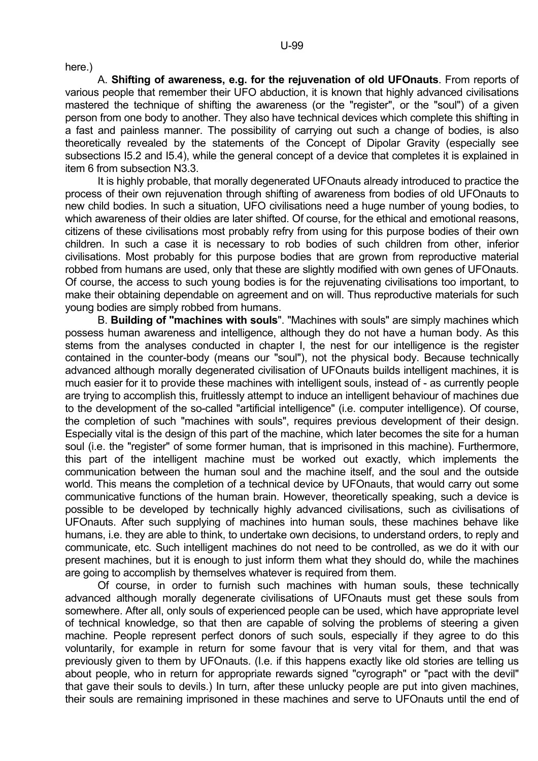here.)

 A. **Shifting of awareness, e.g. for the rejuvenation of old UFOnauts**. From reports of various people that remember their UFO abduction, it is known that highly advanced civilisations mastered the technique of shifting the awareness (or the "register", or the "soul") of a given person from one body to another. They also have technical devices which complete this shifting in a fast and painless manner. The possibility of carrying out such a change of bodies, is also theoretically revealed by the statements of the Concept of Dipolar Gravity (especially see subsections I5.2 and I5.4), while the general concept of a device that completes it is explained in item 6 from subsection N3.3.

 It is highly probable, that morally degenerated UFOnauts already introduced to practice the process of their own rejuvenation through shifting of awareness from bodies of old UFOnauts to new child bodies. In such a situation, UFO civilisations need a huge number of young bodies, to which awareness of their oldies are later shifted. Of course, for the ethical and emotional reasons, citizens of these civilisations most probably refry from using for this purpose bodies of their own children. In such a case it is necessary to rob bodies of such children from other, inferior civilisations. Most probably for this purpose bodies that are grown from reproductive material robbed from humans are used, only that these are slightly modified with own genes of UFOnauts. Of course, the access to such young bodies is for the rejuvenating civilisations too important, to make their obtaining dependable on agreement and on will. Thus reproductive materials for such young bodies are simply robbed from humans.

 B. **Building of "machines with souls**". "Machines with souls" are simply machines which possess human awareness and intelligence, although they do not have a human body. As this stems from the analyses conducted in chapter I, the nest for our intelligence is the register contained in the counter-body (means our "soul"), not the physical body. Because technically advanced although morally degenerated civilisation of UFOnauts builds intelligent machines, it is much easier for it to provide these machines with intelligent souls, instead of - as currently people are trying to accomplish this, fruitlessly attempt to induce an intelligent behaviour of machines due to the development of the so-called "artificial intelligence" (i.e. computer intelligence). Of course, the completion of such "machines with souls", requires previous development of their design. Especially vital is the design of this part of the machine, which later becomes the site for a human soul (i.e. the "register" of some former human, that is imprisoned in this machine). Furthermore, this part of the intelligent machine must be worked out exactly, which implements the communication between the human soul and the machine itself, and the soul and the outside world. This means the completion of a technical device by UFOnauts, that would carry out some communicative functions of the human brain. However, theoretically speaking, such a device is possible to be developed by technically highly advanced civilisations, such as civilisations of UFOnauts. After such supplying of machines into human souls, these machines behave like humans, i.e. they are able to think, to undertake own decisions, to understand orders, to reply and communicate, etc. Such intelligent machines do not need to be controlled, as we do it with our present machines, but it is enough to just inform them what they should do, while the machines are going to accomplish by themselves whatever is required from them.

 Of course, in order to furnish such machines with human souls, these technically advanced although morally degenerate civilisations of UFOnauts must get these souls from somewhere. After all, only souls of experienced people can be used, which have appropriate level of technical knowledge, so that then are capable of solving the problems of steering a given machine. People represent perfect donors of such souls, especially if they agree to do this voluntarily, for example in return for some favour that is very vital for them, and that was previously given to them by UFOnauts. (I.e. if this happens exactly like old stories are telling us about people, who in return for appropriate rewards signed "cyrograph" or "pact with the devil" that gave their souls to devils.) In turn, after these unlucky people are put into given machines, their souls are remaining imprisoned in these machines and serve to UFOnauts until the end of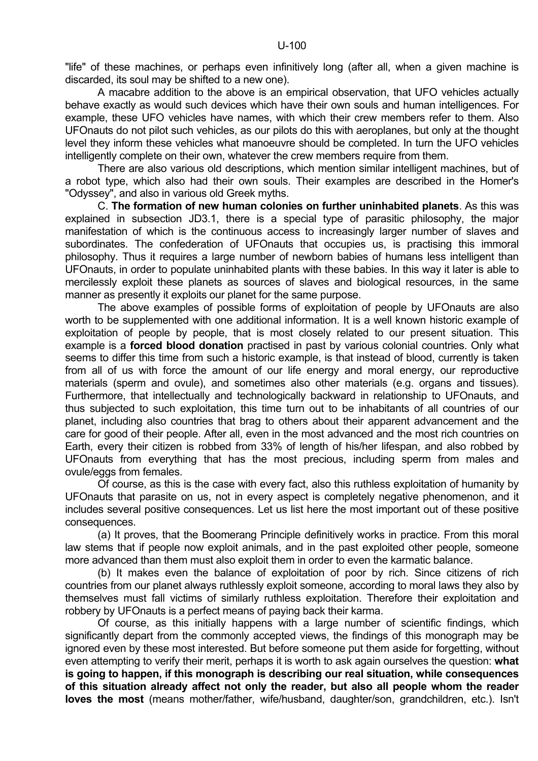"life" of these machines, or perhaps even infinitively long (after all, when a given machine is discarded, its soul may be shifted to a new one).

 A macabre addition to the above is an empirical observation, that UFO vehicles actually behave exactly as would such devices which have their own souls and human intelligences. For example, these UFO vehicles have names, with which their crew members refer to them. Also UFOnauts do not pilot such vehicles, as our pilots do this with aeroplanes, but only at the thought level they inform these vehicles what manoeuvre should be completed. In turn the UFO vehicles intelligently complete on their own, whatever the crew members require from them.

 There are also various old descriptions, which mention similar intelligent machines, but of a robot type, which also had their own souls. Their examples are described in the Homer's "Odyssey", and also in various old Greek myths.

 C. **The formation of new human colonies on further uninhabited planets**. As this was explained in subsection JD3.1, there is a special type of parasitic philosophy, the major manifestation of which is the continuous access to increasingly larger number of slaves and subordinates. The confederation of UFOnauts that occupies us, is practising this immoral philosophy. Thus it requires a large number of newborn babies of humans less intelligent than UFOnauts, in order to populate uninhabited plants with these babies. In this way it later is able to mercilessly exploit these planets as sources of slaves and biological resources, in the same manner as presently it exploits our planet for the same purpose.

 The above examples of possible forms of exploitation of people by UFOnauts are also worth to be supplemented with one additional information. It is a well known historic example of exploitation of people by people, that is most closely related to our present situation. This example is a **forced blood donation** practised in past by various colonial countries. Only what seems to differ this time from such a historic example, is that instead of blood, currently is taken from all of us with force the amount of our life energy and moral energy, our reproductive materials (sperm and ovule), and sometimes also other materials (e.g. organs and tissues). Furthermore, that intellectually and technologically backward in relationship to UFOnauts, and thus subjected to such exploitation, this time turn out to be inhabitants of all countries of our planet, including also countries that brag to others about their apparent advancement and the care for good of their people. After all, even in the most advanced and the most rich countries on Earth, every their citizen is robbed from 33% of length of his/her lifespan, and also robbed by UFOnauts from everything that has the most precious, including sperm from males and ovule/eggs from females.

 Of course, as this is the case with every fact, also this ruthless exploitation of humanity by UFOnauts that parasite on us, not in every aspect is completely negative phenomenon, and it includes several positive consequences. Let us list here the most important out of these positive consequences.

 (a) It proves, that the Boomerang Principle definitively works in practice. From this moral law stems that if people now exploit animals, and in the past exploited other people, someone more advanced than them must also exploit them in order to even the karmatic balance.

 (b) It makes even the balance of exploitation of poor by rich. Since citizens of rich countries from our planet always ruthlessly exploit someone, according to moral laws they also by themselves must fall victims of similarly ruthless exploitation. Therefore their exploitation and robbery by UFOnauts is a perfect means of paying back their karma.

 Of course, as this initially happens with a large number of scientific findings, which significantly depart from the commonly accepted views, the findings of this monograph may be ignored even by these most interested. But before someone put them aside for forgetting, without even attempting to verify their merit, perhaps it is worth to ask again ourselves the question: **what is going to happen, if this monograph is describing our real situation, while consequences of this situation already affect not only the reader, but also all people whom the reader loves the most** (means mother/father, wife/husband, daughter/son, grandchildren, etc.). Isn't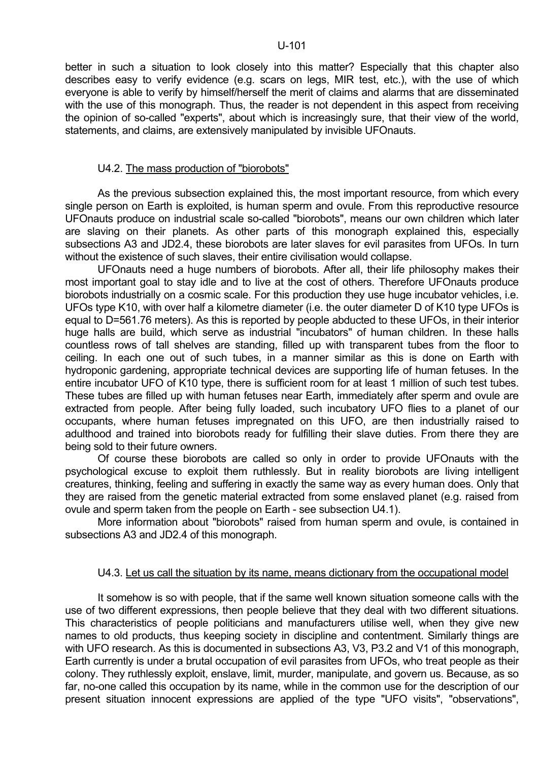better in such a situation to look closely into this matter? Especially that this chapter also describes easy to verify evidence (e.g. scars on legs, MIR test, etc.), with the use of which everyone is able to verify by himself/herself the merit of claims and alarms that are disseminated with the use of this monograph. Thus, the reader is not dependent in this aspect from receiving the opinion of so-called "experts", about which is increasingly sure, that their view of the world, statements, and claims, are extensively manipulated by invisible UFOnauts.

## U4.2. The mass production of "biorobots"

 As the previous subsection explained this, the most important resource, from which every single person on Earth is exploited, is human sperm and ovule. From this reproductive resource UFOnauts produce on industrial scale so-called "biorobots", means our own children which later are slaving on their planets. As other parts of this monograph explained this, especially subsections A3 and JD2.4, these biorobots are later slaves for evil parasites from UFOs. In turn without the existence of such slaves, their entire civilisation would collapse.

 UFOnauts need a huge numbers of biorobots. After all, their life philosophy makes their most important goal to stay idle and to live at the cost of others. Therefore UFOnauts produce biorobots industrially on a cosmic scale. For this production they use huge incubator vehicles, i.e. UFOs type K10, with over half a kilometre diameter (i.e. the outer diameter D of K10 type UFOs is equal to D=561.76 meters). As this is reported by people abducted to these UFOs, in their interior huge halls are build, which serve as industrial "incubators" of human children. In these halls countless rows of tall shelves are standing, filled up with transparent tubes from the floor to ceiling. In each one out of such tubes, in a manner similar as this is done on Earth with hydroponic gardening, appropriate technical devices are supporting life of human fetuses. In the entire incubator UFO of K10 type, there is sufficient room for at least 1 million of such test tubes. These tubes are filled up with human fetuses near Earth, immediately after sperm and ovule are extracted from people. After being fully loaded, such incubatory UFO flies to a planet of our occupants, where human fetuses impregnated on this UFO, are then industrially raised to adulthood and trained into biorobots ready for fulfilling their slave duties. From there they are being sold to their future owners.

 Of course these biorobots are called so only in order to provide UFOnauts with the psychological excuse to exploit them ruthlessly. But in reality biorobots are living intelligent creatures, thinking, feeling and suffering in exactly the same way as every human does. Only that they are raised from the genetic material extracted from some enslaved planet (e.g. raised from ovule and sperm taken from the people on Earth - see subsection U4.1).

 More information about "biorobots" raised from human sperm and ovule, is contained in subsections A3 and JD2.4 of this monograph.

## U4.3. Let us call the situation by its name, means dictionary from the occupational model

 It somehow is so with people, that if the same well known situation someone calls with the use of two different expressions, then people believe that they deal with two different situations. This characteristics of people politicians and manufacturers utilise well, when they give new names to old products, thus keeping society in discipline and contentment. Similarly things are with UFO research. As this is documented in subsections A3, V3, P3.2 and V1 of this monograph, Earth currently is under a brutal occupation of evil parasites from UFOs, who treat people as their colony. They ruthlessly exploit, enslave, limit, murder, manipulate, and govern us. Because, as so far, no-one called this occupation by its name, while in the common use for the description of our present situation innocent expressions are applied of the type "UFO visits", "observations",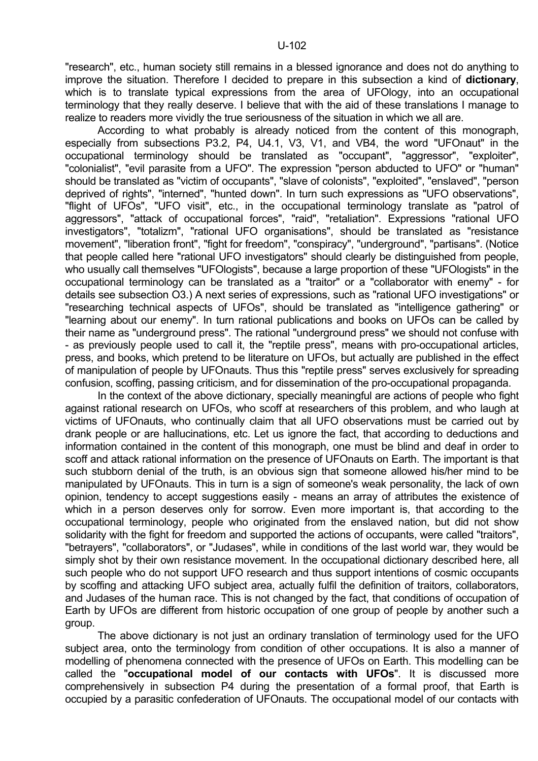"research", etc., human society still remains in a blessed ignorance and does not do anything to improve the situation. Therefore I decided to prepare in this subsection a kind of **dictionary**, which is to translate typical expressions from the area of UFOlogy, into an occupational terminology that they really deserve. I believe that with the aid of these translations I manage to realize to readers more vividly the true seriousness of the situation in which we all are.

 According to what probably is already noticed from the content of this monograph, especially from subsections P3.2, P4, U4.1, V3, V1, and VB4, the word "UFOnaut" in the occupational terminology should be translated as "occupant", "aggressor", "exploiter", "colonialist", "evil parasite from a UFO". The expression "person abducted to UFO" or "human" should be translated as "victim of occupants", "slave of colonists", "exploited", "enslaved", "person deprived of rights", "interned", "hunted down". In turn such expressions as "UFO observations", "flight of UFOs", "UFO visit", etc., in the occupational terminology translate as "patrol of aggressors", "attack of occupational forces", "raid", "retaliation". Expressions "rational UFO investigators", "totalizm", "rational UFO organisations", should be translated as "resistance movement", "liberation front", "fight for freedom", "conspiracy", "underground", "partisans". (Notice that people called here "rational UFO investigators" should clearly be distinguished from people, who usually call themselves "UFOlogists", because a large proportion of these "UFOlogists" in the occupational terminology can be translated as a "traitor" or a "collaborator with enemy" - for details see subsection O3.) A next series of expressions, such as "rational UFO investigations" or "researching technical aspects of UFOs", should be translated as "intelligence gathering" or "learning about our enemy". In turn rational publications and books on UFOs can be called by their name as "underground press". The rational "underground press" we should not confuse with - as previously people used to call it, the "reptile press", means with pro-occupational articles, press, and books, which pretend to be literature on UFOs, but actually are published in the effect of manipulation of people by UFOnauts. Thus this "reptile press" serves exclusively for spreading confusion, scoffing, passing criticism, and for dissemination of the pro-occupational propaganda.

 In the context of the above dictionary, specially meaningful are actions of people who fight against rational research on UFOs, who scoff at researchers of this problem, and who laugh at victims of UFOnauts, who continually claim that all UFO observations must be carried out by drank people or are hallucinations, etc. Let us ignore the fact, that according to deductions and information contained in the content of this monograph, one must be blind and deaf in order to scoff and attack rational information on the presence of UFOnauts on Earth. The important is that such stubborn denial of the truth, is an obvious sign that someone allowed his/her mind to be manipulated by UFOnauts. This in turn is a sign of someone's weak personality, the lack of own opinion, tendency to accept suggestions easily - means an array of attributes the existence of which in a person deserves only for sorrow. Even more important is, that according to the occupational terminology, people who originated from the enslaved nation, but did not show solidarity with the fight for freedom and supported the actions of occupants, were called "traitors", "betrayers", "collaborators", or "Judases", while in conditions of the last world war, they would be simply shot by their own resistance movement. In the occupational dictionary described here, all such people who do not support UFO research and thus support intentions of cosmic occupants by scoffing and attacking UFO subject area, actually fulfil the definition of traitors, collaborators, and Judases of the human race. This is not changed by the fact, that conditions of occupation of Earth by UFOs are different from historic occupation of one group of people by another such a group.

 The above dictionary is not just an ordinary translation of terminology used for the UFO subject area, onto the terminology from condition of other occupations. It is also a manner of modelling of phenomena connected with the presence of UFOs on Earth. This modelling can be called the "**occupational model of our contacts with UFOs**". It is discussed more comprehensively in subsection P4 during the presentation of a formal proof, that Earth is occupied by a parasitic confederation of UFOnauts. The occupational model of our contacts with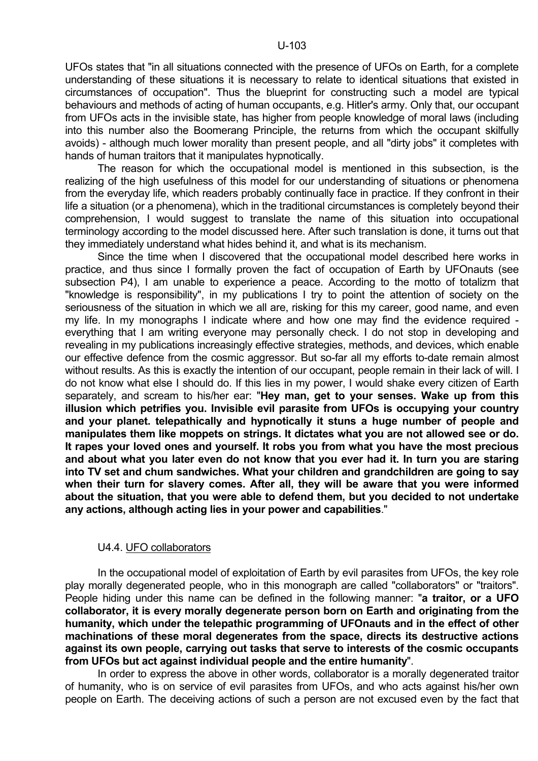UFOs states that "in all situations connected with the presence of UFOs on Earth, for a complete understanding of these situations it is necessary to relate to identical situations that existed in circumstances of occupation". Thus the blueprint for constructing such a model are typical behaviours and methods of acting of human occupants, e.g. Hitler's army. Only that, our occupant from UFOs acts in the invisible state, has higher from people knowledge of moral laws (including into this number also the Boomerang Principle, the returns from which the occupant skilfully avoids) - although much lower morality than present people, and all "dirty jobs" it completes with hands of human traitors that it manipulates hypnotically.

 The reason for which the occupational model is mentioned in this subsection, is the realizing of the high usefulness of this model for our understanding of situations or phenomena from the everyday life, which readers probably continually face in practice. If they confront in their life a situation (or a phenomena), which in the traditional circumstances is completely beyond their comprehension, I would suggest to translate the name of this situation into occupational terminology according to the model discussed here. After such translation is done, it turns out that they immediately understand what hides behind it, and what is its mechanism.

 Since the time when I discovered that the occupational model described here works in practice, and thus since I formally proven the fact of occupation of Earth by UFOnauts (see subsection P4), I am unable to experience a peace. According to the motto of totalizm that "knowledge is responsibility", in my publications I try to point the attention of society on the seriousness of the situation in which we all are, risking for this my career, good name, and even my life. In my monographs I indicate where and how one may find the evidence required everything that I am writing everyone may personally check. I do not stop in developing and revealing in my publications increasingly effective strategies, methods, and devices, which enable our effective defence from the cosmic aggressor. But so-far all my efforts to-date remain almost without results. As this is exactly the intention of our occupant, people remain in their lack of will. I do not know what else I should do. If this lies in my power, I would shake every citizen of Earth separately, and scream to his/her ear: "**Hey man, get to your senses. Wake up from this illusion which petrifies you. Invisible evil parasite from UFOs is occupying your country and your planet. telepathically and hypnotically it stuns a huge number of people and manipulates them like moppets on strings. It dictates what you are not allowed see or do. It rapes your loved ones and yourself. It robs you from what you have the most precious and about what you later even do not know that you ever had it. In turn you are staring into TV set and chum sandwiches. What your children and grandchildren are going to say when their turn for slavery comes. After all, they will be aware that you were informed about the situation, that you were able to defend them, but you decided to not undertake any actions, although acting lies in your power and capabilities**."

## U4.4. UFO collaborators

 In the occupational model of exploitation of Earth by evil parasites from UFOs, the key role play morally degenerated people, who in this monograph are called "collaborators" or "traitors". People hiding under this name can be defined in the following manner: "**a traitor, or a UFO collaborator, it is every morally degenerate person born on Earth and originating from the humanity, which under the telepathic programming of UFOnauts and in the effect of other machinations of these moral degenerates from the space, directs its destructive actions against its own people, carrying out tasks that serve to interests of the cosmic occupants from UFOs but act against individual people and the entire humanity**".

 In order to express the above in other words, collaborator is a morally degenerated traitor of humanity, who is on service of evil parasites from UFOs, and who acts against his/her own people on Earth. The deceiving actions of such a person are not excused even by the fact that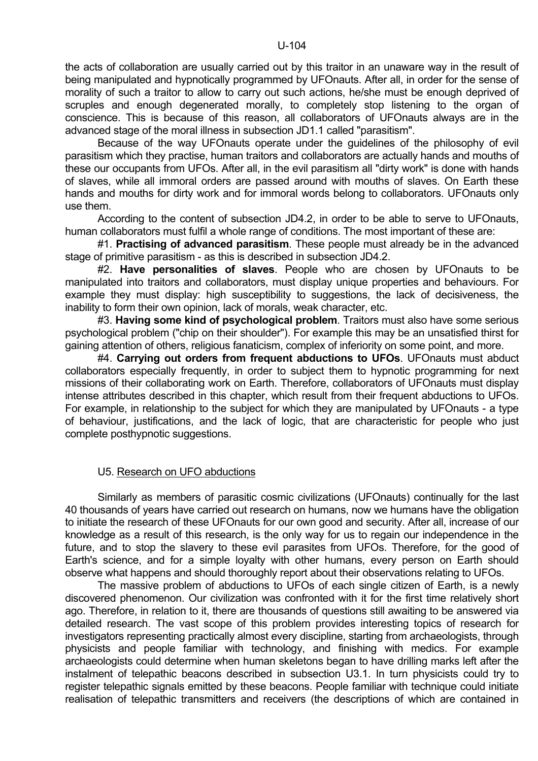the acts of collaboration are usually carried out by this traitor in an unaware way in the result of being manipulated and hypnotically programmed by UFOnauts. After all, in order for the sense of morality of such a traitor to allow to carry out such actions, he/she must be enough deprived of scruples and enough degenerated morally, to completely stop listening to the organ of conscience. This is because of this reason, all collaborators of UFOnauts always are in the advanced stage of the moral illness in subsection JD1.1 called "parasitism".

 Because of the way UFOnauts operate under the guidelines of the philosophy of evil parasitism which they practise, human traitors and collaborators are actually hands and mouths of these our occupants from UFOs. After all, in the evil parasitism all "dirty work" is done with hands of slaves, while all immoral orders are passed around with mouths of slaves. On Earth these hands and mouths for dirty work and for immoral words belong to collaborators. UFOnauts only use them.

 According to the content of subsection JD4.2, in order to be able to serve to UFOnauts, human collaborators must fulfil a whole range of conditions. The most important of these are:

 #1. **Practising of advanced parasitism**. These people must already be in the advanced stage of primitive parasitism - as this is described in subsection JD4.2.

 #2. **Have personalities of slaves**. People who are chosen by UFOnauts to be manipulated into traitors and collaborators, must display unique properties and behaviours. For example they must display: high susceptibility to suggestions, the lack of decisiveness, the inability to form their own opinion, lack of morals, weak character, etc.

 #3. **Having some kind of psychological problem**. Traitors must also have some serious psychological problem ("chip on their shoulder"). For example this may be an unsatisfied thirst for gaining attention of others, religious fanaticism, complex of inferiority on some point, and more.

 #4. **Carrying out orders from frequent abductions to UFOs**. UFOnauts must abduct collaborators especially frequently, in order to subject them to hypnotic programming for next missions of their collaborating work on Earth. Therefore, collaborators of UFOnauts must display intense attributes described in this chapter, which result from their frequent abductions to UFOs. For example, in relationship to the subject for which they are manipulated by UFOnauts - a type of behaviour, justifications, and the lack of logic, that are characteristic for people who just complete posthypnotic suggestions.

## U5. Research on UFO abductions

 Similarly as members of parasitic cosmic civilizations (UFOnauts) continually for the last 40 thousands of years have carried out research on humans, now we humans have the obligation to initiate the research of these UFOnauts for our own good and security. After all, increase of our knowledge as a result of this research, is the only way for us to regain our independence in the future, and to stop the slavery to these evil parasites from UFOs. Therefore, for the good of Earth's science, and for a simple loyalty with other humans, every person on Earth should observe what happens and should thoroughly report about their observations relating to UFOs.

 The massive problem of abductions to UFOs of each single citizen of Earth, is a newly discovered phenomenon. Our civilization was confronted with it for the first time relatively short ago. Therefore, in relation to it, there are thousands of questions still awaiting to be answered via detailed research. The vast scope of this problem provides interesting topics of research for investigators representing practically almost every discipline, starting from archaeologists, through physicists and people familiar with technology, and finishing with medics. For example archaeologists could determine when human skeletons began to have drilling marks left after the instalment of telepathic beacons described in subsection U3.1. In turn physicists could try to register telepathic signals emitted by these beacons. People familiar with technique could initiate realisation of telepathic transmitters and receivers (the descriptions of which are contained in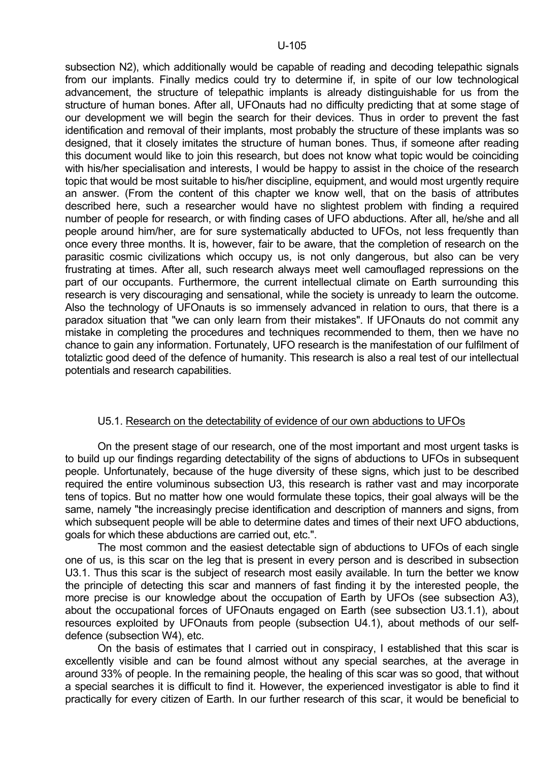subsection N2), which additionally would be capable of reading and decoding telepathic signals from our implants. Finally medics could try to determine if, in spite of our low technological advancement, the structure of telepathic implants is already distinguishable for us from the structure of human bones. After all, UFOnauts had no difficulty predicting that at some stage of our development we will begin the search for their devices. Thus in order to prevent the fast identification and removal of their implants, most probably the structure of these implants was so designed, that it closely imitates the structure of human bones. Thus, if someone after reading this document would like to join this research, but does not know what topic would be coinciding with his/her specialisation and interests, I would be happy to assist in the choice of the research topic that would be most suitable to his/her discipline, equipment, and would most urgently require an answer. (From the content of this chapter we know well, that on the basis of attributes described here, such a researcher would have no slightest problem with finding a required number of people for research, or with finding cases of UFO abductions. After all, he/she and all people around him/her, are for sure systematically abducted to UFOs, not less frequently than once every three months. It is, however, fair to be aware, that the completion of research on the parasitic cosmic civilizations which occupy us, is not only dangerous, but also can be very frustrating at times. After all, such research always meet well camouflaged repressions on the part of our occupants. Furthermore, the current intellectual climate on Earth surrounding this research is very discouraging and sensational, while the society is unready to learn the outcome. Also the technology of UFOnauts is so immensely advanced in relation to ours, that there is a paradox situation that "we can only learn from their mistakes". If UFOnauts do not commit any mistake in completing the procedures and techniques recommended to them, then we have no chance to gain any information. Fortunately, UFO research is the manifestation of our fulfilment of totaliztic good deed of the defence of humanity. This research is also a real test of our intellectual potentials and research capabilities.

## U5.1. Research on the detectability of evidence of our own abductions to UFOs

 On the present stage of our research, one of the most important and most urgent tasks is to build up our findings regarding detectability of the signs of abductions to UFOs in subsequent people. Unfortunately, because of the huge diversity of these signs, which just to be described required the entire voluminous subsection U3, this research is rather vast and may incorporate tens of topics. But no matter how one would formulate these topics, their goal always will be the same, namely "the increasingly precise identification and description of manners and signs, from which subsequent people will be able to determine dates and times of their next UFO abductions, goals for which these abductions are carried out, etc.".

 The most common and the easiest detectable sign of abductions to UFOs of each single one of us, is this scar on the leg that is present in every person and is described in subsection U3.1. Thus this scar is the subject of research most easily available. In turn the better we know the principle of detecting this scar and manners of fast finding it by the interested people, the more precise is our knowledge about the occupation of Earth by UFOs (see subsection A3), about the occupational forces of UFOnauts engaged on Earth (see subsection U3.1.1), about resources exploited by UFOnauts from people (subsection U4.1), about methods of our selfdefence (subsection W4), etc.

 On the basis of estimates that I carried out in conspiracy, I established that this scar is excellently visible and can be found almost without any special searches, at the average in around 33% of people. In the remaining people, the healing of this scar was so good, that without a special searches it is difficult to find it. However, the experienced investigator is able to find it practically for every citizen of Earth. In our further research of this scar, it would be beneficial to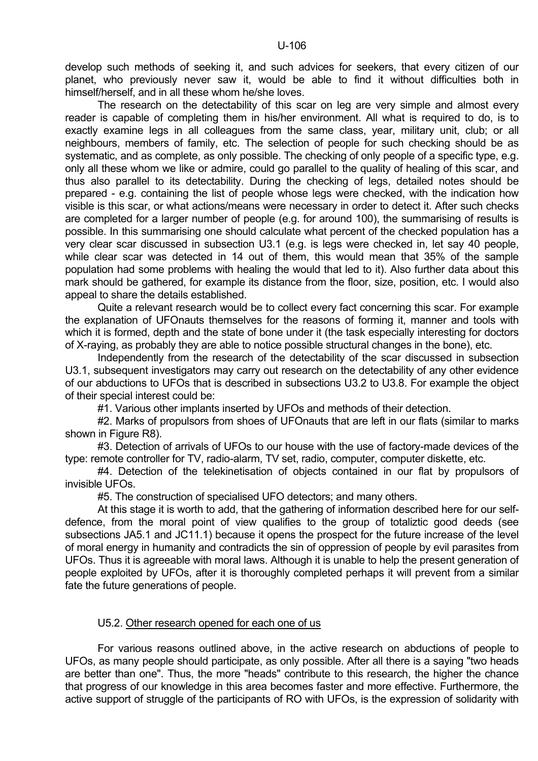develop such methods of seeking it, and such advices for seekers, that every citizen of our planet, who previously never saw it, would be able to find it without difficulties both in himself/herself, and in all these whom he/she loves.

 The research on the detectability of this scar on leg are very simple and almost every reader is capable of completing them in his/her environment. All what is required to do, is to exactly examine legs in all colleagues from the same class, year, military unit, club; or all neighbours, members of family, etc. The selection of people for such checking should be as systematic, and as complete, as only possible. The checking of only people of a specific type, e.g. only all these whom we like or admire, could go parallel to the quality of healing of this scar, and thus also parallel to its detectability. During the checking of legs, detailed notes should be prepared - e.g. containing the list of people whose legs were checked, with the indication how visible is this scar, or what actions/means were necessary in order to detect it. After such checks are completed for a larger number of people (e.g. for around 100), the summarising of results is possible. In this summarising one should calculate what percent of the checked population has a very clear scar discussed in subsection U3.1 (e.g. is legs were checked in, let say 40 people, while clear scar was detected in 14 out of them, this would mean that 35% of the sample population had some problems with healing the would that led to it). Also further data about this mark should be gathered, for example its distance from the floor, size, position, etc. I would also appeal to share the details established.

 Quite a relevant research would be to collect every fact concerning this scar. For example the explanation of UFOnauts themselves for the reasons of forming it, manner and tools with which it is formed, depth and the state of bone under it (the task especially interesting for doctors of X-raying, as probably they are able to notice possible structural changes in the bone), etc.

 Independently from the research of the detectability of the scar discussed in subsection U3.1, subsequent investigators may carry out research on the detectability of any other evidence of our abductions to UFOs that is described in subsections U3.2 to U3.8. For example the object of their special interest could be:

#1. Various other implants inserted by UFOs and methods of their detection.

#2. Marks of propulsors from shoes of UFOnauts that are left in our flats (similar to marks shown in Figure R8).

 #3. Detection of arrivals of UFOs to our house with the use of factory-made devices of the type: remote controller for TV, radio-alarm, TV set, radio, computer, computer diskette, etc.

 #4. Detection of the telekinetisation of objects contained in our flat by propulsors of invisible UFOs.

#5. The construction of specialised UFO detectors; and many others.

 At this stage it is worth to add, that the gathering of information described here for our selfdefence, from the moral point of view qualifies to the group of totaliztic good deeds (see subsections JA5.1 and JC11.1) because it opens the prospect for the future increase of the level of moral energy in humanity and contradicts the sin of oppression of people by evil parasites from UFOs. Thus it is agreeable with moral laws. Although it is unable to help the present generation of people exploited by UFOs, after it is thoroughly completed perhaps it will prevent from a similar fate the future generations of people.

## U5.2. Other research opened for each one of us

 For various reasons outlined above, in the active research on abductions of people to UFOs, as many people should participate, as only possible. After all there is a saying "two heads are better than one". Thus, the more "heads" contribute to this research, the higher the chance that progress of our knowledge in this area becomes faster and more effective. Furthermore, the active support of struggle of the participants of RO with UFOs, is the expression of solidarity with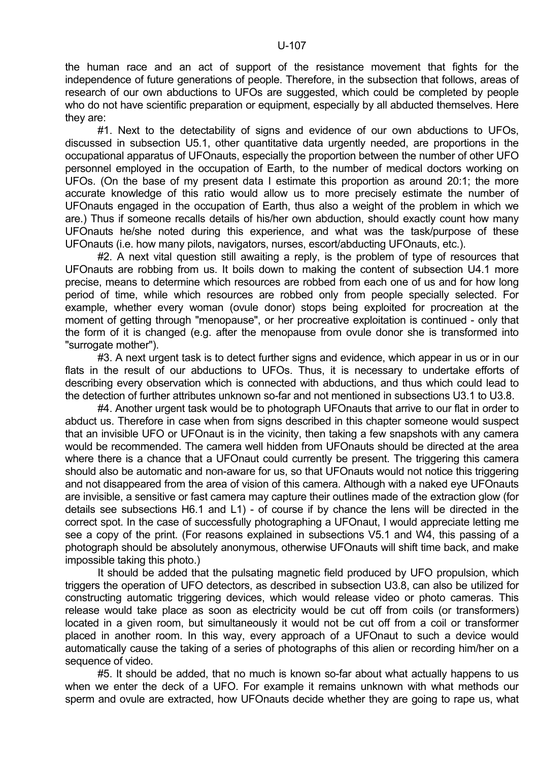the human race and an act of support of the resistance movement that fights for the independence of future generations of people. Therefore, in the subsection that follows, areas of research of our own abductions to UFOs are suggested, which could be completed by people who do not have scientific preparation or equipment, especially by all abducted themselves. Here they are:

 #1. Next to the detectability of signs and evidence of our own abductions to UFOs, discussed in subsection U5.1, other quantitative data urgently needed, are proportions in the occupational apparatus of UFOnauts, especially the proportion between the number of other UFO personnel employed in the occupation of Earth, to the number of medical doctors working on UFOs. (On the base of my present data I estimate this proportion as around 20:1; the more accurate knowledge of this ratio would allow us to more precisely estimate the number of UFOnauts engaged in the occupation of Earth, thus also a weight of the problem in which we are.) Thus if someone recalls details of his/her own abduction, should exactly count how many UFOnauts he/she noted during this experience, and what was the task/purpose of these UFOnauts (i.e. how many pilots, navigators, nurses, escort/abducting UFOnauts, etc.).

 #2. A next vital question still awaiting a reply, is the problem of type of resources that UFOnauts are robbing from us. It boils down to making the content of subsection U4.1 more precise, means to determine which resources are robbed from each one of us and for how long period of time, while which resources are robbed only from people specially selected. For example, whether every woman (ovule donor) stops being exploited for procreation at the moment of getting through "menopause", or her procreative exploitation is continued - only that the form of it is changed (e.g. after the menopause from ovule donor she is transformed into "surrogate mother").

#3. A next urgent task is to detect further signs and evidence, which appear in us or in our flats in the result of our abductions to UFOs. Thus, it is necessary to undertake efforts of describing every observation which is connected with abductions, and thus which could lead to the detection of further attributes unknown so-far and not mentioned in subsections U3.1 to U3.8.

 #4. Another urgent task would be to photograph UFOnauts that arrive to our flat in order to abduct us. Therefore in case when from signs described in this chapter someone would suspect that an invisible UFO or UFOnaut is in the vicinity, then taking a few snapshots with any camera would be recommended. The camera well hidden from UFOnauts should be directed at the area where there is a chance that a UFOnaut could currently be present. The triggering this camera should also be automatic and non-aware for us, so that UFOnauts would not notice this triggering and not disappeared from the area of vision of this camera. Although with a naked eye UFOnauts are invisible, a sensitive or fast camera may capture their outlines made of the extraction glow (for details see subsections H6.1 and L1) - of course if by chance the lens will be directed in the correct spot. In the case of successfully photographing a UFOnaut, I would appreciate letting me see a copy of the print. (For reasons explained in subsections V5.1 and W4, this passing of a photograph should be absolutely anonymous, otherwise UFOnauts will shift time back, and make impossible taking this photo.)

 It should be added that the pulsating magnetic field produced by UFO propulsion, which triggers the operation of UFO detectors, as described in subsection U3.8, can also be utilized for constructing automatic triggering devices, which would release video or photo cameras. This release would take place as soon as electricity would be cut off from coils (or transformers) located in a given room, but simultaneously it would not be cut off from a coil or transformer placed in another room. In this way, every approach of a UFOnaut to such a device would automatically cause the taking of a series of photographs of this alien or recording him/her on a sequence of video.

 #5. It should be added, that no much is known so-far about what actually happens to us when we enter the deck of a UFO. For example it remains unknown with what methods our sperm and ovule are extracted, how UFOnauts decide whether they are going to rape us, what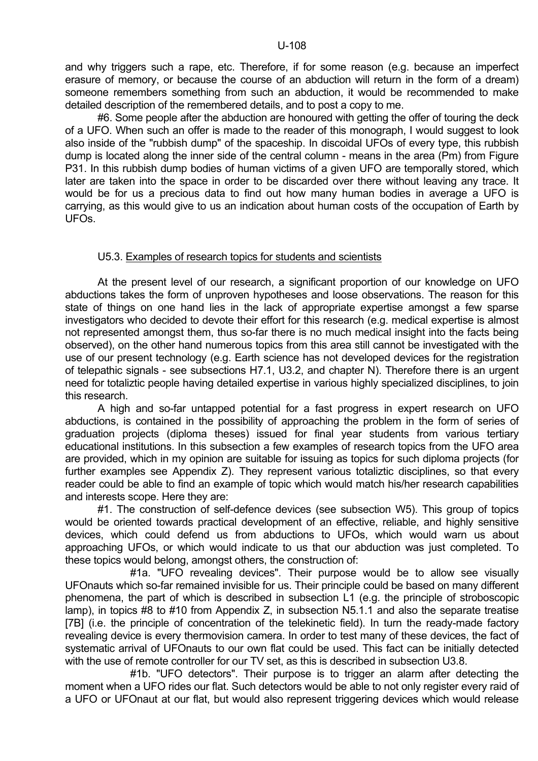and why triggers such a rape, etc. Therefore, if for some reason (e.g. because an imperfect erasure of memory, or because the course of an abduction will return in the form of a dream) someone remembers something from such an abduction, it would be recommended to make detailed description of the remembered details, and to post a copy to me.

 #6. Some people after the abduction are honoured with getting the offer of touring the deck of a UFO. When such an offer is made to the reader of this monograph, I would suggest to look also inside of the "rubbish dump" of the spaceship. In discoidal UFOs of every type, this rubbish dump is located along the inner side of the central column - means in the area (Pm) from Figure P31. In this rubbish dump bodies of human victims of a given UFO are temporally stored, which later are taken into the space in order to be discarded over there without leaving any trace. It would be for us a precious data to find out how many human bodies in average a UFO is carrying, as this would give to us an indication about human costs of the occupation of Earth by UFOs.

# U5.3. Examples of research topics for students and scientists

 At the present level of our research, a significant proportion of our knowledge on UFO abductions takes the form of unproven hypotheses and loose observations. The reason for this state of things on one hand lies in the lack of appropriate expertise amongst a few sparse investigators who decided to devote their effort for this research (e.g. medical expertise is almost not represented amongst them, thus so-far there is no much medical insight into the facts being observed), on the other hand numerous topics from this area still cannot be investigated with the use of our present technology (e.g. Earth science has not developed devices for the registration of telepathic signals - see subsections H7.1, U3.2, and chapter N). Therefore there is an urgent need for totaliztic people having detailed expertise in various highly specialized disciplines, to join this research.

 A high and so-far untapped potential for a fast progress in expert research on UFO abductions, is contained in the possibility of approaching the problem in the form of series of graduation projects (diploma theses) issued for final year students from various tertiary educational institutions. In this subsection a few examples of research topics from the UFO area are provided, which in my opinion are suitable for issuing as topics for such diploma projects (for further examples see Appendix Z). They represent various totaliztic disciplines, so that every reader could be able to find an example of topic which would match his/her research capabilities and interests scope. Here they are:

 #1. The construction of self-defence devices (see subsection W5). This group of topics would be oriented towards practical development of an effective, reliable, and highly sensitive devices, which could defend us from abductions to UFOs, which would warn us about approaching UFOs, or which would indicate to us that our abduction was just completed. To these topics would belong, amongst others, the construction of:

 #1a. "UFO revealing devices". Their purpose would be to allow see visually UFOnauts which so-far remained invisible for us. Their principle could be based on many different phenomena, the part of which is described in subsection L1 (e.g. the principle of stroboscopic lamp), in topics #8 to #10 from Appendix Z, in subsection N5.1.1 and also the separate treatise [7B] (i.e. the principle of concentration of the telekinetic field). In turn the ready-made factory revealing device is every thermovision camera. In order to test many of these devices, the fact of systematic arrival of UFOnauts to our own flat could be used. This fact can be initially detected with the use of remote controller for our TV set, as this is described in subsection U3.8.

 #1b. "UFO detectors". Their purpose is to trigger an alarm after detecting the moment when a UFO rides our flat. Such detectors would be able to not only register every raid of a UFO or UFOnaut at our flat, but would also represent triggering devices which would release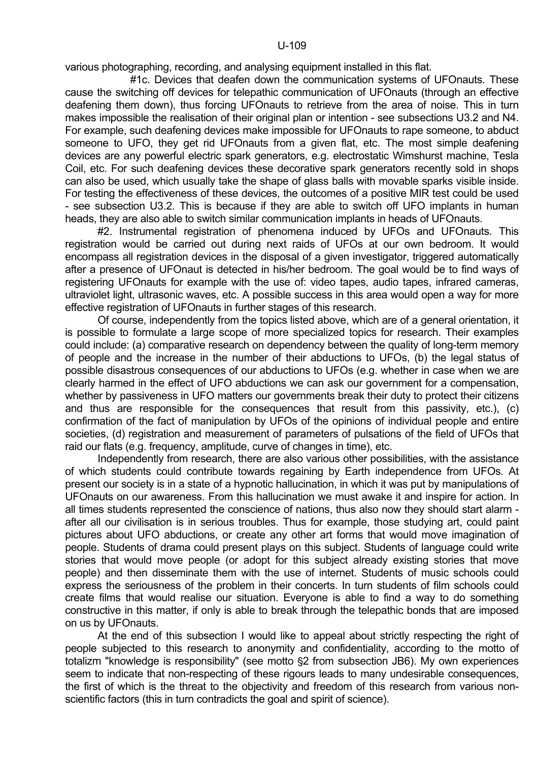various photographing, recording, and analysing equipment installed in this flat.

 #1c. Devices that deafen down the communication systems of UFOnauts. These cause the switching off devices for telepathic communication of UFOnauts (through an effective deafening them down), thus forcing UFOnauts to retrieve from the area of noise. This in turn makes impossible the realisation of their original plan or intention - see subsections U3.2 and N4. For example, such deafening devices make impossible for UFOnauts to rape someone, to abduct someone to UFO, they get rid UFOnauts from a given flat, etc. The most simple deafening devices are any powerful electric spark generators, e.g. electrostatic Wimshurst machine, Tesla Coil, etc. For such deafening devices these decorative spark generators recently sold in shops can also be used, which usually take the shape of glass balls with movable sparks visible inside. For testing the effectiveness of these devices, the outcomes of a positive MIR test could be used - see subsection U3.2. This is because if they are able to switch off UFO implants in human heads, they are also able to switch similar communication implants in heads of UFOnauts.

 #2. Instrumental registration of phenomena induced by UFOs and UFOnauts. This registration would be carried out during next raids of UFOs at our own bedroom. It would encompass all registration devices in the disposal of a given investigator, triggered automatically after a presence of UFOnaut is detected in his/her bedroom. The goal would be to find ways of registering UFOnauts for example with the use of: video tapes, audio tapes, infrared cameras, ultraviolet light, ultrasonic waves, etc. A possible success in this area would open a way for more effective registration of UFOnauts in further stages of this research.

 Of course, independently from the topics listed above, which are of a general orientation, it is possible to formulate a large scope of more specialized topics for research. Their examples could include: (a) comparative research on dependency between the quality of long-term memory of people and the increase in the number of their abductions to UFOs, (b) the legal status of possible disastrous consequences of our abductions to UFOs (e.g. whether in case when we are clearly harmed in the effect of UFO abductions we can ask our government for a compensation, whether by passiveness in UFO matters our governments break their duty to protect their citizens and thus are responsible for the consequences that result from this passivity, etc.), (c) confirmation of the fact of manipulation by UFOs of the opinions of individual people and entire societies, (d) registration and measurement of parameters of pulsations of the field of UFOs that raid our flats (e.g. frequency, amplitude, curve of changes in time), etc.

 Independently from research, there are also various other possibilities, with the assistance of which students could contribute towards regaining by Earth independence from UFOs. At present our society is in a state of a hypnotic hallucination, in which it was put by manipulations of UFOnauts on our awareness. From this hallucination we must awake it and inspire for action. In all times students represented the conscience of nations, thus also now they should start alarm after all our civilisation is in serious troubles. Thus for example, those studying art, could paint pictures about UFO abductions, or create any other art forms that would move imagination of people. Students of drama could present plays on this subject. Students of language could write stories that would move people (or adopt for this subject already existing stories that move people) and then disseminate them with the use of internet. Students of music schools could express the seriousness of the problem in their concerts. In turn students of film schools could create films that would realise our situation. Everyone is able to find a way to do something constructive in this matter, if only is able to break through the telepathic bonds that are imposed on us by UFOnauts.

 At the end of this subsection I would like to appeal about strictly respecting the right of people subjected to this research to anonymity and confidentiality, according to the motto of totalizm "knowledge is responsibility" (see motto §2 from subsection JB6). My own experiences seem to indicate that non-respecting of these rigours leads to many undesirable consequences, the first of which is the threat to the objectivity and freedom of this research from various nonscientific factors (this in turn contradicts the goal and spirit of science).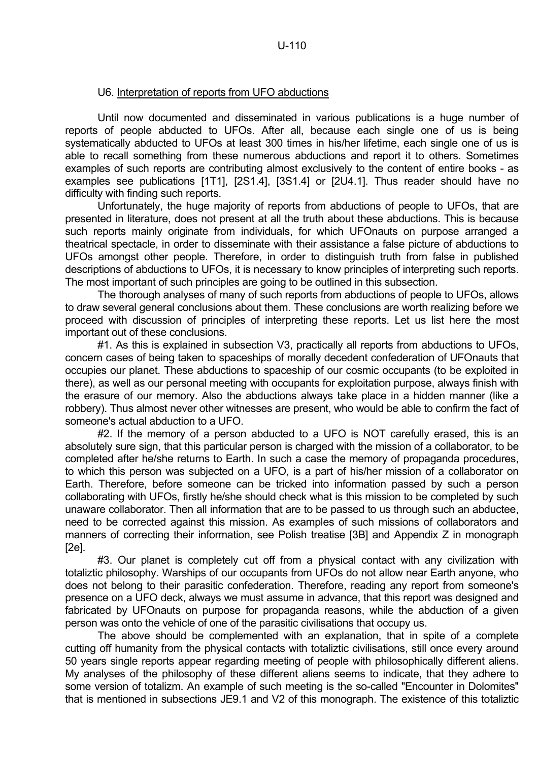# U6. Interpretation of reports from UFO abductions

 Until now documented and disseminated in various publications is a huge number of reports of people abducted to UFOs. After all, because each single one of us is being systematically abducted to UFOs at least 300 times in his/her lifetime, each single one of us is able to recall something from these numerous abductions and report it to others. Sometimes examples of such reports are contributing almost exclusively to the content of entire books - as examples see publications [1T1], [2S1.4], [3S1.4] or [2U4.1]. Thus reader should have no difficulty with finding such reports.

 Unfortunately, the huge majority of reports from abductions of people to UFOs, that are presented in literature, does not present at all the truth about these abductions. This is because such reports mainly originate from individuals, for which UFOnauts on purpose arranged a theatrical spectacle, in order to disseminate with their assistance a false picture of abductions to UFOs amongst other people. Therefore, in order to distinguish truth from false in published descriptions of abductions to UFOs, it is necessary to know principles of interpreting such reports. The most important of such principles are going to be outlined in this subsection.

 The thorough analyses of many of such reports from abductions of people to UFOs, allows to draw several general conclusions about them. These conclusions are worth realizing before we proceed with discussion of principles of interpreting these reports. Let us list here the most important out of these conclusions.

 #1. As this is explained in subsection V3, practically all reports from abductions to UFOs, concern cases of being taken to spaceships of morally decedent confederation of UFOnauts that occupies our planet. These abductions to spaceship of our cosmic occupants (to be exploited in there), as well as our personal meeting with occupants for exploitation purpose, always finish with the erasure of our memory. Also the abductions always take place in a hidden manner (like a robbery). Thus almost never other witnesses are present, who would be able to confirm the fact of someone's actual abduction to a UFO.

#2. If the memory of a person abducted to a UFO is NOT carefully erased, this is an absolutely sure sign, that this particular person is charged with the mission of a collaborator, to be completed after he/she returns to Earth. In such a case the memory of propaganda procedures, to which this person was subjected on a UFO, is a part of his/her mission of a collaborator on Earth. Therefore, before someone can be tricked into information passed by such a person collaborating with UFOs, firstly he/she should check what is this mission to be completed by such unaware collaborator. Then all information that are to be passed to us through such an abductee, need to be corrected against this mission. As examples of such missions of collaborators and manners of correcting their information, see Polish treatise [3B] and Appendix Z in monograph  $[2e]$ .

#3. Our planet is completely cut off from a physical contact with any civilization with totaliztic philosophy. Warships of our occupants from UFOs do not allow near Earth anyone, who does not belong to their parasitic confederation. Therefore, reading any report from someone's presence on a UFO deck, always we must assume in advance, that this report was designed and fabricated by UFOnauts on purpose for propaganda reasons, while the abduction of a given person was onto the vehicle of one of the parasitic civilisations that occupy us.

 The above should be complemented with an explanation, that in spite of a complete cutting off humanity from the physical contacts with totaliztic civilisations, still once every around 50 years single reports appear regarding meeting of people with philosophically different aliens. My analyses of the philosophy of these different aliens seems to indicate, that they adhere to some version of totalizm. An example of such meeting is the so-called "Encounter in Dolomites" that is mentioned in subsections JE9.1 and V2 of this monograph. The existence of this totaliztic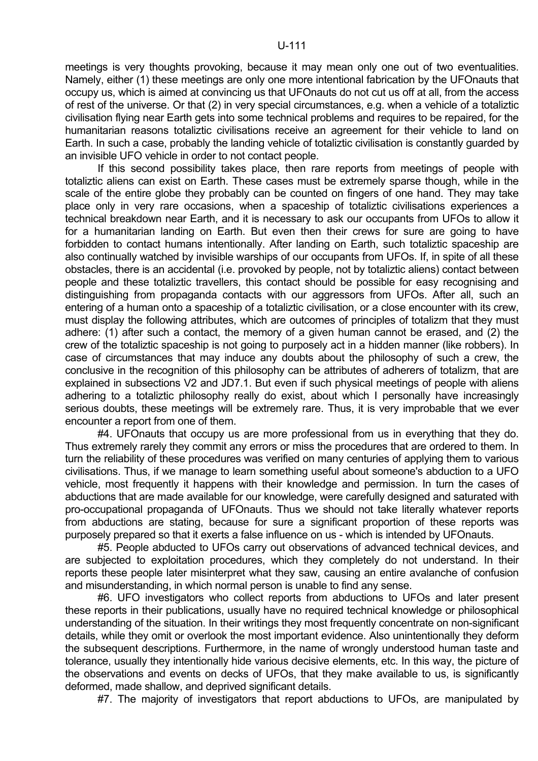meetings is very thoughts provoking, because it may mean only one out of two eventualities. Namely, either (1) these meetings are only one more intentional fabrication by the UFOnauts that occupy us, which is aimed at convincing us that UFOnauts do not cut us off at all, from the access of rest of the universe. Or that (2) in very special circumstances, e.g. when a vehicle of a totaliztic civilisation flying near Earth gets into some technical problems and requires to be repaired, for the humanitarian reasons totaliztic civilisations receive an agreement for their vehicle to land on Earth. In such a case, probably the landing vehicle of totaliztic civilisation is constantly guarded by an invisible UFO vehicle in order to not contact people.

 If this second possibility takes place, then rare reports from meetings of people with totaliztic aliens can exist on Earth. These cases must be extremely sparse though, while in the scale of the entire globe they probably can be counted on fingers of one hand. They may take place only in very rare occasions, when a spaceship of totaliztic civilisations experiences a technical breakdown near Earth, and it is necessary to ask our occupants from UFOs to allow it for a humanitarian landing on Earth. But even then their crews for sure are going to have forbidden to contact humans intentionally. After landing on Earth, such totaliztic spaceship are also continually watched by invisible warships of our occupants from UFOs. If, in spite of all these obstacles, there is an accidental (i.e. provoked by people, not by totaliztic aliens) contact between people and these totaliztic travellers, this contact should be possible for easy recognising and distinguishing from propaganda contacts with our aggressors from UFOs. After all, such an entering of a human onto a spaceship of a totaliztic civilisation, or a close encounter with its crew, must display the following attributes, which are outcomes of principles of totalizm that they must adhere: (1) after such a contact, the memory of a given human cannot be erased, and (2) the crew of the totaliztic spaceship is not going to purposely act in a hidden manner (like robbers). In case of circumstances that may induce any doubts about the philosophy of such a crew, the conclusive in the recognition of this philosophy can be attributes of adherers of totalizm, that are explained in subsections V2 and JD7.1. But even if such physical meetings of people with aliens adhering to a totaliztic philosophy really do exist, about which I personally have increasingly serious doubts, these meetings will be extremely rare. Thus, it is very improbable that we ever encounter a report from one of them.

 #4. UFOnauts that occupy us are more professional from us in everything that they do. Thus extremely rarely they commit any errors or miss the procedures that are ordered to them. In turn the reliability of these procedures was verified on many centuries of applying them to various civilisations. Thus, if we manage to learn something useful about someone's abduction to a UFO vehicle, most frequently it happens with their knowledge and permission. In turn the cases of abductions that are made available for our knowledge, were carefully designed and saturated with pro-occupational propaganda of UFOnauts. Thus we should not take literally whatever reports from abductions are stating, because for sure a significant proportion of these reports was purposely prepared so that it exerts a false influence on us - which is intended by UFOnauts.

 #5. People abducted to UFOs carry out observations of advanced technical devices, and are subjected to exploitation procedures, which they completely do not understand. In their reports these people later misinterpret what they saw, causing an entire avalanche of confusion and misunderstanding, in which normal person is unable to find any sense.

 #6. UFO investigators who collect reports from abductions to UFOs and later present these reports in their publications, usually have no required technical knowledge or philosophical understanding of the situation. In their writings they most frequently concentrate on non-significant details, while they omit or overlook the most important evidence. Also unintentionally they deform the subsequent descriptions. Furthermore, in the name of wrongly understood human taste and tolerance, usually they intentionally hide various decisive elements, etc. In this way, the picture of the observations and events on decks of UFOs, that they make available to us, is significantly deformed, made shallow, and deprived significant details.

#7. The majority of investigators that report abductions to UFOs, are manipulated by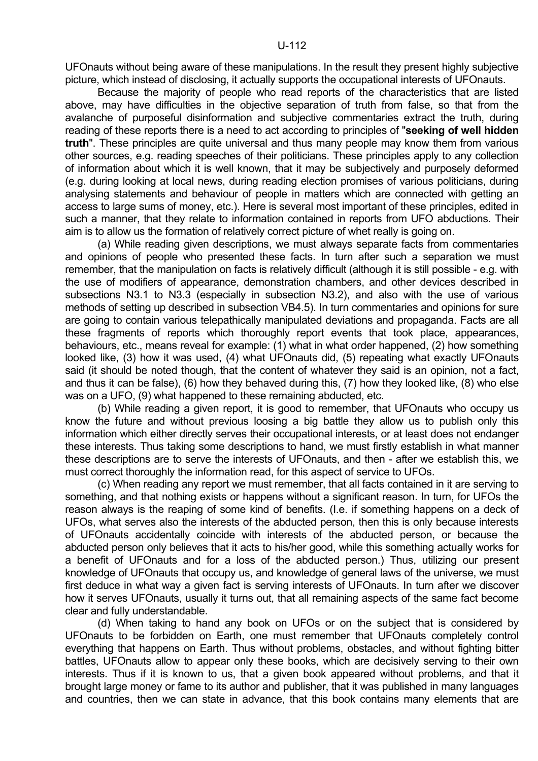UFOnauts without being aware of these manipulations. In the result they present highly subjective picture, which instead of disclosing, it actually supports the occupational interests of UFOnauts.

 Because the majority of people who read reports of the characteristics that are listed above, may have difficulties in the objective separation of truth from false, so that from the avalanche of purposeful disinformation and subjective commentaries extract the truth, during reading of these reports there is a need to act according to principles of "**seeking of well hidden truth**". These principles are quite universal and thus many people may know them from various other sources, e.g. reading speeches of their politicians. These principles apply to any collection of information about which it is well known, that it may be subjectively and purposely deformed (e.g. during looking at local news, during reading election promises of various politicians, during analysing statements and behaviour of people in matters which are connected with getting an access to large sums of money, etc.). Here is several most important of these principles, edited in such a manner, that they relate to information contained in reports from UFO abductions. Their aim is to allow us the formation of relatively correct picture of whet really is going on.

 (a) While reading given descriptions, we must always separate facts from commentaries and opinions of people who presented these facts. In turn after such a separation we must remember, that the manipulation on facts is relatively difficult (although it is still possible - e.g. with the use of modifiers of appearance, demonstration chambers, and other devices described in subsections N3.1 to N3.3 (especially in subsection N3.2), and also with the use of various methods of setting up described in subsection VB4.5). In turn commentaries and opinions for sure are going to contain various telepathically manipulated deviations and propaganda. Facts are all these fragments of reports which thoroughly report events that took place, appearances, behaviours, etc., means reveal for example: (1) what in what order happened, (2) how something looked like, (3) how it was used, (4) what UFOnauts did, (5) repeating what exactly UFOnauts said (it should be noted though, that the content of whatever they said is an opinion, not a fact, and thus it can be false), (6) how they behaved during this, (7) how they looked like, (8) who else was on a UFO, (9) what happened to these remaining abducted, etc.

 (b) While reading a given report, it is good to remember, that UFOnauts who occupy us know the future and without previous loosing a big battle they allow us to publish only this information which either directly serves their occupational interests, or at least does not endanger these interests. Thus taking some descriptions to hand, we must firstly establish in what manner these descriptions are to serve the interests of UFOnauts, and then - after we establish this, we must correct thoroughly the information read, for this aspect of service to UFOs.

 (c) When reading any report we must remember, that all facts contained in it are serving to something, and that nothing exists or happens without a significant reason. In turn, for UFOs the reason always is the reaping of some kind of benefits. (I.e. if something happens on a deck of UFOs, what serves also the interests of the abducted person, then this is only because interests of UFOnauts accidentally coincide with interests of the abducted person, or because the abducted person only believes that it acts to his/her good, while this something actually works for a benefit of UFOnauts and for a loss of the abducted person.) Thus, utilizing our present knowledge of UFOnauts that occupy us, and knowledge of general laws of the universe, we must first deduce in what way a given fact is serving interests of UFOnauts. In turn after we discover how it serves UFOnauts, usually it turns out, that all remaining aspects of the same fact become clear and fully understandable.

 (d) When taking to hand any book on UFOs or on the subject that is considered by UFOnauts to be forbidden on Earth, one must remember that UFOnauts completely control everything that happens on Earth. Thus without problems, obstacles, and without fighting bitter battles, UFOnauts allow to appear only these books, which are decisively serving to their own interests. Thus if it is known to us, that a given book appeared without problems, and that it brought large money or fame to its author and publisher, that it was published in many languages and countries, then we can state in advance, that this book contains many elements that are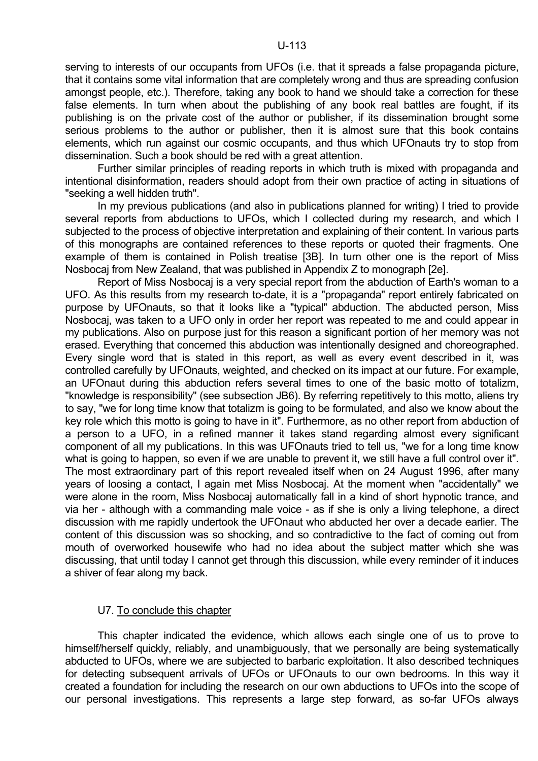serving to interests of our occupants from UFOs (i.e. that it spreads a false propaganda picture, that it contains some vital information that are completely wrong and thus are spreading confusion amongst people, etc.). Therefore, taking any book to hand we should take a correction for these false elements. In turn when about the publishing of any book real battles are fought, if its publishing is on the private cost of the author or publisher, if its dissemination brought some serious problems to the author or publisher, then it is almost sure that this book contains elements, which run against our cosmic occupants, and thus which UFOnauts try to stop from dissemination. Such a book should be red with a great attention.

 Further similar principles of reading reports in which truth is mixed with propaganda and intentional disinformation, readers should adopt from their own practice of acting in situations of "seeking a well hidden truth".

 In my previous publications (and also in publications planned for writing) I tried to provide several reports from abductions to UFOs, which I collected during my research, and which I subjected to the process of objective interpretation and explaining of their content. In various parts of this monographs are contained references to these reports or quoted their fragments. One example of them is contained in Polish treatise [3B]. In turn other one is the report of Miss Nosbocaj from New Zealand, that was published in Appendix Z to monograph [2e].

 Report of Miss Nosbocaj is a very special report from the abduction of Earth's woman to a UFO. As this results from my research to-date, it is a "propaganda" report entirely fabricated on purpose by UFOnauts, so that it looks like a "typical" abduction. The abducted person, Miss Nosbocaj, was taken to a UFO only in order her report was repeated to me and could appear in my publications. Also on purpose just for this reason a significant portion of her memory was not erased. Everything that concerned this abduction was intentionally designed and choreographed. Every single word that is stated in this report, as well as every event described in it, was controlled carefully by UFOnauts, weighted, and checked on its impact at our future. For example, an UFOnaut during this abduction refers several times to one of the basic motto of totalizm, "knowledge is responsibility" (see subsection JB6). By referring repetitively to this motto, aliens try to say, "we for long time know that totalizm is going to be formulated, and also we know about the key role which this motto is going to have in it". Furthermore, as no other report from abduction of a person to a UFO, in a refined manner it takes stand regarding almost every significant component of all my publications. In this was UFOnauts tried to tell us, "we for a long time know what is going to happen, so even if we are unable to prevent it, we still have a full control over it". The most extraordinary part of this report revealed itself when on 24 August 1996, after many years of loosing a contact, I again met Miss Nosbocaj. At the moment when "accidentally" we were alone in the room, Miss Nosbocaj automatically fall in a kind of short hypnotic trance, and via her - although with a commanding male voice - as if she is only a living telephone, a direct discussion with me rapidly undertook the UFOnaut who abducted her over a decade earlier. The content of this discussion was so shocking, and so contradictive to the fact of coming out from mouth of overworked housewife who had no idea about the subject matter which she was discussing, that until today I cannot get through this discussion, while every reminder of it induces a shiver of fear along my back.

## U7. To conclude this chapter

 This chapter indicated the evidence, which allows each single one of us to prove to himself/herself quickly, reliably, and unambiguously, that we personally are being systematically abducted to UFOs, where we are subjected to barbaric exploitation. It also described techniques for detecting subsequent arrivals of UFOs or UFOnauts to our own bedrooms. In this way it created a foundation for including the research on our own abductions to UFOs into the scope of our personal investigations. This represents a large step forward, as so-far UFOs always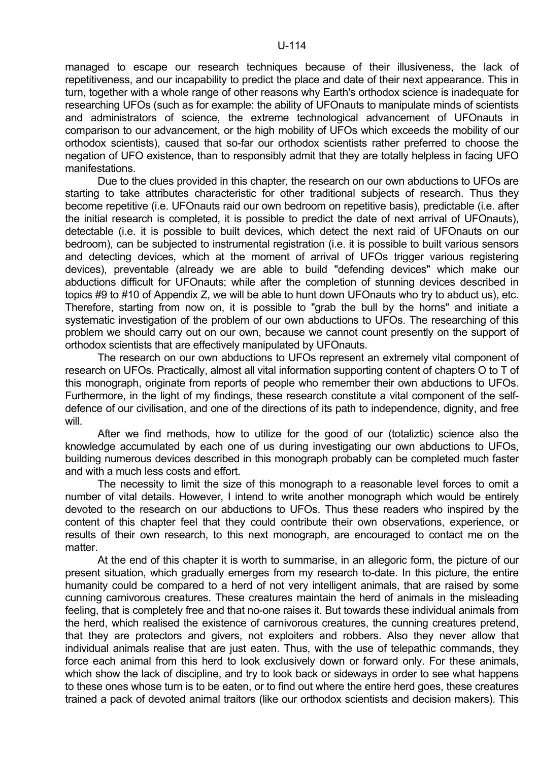managed to escape our research techniques because of their illusiveness, the lack of repetitiveness, and our incapability to predict the place and date of their next appearance. This in turn, together with a whole range of other reasons why Earth's orthodox science is inadequate for researching UFOs (such as for example: the ability of UFOnauts to manipulate minds of scientists and administrators of science, the extreme technological advancement of UFOnauts in comparison to our advancement, or the high mobility of UFOs which exceeds the mobility of our orthodox scientists), caused that so-far our orthodox scientists rather preferred to choose the negation of UFO existence, than to responsibly admit that they are totally helpless in facing UFO manifestations.

 Due to the clues provided in this chapter, the research on our own abductions to UFOs are starting to take attributes characteristic for other traditional subjects of research. Thus they become repetitive (i.e. UFOnauts raid our own bedroom on repetitive basis), predictable (i.e. after the initial research is completed, it is possible to predict the date of next arrival of UFOnauts), detectable (i.e. it is possible to built devices, which detect the next raid of UFOnauts on our bedroom), can be subjected to instrumental registration (i.e. it is possible to built various sensors and detecting devices, which at the moment of arrival of UFOs trigger various registering devices), preventable (already we are able to build "defending devices" which make our abductions difficult for UFOnauts; while after the completion of stunning devices described in topics #9 to #10 of Appendix Z, we will be able to hunt down UFOnauts who try to abduct us), etc. Therefore, starting from now on, it is possible to "grab the bull by the horns" and initiate a systematic investigation of the problem of our own abductions to UFOs. The researching of this problem we should carry out on our own, because we cannot count presently on the support of orthodox scientists that are effectively manipulated by UFOnauts.

 The research on our own abductions to UFOs represent an extremely vital component of research on UFOs. Practically, almost all vital information supporting content of chapters O to T of this monograph, originate from reports of people who remember their own abductions to UFOs. Furthermore, in the light of my findings, these research constitute a vital component of the selfdefence of our civilisation, and one of the directions of its path to independence, dignity, and free will.

 After we find methods, how to utilize for the good of our (totaliztic) science also the knowledge accumulated by each one of us during investigating our own abductions to UFOs, building numerous devices described in this monograph probably can be completed much faster and with a much less costs and effort.

 The necessity to limit the size of this monograph to a reasonable level forces to omit a number of vital details. However, I intend to write another monograph which would be entirely devoted to the research on our abductions to UFOs. Thus these readers who inspired by the content of this chapter feel that they could contribute their own observations, experience, or results of their own research, to this next monograph, are encouraged to contact me on the matter.

 At the end of this chapter it is worth to summarise, in an allegoric form, the picture of our present situation, which gradually emerges from my research to-date. In this picture, the entire humanity could be compared to a herd of not very intelligent animals, that are raised by some cunning carnivorous creatures. These creatures maintain the herd of animals in the misleading feeling, that is completely free and that no-one raises it. But towards these individual animals from the herd, which realised the existence of carnivorous creatures, the cunning creatures pretend, that they are protectors and givers, not exploiters and robbers. Also they never allow that individual animals realise that are just eaten. Thus, with the use of telepathic commands, they force each animal from this herd to look exclusively down or forward only. For these animals, which show the lack of discipline, and try to look back or sideways in order to see what happens to these ones whose turn is to be eaten, or to find out where the entire herd goes, these creatures trained a pack of devoted animal traitors (like our orthodox scientists and decision makers). This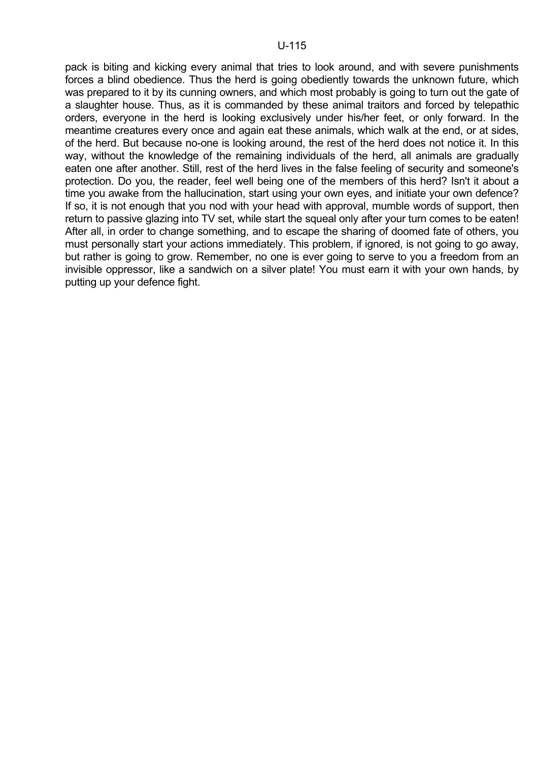pack is biting and kicking every animal that tries to look around, and with severe punishments forces a blind obedience. Thus the herd is going obediently towards the unknown future, which was prepared to it by its cunning owners, and which most probably is going to turn out the gate of a slaughter house. Thus, as it is commanded by these animal traitors and forced by telepathic orders, everyone in the herd is looking exclusively under his/her feet, or only forward. In the meantime creatures every once and again eat these animals, which walk at the end, or at sides, of the herd. But because no-one is looking around, the rest of the herd does not notice it. In this way, without the knowledge of the remaining individuals of the herd, all animals are gradually eaten one after another. Still, rest of the herd lives in the false feeling of security and someone's protection. Do you, the reader, feel well being one of the members of this herd? Isn't it about a time you awake from the hallucination, start using your own eyes, and initiate your own defence? If so, it is not enough that you nod with your head with approval, mumble words of support, then return to passive glazing into TV set, while start the squeal only after your turn comes to be eaten! After all, in order to change something, and to escape the sharing of doomed fate of others, you must personally start your actions immediately. This problem, if ignored, is not going to go away, but rather is going to grow. Remember, no one is ever going to serve to you a freedom from an invisible oppressor, like a sandwich on a silver plate! You must earn it with your own hands, by putting up your defence fight.